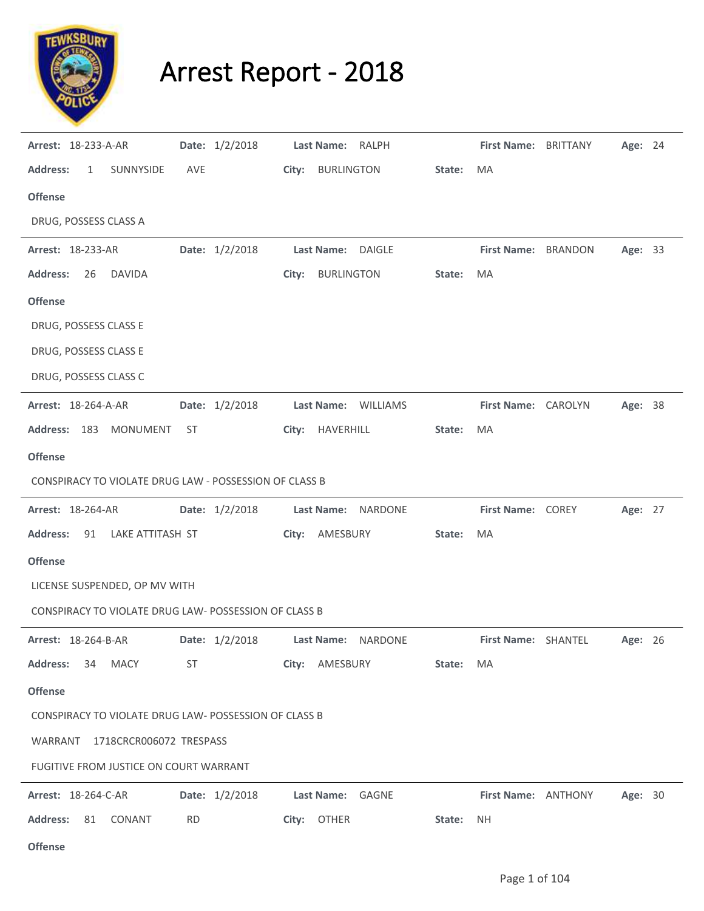

## Arrest Report - 2018

| <b>Arrest: 18-233-A-AR</b>                             |           | Date: 1/2/2018 | Last Name: RALPH  |                     |        | First Name: BRITTANY | Age: 24 |  |
|--------------------------------------------------------|-----------|----------------|-------------------|---------------------|--------|----------------------|---------|--|
| <b>Address:</b><br>$\mathbf{1}$<br>SUNNYSIDE           | AVE       |                | City: BURLINGTON  |                     | State: | MA                   |         |  |
| <b>Offense</b>                                         |           |                |                   |                     |        |                      |         |  |
| DRUG, POSSESS CLASS A                                  |           |                |                   |                     |        |                      |         |  |
| <b>Arrest: 18-233-AR</b>                               |           | Date: 1/2/2018 |                   | Last Name: DAIGLE   |        | First Name: BRANDON  | Age: 33 |  |
| <b>Address:</b><br><b>DAVIDA</b><br>-26                |           |                | City: BURLINGTON  |                     | State: | MA                   |         |  |
| <b>Offense</b>                                         |           |                |                   |                     |        |                      |         |  |
| DRUG, POSSESS CLASS E                                  |           |                |                   |                     |        |                      |         |  |
| DRUG, POSSESS CLASS E                                  |           |                |                   |                     |        |                      |         |  |
| DRUG, POSSESS CLASS C                                  |           |                |                   |                     |        |                      |         |  |
| <b>Arrest: 18-264-A-AR</b>                             |           | Date: 1/2/2018 |                   | Last Name: WILLIAMS |        | First Name: CAROLYN  | Age: 38 |  |
| Address: 183 MONUMENT                                  | ST        |                | City: HAVERHILL   |                     | State: | MA                   |         |  |
| <b>Offense</b>                                         |           |                |                   |                     |        |                      |         |  |
| CONSPIRACY TO VIOLATE DRUG LAW - POSSESSION OF CLASS B |           |                |                   |                     |        |                      |         |  |
| Arrest: 18-264-AR                                      |           | Date: 1/2/2018 |                   | Last Name: NARDONE  |        | First Name: COREY    | Age: 27 |  |
| 91 LAKE ATTITASH ST<br><b>Address:</b>                 |           |                | City: AMESBURY    |                     | State: | MA                   |         |  |
| <b>Offense</b>                                         |           |                |                   |                     |        |                      |         |  |
| LICENSE SUSPENDED, OP MV WITH                          |           |                |                   |                     |        |                      |         |  |
| CONSPIRACY TO VIOLATE DRUG LAW- POSSESSION OF CLASS B  |           |                |                   |                     |        |                      |         |  |
| <b>Arrest: 18-264-B-AR</b>                             |           | Date: 1/2/2018 | <b>Last Name:</b> | NARDONE             |        | First Name: SHANTEL  | Age: 26 |  |
| <b>Address:</b><br><b>MACY</b><br>34                   | ST        |                | City: AMESBURY    |                     | State: | MA                   |         |  |
| <b>Offense</b>                                         |           |                |                   |                     |        |                      |         |  |
| CONSPIRACY TO VIOLATE DRUG LAW- POSSESSION OF CLASS B  |           |                |                   |                     |        |                      |         |  |
| WARRANT 1718CRCR006072 TRESPASS                        |           |                |                   |                     |        |                      |         |  |
| FUGITIVE FROM JUSTICE ON COURT WARRANT                 |           |                |                   |                     |        |                      |         |  |
| <b>Arrest: 18-264-C-AR</b>                             |           | Date: 1/2/2018 |                   | Last Name: GAGNE    |        | First Name: ANTHONY  | Age: 30 |  |
| <b>Address:</b><br>81<br>CONANT                        | <b>RD</b> |                | City: OTHER       |                     | State: | <b>NH</b>            |         |  |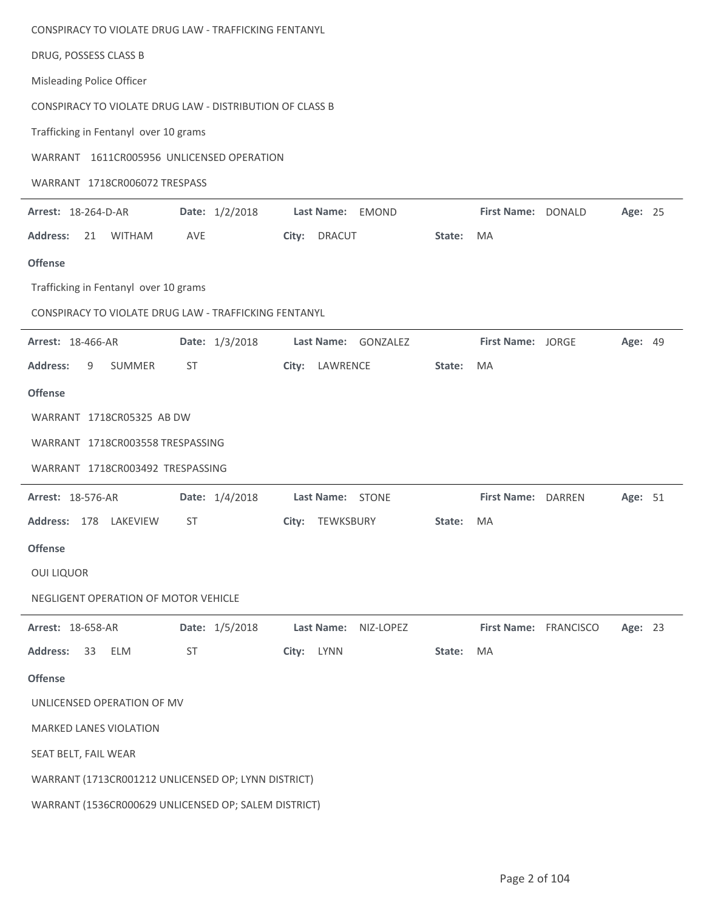| CONSPIRACY TO VIOLATE DRUG LAW - TRAFFICKING FENTANYL    |                                                      |                               |        |                       |  |         |  |  |  |
|----------------------------------------------------------|------------------------------------------------------|-------------------------------|--------|-----------------------|--|---------|--|--|--|
| DRUG, POSSESS CLASS B                                    |                                                      |                               |        |                       |  |         |  |  |  |
| Misleading Police Officer                                |                                                      |                               |        |                       |  |         |  |  |  |
| CONSPIRACY TO VIOLATE DRUG LAW - DISTRIBUTION OF CLASS B |                                                      |                               |        |                       |  |         |  |  |  |
| Trafficking in Fentanyl over 10 grams                    |                                                      |                               |        |                       |  |         |  |  |  |
| WARRANT 1611CR005956 UNLICENSED OPERATION                |                                                      |                               |        |                       |  |         |  |  |  |
| WARRANT 1718CR006072 TRESPASS                            |                                                      |                               |        |                       |  |         |  |  |  |
| Arrest: 18-264-D-AR                                      | Date: 1/2/2018                                       | Last Name:<br>EMOND           |        | First Name: DONALD    |  | Age: 25 |  |  |  |
| <b>WITHAM</b><br><b>Address:</b><br>21                   | <b>AVE</b>                                           | <b>DRACUT</b><br>City:        | State: | MA                    |  |         |  |  |  |
| <b>Offense</b>                                           |                                                      |                               |        |                       |  |         |  |  |  |
| Trafficking in Fentanyl over 10 grams                    |                                                      |                               |        |                       |  |         |  |  |  |
| CONSPIRACY TO VIOLATE DRUG LAW - TRAFFICKING FENTANYL    |                                                      |                               |        |                       |  |         |  |  |  |
| Arrest: 18-466-AR                                        | Date: 1/3/2018                                       | GONZALEZ<br><b>Last Name:</b> |        | First Name: JORGE     |  | Age: 49 |  |  |  |
| <b>Address:</b><br>SUMMER<br>9                           | <b>ST</b>                                            | LAWRENCE<br>City:             | State: | MA                    |  |         |  |  |  |
| <b>Offense</b>                                           |                                                      |                               |        |                       |  |         |  |  |  |
| WARRANT 1718CR05325 AB DW                                |                                                      |                               |        |                       |  |         |  |  |  |
| WARRANT 1718CR003558 TRESPASSING                         |                                                      |                               |        |                       |  |         |  |  |  |
| WARRANT 1718CR003492 TRESPASSING                         |                                                      |                               |        |                       |  |         |  |  |  |
| <b>Arrest: 18-576-AR</b>                                 | Date: 1/4/2018                                       | Last Name: STONE              |        | First Name: DARREN    |  | Age: 51 |  |  |  |
| Address: 178 LAKEVIEW                                    | ST                                                   | City: TEWKSBURY               | State: | MA                    |  |         |  |  |  |
| <b>Offense</b>                                           |                                                      |                               |        |                       |  |         |  |  |  |
| <b>OUI LIQUOR</b>                                        |                                                      |                               |        |                       |  |         |  |  |  |
| NEGLIGENT OPERATION OF MOTOR VEHICLE                     |                                                      |                               |        |                       |  |         |  |  |  |
| Arrest: 18-658-AR                                        | Date: 1/5/2018                                       | NIZ-LOPEZ<br>Last Name:       |        | First Name: FRANCISCO |  | Age: 23 |  |  |  |
| <b>ELM</b><br><b>Address:</b><br>33                      | <b>ST</b>                                            | LYNN<br>City:                 | State: | MA                    |  |         |  |  |  |
| <b>Offense</b>                                           |                                                      |                               |        |                       |  |         |  |  |  |
| UNLICENSED OPERATION OF MV                               |                                                      |                               |        |                       |  |         |  |  |  |
| <b>MARKED LANES VIOLATION</b>                            |                                                      |                               |        |                       |  |         |  |  |  |
| SEAT BELT, FAIL WEAR                                     |                                                      |                               |        |                       |  |         |  |  |  |
| WARRANT (1713CR001212 UNLICENSED OP; LYNN DISTRICT)      |                                                      |                               |        |                       |  |         |  |  |  |
|                                                          | WARRANT (1536CR000629 UNLICENSED OP; SALEM DISTRICT) |                               |        |                       |  |         |  |  |  |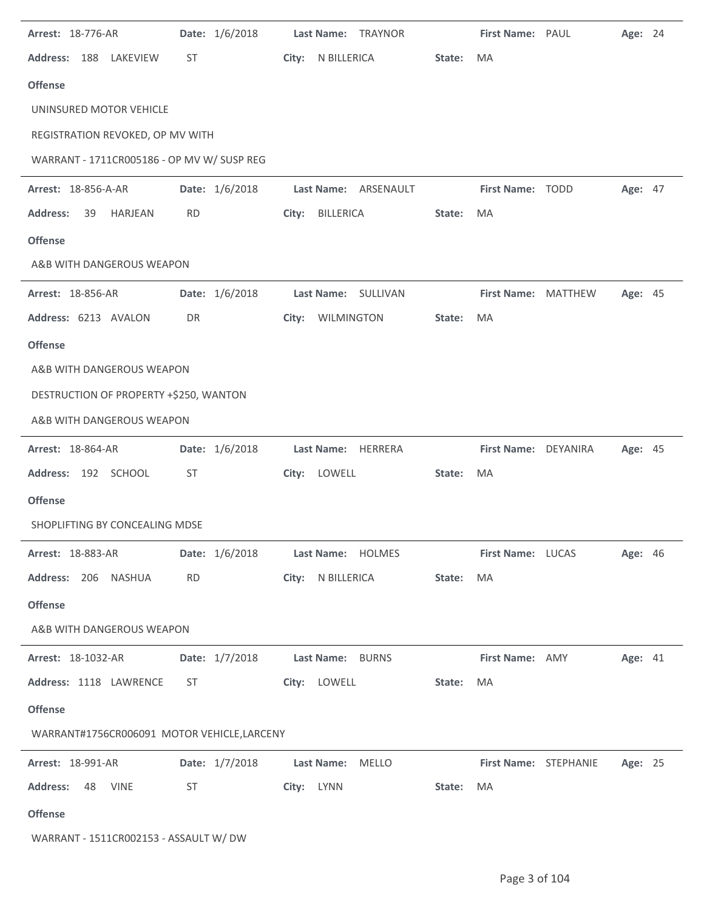| Arrest: 18-776-AR                           |           | Date: 1/6/2018 |       | Last Name:        | TRAYNOR                 |        | First Name: PAUL      | Age: 24        |  |
|---------------------------------------------|-----------|----------------|-------|-------------------|-------------------------|--------|-----------------------|----------------|--|
| <b>Address:</b><br>188<br>LAKEVIEW          | <b>ST</b> |                | City: | N BILLERICA       |                         | State: | MA                    |                |  |
| <b>Offense</b>                              |           |                |       |                   |                         |        |                       |                |  |
| UNINSURED MOTOR VEHICLE                     |           |                |       |                   |                         |        |                       |                |  |
| REGISTRATION REVOKED, OP MV WITH            |           |                |       |                   |                         |        |                       |                |  |
| WARRANT - 1711CR005186 - OP MV W/ SUSP REG  |           |                |       |                   |                         |        |                       |                |  |
| Arrest: 18-856-A-AR                         |           | Date: 1/6/2018 |       |                   | Last Name: ARSENAULT    |        | First Name: TODD      | Age: 47        |  |
| <b>Address:</b><br><b>HARJEAN</b><br>39     | <b>RD</b> |                |       | City: BILLERICA   |                         | State: | MA                    |                |  |
| <b>Offense</b>                              |           |                |       |                   |                         |        |                       |                |  |
| A&B WITH DANGEROUS WEAPON                   |           |                |       |                   |                         |        |                       |                |  |
| <b>Arrest: 18-856-AR</b>                    |           | Date: 1/6/2018 |       |                   | Last Name: SULLIVAN     |        | First Name: MATTHEW   | <b>Age: 45</b> |  |
| Address: 6213 AVALON                        | DR        |                | City: | WILMINGTON        |                         | State: | MA                    |                |  |
| <b>Offense</b>                              |           |                |       |                   |                         |        |                       |                |  |
| A&B WITH DANGEROUS WEAPON                   |           |                |       |                   |                         |        |                       |                |  |
| DESTRUCTION OF PROPERTY +\$250, WANTON      |           |                |       |                   |                         |        |                       |                |  |
| A&B WITH DANGEROUS WEAPON                   |           |                |       |                   |                         |        |                       |                |  |
| <b>Arrest: 18-864-AR</b>                    |           | Date: 1/6/2018 |       |                   | Last Name: HERRERA      |        | First Name: DEYANIRA  | Age: 45        |  |
| Address: 192 SCHOOL                         | ST        |                |       | City: LOWELL      |                         | State: | MA                    |                |  |
| <b>Offense</b>                              |           |                |       |                   |                         |        |                       |                |  |
| SHOPLIFTING BY CONCEALING MDSE              |           |                |       |                   |                         |        |                       |                |  |
| <b>Arrest: 18-883-AR</b>                    |           | Date: 1/6/2018 |       |                   | Last Name: HOLMES       |        | First Name: LUCAS     | <b>Age: 46</b> |  |
| Address: 206 NASHUA                         | <b>RD</b> |                |       | City: N BILLERICA |                         | State: | MA                    |                |  |
| <b>Offense</b>                              |           |                |       |                   |                         |        |                       |                |  |
| A&B WITH DANGEROUS WEAPON                   |           |                |       |                   |                         |        |                       |                |  |
| <b>Arrest: 18-1032-AR</b>                   |           | Date: 1/7/2018 |       |                   | <b>Last Name: BURNS</b> |        | First Name: AMY       | Age: 41        |  |
| Address: 1118 LAWRENCE                      | ST        |                |       | City: LOWELL      |                         | State: | MA                    |                |  |
| Offense                                     |           |                |       |                   |                         |        |                       |                |  |
| WARRANT#1756CR006091 MOTOR VEHICLE, LARCENY |           |                |       |                   |                         |        |                       |                |  |
| <b>Arrest: 18-991-AR</b>                    |           | Date: 1/7/2018 |       | Last Name: MELLO  |                         |        | First Name: STEPHANIE | Age: 25        |  |
| Address: 48 VINE                            | ST        |                |       | City: LYNN        |                         | State: | MA                    |                |  |
| <b>Offense</b>                              |           |                |       |                   |                         |        |                       |                |  |
| WARRANT - 1511CR002153 - ASSAULT W/ DW      |           |                |       |                   |                         |        |                       |                |  |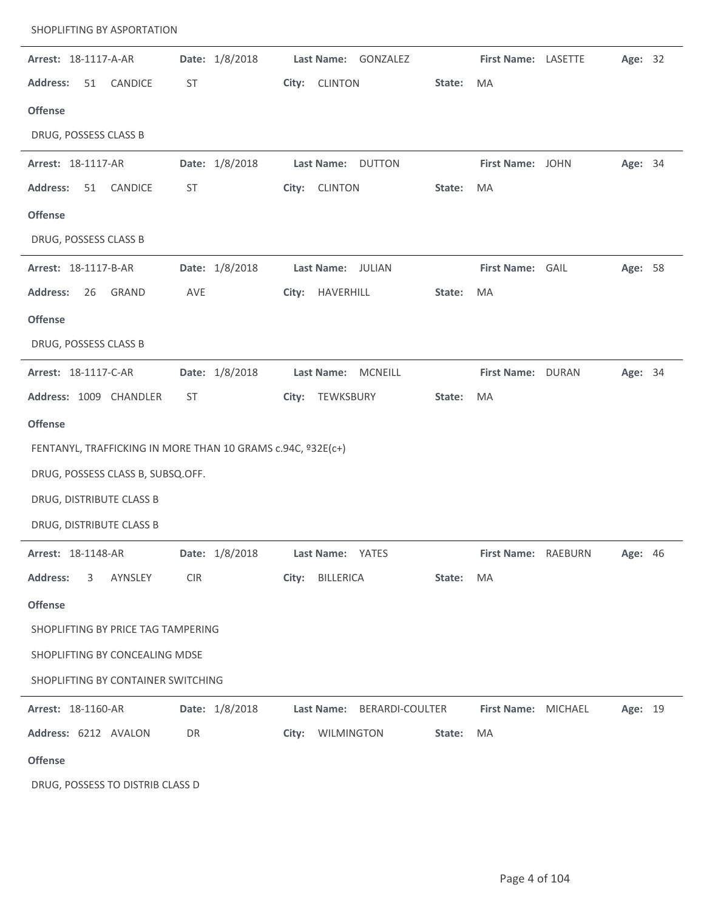| Arrest: 18-1117-A-AR                                        |            | Date: 1/8/2018 |       |                         | Last Name: GONZALEZ        |        | First Name: LASETTE |                     | Age: 32 |  |
|-------------------------------------------------------------|------------|----------------|-------|-------------------------|----------------------------|--------|---------------------|---------------------|---------|--|
| <b>Address:</b><br>51<br>CANDICE                            | ST         |                |       | City: CLINTON           |                            | State: | MA                  |                     |         |  |
| <b>Offense</b>                                              |            |                |       |                         |                            |        |                     |                     |         |  |
| DRUG, POSSESS CLASS B                                       |            |                |       |                         |                            |        |                     |                     |         |  |
| Arrest: 18-1117-AR                                          |            | Date: 1/8/2018 |       |                         | Last Name: DUTTON          |        | First Name: JOHN    |                     | Age: 34 |  |
| CANDICE<br><b>Address:</b><br>51                            | ST         |                |       | City: CLINTON           |                            | State: | MA                  |                     |         |  |
| <b>Offense</b>                                              |            |                |       |                         |                            |        |                     |                     |         |  |
| DRUG, POSSESS CLASS B                                       |            |                |       |                         |                            |        |                     |                     |         |  |
| Arrest: 18-1117-B-AR                                        |            | Date: 1/8/2018 |       |                         | Last Name: JULIAN          |        | First Name: GAIL    |                     | Age: 58 |  |
| <b>Address:</b><br>26<br>GRAND                              | AVE        |                |       | City: HAVERHILL         |                            | State: | MA                  |                     |         |  |
| <b>Offense</b>                                              |            |                |       |                         |                            |        |                     |                     |         |  |
| DRUG, POSSESS CLASS B                                       |            |                |       |                         |                            |        |                     |                     |         |  |
| Arrest: 18-1117-C-AR                                        |            | Date: 1/8/2018 |       |                         | Last Name: MCNEILL         |        | First Name: DURAN   |                     | Age: 34 |  |
| Address: 1009 CHANDLER                                      | ST         |                | City: | TEWKSBURY               |                            | State: | MA                  |                     |         |  |
| <b>Offense</b>                                              |            |                |       |                         |                            |        |                     |                     |         |  |
| FENTANYL, TRAFFICKING IN MORE THAN 10 GRAMS c.94C, º32E(c+) |            |                |       |                         |                            |        |                     |                     |         |  |
| DRUG, POSSESS CLASS B, SUBSQ.OFF.                           |            |                |       |                         |                            |        |                     |                     |         |  |
| DRUG, DISTRIBUTE CLASS B                                    |            |                |       |                         |                            |        |                     |                     |         |  |
| DRUG, DISTRIBUTE CLASS B                                    |            |                |       |                         |                            |        |                     |                     |         |  |
| Arrest: 18-1148-AR                                          |            | Date: 1/8/2018 |       | <b>Last Name: YATES</b> |                            |        |                     | First Name: RAEBURN | Age: 46 |  |
| <b>Address:</b><br>AYNSLEY<br>3                             | <b>CIR</b> |                |       | City: BILLERICA         |                            | State: | MA                  |                     |         |  |
| <b>Offense</b>                                              |            |                |       |                         |                            |        |                     |                     |         |  |
| SHOPLIFTING BY PRICE TAG TAMPERING                          |            |                |       |                         |                            |        |                     |                     |         |  |
| SHOPLIFTING BY CONCEALING MDSE                              |            |                |       |                         |                            |        |                     |                     |         |  |
| SHOPLIFTING BY CONTAINER SWITCHING                          |            |                |       |                         |                            |        |                     |                     |         |  |
| Arrest: 18-1160-AR                                          |            | Date: 1/8/2018 |       |                         | Last Name: BERARDI-COULTER |        | First Name: MICHAEL |                     | Age: 19 |  |
| Address: 6212 AVALON                                        | DR         |                |       | City: WILMINGTON        |                            | State: | MA                  |                     |         |  |
| <b>Offense</b>                                              |            |                |       |                         |                            |        |                     |                     |         |  |
| DRUG, POSSESS TO DISTRIB CLASS D                            |            |                |       |                         |                            |        |                     |                     |         |  |
|                                                             |            |                |       |                         |                            |        |                     |                     |         |  |

SHOPLIFTING BY ASPORTATION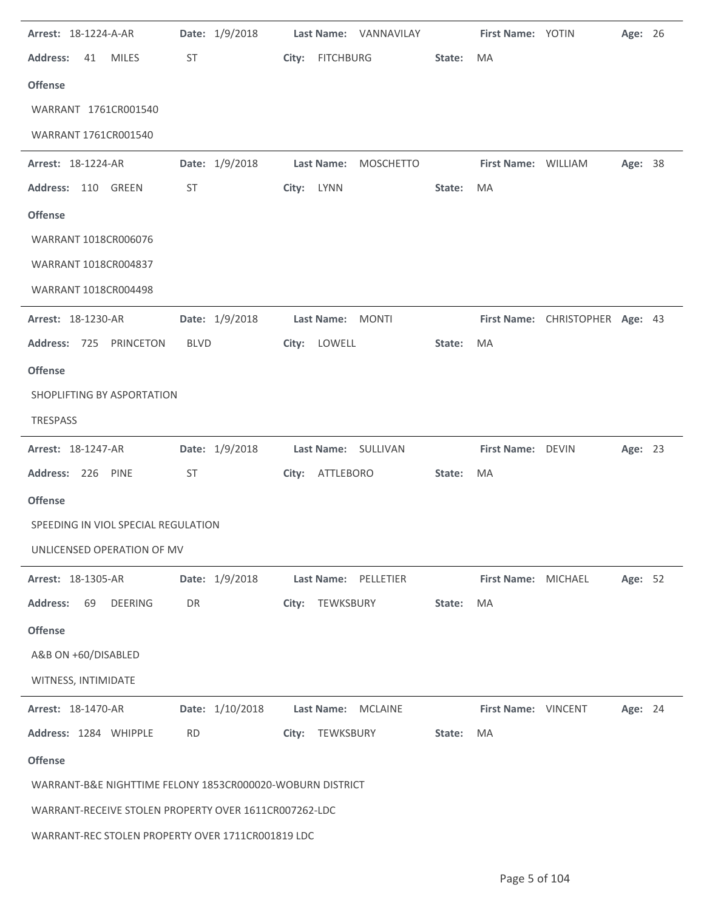| Arrest: 18-1224-A-AR                                      | Date: 1/9/2018  | Last Name: VANNAVILAY                 |        | First Name: YOTIN   |                                 | Age: 26 |  |
|-----------------------------------------------------------|-----------------|---------------------------------------|--------|---------------------|---------------------------------|---------|--|
| <b>Address:</b><br><b>MILES</b><br>41                     | ST              | City: FITCHBURG                       | State: | MA                  |                                 |         |  |
| <b>Offense</b>                                            |                 |                                       |        |                     |                                 |         |  |
| WARRANT 1761CR001540                                      |                 |                                       |        |                     |                                 |         |  |
| WARRANT 1761CR001540                                      |                 |                                       |        |                     |                                 |         |  |
| Arrest: 18-1224-AR                                        | Date: 1/9/2018  | <b>Last Name:</b><br><b>MOSCHETTO</b> |        | First Name: WILLIAM |                                 | Age: 38 |  |
| Address: 110 GREEN                                        | ST              | City: LYNN                            | State: | MA                  |                                 |         |  |
| <b>Offense</b>                                            |                 |                                       |        |                     |                                 |         |  |
| WARRANT 1018CR006076                                      |                 |                                       |        |                     |                                 |         |  |
| WARRANT 1018CR004837                                      |                 |                                       |        |                     |                                 |         |  |
| WARRANT 1018CR004498                                      |                 |                                       |        |                     |                                 |         |  |
| Arrest: 18-1230-AR                                        | Date: 1/9/2018  | Last Name: MONTI                      |        |                     | First Name: CHRISTOPHER Age: 43 |         |  |
| Address: 725 PRINCETON                                    | <b>BLVD</b>     | City: LOWELL                          | State: | MA                  |                                 |         |  |
| <b>Offense</b>                                            |                 |                                       |        |                     |                                 |         |  |
| SHOPLIFTING BY ASPORTATION                                |                 |                                       |        |                     |                                 |         |  |
| <b>TRESPASS</b>                                           |                 |                                       |        |                     |                                 |         |  |
| Arrest: 18-1247-AR                                        | Date: 1/9/2018  | Last Name: SULLIVAN                   |        | First Name: DEVIN   |                                 | Age: 23 |  |
| Address: 226 PINE                                         | ST              | City: ATTLEBORO                       | State: | MA                  |                                 |         |  |
| <b>Offense</b>                                            |                 |                                       |        |                     |                                 |         |  |
| SPEEDING IN VIOL SPECIAL REGULATION                       |                 |                                       |        |                     |                                 |         |  |
| UNLICENSED OPERATION OF MV                                |                 |                                       |        |                     |                                 |         |  |
| Arrest: 18-1305-AR                                        | Date: 1/9/2018  | Last Name: PELLETIER                  |        | First Name: MICHAEL |                                 | Age: 52 |  |
| <b>Address:</b><br><b>DEERING</b><br>69                   | DR              | TEWKSBURY<br>City:                    | State: | MA                  |                                 |         |  |
| <b>Offense</b>                                            |                 |                                       |        |                     |                                 |         |  |
| A&B ON +60/DISABLED                                       |                 |                                       |        |                     |                                 |         |  |
| WITNESS, INTIMIDATE                                       |                 |                                       |        |                     |                                 |         |  |
| <b>Arrest: 18-1470-AR</b>                                 | Date: 1/10/2018 | Last Name:<br><b>MCLAINE</b>          |        | First Name: VINCENT |                                 | Age: 24 |  |
| Address: 1284 WHIPPLE                                     | <b>RD</b>       | City: TEWKSBURY                       | State: | MA                  |                                 |         |  |
| <b>Offense</b>                                            |                 |                                       |        |                     |                                 |         |  |
| WARRANT-B&E NIGHTTIME FELONY 1853CR000020-WOBURN DISTRICT |                 |                                       |        |                     |                                 |         |  |
| WARRANT-RECEIVE STOLEN PROPERTY OVER 1611CR007262-LDC     |                 |                                       |        |                     |                                 |         |  |
| WARRANT-REC STOLEN PROPERTY OVER 1711CR001819 LDC         |                 |                                       |        |                     |                                 |         |  |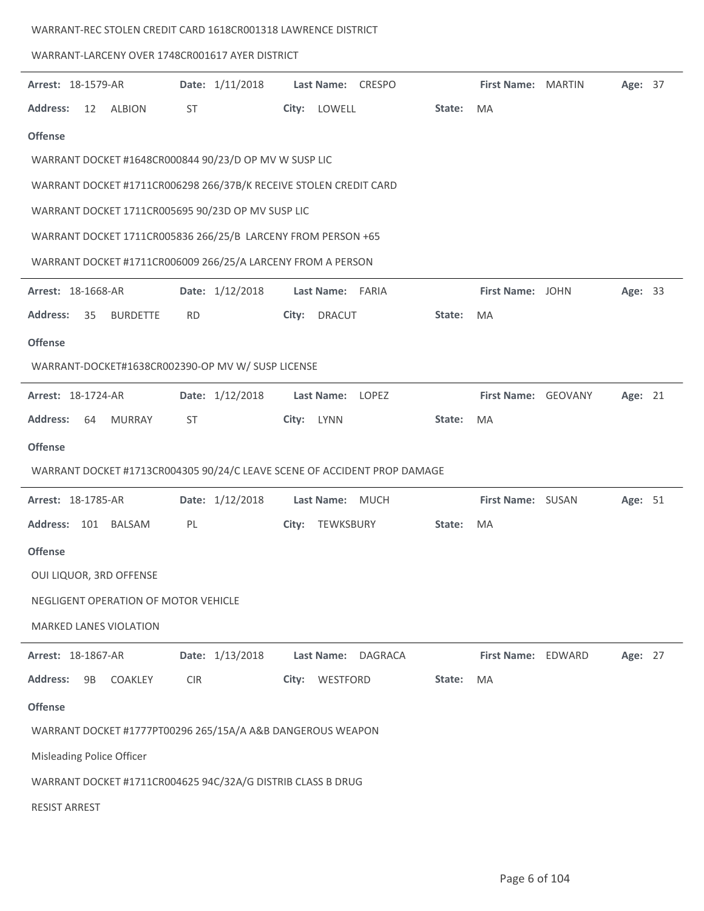| WARRANT-REC STOLEN CREDIT CARD 1618CR001318 LAWRENCE DISTRICT |  |  |
|---------------------------------------------------------------|--|--|
|                                                               |  |  |

## WARRANT-LARCENY OVER 1748CR001617 AYER DISTRICT

| Arrest: 18-1579-AR        |    |                                      |            | Date: 1/11/2018                                                   |            |                   | Last Name: CRESPO                                                        |        | First Name: MARTIN  | Age: 37 |  |
|---------------------------|----|--------------------------------------|------------|-------------------------------------------------------------------|------------|-------------------|--------------------------------------------------------------------------|--------|---------------------|---------|--|
| <b>Address:</b>           | 12 | <b>ALBION</b>                        | ST         |                                                                   |            | City: LOWELL      |                                                                          | State: | MA                  |         |  |
| <b>Offense</b>            |    |                                      |            |                                                                   |            |                   |                                                                          |        |                     |         |  |
|                           |    |                                      |            | WARRANT DOCKET #1648CR000844 90/23/D OP MV W SUSP LIC             |            |                   |                                                                          |        |                     |         |  |
|                           |    |                                      |            | WARRANT DOCKET #1711CR006298 266/37B/K RECEIVE STOLEN CREDIT CARD |            |                   |                                                                          |        |                     |         |  |
|                           |    |                                      |            | WARRANT DOCKET 1711CR005695 90/23D OP MV SUSP LIC                 |            |                   |                                                                          |        |                     |         |  |
|                           |    |                                      |            | WARRANT DOCKET 1711CR005836 266/25/B LARCENY FROM PERSON +65      |            |                   |                                                                          |        |                     |         |  |
|                           |    |                                      |            | WARRANT DOCKET #1711CR006009 266/25/A LARCENY FROM A PERSON       |            |                   |                                                                          |        |                     |         |  |
| <b>Arrest: 18-1668-AR</b> |    |                                      |            | Date: 1/12/2018                                                   |            | Last Name: FARIA  |                                                                          |        | First Name: JOHN    | Age: 33 |  |
| <b>Address:</b>           | 35 | <b>BURDETTE</b>                      | <b>RD</b>  |                                                                   |            | City: DRACUT      |                                                                          | State: | MA                  |         |  |
| <b>Offense</b>            |    |                                      |            |                                                                   |            |                   |                                                                          |        |                     |         |  |
|                           |    |                                      |            | WARRANT-DOCKET#1638CR002390-OP MV W/ SUSP LICENSE                 |            |                   |                                                                          |        |                     |         |  |
| Arrest: 18-1724-AR        |    |                                      |            | Date: 1/12/2018                                                   |            | <b>Last Name:</b> | LOPEZ                                                                    |        | First Name: GEOVANY | Age: 21 |  |
| <b>Address:</b>           | 64 | MURRAY                               | ST         |                                                                   | City: LYNN |                   |                                                                          | State: | MA                  |         |  |
| <b>Offense</b>            |    |                                      |            |                                                                   |            |                   |                                                                          |        |                     |         |  |
|                           |    |                                      |            |                                                                   |            |                   | WARRANT DOCKET #1713CR004305 90/24/C LEAVE SCENE OF ACCIDENT PROP DAMAGE |        |                     |         |  |
| <b>Arrest: 18-1785-AR</b> |    |                                      |            | Date: 1/12/2018                                                   |            | Last Name: MUCH   |                                                                          |        | First Name: SUSAN   | Age: 51 |  |
|                           |    | Address: 101 BALSAM                  | PL         |                                                                   | City:      | TEWKSBURY         |                                                                          | State: | MA                  |         |  |
| <b>Offense</b>            |    |                                      |            |                                                                   |            |                   |                                                                          |        |                     |         |  |
|                           |    | OUI LIQUOR, 3RD OFFENSE              |            |                                                                   |            |                   |                                                                          |        |                     |         |  |
|                           |    | NEGLIGENT OPERATION OF MOTOR VEHICLE |            |                                                                   |            |                   |                                                                          |        |                     |         |  |
|                           |    | <b>MARKED LANES VIOLATION</b>        |            |                                                                   |            |                   |                                                                          |        |                     |         |  |
| Arrest: 18-1867-AR        |    |                                      |            | Date: 1/13/2018                                                   |            | Last Name:        | <b>DAGRACA</b>                                                           |        | First Name: EDWARD  | Age: 27 |  |
| <b>Address:</b>           | 9B | <b>COAKLEY</b>                       | <b>CIR</b> |                                                                   | City:      | WESTFORD          |                                                                          | State: | MA                  |         |  |
| <b>Offense</b>            |    |                                      |            |                                                                   |            |                   |                                                                          |        |                     |         |  |
|                           |    |                                      |            | WARRANT DOCKET #1777PT00296 265/15A/A A&B DANGEROUS WEAPON        |            |                   |                                                                          |        |                     |         |  |
|                           |    | Misleading Police Officer            |            |                                                                   |            |                   |                                                                          |        |                     |         |  |
|                           |    |                                      |            | WARRANT DOCKET #1711CR004625 94C/32A/G DISTRIB CLASS B DRUG       |            |                   |                                                                          |        |                     |         |  |
| <b>RESIST ARREST</b>      |    |                                      |            |                                                                   |            |                   |                                                                          |        |                     |         |  |
|                           |    |                                      |            |                                                                   |            |                   |                                                                          |        |                     |         |  |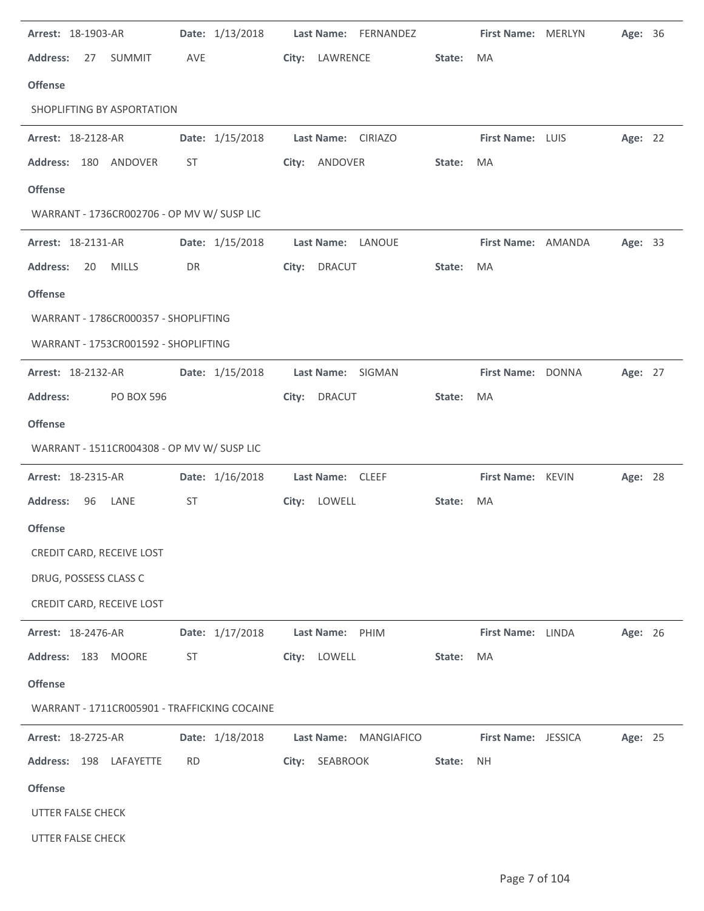| Arrest: 18-1903-AR                           | Date: 1/13/2018 | Last Name: FERNANDEZ  |        | First Name: MERLYN  | Age: 36 |  |
|----------------------------------------------|-----------------|-----------------------|--------|---------------------|---------|--|
| <b>Address:</b><br>27<br><b>SUMMIT</b>       | AVE             | City: LAWRENCE        | State: | MA                  |         |  |
| <b>Offense</b>                               |                 |                       |        |                     |         |  |
| SHOPLIFTING BY ASPORTATION                   |                 |                       |        |                     |         |  |
| Arrest: 18-2128-AR                           | Date: 1/15/2018 | Last Name: CIRIAZO    |        | First Name: LUIS    | Age: 22 |  |
| Address: 180 ANDOVER                         | ST              | City: ANDOVER         | State: | MA                  |         |  |
| <b>Offense</b>                               |                 |                       |        |                     |         |  |
| WARRANT - 1736CR002706 - OP MV W/ SUSP LIC   |                 |                       |        |                     |         |  |
| Arrest: 18-2131-AR                           | Date: 1/15/2018 | Last Name: LANOUE     |        | First Name: AMANDA  | Age: 33 |  |
| <b>Address:</b><br><b>MILLS</b><br>20        | DR              | City: DRACUT          | State: | MA                  |         |  |
| <b>Offense</b>                               |                 |                       |        |                     |         |  |
| WARRANT - 1786CR000357 - SHOPLIFTING         |                 |                       |        |                     |         |  |
| WARRANT - 1753CR001592 - SHOPLIFTING         |                 |                       |        |                     |         |  |
| Arrest: 18-2132-AR                           | Date: 1/15/2018 | Last Name: SIGMAN     |        | First Name: DONNA   | Age: 27 |  |
| <b>Address:</b><br><b>PO BOX 596</b>         |                 | City: DRACUT          | State: | MA                  |         |  |
| <b>Offense</b>                               |                 |                       |        |                     |         |  |
| WARRANT - 1511CR004308 - OP MV W/ SUSP LIC   |                 |                       |        |                     |         |  |
| Arrest: 18-2315-AR                           | Date: 1/16/2018 | Last Name: CLEEF      |        | First Name: KEVIN   | Age: 28 |  |
| <b>Address:</b><br>96<br>LANE                | <b>ST</b>       | City: LOWELL          | State: | MA                  |         |  |
| <b>Offense</b>                               |                 |                       |        |                     |         |  |
| CREDIT CARD, RECEIVE LOST                    |                 |                       |        |                     |         |  |
| DRUG, POSSESS CLASS C                        |                 |                       |        |                     |         |  |
| CREDIT CARD, RECEIVE LOST                    |                 |                       |        |                     |         |  |
| Arrest: 18-2476-AR                           | Date: 1/17/2018 | Last Name: PHIM       |        | First Name: LINDA   | Age: 26 |  |
| Address: 183<br><b>MOORE</b>                 | <b>ST</b>       | City: LOWELL          | State: | MA                  |         |  |
| <b>Offense</b>                               |                 |                       |        |                     |         |  |
| WARRANT - 1711CR005901 - TRAFFICKING COCAINE |                 |                       |        |                     |         |  |
| Arrest: 18-2725-AR                           | Date: 1/18/2018 | Last Name: MANGIAFICO |        | First Name: JESSICA | Age: 25 |  |
| Address: 198 LAFAYETTE                       | <b>RD</b>       | City: SEABROOK        | State: | NH.                 |         |  |
| <b>Offense</b>                               |                 |                       |        |                     |         |  |
| UTTER FALSE CHECK                            |                 |                       |        |                     |         |  |
| UTTER FALSE CHECK                            |                 |                       |        |                     |         |  |
|                                              |                 |                       |        |                     |         |  |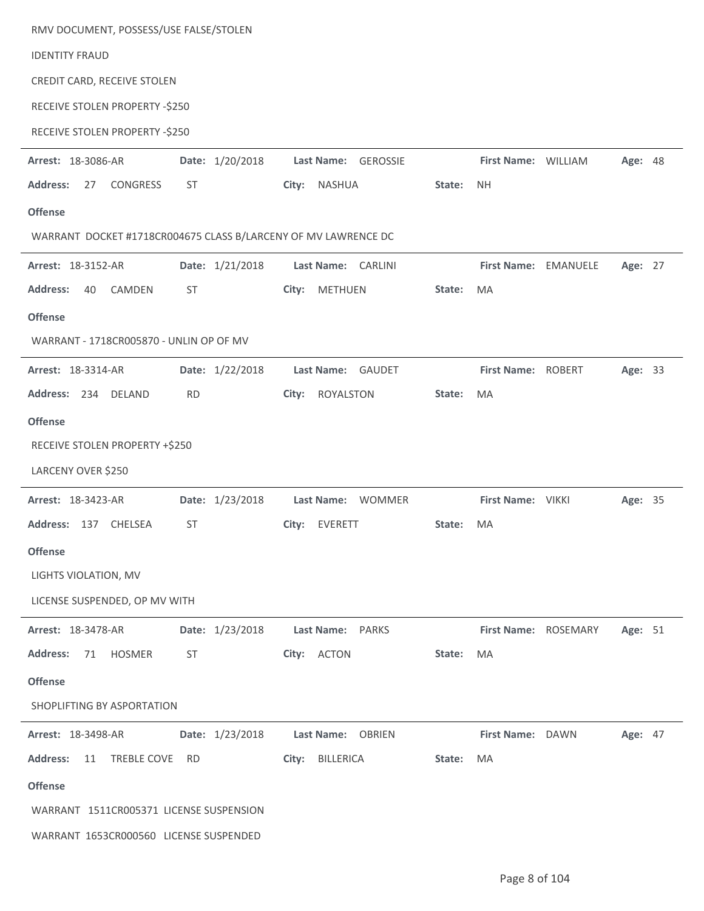| RMV DOCUMENT, POSSESS/USE FALSE/STOLEN                         |                 |                         |        |                      |                      |         |  |
|----------------------------------------------------------------|-----------------|-------------------------|--------|----------------------|----------------------|---------|--|
| <b>IDENTITY FRAUD</b>                                          |                 |                         |        |                      |                      |         |  |
| CREDIT CARD, RECEIVE STOLEN                                    |                 |                         |        |                      |                      |         |  |
| RECEIVE STOLEN PROPERTY -\$250                                 |                 |                         |        |                      |                      |         |  |
| RECEIVE STOLEN PROPERTY -\$250                                 |                 |                         |        |                      |                      |         |  |
| Arrest: 18-3086-AR                                             | Date: 1/20/2018 | Last Name: GEROSSIE     |        | First Name: WILLIAM  |                      | Age: 48 |  |
| <b>Address:</b><br>27<br><b>CONGRESS</b>                       | ST              | City: NASHUA            | State: | <b>NH</b>            |                      |         |  |
| <b>Offense</b>                                                 |                 |                         |        |                      |                      |         |  |
| WARRANT DOCKET #1718CR004675 CLASS B/LARCENY OF MV LAWRENCE DC |                 |                         |        |                      |                      |         |  |
| Arrest: 18-3152-AR                                             | Date: 1/21/2018 | Last Name: CARLINI      |        | First Name: EMANUELE |                      | Age: 27 |  |
| <b>Address:</b><br>CAMDEN<br>40                                | ST              | <b>METHUEN</b><br>City: | State: | <b>MA</b>            |                      |         |  |
| <b>Offense</b>                                                 |                 |                         |        |                      |                      |         |  |
| WARRANT - 1718CR005870 - UNLIN OP OF MV                        |                 |                         |        |                      |                      |         |  |
| Arrest: 18-3314-AR                                             | Date: 1/22/2018 | Last Name: GAUDET       |        | First Name: ROBERT   |                      | Age: 33 |  |
| Address: 234 DELAND                                            | <b>RD</b>       | ROYALSTON<br>City:      | State: | MA                   |                      |         |  |
| <b>Offense</b>                                                 |                 |                         |        |                      |                      |         |  |
| RECEIVE STOLEN PROPERTY +\$250                                 |                 |                         |        |                      |                      |         |  |
| LARCENY OVER \$250                                             |                 |                         |        |                      |                      |         |  |
| Arrest: 18-3423-AR                                             | Date: 1/23/2018 | Last Name: WOMMER       |        | First Name: VIKKI    |                      | Age: 35 |  |
| Address: 137 CHELSEA                                           | ST              | City: EVERETT           | State: | MA                   |                      |         |  |
| <b>Offense</b>                                                 |                 |                         |        |                      |                      |         |  |
| LIGHTS VIOLATION, MV                                           |                 |                         |        |                      |                      |         |  |
| LICENSE SUSPENDED, OP MV WITH                                  |                 |                         |        |                      |                      |         |  |
| Arrest: 18-3478-AR                                             | Date: 1/23/2018 | Last Name: PARKS        |        |                      | First Name: ROSEMARY | Age: 51 |  |
| <b>Address:</b><br>71<br><b>HOSMER</b>                         | <b>ST</b>       | City: ACTON             | State: | MA                   |                      |         |  |
| <b>Offense</b>                                                 |                 |                         |        |                      |                      |         |  |
| SHOPLIFTING BY ASPORTATION                                     |                 |                         |        |                      |                      |         |  |
| Arrest: 18-3498-AR                                             | Date: 1/23/2018 | Last Name: OBRIEN       |        | First Name: DAWN     |                      | Age: 47 |  |
| <b>Address:</b><br>11<br>TREBLE COVE                           | RD.             | City: BILLERICA         | State: | MA                   |                      |         |  |
| <b>Offense</b>                                                 |                 |                         |        |                      |                      |         |  |
| WARRANT 1511CR005371 LICENSE SUSPENSION                        |                 |                         |        |                      |                      |         |  |
| WARRANT 1653CR000560 LICENSE SUSPENDED                         |                 |                         |        |                      |                      |         |  |

J.

 $\ddot{\phantom{a}}$ 

 $\ddot{\phantom{a}}$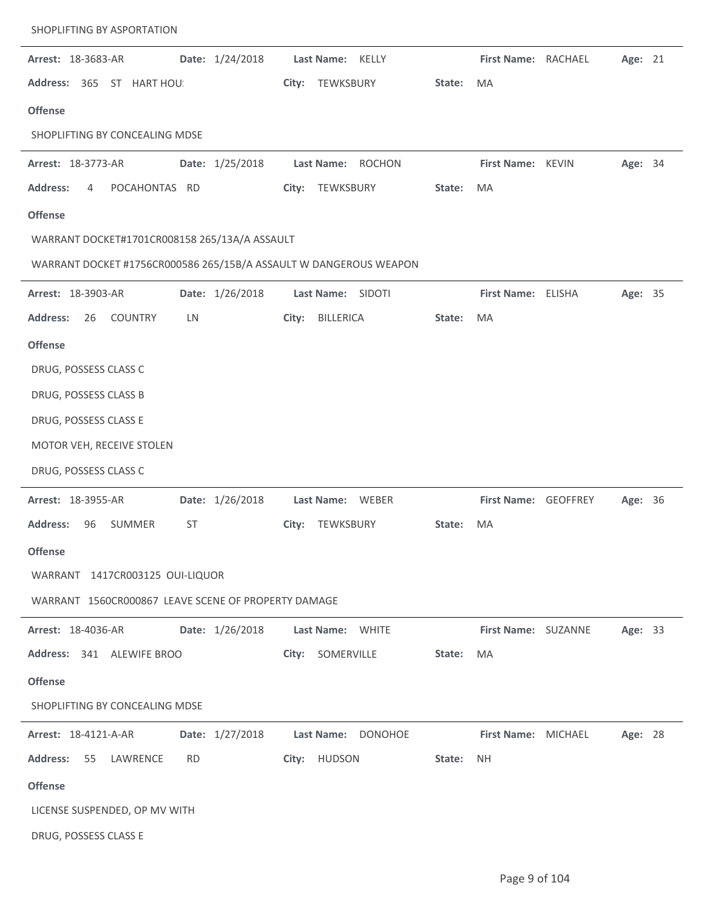| Arrest: 18-3683-AR                                                | Date: 1/24/2018 | Last Name: KELLY                   |        | First Name: RACHAEL  | Age: 21        |  |
|-------------------------------------------------------------------|-----------------|------------------------------------|--------|----------------------|----------------|--|
| Address: 365 ST HART HOU:                                         |                 | TEWKSBURY<br>City:                 | State: | <b>MA</b>            |                |  |
| <b>Offense</b>                                                    |                 |                                    |        |                      |                |  |
| SHOPLIFTING BY CONCEALING MDSE                                    |                 |                                    |        |                      |                |  |
| Arrest: 18-3773-AR                                                | Date: 1/25/2018 | Last Name: ROCHON                  |        | First Name: KEVIN    | Age: 34        |  |
| <b>Address:</b><br>POCAHONTAS RD<br>4                             |                 | TEWKSBURY<br>City:                 | State: | <b>MA</b>            |                |  |
| <b>Offense</b>                                                    |                 |                                    |        |                      |                |  |
| WARRANT DOCKET#1701CR008158 265/13A/A ASSAULT                     |                 |                                    |        |                      |                |  |
| WARRANT DOCKET #1756CR000586 265/15B/A ASSAULT W DANGEROUS WEAPON |                 |                                    |        |                      |                |  |
| Arrest: 18-3903-AR                                                | Date: 1/26/2018 | Last Name: SIDOTI                  |        | First Name: ELISHA   | Age: 35        |  |
| <b>Address:</b><br>26<br><b>COUNTRY</b>                           | LN              | City:<br><b>BILLERICA</b>          | State: | <b>MA</b>            |                |  |
| <b>Offense</b>                                                    |                 |                                    |        |                      |                |  |
| DRUG, POSSESS CLASS C                                             |                 |                                    |        |                      |                |  |
| DRUG, POSSESS CLASS B                                             |                 |                                    |        |                      |                |  |
| DRUG, POSSESS CLASS E                                             |                 |                                    |        |                      |                |  |
| MOTOR VEH, RECEIVE STOLEN                                         |                 |                                    |        |                      |                |  |
| DRUG, POSSESS CLASS C                                             |                 |                                    |        |                      |                |  |
| Arrest: 18-3955-AR                                                | Date: 1/26/2018 | Last Name: WEBER                   |        | First Name: GEOFFREY | <b>Age: 36</b> |  |
| SUMMER<br><b>Address:</b><br>96                                   | <b>ST</b>       | TEWKSBURY<br>City:                 | State: | <b>MA</b>            |                |  |
| <b>Offense</b>                                                    |                 |                                    |        |                      |                |  |
| WARRANT 1417CR003125 OUI-LIQUOR                                   |                 |                                    |        |                      |                |  |
| WARRANT 1560CR000867 LEAVE SCENE OF PROPERTY DAMAGE               |                 |                                    |        |                      |                |  |
| <b>Arrest: 18-4036-AR</b>                                         |                 | Date: 1/26/2018   Last Name: WHITE |        | First Name: SUZANNE  | Age: 33        |  |
| Address: 341 ALEWIFE BROO                                         |                 | City: SOMERVILLE                   | State: | MA                   |                |  |
| <b>Offense</b>                                                    |                 |                                    |        |                      |                |  |
| SHOPLIFTING BY CONCEALING MDSE                                    |                 |                                    |        |                      |                |  |
| <b>Arrest: 18-4121-A-AR</b>                                       | Date: 1/27/2018 | Last Name: DONOHOE                 |        | First Name: MICHAEL  | Age: 28        |  |
| Address: 55 LAWRENCE                                              | <b>RD</b>       | City: HUDSON                       | State: | <b>NH</b>            |                |  |
| <b>Offense</b>                                                    |                 |                                    |        |                      |                |  |
| LICENSE SUSPENDED, OP MV WITH                                     |                 |                                    |        |                      |                |  |
| DRUG, POSSESS CLASS E                                             |                 |                                    |        |                      |                |  |
|                                                                   |                 |                                    |        |                      |                |  |

SHOPLIFTING BY ASPORTATION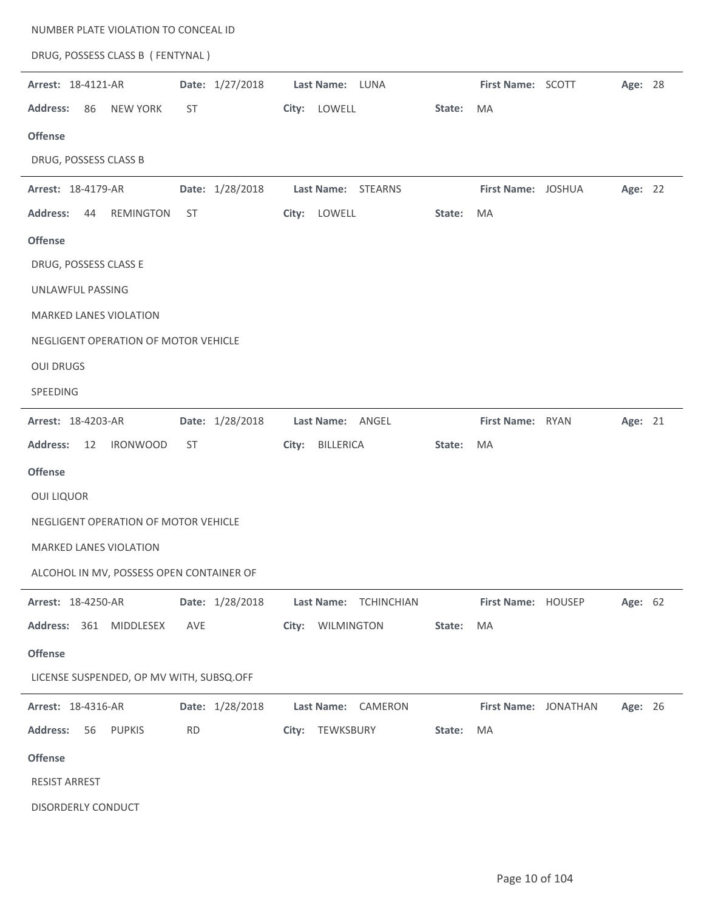| NUMBER PLATE VIOLATION TO CONCEAL ID      |                 |                       |        |                      |         |  |
|-------------------------------------------|-----------------|-----------------------|--------|----------------------|---------|--|
| DRUG, POSSESS CLASS B (FENTYNAL)          |                 |                       |        |                      |         |  |
| Arrest: 18-4121-AR                        | Date: 1/27/2018 | Last Name: LUNA       |        | First Name: SCOTT    | Age: 28 |  |
| <b>Address:</b><br>86<br><b>NEW YORK</b>  | <b>ST</b>       | City: LOWELL          | State: | MA                   |         |  |
| <b>Offense</b>                            |                 |                       |        |                      |         |  |
| DRUG, POSSESS CLASS B                     |                 |                       |        |                      |         |  |
| Arrest: 18-4179-AR                        | Date: 1/28/2018 | Last Name: STEARNS    |        | First Name: JOSHUA   | Age: 22 |  |
| <b>REMINGTON</b><br><b>Address:</b><br>44 | <b>ST</b>       | City: LOWELL          | State: | MA                   |         |  |
| <b>Offense</b>                            |                 |                       |        |                      |         |  |
| DRUG, POSSESS CLASS E                     |                 |                       |        |                      |         |  |
| UNLAWFUL PASSING                          |                 |                       |        |                      |         |  |
| MARKED LANES VIOLATION                    |                 |                       |        |                      |         |  |
| NEGLIGENT OPERATION OF MOTOR VEHICLE      |                 |                       |        |                      |         |  |
| <b>OUI DRUGS</b>                          |                 |                       |        |                      |         |  |
| SPEEDING                                  |                 |                       |        |                      |         |  |
| Arrest: 18-4203-AR                        | Date: 1/28/2018 | Last Name: ANGEL      |        | First Name: RYAN     | Age: 21 |  |
| <b>Address:</b><br>12<br><b>IRONWOOD</b>  | <b>ST</b>       | City: BILLERICA       | State: | MA                   |         |  |
| <b>Offense</b>                            |                 |                       |        |                      |         |  |
| <b>OUI LIQUOR</b>                         |                 |                       |        |                      |         |  |
| NEGLIGENT OPERATION OF MOTOR VEHICLE      |                 |                       |        |                      |         |  |
| MARKED LANES VIOLATION                    |                 |                       |        |                      |         |  |
| ALCOHOL IN MV, POSSESS OPEN CONTAINER OF  |                 |                       |        |                      |         |  |
| Arrest: 18-4250-AR                        | Date: 1/28/2018 | Last Name: TCHINCHIAN |        | First Name: HOUSEP   | Age: 62 |  |
| Address: 361<br>MIDDLESEX                 | AVE             | WILMINGTON<br>City:   | State: | MA                   |         |  |
| <b>Offense</b>                            |                 |                       |        |                      |         |  |
| LICENSE SUSPENDED, OP MV WITH, SUBSQ.OFF  |                 |                       |        |                      |         |  |
| Arrest: 18-4316-AR                        | Date: 1/28/2018 | Last Name: CAMERON    |        | First Name: JONATHAN | Age: 26 |  |
| <b>Address:</b><br>56<br><b>PUPKIS</b>    | <b>RD</b>       | City:<br>TEWKSBURY    | State: | MA                   |         |  |
| <b>Offense</b>                            |                 |                       |        |                      |         |  |
| <b>RESIST ARREST</b>                      |                 |                       |        |                      |         |  |
| DISORDERLY CONDUCT                        |                 |                       |        |                      |         |  |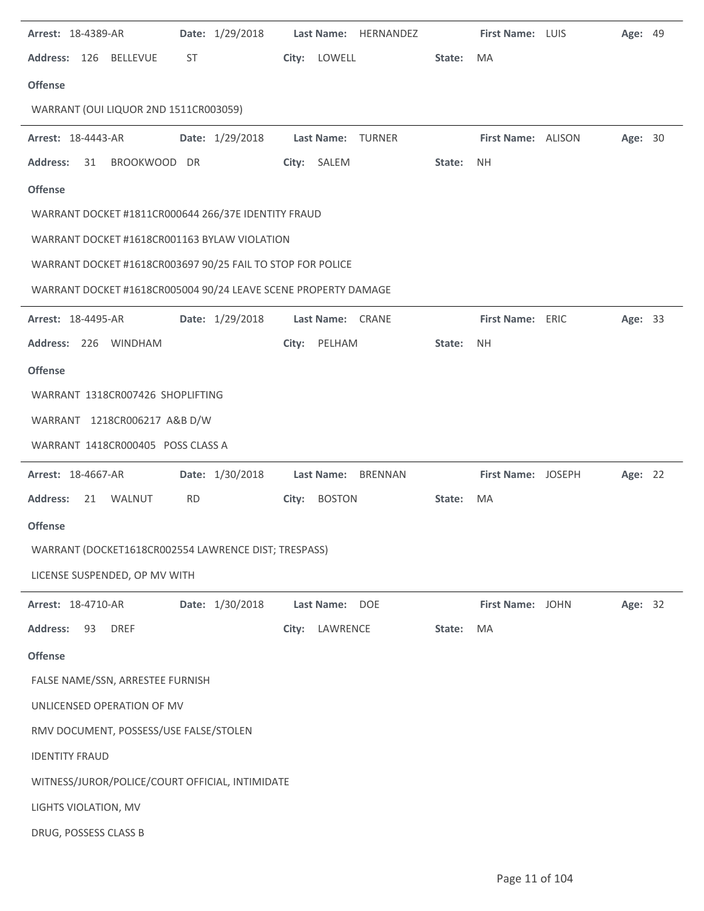| Arrest: 18-4389-AR                                             | Date: 1/29/2018 | Last Name: HERNANDEZ     |        | First Name: LUIS   | <b>Age: 49</b> |  |
|----------------------------------------------------------------|-----------------|--------------------------|--------|--------------------|----------------|--|
| Address: 126 BELLEVUE                                          | ST              | City: LOWELL             | State: | MA                 |                |  |
| <b>Offense</b>                                                 |                 |                          |        |                    |                |  |
| WARRANT (OUI LIQUOR 2ND 1511CR003059)                          |                 |                          |        |                    |                |  |
| Arrest: 18-4443-AR                                             | Date: 1/29/2018 | <b>Last Name: TURNER</b> |        | First Name: ALISON | Age: 30        |  |
| BROOKWOOD DR<br><b>Address:</b><br>31                          |                 | City: SALEM              | State: | <b>NH</b>          |                |  |
| <b>Offense</b>                                                 |                 |                          |        |                    |                |  |
| WARRANT DOCKET #1811CR000644 266/37E IDENTITY FRAUD            |                 |                          |        |                    |                |  |
| WARRANT DOCKET #1618CR001163 BYLAW VIOLATION                   |                 |                          |        |                    |                |  |
| WARRANT DOCKET #1618CR003697 90/25 FAIL TO STOP FOR POLICE     |                 |                          |        |                    |                |  |
| WARRANT DOCKET #1618CR005004 90/24 LEAVE SCENE PROPERTY DAMAGE |                 |                          |        |                    |                |  |
| Arrest: 18-4495-AR                                             | Date: 1/29/2018 | Last Name: CRANE         |        | First Name: ERIC   | Age: 33        |  |
| Address: 226 WINDHAM                                           |                 | PELHAM<br>City:          | State: | <b>NH</b>          |                |  |
| <b>Offense</b>                                                 |                 |                          |        |                    |                |  |
| WARRANT 1318CR007426 SHOPLIFTING                               |                 |                          |        |                    |                |  |
| WARRANT 1218CR006217 A&B D/W                                   |                 |                          |        |                    |                |  |
| WARRANT 1418CR000405 POSS CLASS A                              |                 |                          |        |                    |                |  |
| <b>Arrest: 18-4667-AR</b>                                      | Date: 1/30/2018 | Last Name: BRENNAN       |        | First Name: JOSEPH | Age: 22        |  |
| <b>Address:</b><br>21 WALNUT                                   | <b>RD</b>       | City: BOSTON             | State: | MA                 |                |  |
| <b>Offense</b>                                                 |                 |                          |        |                    |                |  |
| WARRANT (DOCKET1618CR002554 LAWRENCE DIST; TRESPASS)           |                 |                          |        |                    |                |  |
| LICENSE SUSPENDED, OP MV WITH                                  |                 |                          |        |                    |                |  |
| Arrest: 18-4710-AR                                             | Date: 1/30/2018 | Last Name: DOE           |        | First Name: JOHN   | Age: 32        |  |
| <b>DREF</b><br><b>Address:</b><br>93                           |                 | LAWRENCE<br>City:        | State: | MA                 |                |  |
| <b>Offense</b>                                                 |                 |                          |        |                    |                |  |
| FALSE NAME/SSN, ARRESTEE FURNISH                               |                 |                          |        |                    |                |  |
| UNLICENSED OPERATION OF MV                                     |                 |                          |        |                    |                |  |
| RMV DOCUMENT, POSSESS/USE FALSE/STOLEN                         |                 |                          |        |                    |                |  |
| <b>IDENTITY FRAUD</b>                                          |                 |                          |        |                    |                |  |
| WITNESS/JUROR/POLICE/COURT OFFICIAL, INTIMIDATE                |                 |                          |        |                    |                |  |
| LIGHTS VIOLATION, MV                                           |                 |                          |        |                    |                |  |
| DRUG, POSSESS CLASS B                                          |                 |                          |        |                    |                |  |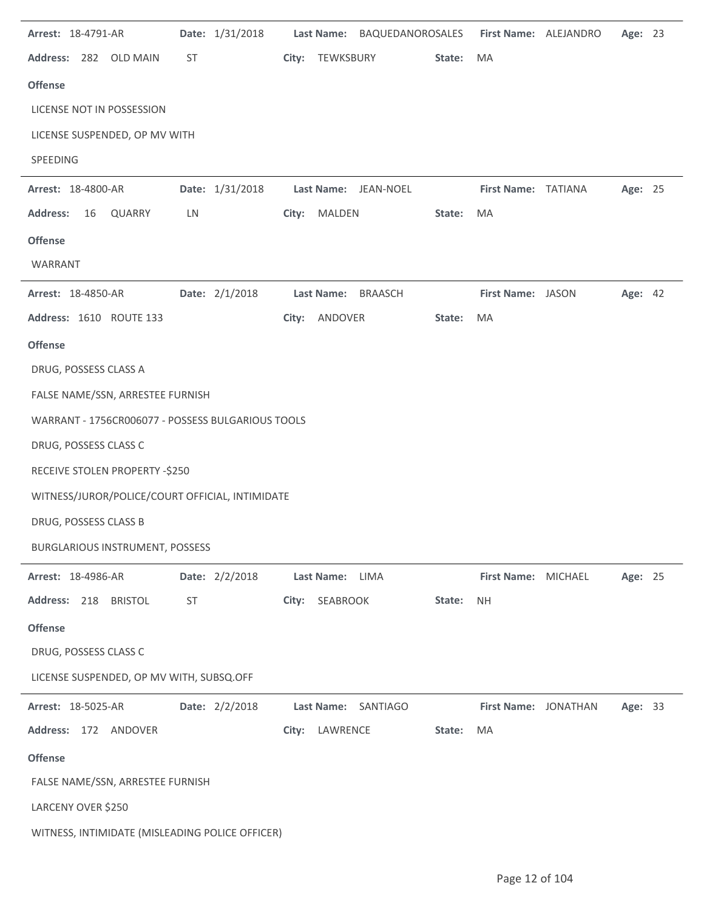| Arrest: 18-4791-AR |    |                                                   |    | Date: 1/31/2018 |       |                   | Last Name: BAQUEDANOROSALES |        | First Name: ALEJANDRO | Age: 23 |  |
|--------------------|----|---------------------------------------------------|----|-----------------|-------|-------------------|-----------------------------|--------|-----------------------|---------|--|
|                    |    | Address: 282 OLD MAIN                             | ST |                 | City: | TEWKSBURY         |                             | State: | MA                    |         |  |
| <b>Offense</b>     |    |                                                   |    |                 |       |                   |                             |        |                       |         |  |
|                    |    | LICENSE NOT IN POSSESSION                         |    |                 |       |                   |                             |        |                       |         |  |
|                    |    | LICENSE SUSPENDED, OP MV WITH                     |    |                 |       |                   |                             |        |                       |         |  |
| SPEEDING           |    |                                                   |    |                 |       |                   |                             |        |                       |         |  |
| Arrest: 18-4800-AR |    |                                                   |    | Date: 1/31/2018 |       |                   | Last Name: JEAN-NOEL        |        | First Name: TATIANA   | Age: 25 |  |
| <b>Address:</b>    | 16 | QUARRY                                            | LN |                 |       | City: MALDEN      |                             | State: | MA                    |         |  |
| <b>Offense</b>     |    |                                                   |    |                 |       |                   |                             |        |                       |         |  |
| WARRANT            |    |                                                   |    |                 |       |                   |                             |        |                       |         |  |
| Arrest: 18-4850-AR |    |                                                   |    | Date: 2/1/2018  |       | <b>Last Name:</b> | <b>BRAASCH</b>              |        | First Name: JASON     | Age: 42 |  |
|                    |    | Address: 1610 ROUTE 133                           |    |                 |       | City: ANDOVER     |                             | State: | MA                    |         |  |
| <b>Offense</b>     |    |                                                   |    |                 |       |                   |                             |        |                       |         |  |
|                    |    | DRUG, POSSESS CLASS A                             |    |                 |       |                   |                             |        |                       |         |  |
|                    |    | FALSE NAME/SSN, ARRESTEE FURNISH                  |    |                 |       |                   |                             |        |                       |         |  |
|                    |    | WARRANT - 1756CR006077 - POSSESS BULGARIOUS TOOLS |    |                 |       |                   |                             |        |                       |         |  |
|                    |    | DRUG, POSSESS CLASS C                             |    |                 |       |                   |                             |        |                       |         |  |
|                    |    | RECEIVE STOLEN PROPERTY -\$250                    |    |                 |       |                   |                             |        |                       |         |  |
|                    |    | WITNESS/JUROR/POLICE/COURT OFFICIAL, INTIMIDATE   |    |                 |       |                   |                             |        |                       |         |  |
|                    |    | DRUG, POSSESS CLASS B                             |    |                 |       |                   |                             |        |                       |         |  |
|                    |    | <b>BURGLARIOUS INSTRUMENT, POSSESS</b>            |    |                 |       |                   |                             |        |                       |         |  |
| Arrest: 18-4986-AR |    |                                                   |    | Date: 2/2/2018  |       | Last Name:        | LIMA                        |        | First Name: MICHAEL   | Age: 25 |  |
|                    |    | Address: 218 BRISTOL                              | ST |                 |       | City: SEABROOK    |                             | State: | <b>NH</b>             |         |  |
| <b>Offense</b>     |    |                                                   |    |                 |       |                   |                             |        |                       |         |  |
|                    |    | DRUG, POSSESS CLASS C                             |    |                 |       |                   |                             |        |                       |         |  |
|                    |    | LICENSE SUSPENDED, OP MV WITH, SUBSQ.OFF          |    |                 |       |                   |                             |        |                       |         |  |
| Arrest: 18-5025-AR |    |                                                   |    | Date: 2/2/2018  |       | <b>Last Name:</b> | SANTIAGO                    |        | First Name: JONATHAN  | Age: 33 |  |
|                    |    | Address: 172 ANDOVER                              |    |                 | City: | LAWRENCE          |                             | State: | MA                    |         |  |
| <b>Offense</b>     |    |                                                   |    |                 |       |                   |                             |        |                       |         |  |
|                    |    | FALSE NAME/SSN, ARRESTEE FURNISH                  |    |                 |       |                   |                             |        |                       |         |  |
| LARCENY OVER \$250 |    |                                                   |    |                 |       |                   |                             |        |                       |         |  |
|                    |    | WITNESS, INTIMIDATE (MISLEADING POLICE OFFICER)   |    |                 |       |                   |                             |        |                       |         |  |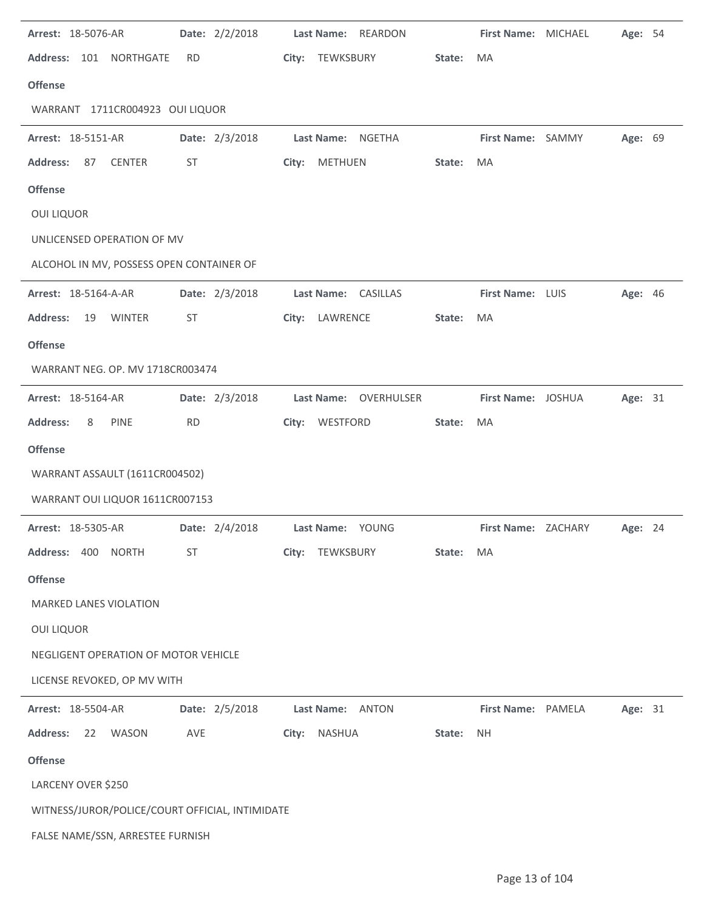|                                                 | Date: 2/2/2018 | Last Name: REARDON     |        | First Name: MICHAEL | Age: 54 |  |
|-------------------------------------------------|----------------|------------------------|--------|---------------------|---------|--|
| Address: 101 NORTHGATE                          | <b>RD</b>      | City: TEWKSBURY        | State: | MA                  |         |  |
| <b>Offense</b>                                  |                |                        |        |                     |         |  |
| WARRANT 1711CR004923 OUI LIQUOR                 |                |                        |        |                     |         |  |
| Arrest: 18-5151-AR                              | Date: 2/3/2018 | Last Name: NGETHA      |        | First Name: SAMMY   | Age: 69 |  |
| <b>Address:</b><br>87<br><b>CENTER</b>          | ST             | City: METHUEN          | State: | MA                  |         |  |
| <b>Offense</b>                                  |                |                        |        |                     |         |  |
| <b>OUI LIQUOR</b>                               |                |                        |        |                     |         |  |
| UNLICENSED OPERATION OF MV                      |                |                        |        |                     |         |  |
| ALCOHOL IN MV, POSSESS OPEN CONTAINER OF        |                |                        |        |                     |         |  |
| <b>Arrest: 18-5164-A-AR</b>                     | Date: 2/3/2018 | Last Name: CASILLAS    |        | First Name: LUIS    | Age: 46 |  |
| <b>Address:</b><br><b>WINTER</b><br>19          | ST             | City: LAWRENCE         | State: | MA                  |         |  |
| <b>Offense</b>                                  |                |                        |        |                     |         |  |
| WARRANT NEG. OP. MV 1718CR003474                |                |                        |        |                     |         |  |
| Arrest: 18-5164-AR                              | Date: 2/3/2018 | Last Name: OVERHULSER  |        | First Name: JOSHUA  | Age: 31 |  |
| <b>Address:</b><br>PINE<br>8                    | <b>RD</b>      | City: WESTFORD         | State: | MA                  |         |  |
| <b>Offense</b>                                  |                |                        |        |                     |         |  |
| WARRANT ASSAULT (1611CR004502)                  |                |                        |        |                     |         |  |
|                                                 |                |                        |        |                     |         |  |
| WARRANT OUI LIQUOR 1611CR007153                 |                |                        |        |                     |         |  |
| Arrest: 18-5305-AR                              | Date: 2/4/2018 | Last Name: YOUNG       |        | First Name: ZACHARY | Age: 24 |  |
| <b>Address:</b><br>400<br><b>NORTH</b>          | <b>ST</b>      | City:<br>TEWKSBURY     | State: | MA                  |         |  |
| <b>Offense</b>                                  |                |                        |        |                     |         |  |
| <b>MARKED LANES VIOLATION</b>                   |                |                        |        |                     |         |  |
| <b>OUI LIQUOR</b>                               |                |                        |        |                     |         |  |
| NEGLIGENT OPERATION OF MOTOR VEHICLE            |                |                        |        |                     |         |  |
| LICENSE REVOKED, OP MV WITH                     |                |                        |        |                     |         |  |
| Arrest: 18-5504-AR                              | Date: 2/5/2018 | Last Name: ANTON       |        | First Name: PAMELA  | Age: 31 |  |
| <b>Address:</b><br>22<br>WASON                  | AVE            | City:<br><b>NASHUA</b> | State: | <b>NH</b>           |         |  |
| <b>Offense</b>                                  |                |                        |        |                     |         |  |
| LARCENY OVER \$250                              |                |                        |        |                     |         |  |
| WITNESS/JUROR/POLICE/COURT OFFICIAL, INTIMIDATE |                |                        |        |                     |         |  |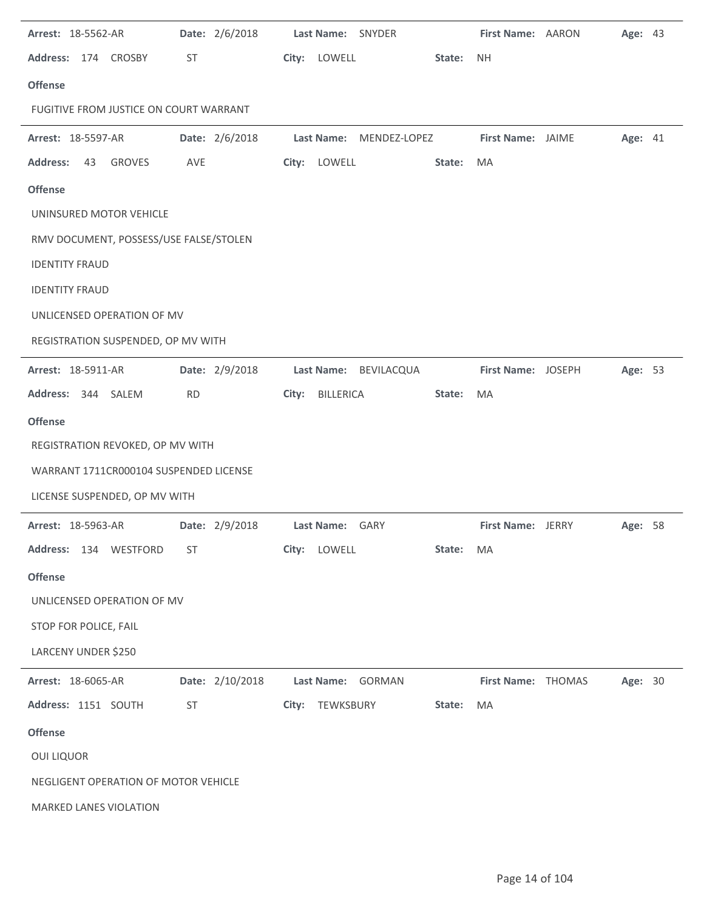| Arrest: 18-5562-AR                     | Date: 2/6/2018  |       | Last Name: SNYDER       |        | First Name: AARON  | Age: 43 |  |
|----------------------------------------|-----------------|-------|-------------------------|--------|--------------------|---------|--|
| Address: 174 CROSBY                    | ST              |       | City: LOWELL            | State: | <b>NH</b>          |         |  |
| <b>Offense</b>                         |                 |       |                         |        |                    |         |  |
| FUGITIVE FROM JUSTICE ON COURT WARRANT |                 |       |                         |        |                    |         |  |
| Arrest: 18-5597-AR                     | Date: 2/6/2018  |       | Last Name: MENDEZ-LOPEZ |        | First Name: JAIME  | Age: 41 |  |
| <b>Address:</b><br>GROVES<br>43        | AVE             |       | City: LOWELL            | State: | MA                 |         |  |
| <b>Offense</b>                         |                 |       |                         |        |                    |         |  |
| UNINSURED MOTOR VEHICLE                |                 |       |                         |        |                    |         |  |
| RMV DOCUMENT, POSSESS/USE FALSE/STOLEN |                 |       |                         |        |                    |         |  |
| <b>IDENTITY FRAUD</b>                  |                 |       |                         |        |                    |         |  |
| <b>IDENTITY FRAUD</b>                  |                 |       |                         |        |                    |         |  |
| UNLICENSED OPERATION OF MV             |                 |       |                         |        |                    |         |  |
| REGISTRATION SUSPENDED, OP MV WITH     |                 |       |                         |        |                    |         |  |
| Arrest: 18-5911-AR                     | Date: 2/9/2018  |       | Last Name: BEVILACQUA   |        | First Name: JOSEPH | Age: 53 |  |
| Address: 344 SALEM                     | <b>RD</b>       | City: | BILLERICA               | State: | MA                 |         |  |
| <b>Offense</b>                         |                 |       |                         |        |                    |         |  |
| REGISTRATION REVOKED, OP MV WITH       |                 |       |                         |        |                    |         |  |
| WARRANT 1711CR000104 SUSPENDED LICENSE |                 |       |                         |        |                    |         |  |
| LICENSE SUSPENDED, OP MV WITH          |                 |       |                         |        |                    |         |  |
| Arrest: 18-5963-AR                     | Date: 2/9/2018  |       | Last Name: GARY         |        | First Name: JERRY  | Age: 58 |  |
| Address: 134 WESTFORD                  | <b>ST</b>       |       | City: LOWELL            | State: | MA                 |         |  |
| <b>Offense</b>                         |                 |       |                         |        |                    |         |  |
| UNLICENSED OPERATION OF MV             |                 |       |                         |        |                    |         |  |
| STOP FOR POLICE, FAIL                  |                 |       |                         |        |                    |         |  |
| LARCENY UNDER \$250                    |                 |       |                         |        |                    |         |  |
| Arrest: 18-6065-AR                     | Date: 2/10/2018 |       | Last Name: GORMAN       |        | First Name: THOMAS | Age: 30 |  |
| Address: 1151 SOUTH                    | <b>ST</b>       |       | City: TEWKSBURY         | State: | MA                 |         |  |
| <b>Offense</b>                         |                 |       |                         |        |                    |         |  |
| <b>OUI LIQUOR</b>                      |                 |       |                         |        |                    |         |  |
| NEGLIGENT OPERATION OF MOTOR VEHICLE   |                 |       |                         |        |                    |         |  |
| MARKED LANES VIOLATION                 |                 |       |                         |        |                    |         |  |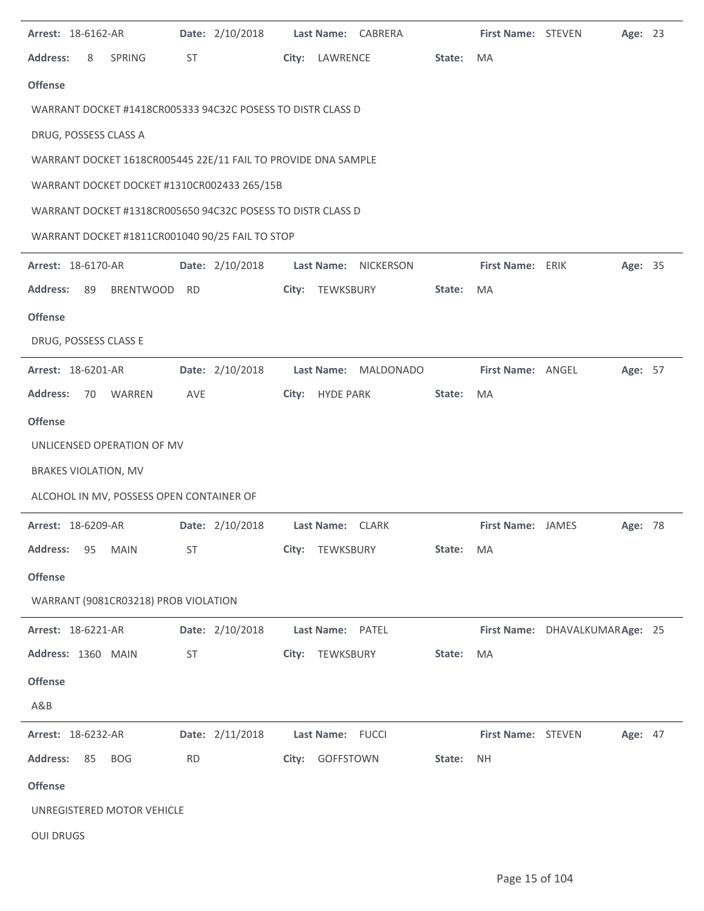| Arrest: 18-6162-AR |                             |                                                               |           | Date: 2/10/2018 |                  | Last Name: CABRERA   |        | First Name: STEVEN        |                                | Age: 23 |  |
|--------------------|-----------------------------|---------------------------------------------------------------|-----------|-----------------|------------------|----------------------|--------|---------------------------|--------------------------------|---------|--|
| <b>Address:</b>    | 8                           | SPRING                                                        | ST        |                 | City: LAWRENCE   |                      | State: | MA                        |                                |         |  |
| <b>Offense</b>     |                             |                                                               |           |                 |                  |                      |        |                           |                                |         |  |
|                    |                             | WARRANT DOCKET #1418CR005333 94C32C POSESS TO DISTR CLASS D   |           |                 |                  |                      |        |                           |                                |         |  |
|                    |                             | DRUG, POSSESS CLASS A                                         |           |                 |                  |                      |        |                           |                                |         |  |
|                    |                             | WARRANT DOCKET 1618CR005445 22E/11 FAIL TO PROVIDE DNA SAMPLE |           |                 |                  |                      |        |                           |                                |         |  |
|                    |                             | WARRANT DOCKET DOCKET #1310CR002433 265/15B                   |           |                 |                  |                      |        |                           |                                |         |  |
|                    |                             | WARRANT DOCKET #1318CR005650 94C32C POSESS TO DISTR CLASS D   |           |                 |                  |                      |        |                           |                                |         |  |
|                    |                             | WARRANT DOCKET #1811CR001040 90/25 FAIL TO STOP               |           |                 |                  |                      |        |                           |                                |         |  |
| Arrest: 18-6170-AR |                             |                                                               |           | Date: 2/10/2018 |                  | Last Name: NICKERSON |        | First Name: ERIK          |                                | Age: 35 |  |
| <b>Address:</b>    | 89                          | BRENTWOOD                                                     | RD        |                 | City: TEWKSBURY  |                      | State: | MA                        |                                |         |  |
| <b>Offense</b>     |                             |                                                               |           |                 |                  |                      |        |                           |                                |         |  |
|                    | DRUG, POSSESS CLASS E       |                                                               |           |                 |                  |                      |        |                           |                                |         |  |
| Arrest: 18-6201-AR |                             |                                                               |           | Date: 2/10/2018 |                  | Last Name: MALDONADO |        | First Name: ANGEL         |                                | Age: 57 |  |
| <b>Address:</b>    | 70                          | WARREN                                                        | AVE       |                 | City: HYDE PARK  |                      | State: | MA                        |                                |         |  |
| <b>Offense</b>     |                             |                                                               |           |                 |                  |                      |        |                           |                                |         |  |
|                    |                             | UNLICENSED OPERATION OF MV                                    |           |                 |                  |                      |        |                           |                                |         |  |
|                    | <b>BRAKES VIOLATION, MV</b> |                                                               |           |                 |                  |                      |        |                           |                                |         |  |
|                    |                             | ALCOHOL IN MV, POSSESS OPEN CONTAINER OF                      |           |                 |                  |                      |        |                           |                                |         |  |
| Arrest: 18-6209-AR |                             |                                                               |           | Date: 2/10/2018 |                  | Last Name: CLARK     |        | First Name: JAMES         |                                | Age: 78 |  |
| <b>Address:</b>    | 95                          | <b>MAIN</b>                                                   | ST        |                 | City: TEWKSBURY  |                      | State: | MA                        |                                |         |  |
| <b>Offense</b>     |                             |                                                               |           |                 |                  |                      |        |                           |                                |         |  |
|                    |                             | WARRANT (9081CR03218) PROB VIOLATION                          |           |                 |                  |                      |        |                           |                                |         |  |
| Arrest: 18-6221-AR |                             |                                                               |           | Date: 2/10/2018 | Last Name: PATEL |                      |        |                           | First Name: DHAVALKUMARAge: 25 |         |  |
| Address: 1360 MAIN |                             |                                                               | ST        |                 | City: TEWKSBURY  |                      | State: | MA                        |                                |         |  |
| <b>Offense</b>     |                             |                                                               |           |                 |                  |                      |        |                           |                                |         |  |
| A&B                |                             |                                                               |           |                 |                  |                      |        |                           |                                |         |  |
| Arrest: 18-6232-AR |                             |                                                               |           | Date: 2/11/2018 | Last Name: FUCCI |                      |        | <b>First Name: STEVEN</b> |                                | Age: 47 |  |
| <b>Address:</b>    | 85                          | <b>BOG</b>                                                    | <b>RD</b> |                 | City: GOFFSTOWN  |                      | State: | <b>NH</b>                 |                                |         |  |
| <b>Offense</b>     |                             |                                                               |           |                 |                  |                      |        |                           |                                |         |  |
|                    |                             | UNREGISTERED MOTOR VEHICLE                                    |           |                 |                  |                      |        |                           |                                |         |  |
| <b>OUI DRUGS</b>   |                             |                                                               |           |                 |                  |                      |        |                           |                                |         |  |
|                    |                             |                                                               |           |                 |                  |                      |        |                           |                                |         |  |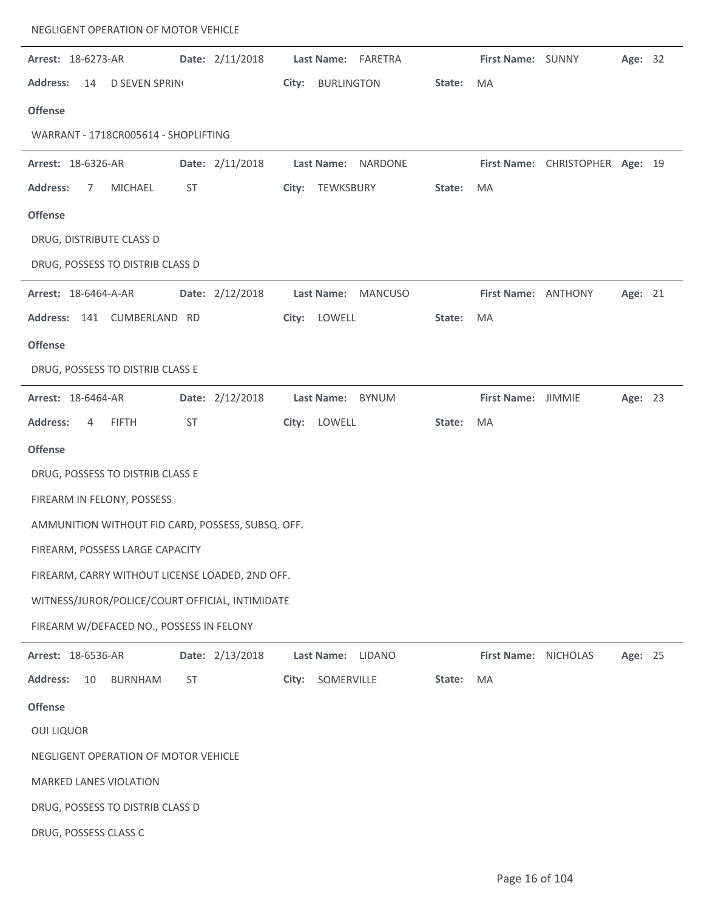|                             |                            | NEGLIGENT OPERATION OF MOTOR VEHICLE     |                                                   |       |                   |                    |        |                      |                                 |         |  |
|-----------------------------|----------------------------|------------------------------------------|---------------------------------------------------|-------|-------------------|--------------------|--------|----------------------|---------------------------------|---------|--|
| Arrest: 18-6273-AR          |                            |                                          | Date: 2/11/2018                                   |       |                   | Last Name: FARETRA |        | First Name: SUNNY    |                                 | Age: 32 |  |
| <b>Address:</b>             | 14                         | <b>D SEVEN SPRIN</b>                     |                                                   |       | City: BURLINGTON  |                    | State: | MA                   |                                 |         |  |
| <b>Offense</b>              |                            |                                          |                                                   |       |                   |                    |        |                      |                                 |         |  |
|                             |                            | WARRANT - 1718CR005614 - SHOPLIFTING     |                                                   |       |                   |                    |        |                      |                                 |         |  |
| Arrest: 18-6326-AR          |                            |                                          | Date: 2/11/2018                                   |       | Last Name:        | NARDONE            |        |                      | First Name: CHRISTOPHER Age: 19 |         |  |
| <b>Address:</b>             | MICHAEL<br>7               | ST                                       |                                                   |       | City: TEWKSBURY   |                    | State: | MA                   |                                 |         |  |
| <b>Offense</b>              |                            |                                          |                                                   |       |                   |                    |        |                      |                                 |         |  |
|                             | DRUG, DISTRIBUTE CLASS D   |                                          |                                                   |       |                   |                    |        |                      |                                 |         |  |
|                             |                            | DRUG, POSSESS TO DISTRIB CLASS D         |                                                   |       |                   |                    |        |                      |                                 |         |  |
| <b>Arrest: 18-6464-A-AR</b> |                            |                                          | Date: 2/12/2018                                   |       |                   | Last Name: MANCUSO |        | First Name: ANTHONY  |                                 | Age: 21 |  |
|                             |                            | Address: 141 CUMBERLAND RD               |                                                   |       | City: LOWELL      |                    | State: | MA                   |                                 |         |  |
| <b>Offense</b>              |                            |                                          |                                                   |       |                   |                    |        |                      |                                 |         |  |
|                             |                            | DRUG, POSSESS TO DISTRIB CLASS E         |                                                   |       |                   |                    |        |                      |                                 |         |  |
| Arrest: 18-6464-AR          |                            |                                          | Date: 2/12/2018                                   |       |                   | Last Name: BYNUM   |        | First Name: JIMMIE   |                                 | Age: 23 |  |
| <b>Address:</b>             | <b>FIFTH</b><br>4          | ST                                       |                                                   | City: | LOWELL            |                    | State: | MA                   |                                 |         |  |
| <b>Offense</b>              |                            |                                          |                                                   |       |                   |                    |        |                      |                                 |         |  |
|                             |                            | DRUG, POSSESS TO DISTRIB CLASS E         |                                                   |       |                   |                    |        |                      |                                 |         |  |
|                             | FIREARM IN FELONY, POSSESS |                                          |                                                   |       |                   |                    |        |                      |                                 |         |  |
|                             |                            |                                          | AMMUNITION WITHOUT FID CARD, POSSESS, SUBSQ. OFF. |       |                   |                    |        |                      |                                 |         |  |
|                             |                            | FIREARM, POSSESS LARGE CAPACITY          |                                                   |       |                   |                    |        |                      |                                 |         |  |
|                             |                            |                                          | FIREARM, CARRY WITHOUT LICENSE LOADED, 2ND OFF.   |       |                   |                    |        |                      |                                 |         |  |
|                             |                            |                                          | WITNESS/JUROR/POLICE/COURT OFFICIAL, INTIMIDATE   |       |                   |                    |        |                      |                                 |         |  |
|                             |                            | FIREARM W/DEFACED NO., POSSESS IN FELONY |                                                   |       |                   |                    |        |                      |                                 |         |  |
| Arrest: 18-6536-AR          |                            |                                          | Date: 2/13/2018                                   |       | <b>Last Name:</b> | LIDANO             |        | First Name: NICHOLAS |                                 | Age: 25 |  |
| <b>Address:</b>             | 10                         | <b>BURNHAM</b><br>ST                     |                                                   | City: | SOMERVILLE        |                    | State: | MA                   |                                 |         |  |
| <b>Offense</b>              |                            |                                          |                                                   |       |                   |                    |        |                      |                                 |         |  |
| <b>OUI LIQUOR</b>           |                            |                                          |                                                   |       |                   |                    |        |                      |                                 |         |  |
|                             |                            | NEGLIGENT OPERATION OF MOTOR VEHICLE     |                                                   |       |                   |                    |        |                      |                                 |         |  |
|                             | MARKED LANES VIOLATION     |                                          |                                                   |       |                   |                    |        |                      |                                 |         |  |
|                             |                            | DRUG, POSSESS TO DISTRIB CLASS D         |                                                   |       |                   |                    |        |                      |                                 |         |  |
|                             | DRUG, POSSESS CLASS C      |                                          |                                                   |       |                   |                    |        |                      |                                 |         |  |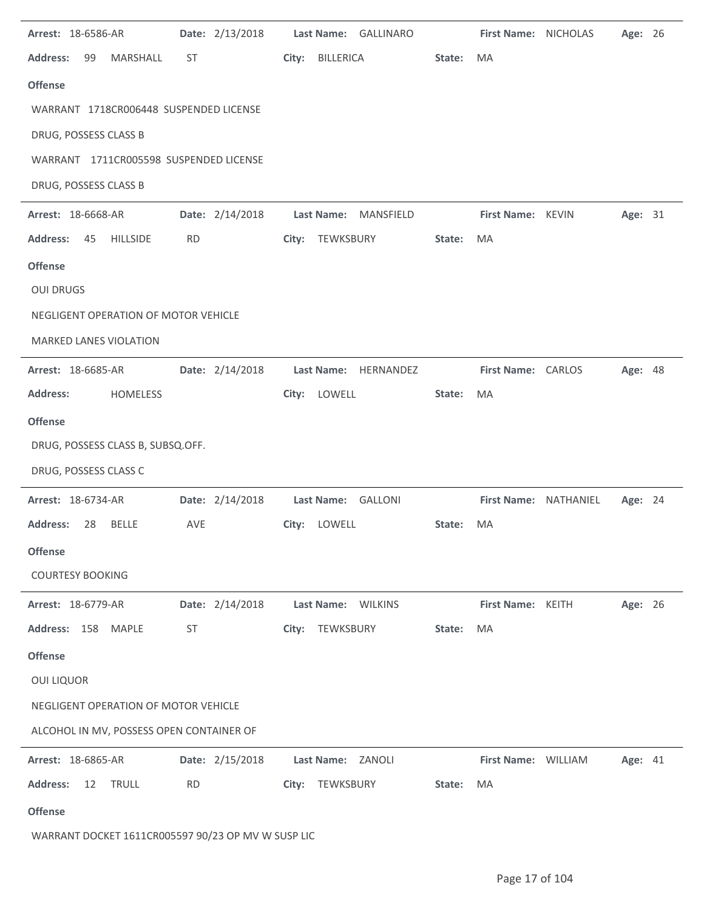| Arrest: 18-6586-AR                                 | Date: 2/13/2018 | Last Name: GALLINARO      |        | First Name: NICHOLAS  | Age: 26        |  |
|----------------------------------------------------|-----------------|---------------------------|--------|-----------------------|----------------|--|
| <b>Address:</b><br>MARSHALL<br>99                  | ST              | City:<br><b>BILLERICA</b> | State: | MA                    |                |  |
| <b>Offense</b>                                     |                 |                           |        |                       |                |  |
| WARRANT 1718CR006448 SUSPENDED LICENSE             |                 |                           |        |                       |                |  |
| DRUG, POSSESS CLASS B                              |                 |                           |        |                       |                |  |
| WARRANT 1711CR005598 SUSPENDED LICENSE             |                 |                           |        |                       |                |  |
| DRUG, POSSESS CLASS B                              |                 |                           |        |                       |                |  |
| Arrest: 18-6668-AR                                 | Date: 2/14/2018 | Last Name: MANSFIELD      |        | First Name: KEVIN     | Age: 31        |  |
| <b>HILLSIDE</b><br><b>Address:</b><br>45           | <b>RD</b>       | City: TEWKSBURY           | State: | MA                    |                |  |
| <b>Offense</b>                                     |                 |                           |        |                       |                |  |
| <b>OUI DRUGS</b>                                   |                 |                           |        |                       |                |  |
| NEGLIGENT OPERATION OF MOTOR VEHICLE               |                 |                           |        |                       |                |  |
| MARKED LANES VIOLATION                             |                 |                           |        |                       |                |  |
| Arrest: 18-6685-AR                                 | Date: 2/14/2018 | Last Name: HERNANDEZ      |        | First Name: CARLOS    | Age: 48        |  |
| <b>HOMELESS</b><br><b>Address:</b>                 |                 | City: LOWELL              | State: | MA                    |                |  |
| <b>Offense</b>                                     |                 |                           |        |                       |                |  |
| DRUG, POSSESS CLASS B, SUBSQ.OFF.                  |                 |                           |        |                       |                |  |
| DRUG, POSSESS CLASS C                              |                 |                           |        |                       |                |  |
| Arrest: 18-6734-AR                                 | Date: 2/14/2018 | Last Name: GALLONI        |        | First Name: NATHANIEL | Age: 24        |  |
| <b>Address:</b><br><b>BELLE</b><br>28              | AVE             | City: LOWELL              | State: | MA                    |                |  |
| <b>Offense</b>                                     |                 |                           |        |                       |                |  |
| <b>COURTESY BOOKING</b>                            |                 |                           |        |                       |                |  |
| Arrest: 18-6779-AR                                 | Date: 2/14/2018 | Last Name: WILKINS        |        | First Name: KEITH     | Age: 26        |  |
| Address: 158 MAPLE                                 | ST              | TEWKSBURY<br>City:        | State: | MA                    |                |  |
| <b>Offense</b>                                     |                 |                           |        |                       |                |  |
| <b>OUI LIQUOR</b>                                  |                 |                           |        |                       |                |  |
| NEGLIGENT OPERATION OF MOTOR VEHICLE               |                 |                           |        |                       |                |  |
| ALCOHOL IN MV, POSSESS OPEN CONTAINER OF           |                 |                           |        |                       |                |  |
| Arrest: 18-6865-AR                                 | Date: 2/15/2018 | Last Name: ZANOLI         |        | First Name: WILLIAM   | <b>Age: 41</b> |  |
| <b>Address:</b><br><b>TRULL</b><br>12              | <b>RD</b>       | City: TEWKSBURY           | State: | MA                    |                |  |
| <b>Offense</b>                                     |                 |                           |        |                       |                |  |
| WARRANT DOCKET 1611CR005597 90/23 OP MV W SUSP LIC |                 |                           |        |                       |                |  |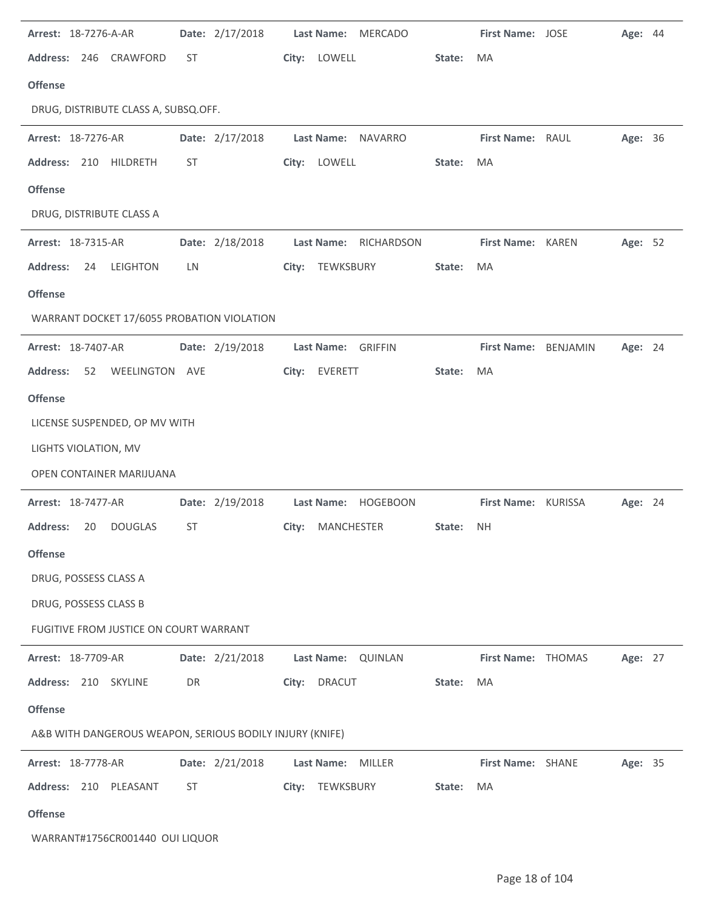| Arrest: 18-7276-A-AR                                     |           | Date: 2/17/2018 |       | <b>Last Name:</b>  | <b>MERCADO</b>        |        | First Name: JOSE     | Age: 44 |  |
|----------------------------------------------------------|-----------|-----------------|-------|--------------------|-----------------------|--------|----------------------|---------|--|
| Address: 246 CRAWFORD                                    | ST        |                 |       | City: LOWELL       |                       | State: | MA                   |         |  |
| <b>Offense</b>                                           |           |                 |       |                    |                       |        |                      |         |  |
| DRUG, DISTRIBUTE CLASS A, SUBSQ.OFF.                     |           |                 |       |                    |                       |        |                      |         |  |
| Arrest: 18-7276-AR                                       |           | Date: 2/17/2018 |       |                    | Last Name: NAVARRO    |        | First Name: RAUL     | Age: 36 |  |
| Address: 210 HILDRETH                                    | ST        |                 |       | City: LOWELL       |                       | State: | MA                   |         |  |
| <b>Offense</b>                                           |           |                 |       |                    |                       |        |                      |         |  |
| DRUG, DISTRIBUTE CLASS A                                 |           |                 |       |                    |                       |        |                      |         |  |
| <b>Arrest: 18-7315-AR</b>                                |           | Date: 2/18/2018 |       |                    | Last Name: RICHARDSON |        | First Name: KAREN    | Age: 52 |  |
| <b>Address:</b><br>24<br>LEIGHTON                        | <b>LN</b> |                 |       | City: TEWKSBURY    |                       | State: | MA                   |         |  |
| <b>Offense</b>                                           |           |                 |       |                    |                       |        |                      |         |  |
| WARRANT DOCKET 17/6055 PROBATION VIOLATION               |           |                 |       |                    |                       |        |                      |         |  |
| Arrest: 18-7407-AR                                       |           | Date: 2/19/2018 |       | Last Name: GRIFFIN |                       |        | First Name: BENJAMIN | Age: 24 |  |
| <b>Address:</b><br>WEELINGTON AVE<br>52                  |           |                 | City: | EVERETT            |                       | State: | MA                   |         |  |
| <b>Offense</b>                                           |           |                 |       |                    |                       |        |                      |         |  |
| LICENSE SUSPENDED, OP MV WITH                            |           |                 |       |                    |                       |        |                      |         |  |
| LIGHTS VIOLATION, MV                                     |           |                 |       |                    |                       |        |                      |         |  |
| <b>OPEN CONTAINER MARIJUANA</b>                          |           |                 |       |                    |                       |        |                      |         |  |
| Arrest: 18-7477-AR                                       |           | Date: 2/19/2018 |       |                    | Last Name: HOGEBOON   |        | First Name: KURISSA  | Age: 24 |  |
| <b>Address:</b><br>20<br><b>DOUGLAS</b>                  | ST        |                 |       | City: MANCHESTER   |                       | State: | <b>NH</b>            |         |  |
| <b>Offense</b>                                           |           |                 |       |                    |                       |        |                      |         |  |
| DRUG, POSSESS CLASS A                                    |           |                 |       |                    |                       |        |                      |         |  |
| DRUG, POSSESS CLASS B                                    |           |                 |       |                    |                       |        |                      |         |  |
| FUGITIVE FROM JUSTICE ON COURT WARRANT                   |           |                 |       |                    |                       |        |                      |         |  |
| Arrest: 18-7709-AR                                       |           | Date: 2/21/2018 |       |                    | Last Name: QUINLAN    |        | First Name: THOMAS   | Age: 27 |  |
| Address: 210 SKYLINE                                     | DR        |                 | City: | DRACUT             |                       | State: | MA                   |         |  |
| <b>Offense</b>                                           |           |                 |       |                    |                       |        |                      |         |  |
| A&B WITH DANGEROUS WEAPON, SERIOUS BODILY INJURY (KNIFE) |           |                 |       |                    |                       |        |                      |         |  |
| Arrest: 18-7778-AR                                       |           | Date: 2/21/2018 |       | <b>Last Name:</b>  | MILLER                |        | First Name: SHANE    | Age: 35 |  |
| Address: 210 PLEASANT                                    | ST        |                 | City: | TEWKSBURY          |                       | State: | MA                   |         |  |
| <b>Offense</b>                                           |           |                 |       |                    |                       |        |                      |         |  |
| WARRANT#1756CR001440 OUI LIQUOR                          |           |                 |       |                    |                       |        |                      |         |  |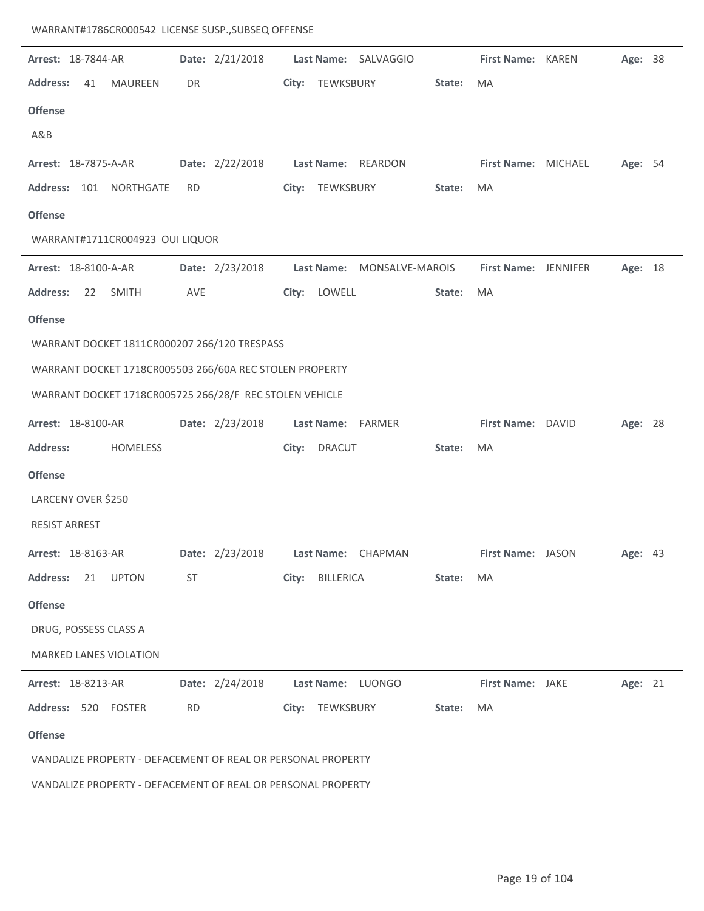| WARRANT#1786CR000542 LICENSE SUSP., SUBSEQ OFFENSE |  |  |  |  |
|----------------------------------------------------|--|--|--|--|
|----------------------------------------------------|--|--|--|--|

| Arrest: 18-7844-AR                                           | Date: 2/21/2018 | Last Name: SALVAGGIO                | First Name: KAREN<br>Age: 38        |
|--------------------------------------------------------------|-----------------|-------------------------------------|-------------------------------------|
| <b>Address:</b><br><b>MAUREEN</b><br>41                      | DR              | City: TEWKSBURY<br>State:           | MA                                  |
| <b>Offense</b>                                               |                 |                                     |                                     |
| A&B                                                          |                 |                                     |                                     |
| Arrest: 18-7875-A-AR                                         | Date: 2/22/2018 | Last Name: REARDON                  | First Name: MICHAEL<br>Age: 54      |
| Address: 101 NORTHGATE                                       | RD.             | City: TEWKSBURY<br>State:           | MA                                  |
| <b>Offense</b>                                               |                 |                                     |                                     |
| WARRANT#1711CR004923 OUI LIQUOR                              |                 |                                     |                                     |
| Arrest: 18-8100-A-AR                                         | Date: 2/23/2018 | Last Name: MONSALVE-MAROIS          | First Name: JENNIFER<br>Age: 18     |
| <b>Address:</b><br>22<br>SMITH                               | AVE             | LOWELL<br>State:<br>City:           | MA                                  |
| <b>Offense</b>                                               |                 |                                     |                                     |
| WARRANT DOCKET 1811CR000207 266/120 TRESPASS                 |                 |                                     |                                     |
| WARRANT DOCKET 1718CR005503 266/60A REC STOLEN PROPERTY      |                 |                                     |                                     |
| WARRANT DOCKET 1718CR005725 266/28/F REC STOLEN VEHICLE      |                 |                                     |                                     |
| Arrest: 18-8100-AR                                           | Date: 2/23/2018 | Last Name: FARMER                   | First Name: DAVID<br>Age: 28        |
| <b>Address:</b><br>HOMELESS                                  |                 | <b>DRACUT</b><br>State:<br>City:    | MA                                  |
| <b>Offense</b>                                               |                 |                                     |                                     |
| LARCENY OVER \$250                                           |                 |                                     |                                     |
| <b>RESIST ARREST</b>                                         |                 |                                     |                                     |
| Arrest: 18-8163-AR                                           | Date: 2/23/2018 | <b>Last Name:</b><br><b>CHAPMAN</b> | <b>First Name: JASON</b><br>Age: 43 |
| <b>Address:</b><br>21<br><b>UPTON</b>                        | ST              | City: BILLERICA<br>State:           | MA                                  |
| <b>Offense</b>                                               |                 |                                     |                                     |
| DRUG, POSSESS CLASS A                                        |                 |                                     |                                     |
| <b>MARKED LANES VIOLATION</b>                                |                 |                                     |                                     |
| Arrest: 18-8213-AR                                           | Date: 2/24/2018 | Last Name: LUONGO                   | First Name: JAKE<br>Age: 21         |
| Address: 520 FOSTER                                          | <b>RD</b>       | City: TEWKSBURY<br>State:           | MA                                  |
| <b>Offense</b>                                               |                 |                                     |                                     |
| VANDALIZE PROPERTY - DEFACEMENT OF REAL OR PERSONAL PROPERTY |                 |                                     |                                     |
|                                                              |                 |                                     |                                     |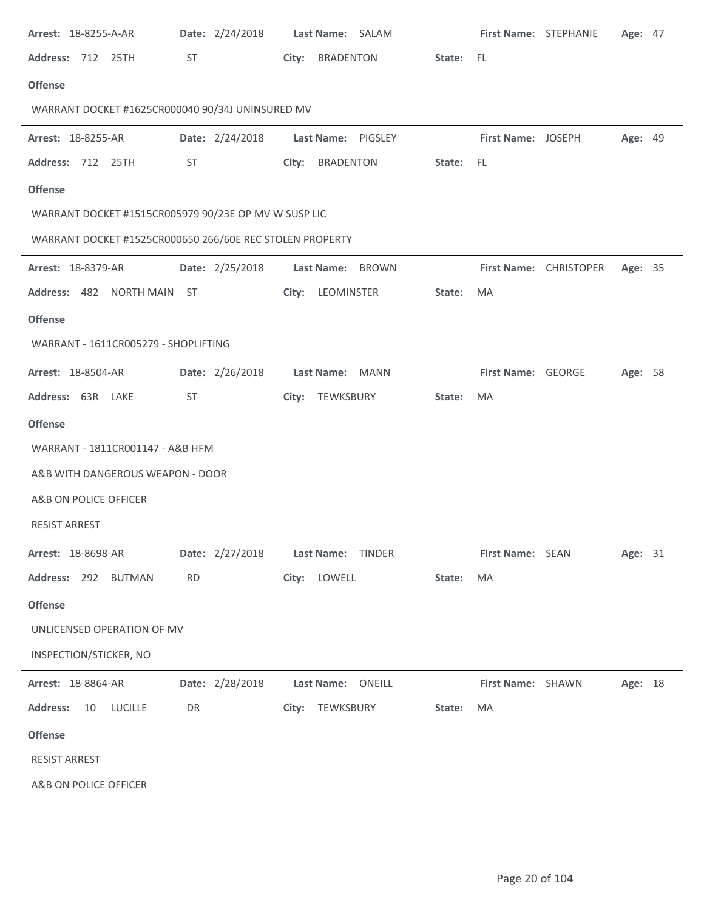| <b>Arrest: 18-8255-A-AR</b>                              |           | Date: 2/24/2018 |       | Last Name: SALAM  |                           |           | First Name: STEPHANIE |                        | Age: 47 |  |
|----------------------------------------------------------|-----------|-----------------|-------|-------------------|---------------------------|-----------|-----------------------|------------------------|---------|--|
| <b>Address: 712 25TH</b>                                 | ST        |                 |       | City: BRADENTON   |                           | State: FL |                       |                        |         |  |
| <b>Offense</b>                                           |           |                 |       |                   |                           |           |                       |                        |         |  |
| WARRANT DOCKET #1625CR000040 90/34J UNINSURED MV         |           |                 |       |                   |                           |           |                       |                        |         |  |
| Arrest: 18-8255-AR                                       |           | Date: 2/24/2018 |       |                   | <b>Last Name: PIGSLEY</b> |           | First Name: JOSEPH    |                        | Age: 49 |  |
| Address: 712 25TH                                        | ST        |                 | City: | BRADENTON         |                           | State: FL |                       |                        |         |  |
| <b>Offense</b>                                           |           |                 |       |                   |                           |           |                       |                        |         |  |
| WARRANT DOCKET #1515CR005979 90/23E OP MV W SUSP LIC     |           |                 |       |                   |                           |           |                       |                        |         |  |
| WARRANT DOCKET #1525CR000650 266/60E REC STOLEN PROPERTY |           |                 |       |                   |                           |           |                       |                        |         |  |
| <b>Arrest: 18-8379-AR</b>                                |           | Date: 2/25/2018 |       | Last Name: BROWN  |                           |           |                       | First Name: CHRISTOPER | Age: 35 |  |
| Address: 482 NORTH MAIN ST                               |           |                 |       | City: LEOMINSTER  |                           | State:    | MA                    |                        |         |  |
| <b>Offense</b>                                           |           |                 |       |                   |                           |           |                       |                        |         |  |
| WARRANT - 1611CR005279 - SHOPLIFTING                     |           |                 |       |                   |                           |           |                       |                        |         |  |
| Arrest: 18-8504-AR                                       |           | Date: 2/26/2018 |       | Last Name: MANN   |                           |           | First Name: GEORGE    |                        | Age: 58 |  |
| Address: 63R LAKE                                        | <b>ST</b> |                 |       |                   | City: TEWKSBURY           | State:    | MA                    |                        |         |  |
| <b>Offense</b>                                           |           |                 |       |                   |                           |           |                       |                        |         |  |
| WARRANT - 1811CR001147 - A&B HFM                         |           |                 |       |                   |                           |           |                       |                        |         |  |
| A&B WITH DANGEROUS WEAPON - DOOR                         |           |                 |       |                   |                           |           |                       |                        |         |  |
| A&B ON POLICE OFFICER                                    |           |                 |       |                   |                           |           |                       |                        |         |  |
| <b>RESIST ARREST</b>                                     |           |                 |       |                   |                           |           |                       |                        |         |  |
| Arrest: 18-8698-AR                                       |           | Date: 2/27/2018 |       | Last Name: TINDER |                           |           | First Name: SEAN      |                        | Age: 31 |  |
| Address: 292 BUTMAN                                      | <b>RD</b> |                 |       | City: LOWELL      |                           | State:    | MA                    |                        |         |  |
| <b>Offense</b>                                           |           |                 |       |                   |                           |           |                       |                        |         |  |
| UNLICENSED OPERATION OF MV                               |           |                 |       |                   |                           |           |                       |                        |         |  |
| INSPECTION/STICKER, NO                                   |           |                 |       |                   |                           |           |                       |                        |         |  |
| Arrest: 18-8864-AR                                       |           | Date: 2/28/2018 |       | Last Name: ONEILL |                           |           | First Name: SHAWN     |                        | Age: 18 |  |
| <b>Address:</b><br>10<br>LUCILLE                         | DR        |                 |       | City: TEWKSBURY   |                           | State:    | MA                    |                        |         |  |
| <b>Offense</b>                                           |           |                 |       |                   |                           |           |                       |                        |         |  |
| <b>RESIST ARREST</b>                                     |           |                 |       |                   |                           |           |                       |                        |         |  |
| A&B ON POLICE OFFICER                                    |           |                 |       |                   |                           |           |                       |                        |         |  |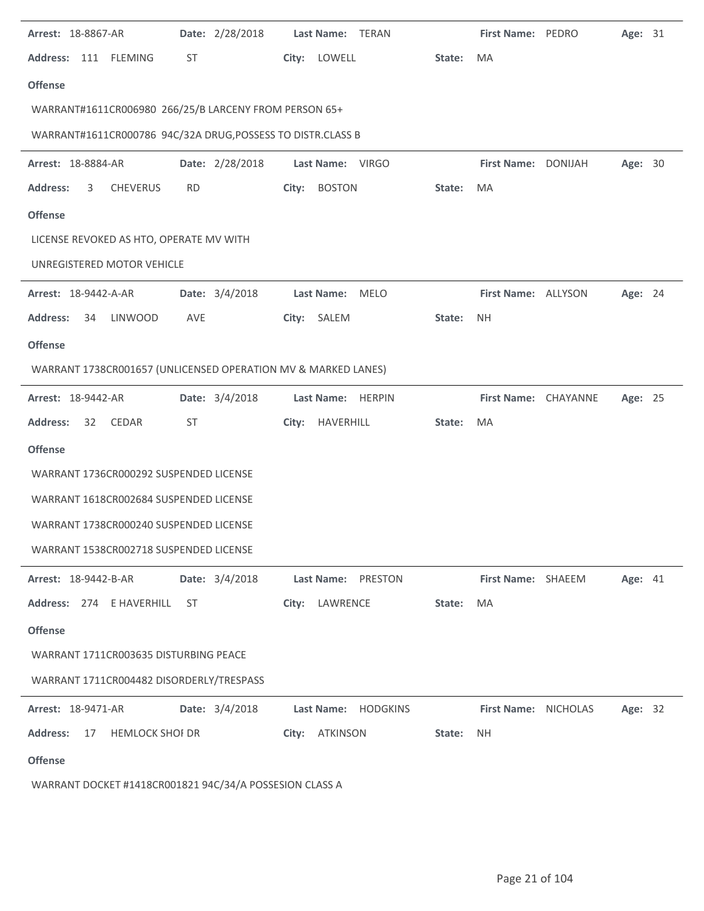| <b>Arrest: 18-8867-AR</b>   |    |                                                               |           | Date: 2/28/2018 |       | Last Name: TERAN  |                    |        | First Name: PEDRO    | Age: 31 |  |
|-----------------------------|----|---------------------------------------------------------------|-----------|-----------------|-------|-------------------|--------------------|--------|----------------------|---------|--|
|                             |    | Address: 111 FLEMING                                          | <b>ST</b> |                 |       | City: LOWELL      |                    | State: | MA                   |         |  |
| <b>Offense</b>              |    |                                                               |           |                 |       |                   |                    |        |                      |         |  |
|                             |    | WARRANT#1611CR006980 266/25/B LARCENY FROM PERSON 65+         |           |                 |       |                   |                    |        |                      |         |  |
|                             |    | WARRANT#1611CR000786 94C/32A DRUG, POSSESS TO DISTR.CLASS B   |           |                 |       |                   |                    |        |                      |         |  |
| Arrest: 18-8884-AR          |    |                                                               |           | Date: 2/28/2018 |       | Last Name: VIRGO  |                    |        | First Name: DONIJAH  | Age: 30 |  |
| <b>Address:</b>             | 3  | CHEVERUS                                                      | <b>RD</b> |                 | City: | <b>BOSTON</b>     |                    | State: | MA                   |         |  |
| <b>Offense</b>              |    |                                                               |           |                 |       |                   |                    |        |                      |         |  |
|                             |    | LICENSE REVOKED AS HTO, OPERATE MV WITH                       |           |                 |       |                   |                    |        |                      |         |  |
|                             |    | UNREGISTERED MOTOR VEHICLE                                    |           |                 |       |                   |                    |        |                      |         |  |
| Arrest: 18-9442-A-AR        |    |                                                               |           | Date: 3/4/2018  |       | Last Name: MELO   |                    |        | First Name: ALLYSON  | Age: 24 |  |
| <b>Address:</b>             | 34 | <b>LINWOOD</b>                                                | AVE       |                 |       | City: SALEM       |                    | State: | <b>NH</b>            |         |  |
| <b>Offense</b>              |    |                                                               |           |                 |       |                   |                    |        |                      |         |  |
|                             |    | WARRANT 1738CR001657 (UNLICENSED OPERATION MV & MARKED LANES) |           |                 |       |                   |                    |        |                      |         |  |
| Arrest: 18-9442-AR          |    |                                                               |           | Date: 3/4/2018  |       | Last Name: HERPIN |                    |        | First Name: CHAYANNE | Age: 25 |  |
| <b>Address:</b>             | 32 | CEDAR                                                         | ST        |                 |       | City: HAVERHILL   |                    | State: | MA                   |         |  |
| <b>Offense</b>              |    |                                                               |           |                 |       |                   |                    |        |                      |         |  |
|                             |    | WARRANT 1736CR000292 SUSPENDED LICENSE                        |           |                 |       |                   |                    |        |                      |         |  |
|                             |    | WARRANT 1618CR002684 SUSPENDED LICENSE                        |           |                 |       |                   |                    |        |                      |         |  |
|                             |    | WARRANT 1738CR000240 SUSPENDED LICENSE                        |           |                 |       |                   |                    |        |                      |         |  |
|                             |    | WARRANT 1538CR002718 SUSPENDED LICENSE                        |           |                 |       |                   |                    |        |                      |         |  |
| <b>Arrest: 18-9442-B-AR</b> |    |                                                               |           | Date: 3/4/2018  |       |                   | Last Name: PRESTON |        | First Name: SHAEEM   | Age: 41 |  |
|                             |    | Address: 274 E HAVERHILL                                      | ST.       |                 |       | City: LAWRENCE    |                    | State: | MA                   |         |  |
| <b>Offense</b>              |    |                                                               |           |                 |       |                   |                    |        |                      |         |  |
|                             |    | WARRANT 1711CR003635 DISTURBING PEACE                         |           |                 |       |                   |                    |        |                      |         |  |
|                             |    | WARRANT 1711CR004482 DISORDERLY/TRESPASS                      |           |                 |       |                   |                    |        |                      |         |  |
| <b>Arrest: 18-9471-AR</b>   |    |                                                               |           | Date: 3/4/2018  |       | <b>Last Name:</b> | <b>HODGKINS</b>    |        | First Name: NICHOLAS | Age: 32 |  |
| <b>Address:</b>             | 17 | <b>HEMLOCK SHOI DR</b>                                        |           |                 |       | City: ATKINSON    |                    | State: | NΗ                   |         |  |
| <b>Offense</b>              |    |                                                               |           |                 |       |                   |                    |        |                      |         |  |

WARRANT DOCKET #1418CR001821 94C/34/A POSSESION CLASS A

 $\ddot{\phantom{a}}$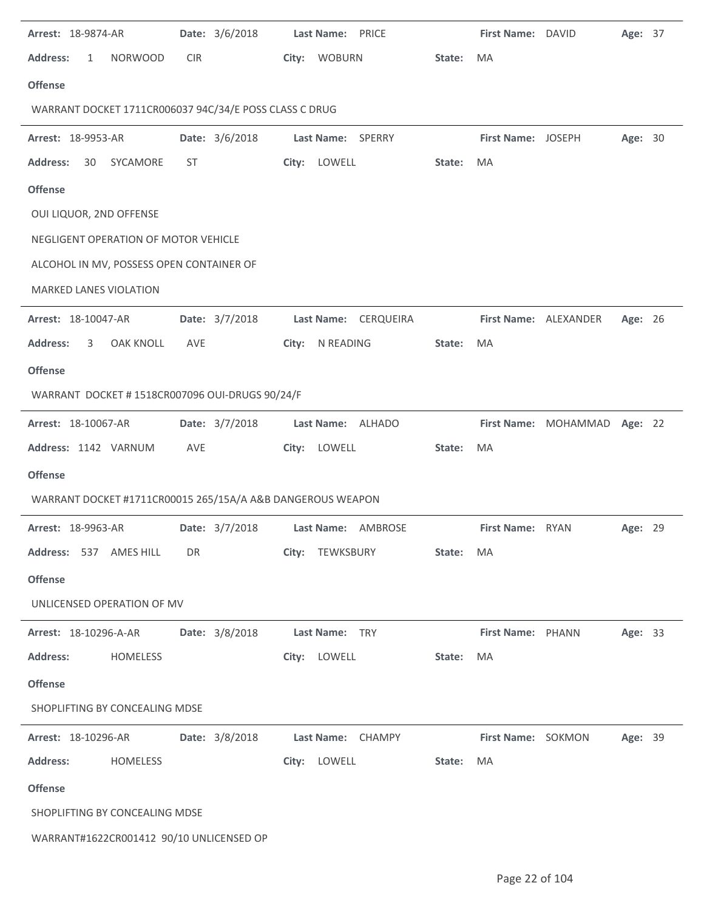| Arrest: 18-9874-AR                                         |                  |            | Date: 3/6/2018 | Last Name: PRICE  |                      |        | First Name: DAVID     |                              | Age: 37 |  |
|------------------------------------------------------------|------------------|------------|----------------|-------------------|----------------------|--------|-----------------------|------------------------------|---------|--|
| <b>Address:</b><br>$\mathbf{1}$                            | <b>NORWOOD</b>   | <b>CIR</b> |                | City: WOBURN      |                      | State: | MA                    |                              |         |  |
| <b>Offense</b>                                             |                  |            |                |                   |                      |        |                       |                              |         |  |
| WARRANT DOCKET 1711CR006037 94C/34/E POSS CLASS C DRUG     |                  |            |                |                   |                      |        |                       |                              |         |  |
| Arrest: 18-9953-AR                                         |                  |            | Date: 3/6/2018 | Last Name: SPERRY |                      |        | First Name: JOSEPH    |                              | Age: 30 |  |
| <b>Address:</b><br>30                                      | SYCAMORE         | ST         |                | City: LOWELL      |                      | State: | MA                    |                              |         |  |
| <b>Offense</b>                                             |                  |            |                |                   |                      |        |                       |                              |         |  |
| OUI LIQUOR, 2ND OFFENSE                                    |                  |            |                |                   |                      |        |                       |                              |         |  |
| NEGLIGENT OPERATION OF MOTOR VEHICLE                       |                  |            |                |                   |                      |        |                       |                              |         |  |
| ALCOHOL IN MV, POSSESS OPEN CONTAINER OF                   |                  |            |                |                   |                      |        |                       |                              |         |  |
| MARKED LANES VIOLATION                                     |                  |            |                |                   |                      |        |                       |                              |         |  |
| Arrest: 18-10047-AR                                        |                  |            | Date: 3/7/2018 |                   | Last Name: CERQUEIRA |        | First Name: ALEXANDER |                              | Age: 26 |  |
| <b>Address:</b><br>3                                       | <b>OAK KNOLL</b> | <b>AVE</b> |                | City: N READING   |                      | State: | MA                    |                              |         |  |
| <b>Offense</b>                                             |                  |            |                |                   |                      |        |                       |                              |         |  |
| WARRANT DOCKET # 1518CR007096 OUI-DRUGS 90/24/F            |                  |            |                |                   |                      |        |                       |                              |         |  |
| Arrest: 18-10067-AR                                        |                  |            | Date: 3/7/2018 |                   | Last Name: ALHADO    |        |                       | First Name: MOHAMMAD Age: 22 |         |  |
| Address: 1142 VARNUM                                       |                  | AVE        |                | City: LOWELL      |                      | State: | MA                    |                              |         |  |
| <b>Offense</b>                                             |                  |            |                |                   |                      |        |                       |                              |         |  |
| WARRANT DOCKET #1711CR00015 265/15A/A A&B DANGEROUS WEAPON |                  |            |                |                   |                      |        |                       |                              |         |  |
| Arrest: 18-9963-AR                                         |                  |            | Date: 3/7/2018 |                   | Last Name: AMBROSE   |        | First Name: RYAN      |                              | Age: 29 |  |
| Address: 537 AMES HILL                                     |                  | DR         |                | City: TEWKSBURY   |                      | State: | MA                    |                              |         |  |
| <b>Offense</b>                                             |                  |            |                |                   |                      |        |                       |                              |         |  |
| UNLICENSED OPERATION OF MV                                 |                  |            |                |                   |                      |        |                       |                              |         |  |
| Arrest: 18-10296-A-AR                                      |                  |            | Date: 3/8/2018 | Last Name: TRY    |                      |        | First Name: PHANN     |                              | Age: 33 |  |
| <b>Address:</b>                                            | HOMELESS         |            |                | City: LOWELL      |                      | State: | MA                    |                              |         |  |
| <b>Offense</b>                                             |                  |            |                |                   |                      |        |                       |                              |         |  |
| SHOPLIFTING BY CONCEALING MDSE                             |                  |            |                |                   |                      |        |                       |                              |         |  |
| Arrest: 18-10296-AR                                        |                  |            | Date: 3/8/2018 |                   | Last Name: CHAMPY    |        | First Name: SOKMON    |                              | Age: 39 |  |
| <b>Address:</b>                                            | <b>HOMELESS</b>  |            |                | City: LOWELL      |                      | State: | MA                    |                              |         |  |
| <b>Offense</b>                                             |                  |            |                |                   |                      |        |                       |                              |         |  |
| SHOPLIFTING BY CONCEALING MDSE                             |                  |            |                |                   |                      |        |                       |                              |         |  |
| WARRANT#1622CR001412 90/10 UNLICENSED OP                   |                  |            |                |                   |                      |        |                       |                              |         |  |
|                                                            |                  |            |                |                   |                      |        |                       |                              |         |  |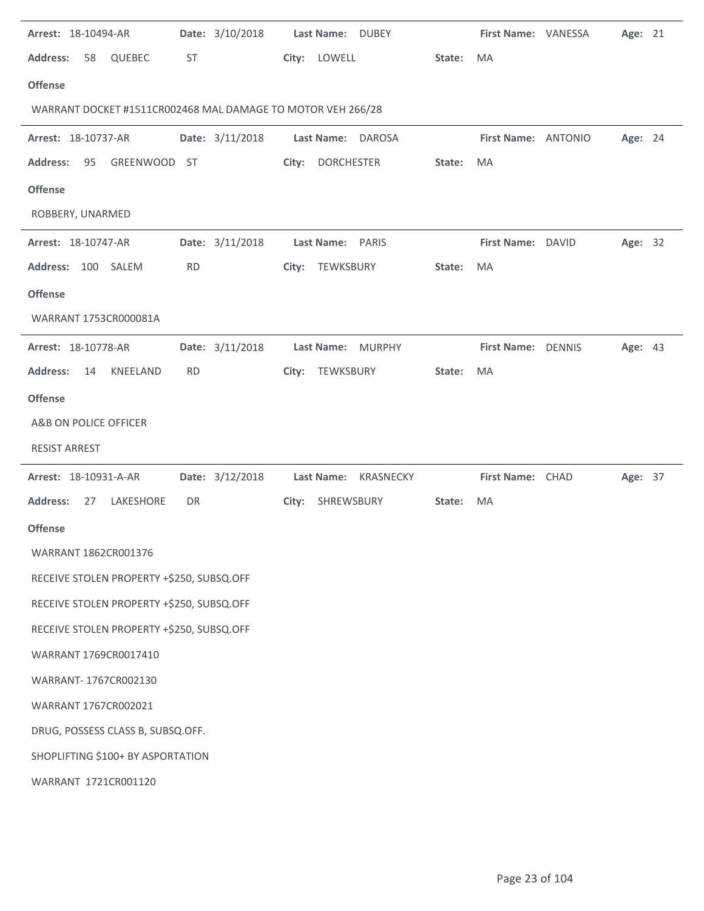| Arrest: 18-10494-AR                                         | Date: 3/10/2018 | Last Name: DUBEY                   |        | First Name: VANESSA | Age: 21 |  |
|-------------------------------------------------------------|-----------------|------------------------------------|--------|---------------------|---------|--|
| <b>Address:</b><br>QUEBEC<br>58                             | ST              | City: LOWELL                       | State: | MA                  |         |  |
| <b>Offense</b>                                              |                 |                                    |        |                     |         |  |
| WARRANT DOCKET #1511CR002468 MAL DAMAGE TO MOTOR VEH 266/28 |                 |                                    |        |                     |         |  |
| Arrest: 18-10737-AR                                         | Date: 3/11/2018 | Last Name: DAROSA                  |        | First Name: ANTONIO | Age: 24 |  |
| 95<br>GREENWOOD ST<br><b>Address:</b>                       |                 | <b>DORCHESTER</b><br>City:         | State: | MA                  |         |  |
| <b>Offense</b>                                              |                 |                                    |        |                     |         |  |
| ROBBERY, UNARMED                                            |                 |                                    |        |                     |         |  |
| Arrest: 18-10747-AR                                         | Date: 3/11/2018 | <b>Last Name:</b><br><b>PARIS</b>  |        | First Name: DAVID   | Age: 32 |  |
| Address: 100 SALEM                                          | <b>RD</b>       | City: TEWKSBURY                    | State: | MA                  |         |  |
| <b>Offense</b>                                              |                 |                                    |        |                     |         |  |
| WARRANT 1753CR000081A                                       |                 |                                    |        |                     |         |  |
| Arrest: 18-10778-AR                                         | Date: 3/11/2018 | <b>MURPHY</b><br><b>Last Name:</b> |        | First Name: DENNIS  | Age: 43 |  |
| <b>Address:</b><br>KNEELAND<br>14                           | <b>RD</b>       | TEWKSBURY<br>City:                 | State: | MA                  |         |  |
| <b>Offense</b>                                              |                 |                                    |        |                     |         |  |
| A&B ON POLICE OFFICER                                       |                 |                                    |        |                     |         |  |
| <b>RESIST ARREST</b>                                        |                 |                                    |        |                     |         |  |
| Arrest: 18-10931-A-AR                                       | Date: 3/12/2018 | Last Name:<br>KRASNECKY            |        | First Name: CHAD    | Age: 37 |  |
| <b>Address:</b><br>27<br>LAKESHORE                          | DR              | City: SHREWSBURY                   | State: | MA                  |         |  |
| <b>Offense</b>                                              |                 |                                    |        |                     |         |  |
| WARRANT 1862CR001376                                        |                 |                                    |        |                     |         |  |
| RECEIVE STOLEN PROPERTY +\$250, SUBSQ.OFF                   |                 |                                    |        |                     |         |  |
| RECEIVE STOLEN PROPERTY +\$250, SUBSQ.OFF                   |                 |                                    |        |                     |         |  |
| RECEIVE STOLEN PROPERTY +\$250, SUBSQ.OFF                   |                 |                                    |        |                     |         |  |
| WARRANT 1769CR0017410                                       |                 |                                    |        |                     |         |  |
| WARRANT-1767CR002130                                        |                 |                                    |        |                     |         |  |
| WARRANT 1767CR002021                                        |                 |                                    |        |                     |         |  |
| DRUG, POSSESS CLASS B, SUBSQ.OFF.                           |                 |                                    |        |                     |         |  |
| SHOPLIFTING \$100+ BY ASPORTATION                           |                 |                                    |        |                     |         |  |
|                                                             |                 |                                    |        |                     |         |  |
| WARRANT 1721CR001120                                        |                 |                                    |        |                     |         |  |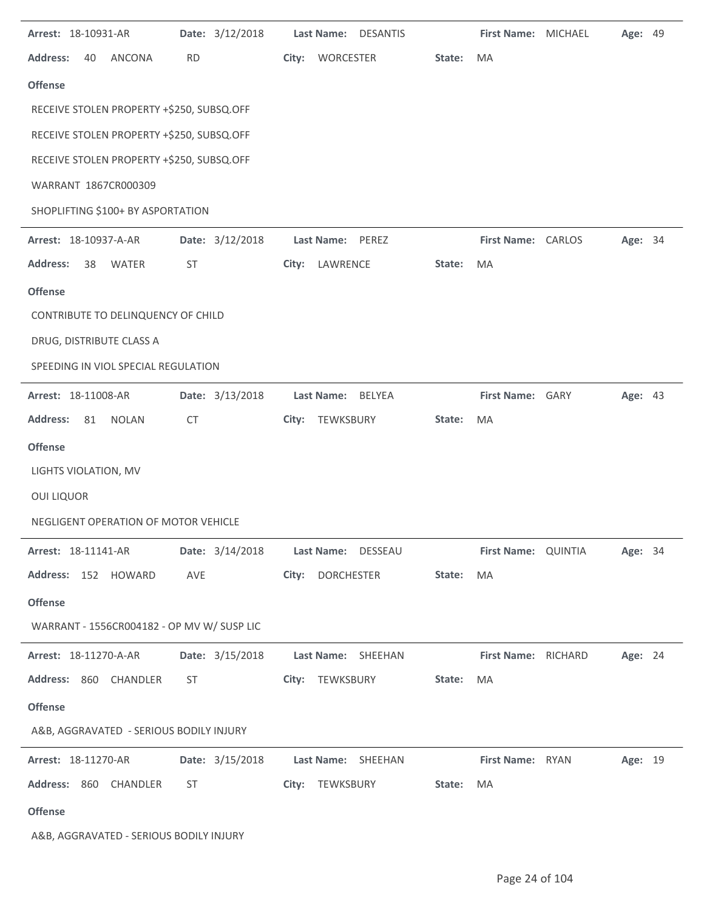| Arrest: 18-10931-AR                        | Date: 3/12/2018 | Last Name: DESANTIS        |        | <b>First Name: MICHAEL</b> | Age: 49 |  |
|--------------------------------------------|-----------------|----------------------------|--------|----------------------------|---------|--|
| <b>Address:</b><br><b>ANCONA</b><br>40     | <b>RD</b>       | City:<br><b>WORCESTER</b>  | State: | <b>MA</b>                  |         |  |
| <b>Offense</b>                             |                 |                            |        |                            |         |  |
| RECEIVE STOLEN PROPERTY +\$250, SUBSQ.OFF  |                 |                            |        |                            |         |  |
| RECEIVE STOLEN PROPERTY +\$250, SUBSQ.OFF  |                 |                            |        |                            |         |  |
| RECEIVE STOLEN PROPERTY +\$250, SUBSQ.OFF  |                 |                            |        |                            |         |  |
| WARRANT 1867CR000309                       |                 |                            |        |                            |         |  |
| SHOPLIFTING \$100+ BY ASPORTATION          |                 |                            |        |                            |         |  |
| Arrest: 18-10937-A-AR                      | Date: 3/12/2018 | Last Name: PEREZ           |        | First Name: CARLOS         | Age: 34 |  |
| <b>WATER</b><br><b>Address:</b><br>38      | ST              | LAWRENCE<br>City:          | State: | MA                         |         |  |
| <b>Offense</b>                             |                 |                            |        |                            |         |  |
| CONTRIBUTE TO DELINQUENCY OF CHILD         |                 |                            |        |                            |         |  |
| DRUG, DISTRIBUTE CLASS A                   |                 |                            |        |                            |         |  |
| SPEEDING IN VIOL SPECIAL REGULATION        |                 |                            |        |                            |         |  |
| Arrest: 18-11008-AR                        | Date: 3/13/2018 | Last Name:<br>BELYEA       |        | First Name: GARY           | Age: 43 |  |
| <b>Address:</b><br>81<br><b>NOLAN</b>      | <b>CT</b>       | City: TEWKSBURY            | State: | MA                         |         |  |
| <b>Offense</b>                             |                 |                            |        |                            |         |  |
| LIGHTS VIOLATION, MV                       |                 |                            |        |                            |         |  |
| <b>OUI LIQUOR</b>                          |                 |                            |        |                            |         |  |
| NEGLIGENT OPERATION OF MOTOR VEHICLE       |                 |                            |        |                            |         |  |
| Arrest: 18-11141-AR                        | Date: 3/14/2018 | Last Name: DESSEAU         |        | First Name: QUINTIA        | Age: 34 |  |
| Address: 152 HOWARD                        | AVE             | <b>DORCHESTER</b><br>City: | State: | MA                         |         |  |
| <b>Offense</b>                             |                 |                            |        |                            |         |  |
| WARRANT - 1556CR004182 - OP MV W/ SUSP LIC |                 |                            |        |                            |         |  |
| Arrest: 18-11270-A-AR                      | Date: 3/15/2018 | Last Name: SHEEHAN         |        | First Name: RICHARD        | Age: 24 |  |
| Address: 860 CHANDLER                      | ST              | City: TEWKSBURY            | State: | MA                         |         |  |
| <b>Offense</b>                             |                 |                            |        |                            |         |  |
| A&B, AGGRAVATED - SERIOUS BODILY INJURY    |                 |                            |        |                            |         |  |
| Arrest: 18-11270-AR                        | Date: 3/15/2018 | Last Name: SHEEHAN         |        | First Name: RYAN           | Age: 19 |  |
| Address: 860 CHANDLER                      | <b>ST</b>       | City: TEWKSBURY            | State: | MA                         |         |  |
| <b>Offense</b>                             |                 |                            |        |                            |         |  |
| A&B, AGGRAVATED - SERIOUS BODILY INJURY    |                 |                            |        |                            |         |  |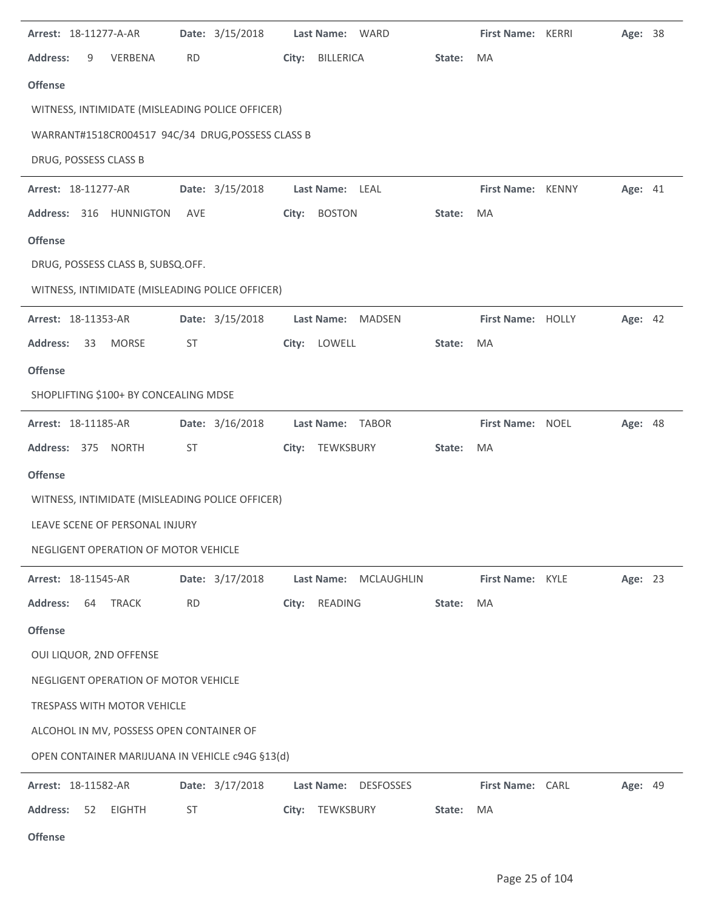| Arrest: 18-11277-A-AR                             | Date: 3/15/2018 | Last Name: WARD                |        | <b>First Name: KERRI</b> | Age: 38 |  |
|---------------------------------------------------|-----------------|--------------------------------|--------|--------------------------|---------|--|
| <b>Address:</b><br>9<br>VERBENA                   | <b>RD</b>       | City: BILLERICA                | State: | <b>MA</b>                |         |  |
| <b>Offense</b>                                    |                 |                                |        |                          |         |  |
| WITNESS, INTIMIDATE (MISLEADING POLICE OFFICER)   |                 |                                |        |                          |         |  |
| WARRANT#1518CR004517 94C/34 DRUG, POSSESS CLASS B |                 |                                |        |                          |         |  |
| DRUG, POSSESS CLASS B                             |                 |                                |        |                          |         |  |
| Arrest: 18-11277-AR                               | Date: 3/15/2018 | Last Name: LEAL                |        | First Name: KENNY        | Age: 41 |  |
| Address: 316 HUNNIGTON                            | AVE             | City: BOSTON                   | State: | MA                       |         |  |
| <b>Offense</b>                                    |                 |                                |        |                          |         |  |
| DRUG, POSSESS CLASS B, SUBSQ.OFF.                 |                 |                                |        |                          |         |  |
| WITNESS, INTIMIDATE (MISLEADING POLICE OFFICER)   |                 |                                |        |                          |         |  |
| Arrest: 18-11353-AR                               | Date: 3/15/2018 | <b>Last Name:</b><br>MADSEN    |        | First Name: HOLLY        | Age: 42 |  |
| <b>Address:</b><br>33<br><b>MORSE</b>             | <b>ST</b>       | City: LOWELL                   | State: | MA                       |         |  |
| <b>Offense</b>                                    |                 |                                |        |                          |         |  |
| SHOPLIFTING \$100+ BY CONCEALING MDSE             |                 |                                |        |                          |         |  |
| Arrest: 18-11185-AR                               | Date: 3/16/2018 | Last Name: TABOR               |        | First Name: NOEL         | Age: 48 |  |
| Address: 375 NORTH                                | ST              | City: TEWKSBURY                | State: | MA                       |         |  |
| <b>Offense</b>                                    |                 |                                |        |                          |         |  |
| WITNESS, INTIMIDATE (MISLEADING POLICE OFFICER)   |                 |                                |        |                          |         |  |
| LEAVE SCENE OF PERSONAL INJURY                    |                 |                                |        |                          |         |  |
| NEGLIGENT OPERATION OF MOTOR VEHICLE              |                 |                                |        |                          |         |  |
| Arrest: 18-11545-AR                               | Date: 3/17/2018 | Last Name:<br>MCLAUGHLIN       |        | First Name: KYLE         | Age: 23 |  |
| <b>Address:</b><br>64<br><b>TRACK</b>             | <b>RD</b>       | READING<br>City:               | State: | MA                       |         |  |
| <b>Offense</b>                                    |                 |                                |        |                          |         |  |
| OUI LIQUOR, 2ND OFFENSE                           |                 |                                |        |                          |         |  |
| NEGLIGENT OPERATION OF MOTOR VEHICLE              |                 |                                |        |                          |         |  |
| <b>TRESPASS WITH MOTOR VEHICLE</b>                |                 |                                |        |                          |         |  |
| ALCOHOL IN MV, POSSESS OPEN CONTAINER OF          |                 |                                |        |                          |         |  |
| OPEN CONTAINER MARIJUANA IN VEHICLE c94G §13(d)   |                 |                                |        |                          |         |  |
| Arrest: 18-11582-AR                               | Date: 3/17/2018 | Last Name:<br><b>DESFOSSES</b> |        | First Name: CARL         | Age: 49 |  |
| <b>Address:</b><br>52<br><b>EIGHTH</b>            | <b>ST</b>       | TEWKSBURY<br>City:             | State: | MA                       |         |  |
|                                                   |                 |                                |        |                          |         |  |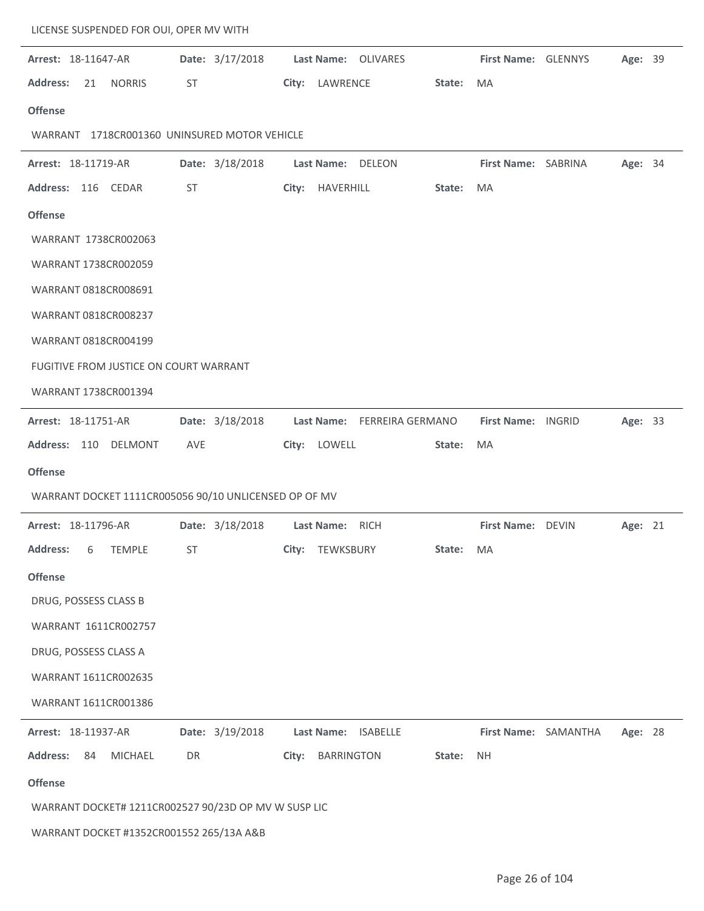| LICENSE SUSPENDED FOR OUI, OPER MV WITH               |                 |                                      |                                 |
|-------------------------------------------------------|-----------------|--------------------------------------|---------------------------------|
| Arrest: 18-11647-AR                                   | Date: 3/17/2018 | Last Name: OLIVARES                  | First Name: GLENNYS<br>Age: 39  |
| <b>Address:</b><br><b>NORRIS</b><br>21                | ST              | City: LAWRENCE<br>State:             | MA                              |
| <b>Offense</b>                                        |                 |                                      |                                 |
| WARRANT 1718CR001360 UNINSURED MOTOR VEHICLE          |                 |                                      |                                 |
| Arrest: 18-11719-AR                                   | Date: 3/18/2018 | Last Name: DELEON                    | First Name: SABRINA<br>Age: 34  |
| Address: 116 CEDAR                                    | ST              | City: HAVERHILL<br>State:            | MA                              |
| <b>Offense</b>                                        |                 |                                      |                                 |
| WARRANT 1738CR002063                                  |                 |                                      |                                 |
| WARRANT 1738CR002059                                  |                 |                                      |                                 |
| WARRANT 0818CR008691                                  |                 |                                      |                                 |
| WARRANT 0818CR008237                                  |                 |                                      |                                 |
| WARRANT 0818CR004199                                  |                 |                                      |                                 |
| FUGITIVE FROM JUSTICE ON COURT WARRANT                |                 |                                      |                                 |
| WARRANT 1738CR001394                                  |                 |                                      |                                 |
| Arrest: 18-11751-AR                                   | Date: 3/18/2018 | Last Name: FERREIRA GERMANO          | Age: 33<br>First Name: INGRID   |
| Address: 110 DELMONT                                  | AVE             | City: LOWELL<br>State:               | MA                              |
| <b>Offense</b>                                        |                 |                                      |                                 |
| WARRANT DOCKET 1111CR005056 90/10 UNLICENSED OP OF MV |                 |                                      |                                 |
| Arrest: 18-11796-AR                                   | Date: 3/18/2018 | Last Name: RICH                      | First Name: DEVIN<br>Age: 21    |
| <b>Address:</b><br><b>TEMPLE</b><br>6                 | ST              | City:<br>TEWKSBURY<br>State:         | MA                              |
| <b>Offense</b>                                        |                 |                                      |                                 |
| DRUG, POSSESS CLASS B                                 |                 |                                      |                                 |
| WARRANT 1611CR002757                                  |                 |                                      |                                 |
| DRUG, POSSESS CLASS A                                 |                 |                                      |                                 |
| WARRANT 1611CR002635                                  |                 |                                      |                                 |
| WARRANT 1611CR001386                                  |                 |                                      |                                 |
| Arrest: 18-11937-AR                                   | Date: 3/19/2018 | <b>ISABELLE</b><br>Last Name:        | First Name: SAMANTHA<br>Age: 28 |
| <b>Address:</b><br>84<br>MICHAEL                      | DR              | <b>BARRINGTON</b><br>City:<br>State: | <b>NH</b>                       |
| <b>Offense</b>                                        |                 |                                      |                                 |
| WARRANT DOCKET# 1211CR002527 90/23D OP MV W SUSP LIC  |                 |                                      |                                 |
| WARRANT DOCKET #1352CR001552 265/13A A&B              |                 |                                      |                                 |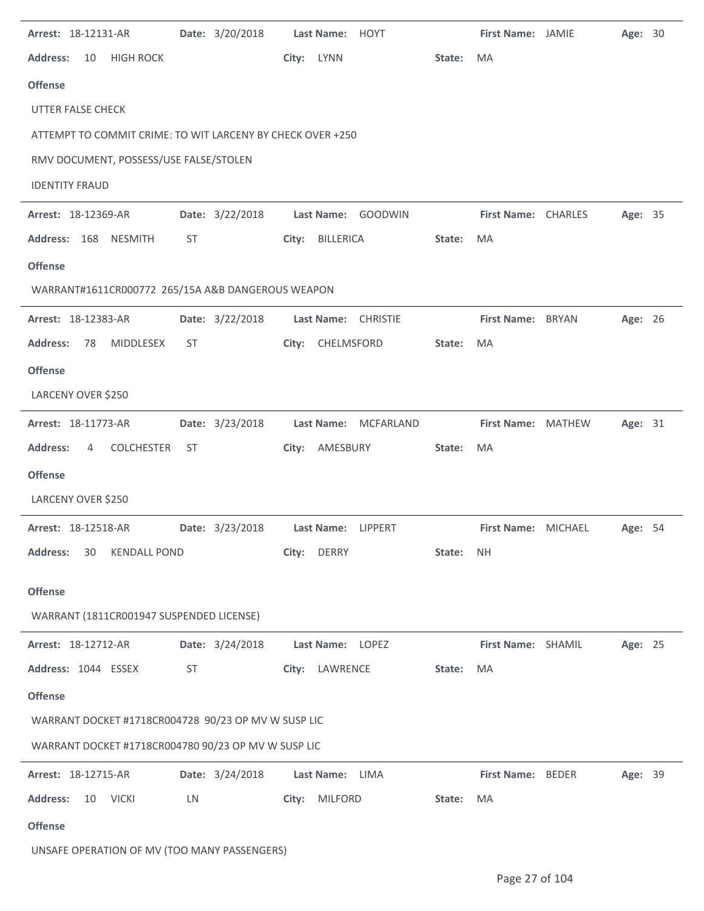| Arrest: 18-12131-AR                                        | Date: 3/20/2018 | Last Name: HOYT      |        | First Name: JAMIE        | Age: 30 |  |
|------------------------------------------------------------|-----------------|----------------------|--------|--------------------------|---------|--|
| <b>Address:</b><br><b>HIGH ROCK</b><br>10                  |                 | City: LYNN           | State: | MA                       |         |  |
| <b>Offense</b>                                             |                 |                      |        |                          |         |  |
| <b>UTTER FALSE CHECK</b>                                   |                 |                      |        |                          |         |  |
| ATTEMPT TO COMMIT CRIME: TO WIT LARCENY BY CHECK OVER +250 |                 |                      |        |                          |         |  |
| RMV DOCUMENT, POSSESS/USE FALSE/STOLEN                     |                 |                      |        |                          |         |  |
| <b>IDENTITY FRAUD</b>                                      |                 |                      |        |                          |         |  |
| Arrest: 18-12369-AR                                        | Date: 3/22/2018 | Last Name: GOODWIN   |        | First Name: CHARLES      | Age: 35 |  |
| Address: 168 NESMITH                                       | ST              | City: BILLERICA      | State: | MA                       |         |  |
| <b>Offense</b>                                             |                 |                      |        |                          |         |  |
| WARRANT#1611CR000772 265/15A A&B DANGEROUS WEAPON          |                 |                      |        |                          |         |  |
| Arrest: 18-12383-AR                                        | Date: 3/22/2018 | Last Name: CHRISTIE  |        | First Name: BRYAN        | Age: 26 |  |
| <b>Address:</b><br>78<br>MIDDLESEX                         | ST              | CHELMSFORD<br>City:  | State: | MA                       |         |  |
| <b>Offense</b>                                             |                 |                      |        |                          |         |  |
| LARCENY OVER \$250                                         |                 |                      |        |                          |         |  |
| Arrest: 18-11773-AR                                        | Date: 3/23/2018 | Last Name: MCFARLAND |        | First Name: MATHEW       | Age: 31 |  |
| <b>Address:</b><br><b>COLCHESTER</b><br>4                  | ST              | City: AMESBURY       | State: | MA                       |         |  |
| <b>Offense</b>                                             |                 |                      |        |                          |         |  |
| LARCENY OVER \$250                                         |                 |                      |        |                          |         |  |
| Arrest: 18-12518-AR                                        | Date: 3/23/2018 | Last Name: LIPPERT   |        | First Name: MICHAEL      | Age: 54 |  |
| <b>Address:</b><br><b>KENDALL POND</b><br>30               |                 | City: DERRY          | State: | <b>NH</b>                |         |  |
| <b>Offense</b>                                             |                 |                      |        |                          |         |  |
| WARRANT (1811CR001947 SUSPENDED LICENSE)                   |                 |                      |        |                          |         |  |
| Arrest: 18-12712-AR                                        | Date: 3/24/2018 | Last Name: LOPEZ     |        | First Name: SHAMIL       | Age: 25 |  |
| Address: 1044 ESSEX                                        | <b>ST</b>       | City: LAWRENCE       | State: | MA                       |         |  |
| <b>Offense</b>                                             |                 |                      |        |                          |         |  |
| WARRANT DOCKET #1718CR004728 90/23 OP MV W SUSP LIC        |                 |                      |        |                          |         |  |
| WARRANT DOCKET #1718CR004780 90/23 OP MV W SUSP LIC        |                 |                      |        |                          |         |  |
| Arrest: 18-12715-AR                                        | Date: 3/24/2018 | Last Name:<br>LIMA   |        | <b>First Name: BEDER</b> | Age: 39 |  |
| <b>Address:</b><br>10 VICKI                                | LN              | City: MILFORD        | State: | MA                       |         |  |
| <b>Offense</b>                                             |                 |                      |        |                          |         |  |
|                                                            |                 |                      |        |                          |         |  |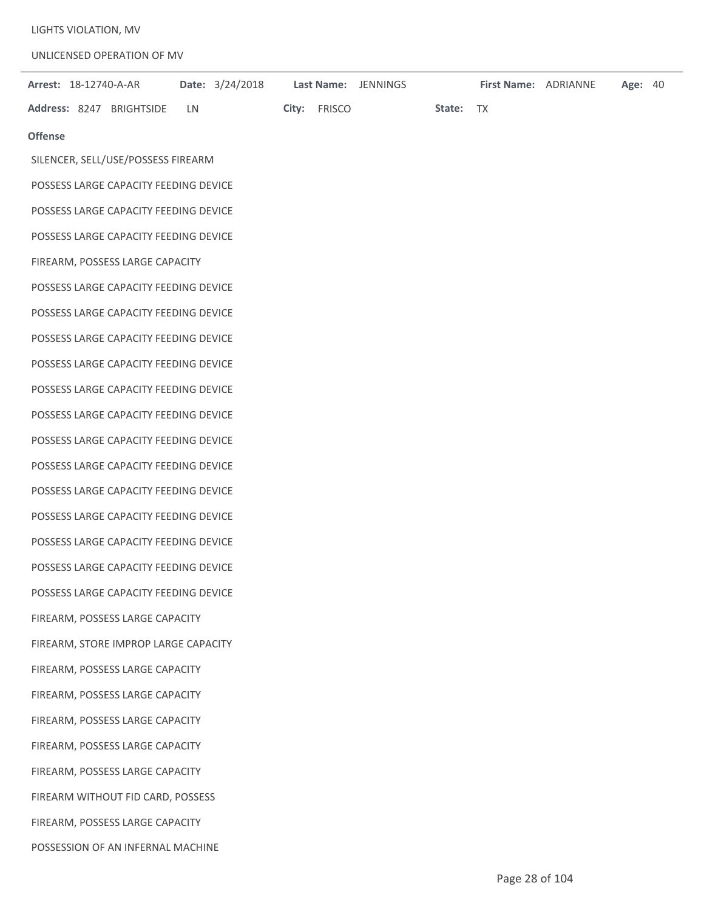LIGHTS VIOLATION, MV

UNLICENSED OPERATION OF MV

| <b>Arrest: 18-12740-A-AR</b>          |           |  |              | Date: 3/24/2018    Last Name: JENNINGS |           | First Name: ADRIANNE | Age: 40 |  |
|---------------------------------------|-----------|--|--------------|----------------------------------------|-----------|----------------------|---------|--|
| Address: 8247 BRIGHTSIDE              | <b>LN</b> |  | City: FRISCO |                                        | State: TX |                      |         |  |
| <b>Offense</b>                        |           |  |              |                                        |           |                      |         |  |
| SILENCER, SELL/USE/POSSESS FIREARM    |           |  |              |                                        |           |                      |         |  |
| POSSESS LARGE CAPACITY FEEDING DEVICE |           |  |              |                                        |           |                      |         |  |
| POSSESS LARGE CAPACITY FEEDING DEVICE |           |  |              |                                        |           |                      |         |  |
| POSSESS LARGE CAPACITY FEEDING DEVICE |           |  |              |                                        |           |                      |         |  |
| FIREARM, POSSESS LARGE CAPACITY       |           |  |              |                                        |           |                      |         |  |
| POSSESS LARGE CAPACITY FEEDING DEVICE |           |  |              |                                        |           |                      |         |  |
| POSSESS LARGE CAPACITY FEEDING DEVICE |           |  |              |                                        |           |                      |         |  |
| POSSESS LARGE CAPACITY FEEDING DEVICE |           |  |              |                                        |           |                      |         |  |
| POSSESS LARGE CAPACITY FEEDING DEVICE |           |  |              |                                        |           |                      |         |  |
| POSSESS LARGE CAPACITY FEEDING DEVICE |           |  |              |                                        |           |                      |         |  |
| POSSESS LARGE CAPACITY FEEDING DEVICE |           |  |              |                                        |           |                      |         |  |
| POSSESS LARGE CAPACITY FEEDING DEVICE |           |  |              |                                        |           |                      |         |  |
| POSSESS LARGE CAPACITY FEEDING DEVICE |           |  |              |                                        |           |                      |         |  |
| POSSESS LARGE CAPACITY FEEDING DEVICE |           |  |              |                                        |           |                      |         |  |
| POSSESS LARGE CAPACITY FEEDING DEVICE |           |  |              |                                        |           |                      |         |  |
| POSSESS LARGE CAPACITY FEEDING DEVICE |           |  |              |                                        |           |                      |         |  |
| POSSESS LARGE CAPACITY FEEDING DEVICE |           |  |              |                                        |           |                      |         |  |
| POSSESS LARGE CAPACITY FEEDING DEVICE |           |  |              |                                        |           |                      |         |  |
| FIREARM, POSSESS LARGE CAPACITY       |           |  |              |                                        |           |                      |         |  |
| FIREARM, STORE IMPROP LARGE CAPACITY  |           |  |              |                                        |           |                      |         |  |
| FIREARM, POSSESS LARGE CAPACITY       |           |  |              |                                        |           |                      |         |  |
| FIREARM, POSSESS LARGE CAPACITY       |           |  |              |                                        |           |                      |         |  |
| FIREARM, POSSESS LARGE CAPACITY       |           |  |              |                                        |           |                      |         |  |
| FIREARM, POSSESS LARGE CAPACITY       |           |  |              |                                        |           |                      |         |  |
| FIREARM, POSSESS LARGE CAPACITY       |           |  |              |                                        |           |                      |         |  |
| FIREARM WITHOUT FID CARD, POSSESS     |           |  |              |                                        |           |                      |         |  |
| FIREARM, POSSESS LARGE CAPACITY       |           |  |              |                                        |           |                      |         |  |
| POSSESSION OF AN INFERNAL MACHINE     |           |  |              |                                        |           |                      |         |  |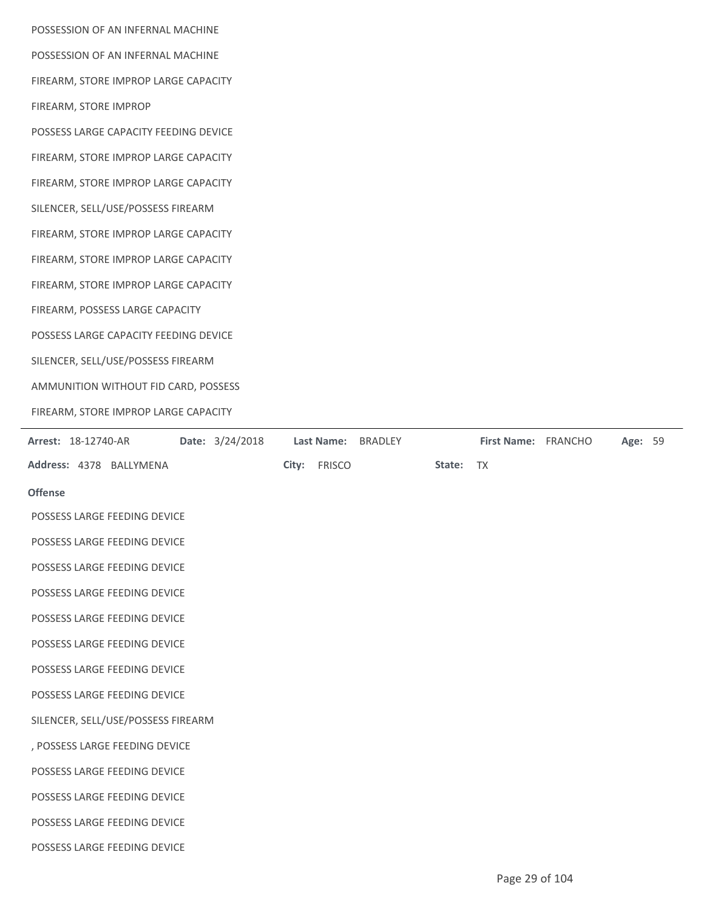| POSSESSION OF AN INFERNAL MACHINE                                      |                                |
|------------------------------------------------------------------------|--------------------------------|
| POSSESSION OF AN INFERNAL MACHINE                                      |                                |
| FIREARM, STORE IMPROP LARGE CAPACITY                                   |                                |
| FIREARM, STORE IMPROP                                                  |                                |
| POSSESS LARGE CAPACITY FEEDING DEVICE                                  |                                |
| FIREARM, STORE IMPROP LARGE CAPACITY                                   |                                |
| FIREARM, STORE IMPROP LARGE CAPACITY                                   |                                |
| SILENCER, SELL/USE/POSSESS FIREARM                                     |                                |
| FIREARM, STORE IMPROP LARGE CAPACITY                                   |                                |
| FIREARM, STORE IMPROP LARGE CAPACITY                                   |                                |
| FIREARM, STORE IMPROP LARGE CAPACITY                                   |                                |
| FIREARM, POSSESS LARGE CAPACITY                                        |                                |
| POSSESS LARGE CAPACITY FEEDING DEVICE                                  |                                |
| SILENCER, SELL/USE/POSSESS FIREARM                                     |                                |
| AMMUNITION WITHOUT FID CARD, POSSESS                                   |                                |
| FIREARM, STORE IMPROP LARGE CAPACITY                                   |                                |
| Date: 3/24/2018<br>Arrest: 18-12740-AR<br>Last Name:<br><b>BRADLEY</b> | First Name: FRANCHO<br>Age: 59 |

| <b>Arrest: 18-12740-AR</b>         | Date: 3/24/2018 Last Name: BRADLEY |              |           | <b>First Name: FRANCHO</b> | <b>Age: 59</b> |  |
|------------------------------------|------------------------------------|--------------|-----------|----------------------------|----------------|--|
| Address: 4378 BALLYMENA            |                                    | City: FRISCO | State: TX |                            |                |  |
| <b>Offense</b>                     |                                    |              |           |                            |                |  |
| POSSESS LARGE FEEDING DEVICE       |                                    |              |           |                            |                |  |
| POSSESS LARGE FEEDING DEVICE       |                                    |              |           |                            |                |  |
| POSSESS LARGE FEEDING DEVICE       |                                    |              |           |                            |                |  |
| POSSESS LARGE FEEDING DEVICE       |                                    |              |           |                            |                |  |
| POSSESS LARGE FEEDING DEVICE       |                                    |              |           |                            |                |  |
| POSSESS LARGE FEEDING DEVICE       |                                    |              |           |                            |                |  |
| POSSESS LARGE FEEDING DEVICE       |                                    |              |           |                            |                |  |
| POSSESS LARGE FEEDING DEVICE       |                                    |              |           |                            |                |  |
| SILENCER, SELL/USE/POSSESS FIREARM |                                    |              |           |                            |                |  |
| , POSSESS LARGE FEEDING DEVICE     |                                    |              |           |                            |                |  |
| POSSESS LARGE FEEDING DEVICE       |                                    |              |           |                            |                |  |
| POSSESS LARGE FEEDING DEVICE       |                                    |              |           |                            |                |  |
| POSSESS LARGE FEEDING DEVICE       |                                    |              |           |                            |                |  |
| POSSESS LARGE FEEDING DEVICE       |                                    |              |           |                            |                |  |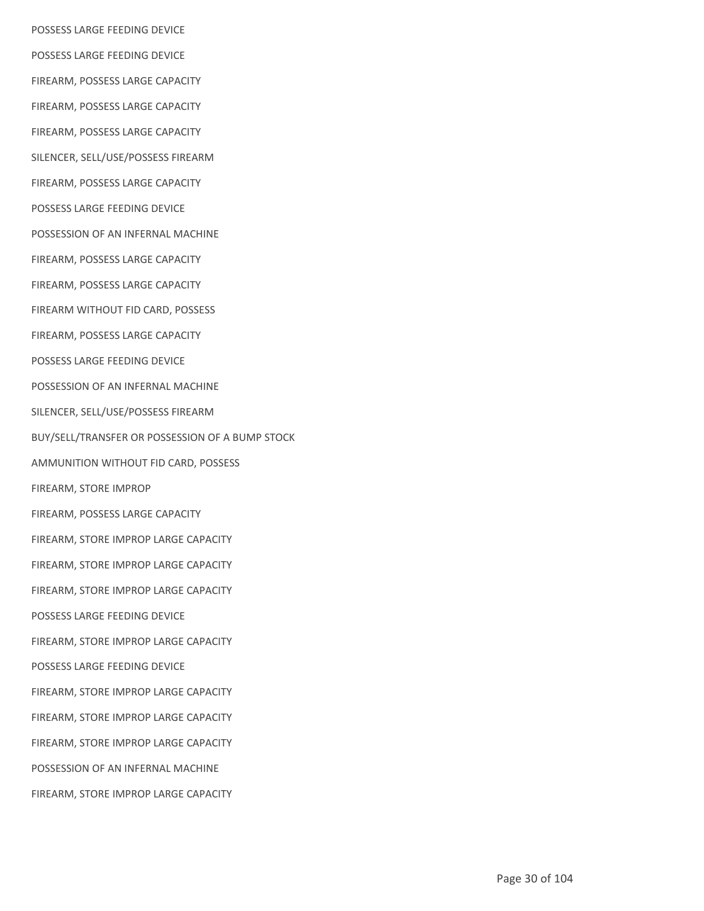POSSESS LARGE FEEDING DEVICE POSSESS LARGE FEEDING DEVICE FIREARM, POSSESS LARGE CAPACITY FIREARM, POSSESS LARGE CAPACITY FIREARM, POSSESS LARGE CAPACITY SILENCER, SELL/USE/POSSESS FIREARM FIREARM, POSSESS LARGE CAPACITY POSSESS LARGE FEEDING DEVICE POSSESSION OF AN INFERNAL MACHINE FIREARM, POSSESS LARGE CAPACITY FIREARM, POSSESS LARGE CAPACITY FIREARM WITHOUT FID CARD, POSSESS FIREARM, POSSESS LARGE CAPACITY POSSESS LARGE FEEDING DEVICE POSSESSION OF AN INFERNAL MACHINE SILENCER, SELL/USE/POSSESS FIREARM BUY/SELL/TRANSFER OR POSSESSION OF A BUMP STOCK AMMUNITION WITHOUT FID CARD, POSSESS FIREARM, STORE IMPROP FIREARM, POSSESS LARGE CAPACITY FIREARM, STORE IMPROP LARGE CAPACITY FIREARM, STORE IMPROP LARGE CAPACITY FIREARM, STORE IMPROP LARGE CAPACITY POSSESS LARGE FEEDING DEVICE FIREARM, STORE IMPROP LARGE CAPACITY POSSESS LARGE FEEDING DEVICE FIREARM, STORE IMPROP LARGE CAPACITY FIREARM, STORE IMPROP LARGE CAPACITY FIREARM, STORE IMPROP LARGE CAPACITY POSSESSION OF AN INFERNAL MACHINE FIREARM, STORE IMPROP LARGE CAPACITY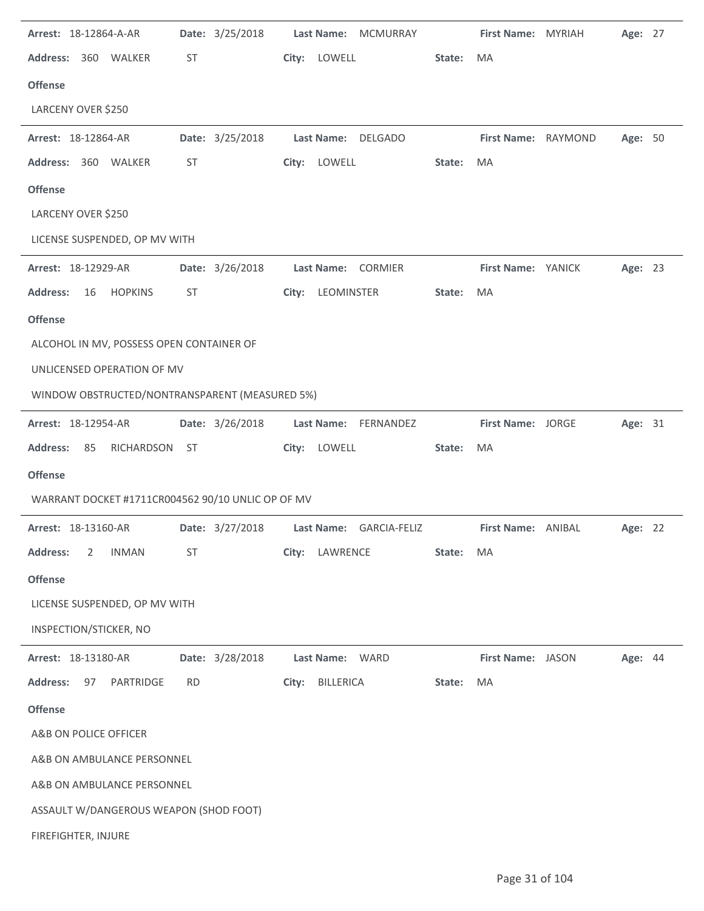| Arrest: 18-12864-A-AR                             |           | Date: 3/25/2018 |       | Last Name: MCMURRAY     |        | First Name: MYRIAH       | Age: 27 |  |
|---------------------------------------------------|-----------|-----------------|-------|-------------------------|--------|--------------------------|---------|--|
| Address: 360 WALKER                               | <b>ST</b> |                 |       | City: LOWELL            | State: | MA                       |         |  |
| <b>Offense</b>                                    |           |                 |       |                         |        |                          |         |  |
| LARCENY OVER \$250                                |           |                 |       |                         |        |                          |         |  |
| Arrest: 18-12864-AR                               |           | Date: 3/25/2018 |       | Last Name: DELGADO      |        | First Name: RAYMOND      | Age: 50 |  |
| Address: 360 WALKER                               | <b>ST</b> |                 |       | City: LOWELL            | State: | MA                       |         |  |
| <b>Offense</b>                                    |           |                 |       |                         |        |                          |         |  |
| LARCENY OVER \$250                                |           |                 |       |                         |        |                          |         |  |
| LICENSE SUSPENDED, OP MV WITH                     |           |                 |       |                         |        |                          |         |  |
| Arrest: 18-12929-AR                               |           | Date: 3/26/2018 |       | Last Name: CORMIER      |        | First Name: YANICK       | Age: 23 |  |
| <b>Address:</b><br>16<br><b>HOPKINS</b>           | <b>ST</b> |                 |       | City: LEOMINSTER        | State: | MA                       |         |  |
| <b>Offense</b>                                    |           |                 |       |                         |        |                          |         |  |
| ALCOHOL IN MV, POSSESS OPEN CONTAINER OF          |           |                 |       |                         |        |                          |         |  |
| UNLICENSED OPERATION OF MV                        |           |                 |       |                         |        |                          |         |  |
| WINDOW OBSTRUCTED/NONTRANSPARENT (MEASURED 5%)    |           |                 |       |                         |        |                          |         |  |
| Arrest: 18-12954-AR                               |           | Date: 3/26/2018 |       | Last Name: FERNANDEZ    |        | <b>First Name: JORGE</b> | Age: 31 |  |
| <b>Address:</b><br>RICHARDSON ST<br>85            |           |                 |       | City: LOWELL            | State: | MA                       |         |  |
| <b>Offense</b>                                    |           |                 |       |                         |        |                          |         |  |
| WARRANT DOCKET #1711CR004562 90/10 UNLIC OP OF MV |           |                 |       |                         |        |                          |         |  |
| Arrest: 18-13160-AR                               |           | Date: 3/27/2018 |       | Last Name: GARCIA-FELIZ |        | First Name: ANIBAL       | Age: 22 |  |
| <b>Address:</b><br><b>INMAN</b><br>2              | <b>ST</b> |                 | City: | LAWRENCE                | State: | MA                       |         |  |
| <b>Offense</b>                                    |           |                 |       |                         |        |                          |         |  |
| LICENSE SUSPENDED, OP MV WITH                     |           |                 |       |                         |        |                          |         |  |
| INSPECTION/STICKER, NO                            |           |                 |       |                         |        |                          |         |  |
| Arrest: 18-13180-AR                               |           | Date: 3/28/2018 |       | Last Name: WARD         |        | First Name: JASON        | Age: 44 |  |
| <b>Address:</b><br>PARTRIDGE<br>97                | <b>RD</b> |                 | City: | <b>BILLERICA</b>        | State: | MA                       |         |  |
| <b>Offense</b>                                    |           |                 |       |                         |        |                          |         |  |
| A&B ON POLICE OFFICER                             |           |                 |       |                         |        |                          |         |  |
| A&B ON AMBULANCE PERSONNEL                        |           |                 |       |                         |        |                          |         |  |
| A&B ON AMBULANCE PERSONNEL                        |           |                 |       |                         |        |                          |         |  |
| ASSAULT W/DANGEROUS WEAPON (SHOD FOOT)            |           |                 |       |                         |        |                          |         |  |
| FIREFIGHTER, INJURE                               |           |                 |       |                         |        |                          |         |  |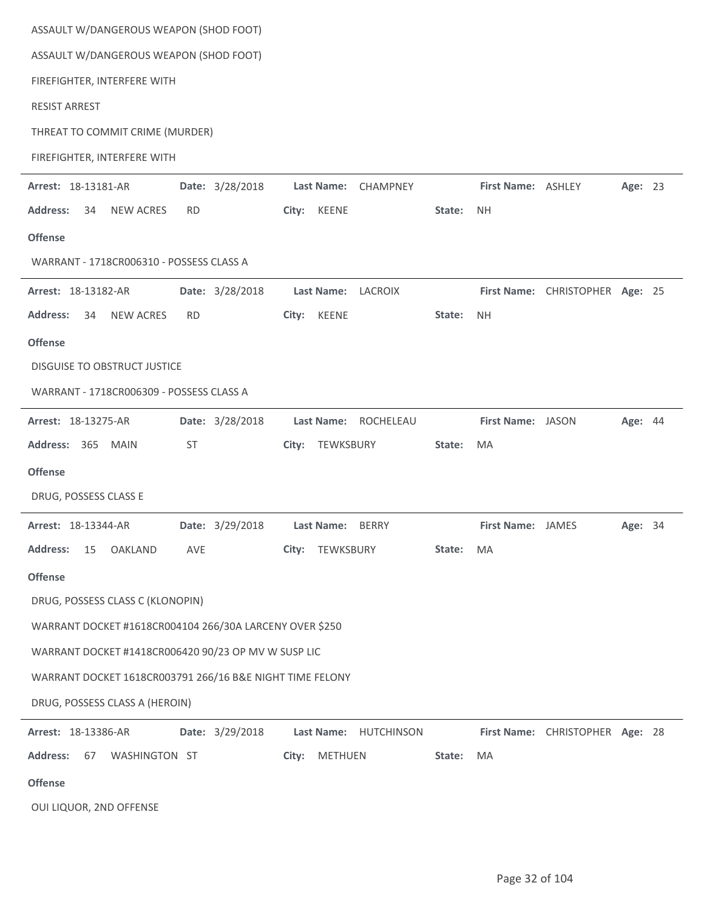| ASSAULT W/DANGEROUS WEAPON (SHOD FOOT)                   |                 |       |                   |                    |        |                    |                                 |                |  |
|----------------------------------------------------------|-----------------|-------|-------------------|--------------------|--------|--------------------|---------------------------------|----------------|--|
| ASSAULT W/DANGEROUS WEAPON (SHOD FOOT)                   |                 |       |                   |                    |        |                    |                                 |                |  |
| FIREFIGHTER, INTERFERE WITH                              |                 |       |                   |                    |        |                    |                                 |                |  |
| <b>RESIST ARREST</b>                                     |                 |       |                   |                    |        |                    |                                 |                |  |
| THREAT TO COMMIT CRIME (MURDER)                          |                 |       |                   |                    |        |                    |                                 |                |  |
| FIREFIGHTER, INTERFERE WITH                              |                 |       |                   |                    |        |                    |                                 |                |  |
| Arrest: 18-13181-AR                                      | Date: 3/28/2018 |       | <b>Last Name:</b> | <b>CHAMPNEY</b>    |        | First Name: ASHLEY |                                 | Age: 23        |  |
| <b>Address:</b><br>34<br><b>NEW ACRES</b>                | <b>RD</b>       |       | City: KEENE       |                    | State: | <b>NH</b>          |                                 |                |  |
| <b>Offense</b>                                           |                 |       |                   |                    |        |                    |                                 |                |  |
| WARRANT - 1718CR006310 - POSSESS CLASS A                 |                 |       |                   |                    |        |                    |                                 |                |  |
| Arrest: 18-13182-AR                                      | Date: 3/28/2018 |       |                   | Last Name: LACROIX |        |                    | First Name: CHRISTOPHER Age: 25 |                |  |
| <b>Address:</b><br><b>NEW ACRES</b><br>34                | <b>RD</b>       | City: | KEENE             |                    | State: | <b>NH</b>          |                                 |                |  |
| <b>Offense</b>                                           |                 |       |                   |                    |        |                    |                                 |                |  |
| <b>DISGUISE TO OBSTRUCT JUSTICE</b>                      |                 |       |                   |                    |        |                    |                                 |                |  |
| WARRANT - 1718CR006309 - POSSESS CLASS A                 |                 |       |                   |                    |        |                    |                                 |                |  |
| Arrest: 18-13275-AR                                      | Date: 3/28/2018 |       | <b>Last Name:</b> | ROCHELEAU          |        | First Name: JASON  |                                 | Age: 44        |  |
| Address: 365 MAIN                                        | <b>ST</b>       | City: | TEWKSBURY         |                    | State: | MA                 |                                 |                |  |
| <b>Offense</b>                                           |                 |       |                   |                    |        |                    |                                 |                |  |
| DRUG, POSSESS CLASS E                                    |                 |       |                   |                    |        |                    |                                 |                |  |
| Arrest: 18-13344-AR                                      | Date: 3/29/2018 |       | Last Name: BERRY  |                    |        | First Name: JAMES  |                                 | <b>Age: 34</b> |  |
| <b>Address:</b><br><b>OAKLAND</b><br>15                  | AVE             | City: | TEWKSBURY         |                    | State: | MA                 |                                 |                |  |
| <b>Offense</b>                                           |                 |       |                   |                    |        |                    |                                 |                |  |
| DRUG, POSSESS CLASS C (KLONOPIN)                         |                 |       |                   |                    |        |                    |                                 |                |  |
| WARRANT DOCKET #1618CR004104 266/30A LARCENY OVER \$250  |                 |       |                   |                    |        |                    |                                 |                |  |
| WARRANT DOCKET #1418CR006420 90/23 OP MV W SUSP LIC      |                 |       |                   |                    |        |                    |                                 |                |  |
| WARRANT DOCKET 1618CR003791 266/16 B&E NIGHT TIME FELONY |                 |       |                   |                    |        |                    |                                 |                |  |
| DRUG, POSSESS CLASS A (HEROIN)                           |                 |       |                   |                    |        |                    |                                 |                |  |
| Arrest: 18-13386-AR                                      | Date: 3/29/2018 |       | Last Name:        | <b>HUTCHINSON</b>  |        |                    | First Name: CHRISTOPHER Age: 28 |                |  |
| <b>Address:</b><br>67<br>WASHINGTON ST                   |                 | City: | METHUEN           |                    | State: | MA                 |                                 |                |  |
| <b>Offense</b>                                           |                 |       |                   |                    |        |                    |                                 |                |  |
| OUI LIQUOR, 2ND OFFENSE                                  |                 |       |                   |                    |        |                    |                                 |                |  |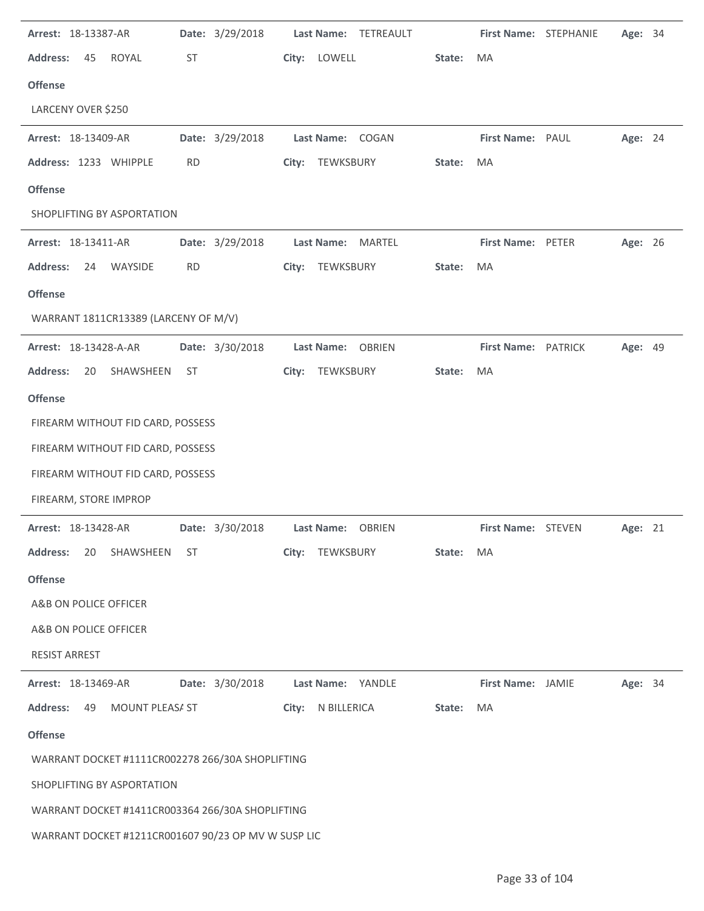| Arrest: 18-13387-AR                                 | Date: 3/29/2018 | Last Name: TETREAULT |              | First Name: STEPHANIE | Age: 34 |
|-----------------------------------------------------|-----------------|----------------------|--------------|-----------------------|---------|
| <b>Address:</b><br>ROYAL<br>45                      | <b>ST</b>       | City: LOWELL         | State:<br>MA |                       |         |
| <b>Offense</b>                                      |                 |                      |              |                       |         |
| LARCENY OVER \$250                                  |                 |                      |              |                       |         |
| Arrest: 18-13409-AR                                 | Date: 3/29/2018 | Last Name: COGAN     |              | First Name: PAUL      | Age: 24 |
| Address: 1233 WHIPPLE                               | <b>RD</b>       | City: TEWKSBURY      | MA<br>State: |                       |         |
| <b>Offense</b>                                      |                 |                      |              |                       |         |
| SHOPLIFTING BY ASPORTATION                          |                 |                      |              |                       |         |
| Arrest: 18-13411-AR                                 | Date: 3/29/2018 | Last Name: MARTEL    |              | First Name: PETER     | Age: 26 |
| <b>Address:</b><br>24<br>WAYSIDE                    | <b>RD</b>       | City: TEWKSBURY      | State:<br>MA |                       |         |
| <b>Offense</b>                                      |                 |                      |              |                       |         |
| WARRANT 1811CR13389 (LARCENY OF M/V)                |                 |                      |              |                       |         |
| Arrest: 18-13428-A-AR                               | Date: 3/30/2018 | Last Name: OBRIEN    |              | First Name: PATRICK   | Age: 49 |
| <b>Address:</b><br>20<br>SHAWSHEEN                  | ST              | City: TEWKSBURY      | State:<br>MA |                       |         |
| <b>Offense</b>                                      |                 |                      |              |                       |         |
| FIREARM WITHOUT FID CARD, POSSESS                   |                 |                      |              |                       |         |
| FIREARM WITHOUT FID CARD, POSSESS                   |                 |                      |              |                       |         |
| FIREARM WITHOUT FID CARD, POSSESS                   |                 |                      |              |                       |         |
| FIREARM, STORE IMPROP                               |                 |                      |              |                       |         |
| Arrest: 18-13428-AR                                 | Date: 3/30/2018 | Last Name: OBRIEN    |              | First Name: STEVEN    | Age: 21 |
| <b>Address:</b><br>SHAWSHEEN<br>20                  | <b>ST</b>       | City:<br>TEWKSBURY   | State:<br>MA |                       |         |
| <b>Offense</b>                                      |                 |                      |              |                       |         |
| A&B ON POLICE OFFICER                               |                 |                      |              |                       |         |
| A&B ON POLICE OFFICER                               |                 |                      |              |                       |         |
| <b>RESIST ARREST</b>                                |                 |                      |              |                       |         |
| Arrest: 18-13469-AR                                 | Date: 3/30/2018 | Last Name: YANDLE    |              | First Name: JAMIE     | Age: 34 |
| <b>Address:</b><br>49<br>MOUNT PLEASA ST            |                 | City: N BILLERICA    | MA<br>State: |                       |         |
| <b>Offense</b>                                      |                 |                      |              |                       |         |
| WARRANT DOCKET #1111CR002278 266/30A SHOPLIFTING    |                 |                      |              |                       |         |
| SHOPLIFTING BY ASPORTATION                          |                 |                      |              |                       |         |
| WARRANT DOCKET #1411CR003364 266/30A SHOPLIFTING    |                 |                      |              |                       |         |
| WARRANT DOCKET #1211CR001607 90/23 OP MV W SUSP LIC |                 |                      |              |                       |         |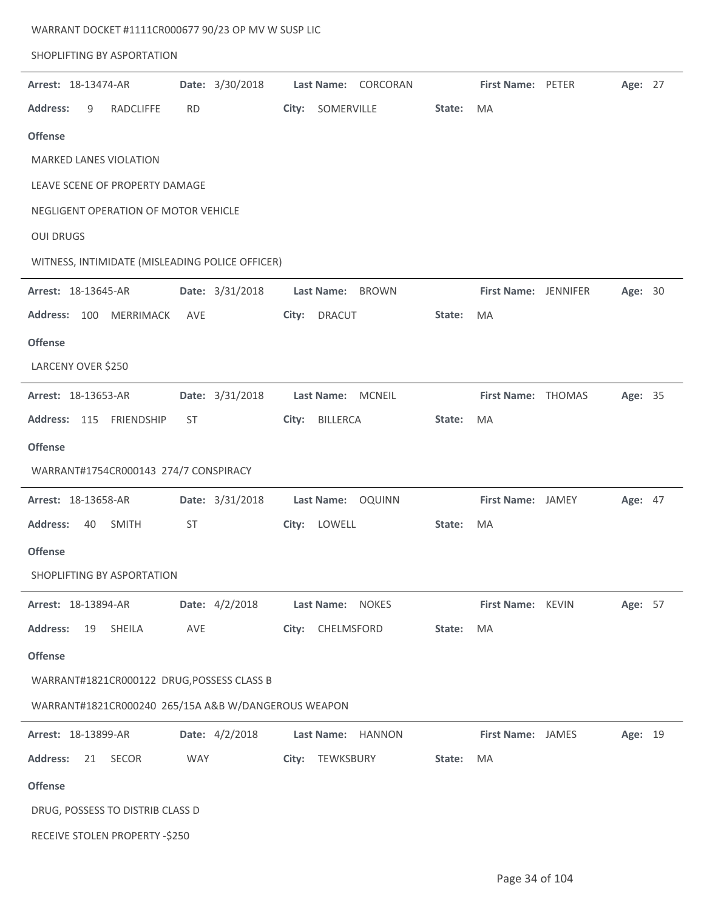| WARRANT DOCKET #1111CR000677 90/23 OP MV W SUSP LIC |                 |                                   |        |                          |         |  |
|-----------------------------------------------------|-----------------|-----------------------------------|--------|--------------------------|---------|--|
| SHOPLIFTING BY ASPORTATION                          |                 |                                   |        |                          |         |  |
| Arrest: 18-13474-AR                                 | Date: 3/30/2018 | <b>Last Name:</b><br>CORCORAN     |        | <b>First Name: PETER</b> | Age: 27 |  |
| <b>Address:</b><br>9<br><b>RADCLIFFE</b>            | <b>RD</b>       | SOMERVILLE<br>City:               | State: | <b>MA</b>                |         |  |
| <b>Offense</b>                                      |                 |                                   |        |                          |         |  |
| <b>MARKED LANES VIOLATION</b>                       |                 |                                   |        |                          |         |  |
| LEAVE SCENE OF PROPERTY DAMAGE                      |                 |                                   |        |                          |         |  |
| NEGLIGENT OPERATION OF MOTOR VEHICLE                |                 |                                   |        |                          |         |  |
| <b>OUI DRUGS</b>                                    |                 |                                   |        |                          |         |  |
| WITNESS, INTIMIDATE (MISLEADING POLICE OFFICER)     |                 |                                   |        |                          |         |  |
| Arrest: 18-13645-AR                                 | Date: 3/31/2018 | Last Name:<br><b>BROWN</b>        |        | First Name: JENNIFER     | Age: 30 |  |
| <b>Address:</b><br>100<br><b>MERRIMACK</b>          | <b>AVE</b>      | <b>DRACUT</b><br>City:            | State: | MA                       |         |  |
| <b>Offense</b>                                      |                 |                                   |        |                          |         |  |
| LARCENY OVER \$250                                  |                 |                                   |        |                          |         |  |
| Arrest: 18-13653-AR                                 | Date: 3/31/2018 | <b>MCNEIL</b><br>Last Name:       |        | First Name: THOMAS       | Age: 35 |  |
| Address: 115<br><b>FRIENDSHIP</b>                   | <b>ST</b>       | BILLERCA<br>City:                 | State: | MA                       |         |  |
| <b>Offense</b>                                      |                 |                                   |        |                          |         |  |
| WARRANT#1754CR000143 274/7 CONSPIRACY               |                 |                                   |        |                          |         |  |
| Arrest: 18-13658-AR                                 | Date: 3/31/2018 | Last Name: OQUINN                 |        | First Name: JAMEY        | Age: 47 |  |
| <b>Address:</b><br><b>SMITH</b><br>40               | <b>ST</b>       | City: LOWELL                      | State: | MA                       |         |  |
| <b>Offense</b>                                      |                 |                                   |        |                          |         |  |
| SHOPLIFTING BY ASPORTATION                          |                 |                                   |        |                          |         |  |
| Arrest: 18-13894-AR                                 | Date: 4/2/2018  | <b>NOKES</b><br><b>Last Name:</b> |        | First Name: KEVIN        | Age: 57 |  |
| <b>Address:</b><br>SHEILA<br>19                     | AVE             | City: CHELMSFORD                  | State: | MA                       |         |  |
| <b>Offense</b>                                      |                 |                                   |        |                          |         |  |
| WARRANT#1821CR000122 DRUG, POSSESS CLASS B          |                 |                                   |        |                          |         |  |
| WARRANT#1821CR000240 265/15A A&B W/DANGEROUS WEAPON |                 |                                   |        |                          |         |  |
| Arrest: 18-13899-AR                                 | Date: 4/2/2018  | Last Name:<br><b>HANNON</b>       |        | First Name: JAMES        | Age: 19 |  |
| <b>Address:</b><br>21<br>SECOR                      | WAY             | City:<br>TEWKSBURY                | State: | MA                       |         |  |
| <b>Offense</b>                                      |                 |                                   |        |                          |         |  |
| DRUG, POSSESS TO DISTRIB CLASS D                    |                 |                                   |        |                          |         |  |
| RECEIVE STOLEN PROPERTY -\$250                      |                 |                                   |        |                          |         |  |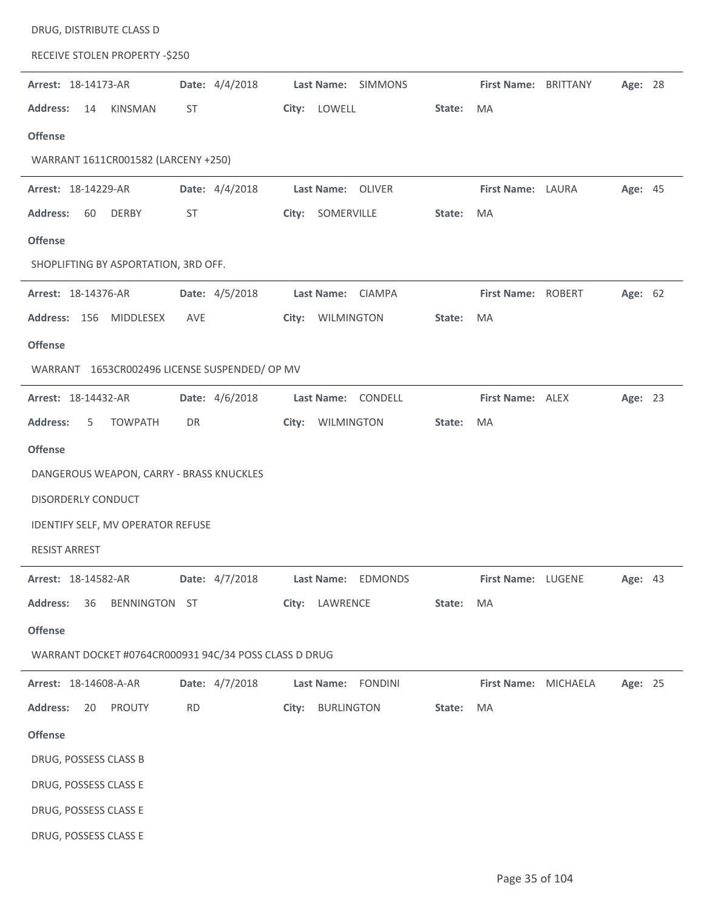| DRUG, DISTRIBUTE CLASS D                              |                |                            |                   |                      |         |  |  |  |  |  |  |  |
|-------------------------------------------------------|----------------|----------------------------|-------------------|----------------------|---------|--|--|--|--|--|--|--|
| RECEIVE STOLEN PROPERTY -\$250                        |                |                            |                   |                      |         |  |  |  |  |  |  |  |
| Arrest: 18-14173-AR                                   | Date: 4/4/2018 | Last Name: SIMMONS         |                   | First Name: BRITTANY | Age: 28 |  |  |  |  |  |  |  |
| <b>Address:</b><br>KINSMAN<br>14                      | ST             | City: LOWELL               | State:<br>MA      |                      |         |  |  |  |  |  |  |  |
| <b>Offense</b>                                        |                |                            |                   |                      |         |  |  |  |  |  |  |  |
| WARRANT 1611CR001582 (LARCENY +250)                   |                |                            |                   |                      |         |  |  |  |  |  |  |  |
| Arrest: 18-14229-AR                                   | Date: 4/4/2018 | Last Name: OLIVER          | First Name: LAURA |                      | Age: 45 |  |  |  |  |  |  |  |
| <b>Address:</b><br><b>DERBY</b><br>60                 | ST             | City: SOMERVILLE           | State:<br>MA      |                      |         |  |  |  |  |  |  |  |
| <b>Offense</b>                                        |                |                            |                   |                      |         |  |  |  |  |  |  |  |
| SHOPLIFTING BY ASPORTATION, 3RD OFF.                  |                |                            |                   |                      |         |  |  |  |  |  |  |  |
| Arrest: 18-14376-AR                                   | Date: 4/5/2018 | Last Name: CIAMPA          |                   | First Name: ROBERT   | Age: 62 |  |  |  |  |  |  |  |
| Address: 156 MIDDLESEX                                | AVE            | City: WILMINGTON           | State:<br>MA      |                      |         |  |  |  |  |  |  |  |
| <b>Offense</b>                                        |                |                            |                   |                      |         |  |  |  |  |  |  |  |
| WARRANT 1653CR002496 LICENSE SUSPENDED/ OP MV         |                |                            |                   |                      |         |  |  |  |  |  |  |  |
| Arrest: 18-14432-AR                                   | Date: 4/6/2018 | Last Name: CONDELL         | First Name: ALEX  |                      | Age: 23 |  |  |  |  |  |  |  |
| <b>Address:</b><br><b>TOWPATH</b><br>5                | DR             | City: WILMINGTON           | State:<br>MA      |                      |         |  |  |  |  |  |  |  |
| <b>Offense</b>                                        |                |                            |                   |                      |         |  |  |  |  |  |  |  |
| DANGEROUS WEAPON, CARRY - BRASS KNUCKLES              |                |                            |                   |                      |         |  |  |  |  |  |  |  |
| <b>DISORDERLY CONDUCT</b>                             |                |                            |                   |                      |         |  |  |  |  |  |  |  |
| IDENTIFY SELF, MV OPERATOR REFUSE                     |                |                            |                   |                      |         |  |  |  |  |  |  |  |
| <b>RESIST ARREST</b>                                  |                |                            |                   |                      |         |  |  |  |  |  |  |  |
| Arrest: 18-14582-AR                                   | Date: 4/7/2018 | Last Name: EDMONDS         |                   | First Name: LUGENE   | Age: 43 |  |  |  |  |  |  |  |
| <b>Address:</b><br>36<br>BENNINGTON ST                |                | City: LAWRENCE             | State:<br>MA      |                      |         |  |  |  |  |  |  |  |
| <b>Offense</b>                                        |                |                            |                   |                      |         |  |  |  |  |  |  |  |
| WARRANT DOCKET #0764CR000931 94C/34 POSS CLASS D DRUG |                |                            |                   |                      |         |  |  |  |  |  |  |  |
| Arrest: 18-14608-A-AR                                 | Date: 4/7/2018 | Last Name: FONDINI         |                   | First Name: MICHAELA | Age: 25 |  |  |  |  |  |  |  |
| <b>Address:</b><br>20<br>PROUTY                       | <b>RD</b>      | <b>BURLINGTON</b><br>City: | State:<br>MA      |                      |         |  |  |  |  |  |  |  |
| <b>Offense</b>                                        |                |                            |                   |                      |         |  |  |  |  |  |  |  |
| DRUG, POSSESS CLASS B                                 |                |                            |                   |                      |         |  |  |  |  |  |  |  |
| DRUG, POSSESS CLASS E                                 |                |                            |                   |                      |         |  |  |  |  |  |  |  |
| DRUG, POSSESS CLASS E                                 |                |                            |                   |                      |         |  |  |  |  |  |  |  |
| DRUG, POSSESS CLASS E                                 |                |                            |                   |                      |         |  |  |  |  |  |  |  |
|                                                       |                |                            |                   |                      |         |  |  |  |  |  |  |  |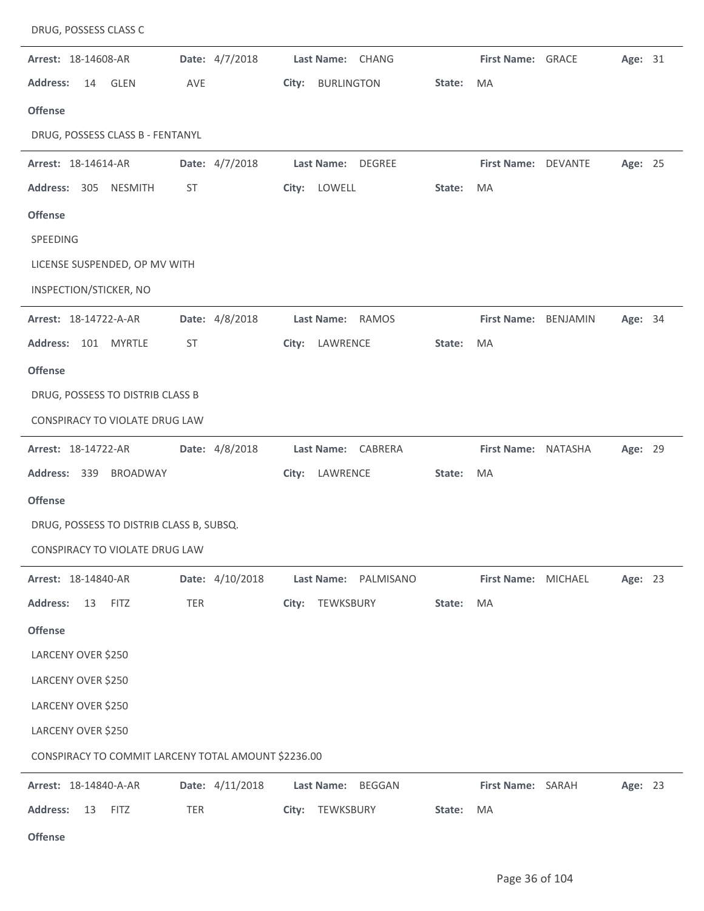| DRUG, POSSESS CLASS C                               |                 |                             |        |                      |  |         |  |  |  |
|-----------------------------------------------------|-----------------|-----------------------------|--------|----------------------|--|---------|--|--|--|
| Arrest: 18-14608-AR                                 | Date: 4/7/2018  | Last Name: CHANG            |        | First Name: GRACE    |  | Age: 31 |  |  |  |
| <b>Address:</b><br><b>GLEN</b><br>14                | AVE             | <b>BURLINGTON</b><br>City:  | State: | MA                   |  |         |  |  |  |
| <b>Offense</b>                                      |                 |                             |        |                      |  |         |  |  |  |
| DRUG, POSSESS CLASS B - FENTANYL                    |                 |                             |        |                      |  |         |  |  |  |
| Arrest: 18-14614-AR                                 | Date: 4/7/2018  | Last Name: DEGREE           |        | First Name: DEVANTE  |  | Age: 25 |  |  |  |
| Address: 305 NESMITH                                | <b>ST</b>       | City: LOWELL                | State: | MA                   |  |         |  |  |  |
| <b>Offense</b>                                      |                 |                             |        |                      |  |         |  |  |  |
| SPEEDING                                            |                 |                             |        |                      |  |         |  |  |  |
| LICENSE SUSPENDED, OP MV WITH                       |                 |                             |        |                      |  |         |  |  |  |
| INSPECTION/STICKER, NO                              |                 |                             |        |                      |  |         |  |  |  |
| Arrest: 18-14722-A-AR                               | Date: 4/8/2018  | Last Name: RAMOS            |        | First Name: BENJAMIN |  | Age: 34 |  |  |  |
| Address: 101 MYRTLE                                 | <b>ST</b>       | LAWRENCE<br>City:           | State: | MA                   |  |         |  |  |  |
| <b>Offense</b>                                      |                 |                             |        |                      |  |         |  |  |  |
| DRUG, POSSESS TO DISTRIB CLASS B                    |                 |                             |        |                      |  |         |  |  |  |
| CONSPIRACY TO VIOLATE DRUG LAW                      |                 |                             |        |                      |  |         |  |  |  |
| Arrest: 18-14722-AR                                 | Date: 4/8/2018  | Last Name: CABRERA          |        | First Name: NATASHA  |  | Age: 29 |  |  |  |
| Address: 339<br><b>BROADWAY</b>                     |                 | LAWRENCE<br>City:           | State: | MA                   |  |         |  |  |  |
| <b>Offense</b>                                      |                 |                             |        |                      |  |         |  |  |  |
| DRUG, POSSESS TO DISTRIB CLASS B, SUBSQ.            |                 |                             |        |                      |  |         |  |  |  |
| CONSPIRACY TO VIOLATE DRUG LAW                      |                 |                             |        |                      |  |         |  |  |  |
| Arrest: 18-14840-AR                                 | Date: 4/10/2018 | Last Name: PALMISANO        |        | First Name: MICHAEL  |  | Age: 23 |  |  |  |
| <b>Address:</b><br>13<br><b>FITZ</b>                | <b>TER</b>      | City: TEWKSBURY             | State: | MA                   |  |         |  |  |  |
| <b>Offense</b>                                      |                 |                             |        |                      |  |         |  |  |  |
| LARCENY OVER \$250                                  |                 |                             |        |                      |  |         |  |  |  |
| LARCENY OVER \$250                                  |                 |                             |        |                      |  |         |  |  |  |
| LARCENY OVER \$250                                  |                 |                             |        |                      |  |         |  |  |  |
| LARCENY OVER \$250                                  |                 |                             |        |                      |  |         |  |  |  |
| CONSPIRACY TO COMMIT LARCENY TOTAL AMOUNT \$2236.00 |                 |                             |        |                      |  |         |  |  |  |
| Arrest: 18-14840-A-AR                               | Date: 4/11/2018 | Last Name:<br><b>BEGGAN</b> |        | First Name: SARAH    |  | Age: 23 |  |  |  |
| <b>Address:</b><br>13<br><b>FITZ</b>                | <b>TER</b>      | City: TEWKSBURY             | State: | MA                   |  |         |  |  |  |
| <b>Offense</b>                                      |                 |                             |        |                      |  |         |  |  |  |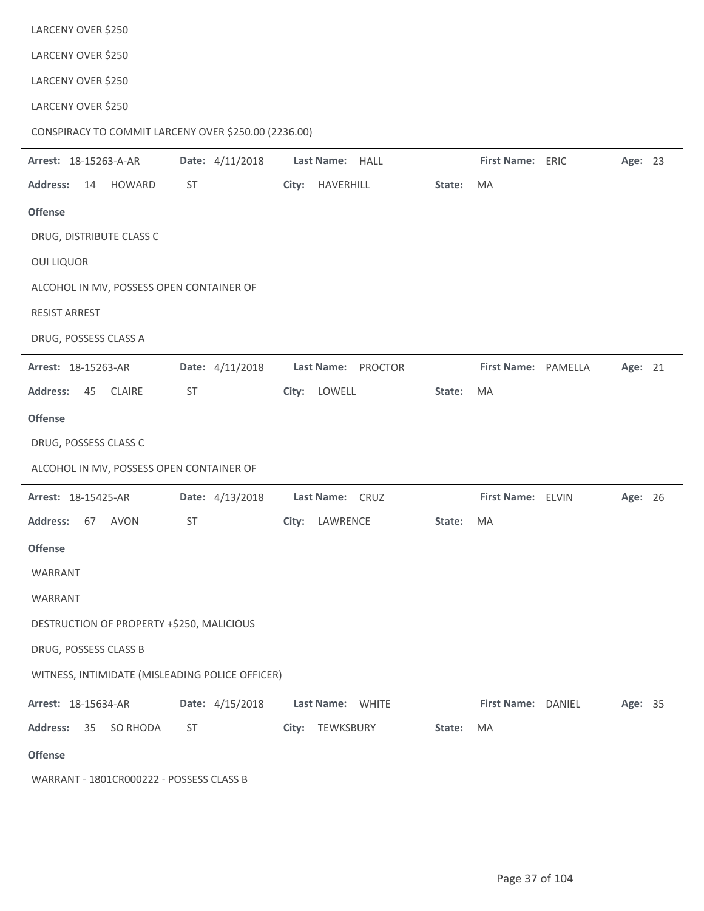| LARCENY OVER \$250                                   |                 |                    |        |                     |         |  |
|------------------------------------------------------|-----------------|--------------------|--------|---------------------|---------|--|
| LARCENY OVER \$250                                   |                 |                    |        |                     |         |  |
| LARCENY OVER \$250                                   |                 |                    |        |                     |         |  |
| CONSPIRACY TO COMMIT LARCENY OVER \$250.00 (2236.00) |                 |                    |        |                     |         |  |
| Arrest: 18-15263-A-AR                                | Date: 4/11/2018 | Last Name: HALL    |        | First Name: ERIC    | Age: 23 |  |
| <b>Address:</b><br><b>HOWARD</b><br>14               | ST              | HAVERHILL<br>City: | State: | MA                  |         |  |
| <b>Offense</b>                                       |                 |                    |        |                     |         |  |
| DRUG, DISTRIBUTE CLASS C                             |                 |                    |        |                     |         |  |
| <b>OUI LIQUOR</b>                                    |                 |                    |        |                     |         |  |
| ALCOHOL IN MV, POSSESS OPEN CONTAINER OF             |                 |                    |        |                     |         |  |
| <b>RESIST ARREST</b>                                 |                 |                    |        |                     |         |  |
| DRUG, POSSESS CLASS A                                |                 |                    |        |                     |         |  |
| Arrest: 18-15263-AR                                  | Date: 4/11/2018 | Last Name: PROCTOR |        | First Name: PAMELLA | Age: 21 |  |
| <b>Address:</b><br>45<br><b>CLAIRE</b>               | <b>ST</b>       | City: LOWELL       | State: | MA                  |         |  |
| <b>Offense</b>                                       |                 |                    |        |                     |         |  |
| DRUG, POSSESS CLASS C                                |                 |                    |        |                     |         |  |
|                                                      |                 |                    |        |                     |         |  |
| ALCOHOL IN MV, POSSESS OPEN CONTAINER OF             |                 |                    |        |                     |         |  |
| Arrest: 18-15425-AR                                  | Date: 4/13/2018 | Last Name: CRUZ    |        | First Name: ELVIN   | Age: 26 |  |
| <b>Address:</b><br>67<br>AVON                        | <b>ST</b>       | City: LAWRENCE     | State: | MA                  |         |  |
| <b>Offense</b>                                       |                 |                    |        |                     |         |  |
| WARRANT                                              |                 |                    |        |                     |         |  |
| WARRANT                                              |                 |                    |        |                     |         |  |
| DESTRUCTION OF PROPERTY +\$250, MALICIOUS            |                 |                    |        |                     |         |  |
| DRUG, POSSESS CLASS B                                |                 |                    |        |                     |         |  |
| WITNESS, INTIMIDATE (MISLEADING POLICE OFFICER)      |                 |                    |        |                     |         |  |
| Arrest: 18-15634-AR                                  | Date: 4/15/2018 | Last Name: WHITE   |        | First Name: DANIEL  | Age: 35 |  |
| <b>Address:</b><br>35<br>SO RHODA                    | ST              | City: TEWKSBURY    | State: | MA                  |         |  |
| <b>Offense</b>                                       |                 |                    |        |                     |         |  |

WARRANT - 1801CR000222 - POSSESS CLASS B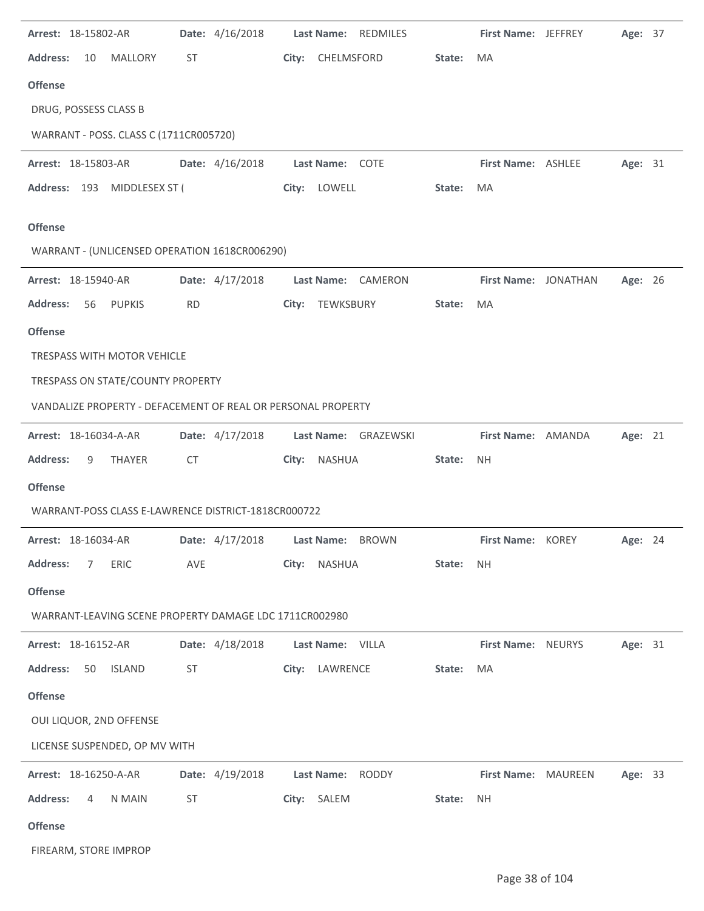| Arrest: 18-15802-AR                                          | Date: 4/16/2018 | Last Name: REDMILES              |        | <b>First Name: JEFFREY</b> | Age: 37 |  |
|--------------------------------------------------------------|-----------------|----------------------------------|--------|----------------------------|---------|--|
| <b>Address:</b><br><b>MALLORY</b><br>10                      | ST.             | City: CHELMSFORD                 | State: | MA                         |         |  |
| <b>Offense</b>                                               |                 |                                  |        |                            |         |  |
| DRUG, POSSESS CLASS B                                        |                 |                                  |        |                            |         |  |
| WARRANT - POSS. CLASS C (1711CR005720)                       |                 |                                  |        |                            |         |  |
| Arrest: 18-15803-AR                                          | Date: 4/16/2018 | Last Name: COTE                  |        | <b>First Name: ASHLEE</b>  | Age: 31 |  |
| Address: 193 MIDDLESEX ST (                                  |                 | City: LOWELL                     | State: | MA                         |         |  |
| <b>Offense</b>                                               |                 |                                  |        |                            |         |  |
| WARRANT - (UNLICENSED OPERATION 1618CR006290)                |                 |                                  |        |                            |         |  |
| Arrest: 18-15940-AR                                          | Date: 4/17/2018 | Last Name: CAMERON               |        | First Name: JONATHAN       | Age: 26 |  |
| <b>Address:</b><br><b>PUPKIS</b><br>56                       | <b>RD</b>       | City: TEWKSBURY                  | State: | MA                         |         |  |
| <b>Offense</b>                                               |                 |                                  |        |                            |         |  |
| TRESPASS WITH MOTOR VEHICLE                                  |                 |                                  |        |                            |         |  |
| TRESPASS ON STATE/COUNTY PROPERTY                            |                 |                                  |        |                            |         |  |
| VANDALIZE PROPERTY - DEFACEMENT OF REAL OR PERSONAL PROPERTY |                 |                                  |        |                            |         |  |
| Arrest: 18-16034-A-AR                                        | Date: 4/17/2018 | Last Name: GRAZEWSKI             |        | First Name: AMANDA         | Age: 21 |  |
| <b>Address:</b><br>9<br>THAYER                               | CT              | City: NASHUA                     | State: | <b>NH</b>                  |         |  |
| <b>Offense</b>                                               |                 |                                  |        |                            |         |  |
| WARRANT-POSS CLASS E-LAWRENCE DISTRICT-1818CR000722          |                 |                                  |        |                            |         |  |
| Arrest: 18-16034-AR                                          |                 | Date: 4/17/2018 Last Name: BROWN |        | First Name: KOREY          | Age: 24 |  |
| ERIC<br><b>Address:</b><br>7                                 | AVE             | City: NASHUA                     | State: | <b>NH</b>                  |         |  |
| <b>Offense</b>                                               |                 |                                  |        |                            |         |  |
| WARRANT-LEAVING SCENE PROPERTY DAMAGE LDC 1711CR002980       |                 |                                  |        |                            |         |  |
| Arrest: 18-16152-AR                                          | Date: 4/18/2018 | Last Name: VILLA                 |        | <b>First Name: NEURYS</b>  | Age: 31 |  |
| <b>ISLAND</b><br><b>Address:</b><br>50                       | ST              | City: LAWRENCE                   | State: | MA                         |         |  |
| <b>Offense</b>                                               |                 |                                  |        |                            |         |  |
| OUI LIQUOR, 2ND OFFENSE                                      |                 |                                  |        |                            |         |  |
| LICENSE SUSPENDED, OP MV WITH                                |                 |                                  |        |                            |         |  |
| Arrest: 18-16250-A-AR                                        | Date: 4/19/2018 | Last Name: RODDY                 |        | First Name: MAUREEN        | Age: 33 |  |
| <b>Address:</b><br>N MAIN<br>4                               | <b>ST</b>       | City: SALEM                      | State: | <b>NH</b>                  |         |  |
| <b>Offense</b>                                               |                 |                                  |        |                            |         |  |
| FIREARM, STORE IMPROP                                        |                 |                                  |        |                            |         |  |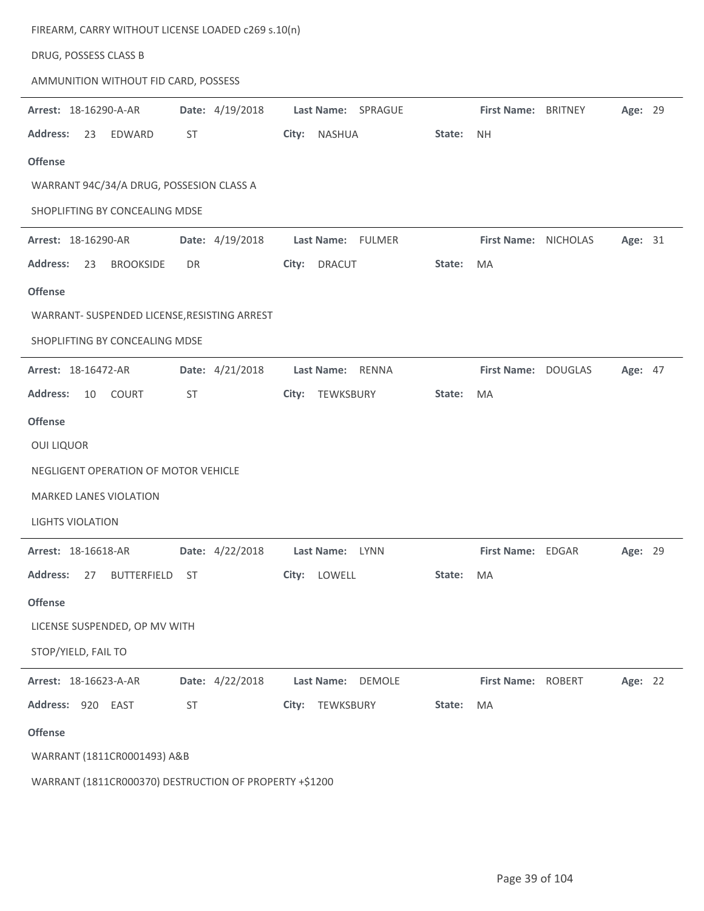|                                              | FIREARM, CARRY WITHOUT LICENSE LOADED c269 s.10(n) |                        |        |                      |                |         |  |
|----------------------------------------------|----------------------------------------------------|------------------------|--------|----------------------|----------------|---------|--|
| DRUG, POSSESS CLASS B                        |                                                    |                        |        |                      |                |         |  |
| AMMUNITION WITHOUT FID CARD, POSSESS         |                                                    |                        |        |                      |                |         |  |
| Arrest: 18-16290-A-AR                        | Date: 4/19/2018                                    | Last Name: SPRAGUE     |        | <b>First Name:</b>   | <b>BRITNEY</b> | Age: 29 |  |
| <b>Address:</b><br>EDWARD<br>23              | ST                                                 | City:<br><b>NASHUA</b> | State: | <b>NH</b>            |                |         |  |
| <b>Offense</b>                               |                                                    |                        |        |                      |                |         |  |
| WARRANT 94C/34/A DRUG, POSSESION CLASS A     |                                                    |                        |        |                      |                |         |  |
| SHOPLIFTING BY CONCEALING MDSE               |                                                    |                        |        |                      |                |         |  |
| Arrest: 18-16290-AR                          | Date: 4/19/2018                                    | Last Name: FULMER      |        | First Name: NICHOLAS |                | Age: 31 |  |
| <b>Address:</b><br><b>BROOKSIDE</b><br>23    | DR                                                 | City:<br><b>DRACUT</b> | State: | MA                   |                |         |  |
| <b>Offense</b>                               |                                                    |                        |        |                      |                |         |  |
| WARRANT- SUSPENDED LICENSE, RESISTING ARREST |                                                    |                        |        |                      |                |         |  |
| SHOPLIFTING BY CONCEALING MDSE               |                                                    |                        |        |                      |                |         |  |
| Arrest: 18-16472-AR                          | Date: 4/21/2018                                    | Last Name: RENNA       |        | First Name: DOUGLAS  |                | Age: 47 |  |
| COURT<br><b>Address:</b><br>10               | ST                                                 | TEWKSBURY<br>City:     | State: | MA                   |                |         |  |
| <b>Offense</b>                               |                                                    |                        |        |                      |                |         |  |
|                                              |                                                    |                        |        |                      |                |         |  |
| <b>OUI LIQUOR</b>                            |                                                    |                        |        |                      |                |         |  |
| NEGLIGENT OPERATION OF MOTOR VEHICLE         |                                                    |                        |        |                      |                |         |  |
| <b>MARKED LANES VIOLATION</b>                |                                                    |                        |        |                      |                |         |  |
| <b>LIGHTS VIOLATION</b>                      |                                                    |                        |        |                      |                |         |  |
| Arrest: 18-16618-AR                          | Date: 4/22/2018                                    | Last Name: LYNN        |        | First Name: EDGAR    |                | Age: 29 |  |
| <b>Address:</b><br>BUTTERFIELD<br>27         | <b>ST</b>                                          | City: LOWELL           | State: | MA                   |                |         |  |
| <b>Offense</b>                               |                                                    |                        |        |                      |                |         |  |
| LICENSE SUSPENDED, OP MV WITH                |                                                    |                        |        |                      |                |         |  |
| STOP/YIELD, FAIL TO                          |                                                    |                        |        |                      |                |         |  |
| Arrest: 18-16623-A-AR                        | Date: 4/22/2018                                    | Last Name: DEMOLE      |        | First Name: ROBERT   |                | Age: 22 |  |
| Address: 920 EAST                            | ST                                                 | City: TEWKSBURY        | State: | MA                   |                |         |  |
| <b>Offense</b>                               |                                                    |                        |        |                      |                |         |  |
| WARRANT (1811CR0001493) A&B                  |                                                    |                        |        |                      |                |         |  |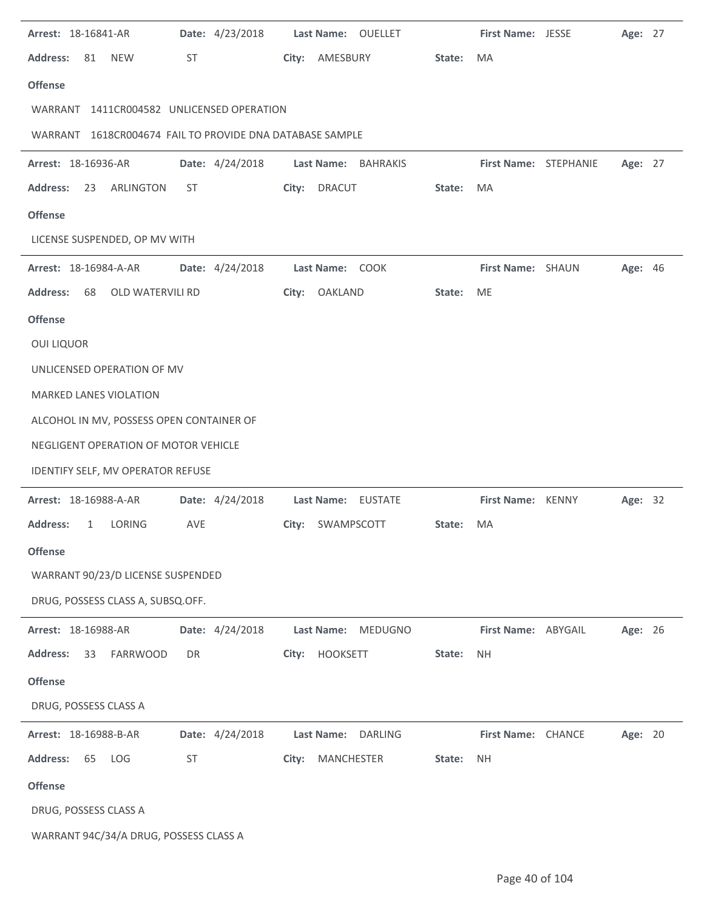| Arrest: 18-16841-AR                                      | Date: 4/23/2018 | Last Name: OUELLET    |        | First Name: JESSE     | Age: 27        |  |
|----------------------------------------------------------|-----------------|-----------------------|--------|-----------------------|----------------|--|
| <b>Address:</b><br><b>NEW</b><br>81                      | ST              | City:<br>AMESBURY     | State: | MA                    |                |  |
| <b>Offense</b>                                           |                 |                       |        |                       |                |  |
| WARRANT 1411CR004582 UNLICENSED OPERATION                |                 |                       |        |                       |                |  |
| WARRANT 1618CR004674 FAIL TO PROVIDE DNA DATABASE SAMPLE |                 |                       |        |                       |                |  |
| Arrest: 18-16936-AR                                      | Date: 4/24/2018 | Last Name: BAHRAKIS   |        | First Name: STEPHANIE | Age: 27        |  |
| <b>Address:</b><br>23<br>ARLINGTON                       | ST              | City: DRACUT          | State: | MA                    |                |  |
| <b>Offense</b>                                           |                 |                       |        |                       |                |  |
| LICENSE SUSPENDED, OP MV WITH                            |                 |                       |        |                       |                |  |
| Arrest: 18-16984-A-AR                                    | Date: 4/24/2018 | Last Name: COOK       |        | First Name: SHAUN     | <b>Age: 46</b> |  |
| <b>Address:</b><br>OLD WATERVILI RD<br>68                |                 | City:<br>OAKLAND      | State: | <b>ME</b>             |                |  |
| <b>Offense</b>                                           |                 |                       |        |                       |                |  |
| <b>OUI LIQUOR</b>                                        |                 |                       |        |                       |                |  |
| UNLICENSED OPERATION OF MV                               |                 |                       |        |                       |                |  |
| <b>MARKED LANES VIOLATION</b>                            |                 |                       |        |                       |                |  |
| ALCOHOL IN MV, POSSESS OPEN CONTAINER OF                 |                 |                       |        |                       |                |  |
| NEGLIGENT OPERATION OF MOTOR VEHICLE                     |                 |                       |        |                       |                |  |
| IDENTIFY SELF, MV OPERATOR REFUSE                        |                 |                       |        |                       |                |  |
| Arrest: 18-16988-A-AR                                    | Date: 4/24/2018 | Last Name: EUSTATE    |        | First Name: KENNY     | Age: 32        |  |
| <b>Address:</b><br>LORING<br>1                           | AVE             | SWAMPSCOTT<br>City:   | State: | MA                    |                |  |
| <b>Offense</b>                                           |                 |                       |        |                       |                |  |
| WARRANT 90/23/D LICENSE SUSPENDED                        |                 |                       |        |                       |                |  |
| DRUG, POSSESS CLASS A, SUBSQ.OFF.                        |                 |                       |        |                       |                |  |
| Arrest: 18-16988-AR                                      | Date: 4/24/2018 | Last Name:<br>MEDUGNO |        | First Name: ABYGAIL   | Age: 26        |  |
| <b>Address:</b><br><b>FARRWOOD</b><br>33                 | DR              | HOOKSETT<br>City:     | State: | NΗ                    |                |  |
| <b>Offense</b>                                           |                 |                       |        |                       |                |  |
| DRUG, POSSESS CLASS A                                    |                 |                       |        |                       |                |  |
| Arrest: 18-16988-B-AR                                    | Date: 4/24/2018 | Last Name: DARLING    |        | First Name: CHANCE    | Age: 20        |  |
| <b>Address:</b><br>65<br>LOG                             | <b>ST</b>       | MANCHESTER<br>City:   | State: | <b>NH</b>             |                |  |
| <b>Offense</b>                                           |                 |                       |        |                       |                |  |
| DRUG, POSSESS CLASS A                                    |                 |                       |        |                       |                |  |
| WARRANT 94C/34/A DRUG, POSSESS CLASS A                   |                 |                       |        |                       |                |  |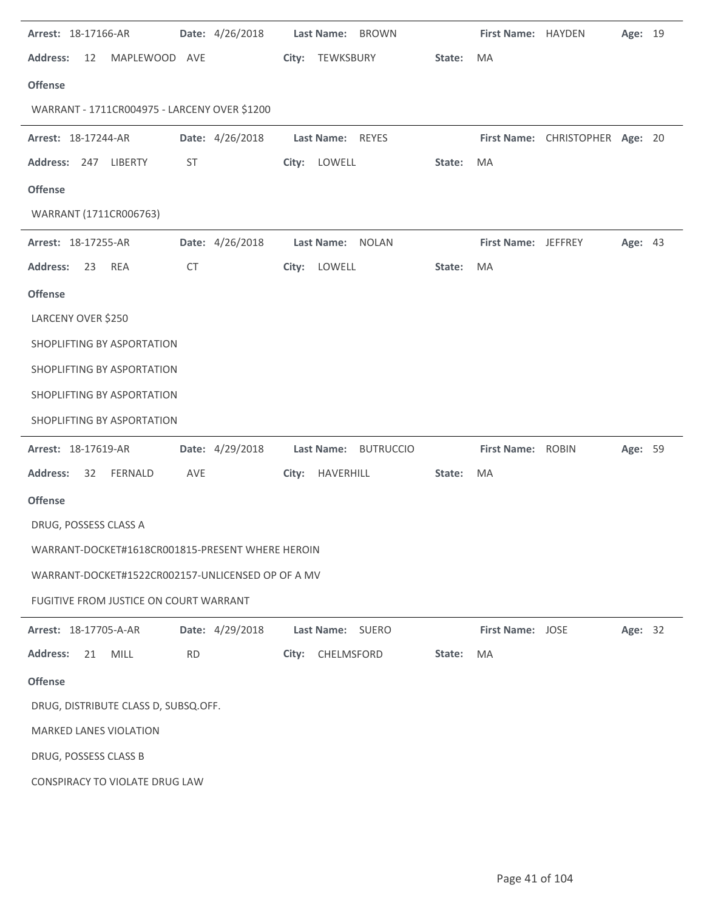| Arrest: 18-17166-AR                               | Date: 4/26/2018 | Last Name: BROWN     |        | First Name: HAYDEN      |                                 | Age: 19 |  |
|---------------------------------------------------|-----------------|----------------------|--------|-------------------------|---------------------------------|---------|--|
| <b>Address:</b><br>12<br>MAPLEWOOD AVE            |                 | City: TEWKSBURY      | State: | MA                      |                                 |         |  |
| <b>Offense</b>                                    |                 |                      |        |                         |                                 |         |  |
| WARRANT - 1711CR004975 - LARCENY OVER \$1200      |                 |                      |        |                         |                                 |         |  |
| Arrest: 18-17244-AR                               | Date: 4/26/2018 | Last Name: REYES     |        |                         | First Name: CHRISTOPHER Age: 20 |         |  |
| Address: 247 LIBERTY                              | ST              | City: LOWELL         | State: | MA                      |                                 |         |  |
| <b>Offense</b>                                    |                 |                      |        |                         |                                 |         |  |
| WARRANT (1711CR006763)                            |                 |                      |        |                         |                                 |         |  |
| Arrest: 18-17255-AR                               | Date: 4/26/2018 | Last Name: NOLAN     |        | First Name: JEFFREY     |                                 | Age: 43 |  |
| <b>Address:</b><br><b>REA</b><br>23               | <b>CT</b>       | City: LOWELL         | State: | MA                      |                                 |         |  |
| <b>Offense</b>                                    |                 |                      |        |                         |                                 |         |  |
| LARCENY OVER \$250                                |                 |                      |        |                         |                                 |         |  |
| SHOPLIFTING BY ASPORTATION                        |                 |                      |        |                         |                                 |         |  |
| SHOPLIFTING BY ASPORTATION                        |                 |                      |        |                         |                                 |         |  |
| SHOPLIFTING BY ASPORTATION                        |                 |                      |        |                         |                                 |         |  |
| SHOPLIFTING BY ASPORTATION                        |                 |                      |        |                         |                                 |         |  |
| Arrest: 18-17619-AR                               | Date: 4/29/2018 | Last Name: BUTRUCCIO |        | First Name: ROBIN       |                                 | Age: 59 |  |
| <b>Address:</b><br>32<br>FERNALD                  | AVE             | City: HAVERHILL      | State: | MA                      |                                 |         |  |
| <b>Offense</b>                                    |                 |                      |        |                         |                                 |         |  |
| DRUG, POSSESS CLASS A                             |                 |                      |        |                         |                                 |         |  |
| WARRANT-DOCKET#1618CR001815-PRESENT WHERE HEROIN  |                 |                      |        |                         |                                 |         |  |
| WARRANT-DOCKET#1522CR002157-UNLICENSED OP OF A MV |                 |                      |        |                         |                                 |         |  |
| FUGITIVE FROM JUSTICE ON COURT WARRANT            |                 |                      |        |                         |                                 |         |  |
| Arrest: 18-17705-A-AR                             | Date: 4/29/2018 | Last Name: SUERO     |        | <b>First Name: JOSE</b> |                                 | Age: 32 |  |
| <b>MILL</b><br><b>Address:</b><br>21              | <b>RD</b>       | CHELMSFORD<br>City:  | State: | MA                      |                                 |         |  |
| <b>Offense</b>                                    |                 |                      |        |                         |                                 |         |  |
| DRUG, DISTRIBUTE CLASS D, SUBSQ.OFF.              |                 |                      |        |                         |                                 |         |  |
| <b>MARKED LANES VIOLATION</b>                     |                 |                      |        |                         |                                 |         |  |
| DRUG, POSSESS CLASS B                             |                 |                      |        |                         |                                 |         |  |
| CONSPIRACY TO VIOLATE DRUG LAW                    |                 |                      |        |                         |                                 |         |  |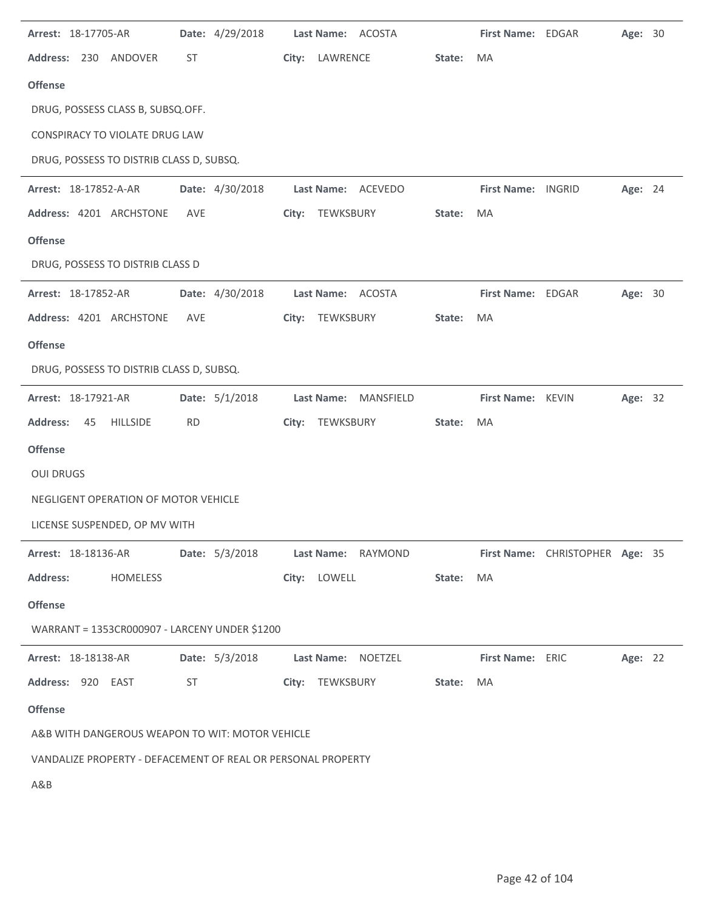| Arrest: 18-17705-AR                                          | Date: 4/29/2018 | Last Name: ACOSTA                                     |        | First Name: EDGAR       |                                 | Age: 30 |  |
|--------------------------------------------------------------|-----------------|-------------------------------------------------------|--------|-------------------------|---------------------------------|---------|--|
| Address: 230 ANDOVER                                         | ST              | City:<br>LAWRENCE                                     | State: | <b>MA</b>               |                                 |         |  |
| <b>Offense</b>                                               |                 |                                                       |        |                         |                                 |         |  |
| DRUG, POSSESS CLASS B, SUBSQ.OFF.                            |                 |                                                       |        |                         |                                 |         |  |
| CONSPIRACY TO VIOLATE DRUG LAW                               |                 |                                                       |        |                         |                                 |         |  |
| DRUG, POSSESS TO DISTRIB CLASS D, SUBSQ.                     |                 |                                                       |        |                         |                                 |         |  |
| Arrest: 18-17852-A-AR                                        | Date: 4/30/2018 | Last Name: ACEVEDO                                    |        | First Name: INGRID      |                                 | Age: 24 |  |
| Address: 4201 ARCHSTONE                                      | AVE             | City: TEWKSBURY                                       | State: | MA                      |                                 |         |  |
| <b>Offense</b>                                               |                 |                                                       |        |                         |                                 |         |  |
| DRUG, POSSESS TO DISTRIB CLASS D                             |                 |                                                       |        |                         |                                 |         |  |
| Arrest: 18-17852-AR                                          | Date: 4/30/2018 | Last Name: ACOSTA                                     |        | First Name: EDGAR       |                                 | Age: 30 |  |
| Address: 4201 ARCHSTONE                                      | <b>AVE</b>      | TEWKSBURY<br>City:                                    | State: | MA                      |                                 |         |  |
| <b>Offense</b>                                               |                 |                                                       |        |                         |                                 |         |  |
| DRUG, POSSESS TO DISTRIB CLASS D, SUBSQ.                     |                 |                                                       |        |                         |                                 |         |  |
| Arrest: 18-17921-AR                                          | Date: 5/1/2018  | <b>Last Name:</b><br>MANSFIELD                        |        | First Name: KEVIN       |                                 | Age: 32 |  |
| <b>Address:</b><br><b>HILLSIDE</b><br>45                     | <b>RD</b>       | TEWKSBURY<br>City:                                    | State: | MA                      |                                 |         |  |
| <b>Offense</b>                                               |                 |                                                       |        |                         |                                 |         |  |
| <b>OUI DRUGS</b>                                             |                 |                                                       |        |                         |                                 |         |  |
| NEGLIGENT OPERATION OF MOTOR VEHICLE                         |                 |                                                       |        |                         |                                 |         |  |
| LICENSE SUSPENDED, OP MV WITH                                |                 |                                                       |        |                         |                                 |         |  |
|                                                              |                 | Arrest: 18-18136-AR Date: 5/3/2018 Last Name: RAYMOND |        |                         | First Name: CHRISTOPHER Age: 35 |         |  |
| <b>Address:</b><br>HOMELESS                                  |                 | City: LOWELL                                          | State: | MA                      |                                 |         |  |
| <b>Offense</b>                                               |                 |                                                       |        |                         |                                 |         |  |
| WARRANT = 1353CR000907 - LARCENY UNDER \$1200                |                 |                                                       |        |                         |                                 |         |  |
| Arrest: 18-18138-AR                                          |                 | Date: 5/3/2018 Last Name: NOETZEL                     |        | <b>First Name: ERIC</b> |                                 | Age: 22 |  |
| Address: 920 EAST                                            | ST              | City: TEWKSBURY                                       | State: | MA                      |                                 |         |  |
| <b>Offense</b>                                               |                 |                                                       |        |                         |                                 |         |  |
| A&B WITH DANGEROUS WEAPON TO WIT: MOTOR VEHICLE              |                 |                                                       |        |                         |                                 |         |  |
| VANDALIZE PROPERTY - DEFACEMENT OF REAL OR PERSONAL PROPERTY |                 |                                                       |        |                         |                                 |         |  |
| A&B                                                          |                 |                                                       |        |                         |                                 |         |  |
|                                                              |                 |                                                       |        |                         |                                 |         |  |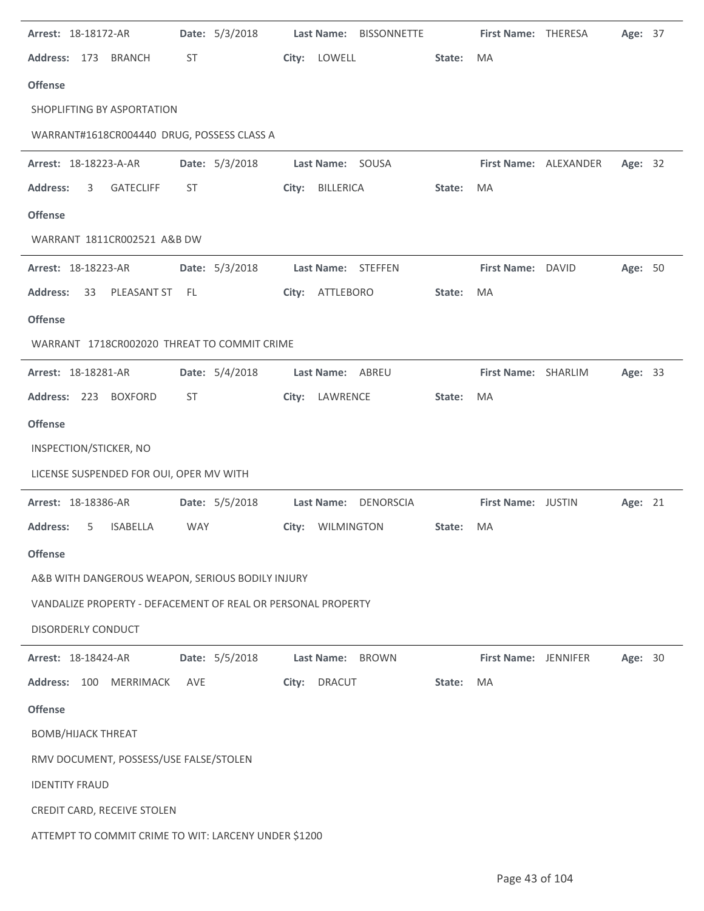| Arrest: 18-18172-AR                                          | Date: 5/3/2018 | Last Name: BISSONNETTE |        | First Name: THERESA         |                       | Age: 37 |  |
|--------------------------------------------------------------|----------------|------------------------|--------|-----------------------------|-----------------------|---------|--|
| Address: 173<br><b>BRANCH</b>                                | ST             | City: LOWELL           | State: | MA                          |                       |         |  |
| <b>Offense</b>                                               |                |                        |        |                             |                       |         |  |
| SHOPLIFTING BY ASPORTATION                                   |                |                        |        |                             |                       |         |  |
| WARRANT#1618CR004440 DRUG, POSSESS CLASS A                   |                |                        |        |                             |                       |         |  |
| Arrest: 18-18223-A-AR                                        | Date: 5/3/2018 | Last Name: SOUSA       |        |                             | First Name: ALEXANDER | Age: 32 |  |
| <b>Address:</b><br><b>GATECLIFF</b><br>3                     | <b>ST</b>      | City: BILLERICA        | State: | MA                          |                       |         |  |
| <b>Offense</b>                                               |                |                        |        |                             |                       |         |  |
| WARRANT 1811CR002521 A&B DW                                  |                |                        |        |                             |                       |         |  |
| Arrest: 18-18223-AR                                          | Date: 5/3/2018 | Last Name: STEFFEN     |        | First Name: DAVID           |                       | Age: 50 |  |
| <b>Address:</b><br>PLEASANT ST<br>33                         | - FL           | City: ATTLEBORO        | State: | MA                          |                       |         |  |
| <b>Offense</b>                                               |                |                        |        |                             |                       |         |  |
| WARRANT 1718CR002020 THREAT TO COMMIT CRIME                  |                |                        |        |                             |                       |         |  |
| Arrest: 18-18281-AR                                          | Date: 5/4/2018 | Last Name: ABREU       |        | First Name: SHARLIM         |                       | Age: 33 |  |
| Address: 223 BOXFORD                                         | <b>ST</b>      | City: LAWRENCE         | State: | MA                          |                       |         |  |
| <b>Offense</b>                                               |                |                        |        |                             |                       |         |  |
| INSPECTION/STICKER, NO                                       |                |                        |        |                             |                       |         |  |
| LICENSE SUSPENDED FOR OUI, OPER MV WITH                      |                |                        |        |                             |                       |         |  |
| Arrest: 18-18386-AR                                          | Date: 5/5/2018 | Last Name: DENORSCIA   |        | First Name: JUSTIN          |                       | Age: 21 |  |
| <b>Address:</b><br><b>ISABELLA</b><br>5.                     | <b>WAY</b>     | City: WILMINGTON       | State: | MA                          |                       |         |  |
| <b>Offense</b>                                               |                |                        |        |                             |                       |         |  |
| A&B WITH DANGEROUS WEAPON, SERIOUS BODILY INJURY             |                |                        |        |                             |                       |         |  |
| VANDALIZE PROPERTY - DEFACEMENT OF REAL OR PERSONAL PROPERTY |                |                        |        |                             |                       |         |  |
| <b>DISORDERLY CONDUCT</b>                                    |                |                        |        |                             |                       |         |  |
| Arrest: 18-18424-AR                                          | Date: 5/5/2018 | Last Name: BROWN       |        | <b>First Name: JENNIFER</b> |                       | Age: 30 |  |
| <b>Address:</b><br>100<br><b>MERRIMACK</b>                   | <b>AVE</b>     | City:<br><b>DRACUT</b> | State: | MA                          |                       |         |  |
| <b>Offense</b>                                               |                |                        |        |                             |                       |         |  |
| <b>BOMB/HIJACK THREAT</b>                                    |                |                        |        |                             |                       |         |  |
| RMV DOCUMENT, POSSESS/USE FALSE/STOLEN                       |                |                        |        |                             |                       |         |  |
| <b>IDENTITY FRAUD</b>                                        |                |                        |        |                             |                       |         |  |
| CREDIT CARD, RECEIVE STOLEN                                  |                |                        |        |                             |                       |         |  |
| ATTEMPT TO COMMIT CRIME TO WIT: LARCENY UNDER \$1200         |                |                        |        |                             |                       |         |  |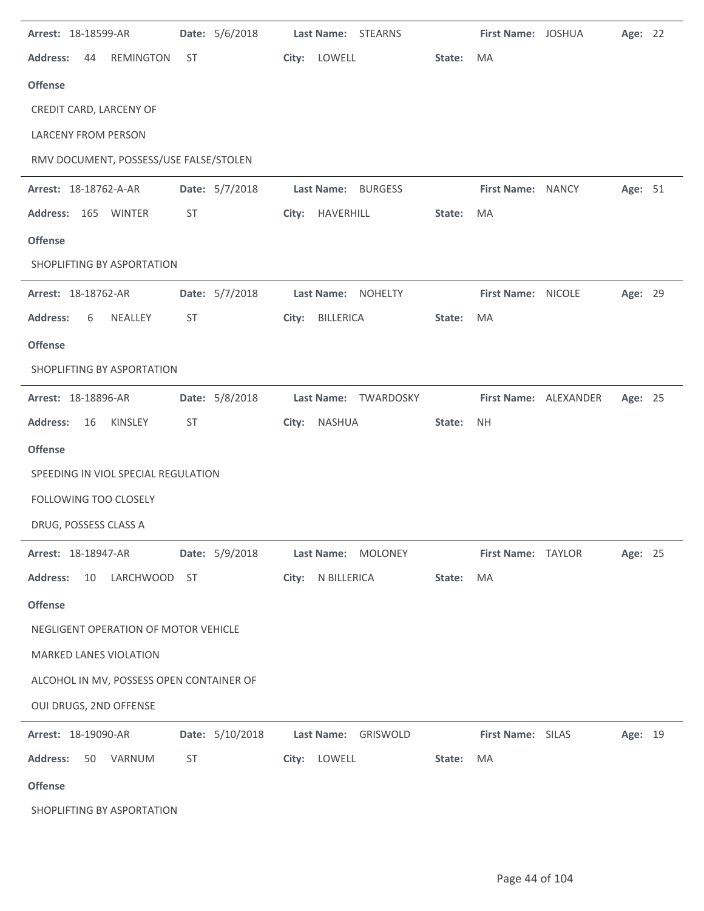| Arrest: 18-18599-AR                       | Date: 5/6/2018  | Last Name: STEARNS             |        | First Name: JOSHUA |                       | Age: 22 |  |
|-------------------------------------------|-----------------|--------------------------------|--------|--------------------|-----------------------|---------|--|
| <b>Address:</b><br>44<br><b>REMINGTON</b> | ST              | City: LOWELL                   | State: | MA                 |                       |         |  |
| <b>Offense</b>                            |                 |                                |        |                    |                       |         |  |
| CREDIT CARD, LARCENY OF                   |                 |                                |        |                    |                       |         |  |
| <b>LARCENY FROM PERSON</b>                |                 |                                |        |                    |                       |         |  |
| RMV DOCUMENT, POSSESS/USE FALSE/STOLEN    |                 |                                |        |                    |                       |         |  |
| Arrest: 18-18762-A-AR                     | Date: 5/7/2018  | Last Name: BURGESS             |        | First Name: NANCY  |                       | Age: 51 |  |
| Address: 165 WINTER                       | ST              | City: HAVERHILL                | State: | MA                 |                       |         |  |
| <b>Offense</b>                            |                 |                                |        |                    |                       |         |  |
| SHOPLIFTING BY ASPORTATION                |                 |                                |        |                    |                       |         |  |
| Arrest: 18-18762-AR                       | Date: 5/7/2018  | Last Name: NOHELTY             |        | First Name: NICOLE |                       | Age: 29 |  |
| <b>Address:</b><br>NEALLEY<br>6           | ST              | BILLERICA<br>City:             | State: | MA                 |                       |         |  |
| <b>Offense</b>                            |                 |                                |        |                    |                       |         |  |
| SHOPLIFTING BY ASPORTATION                |                 |                                |        |                    |                       |         |  |
| Arrest: 18-18896-AR                       | Date: 5/8/2018  | <b>Last Name:</b><br>TWARDOSKY |        |                    | First Name: ALEXANDER | Age: 25 |  |
| <b>Address:</b><br>16<br>KINSLEY          | ST              | City:<br>NASHUA                | State: | <b>NH</b>          |                       |         |  |
| <b>Offense</b>                            |                 |                                |        |                    |                       |         |  |
| SPEEDING IN VIOL SPECIAL REGULATION       |                 |                                |        |                    |                       |         |  |
| FOLLOWING TOO CLOSELY                     |                 |                                |        |                    |                       |         |  |
| DRUG, POSSESS CLASS A                     |                 |                                |        |                    |                       |         |  |
| <b>Arrest: 18-18947-AR</b>                | Date: 5/9/2018  | Last Name: MOLONEY             |        | First Name: TAYLOR |                       | Age: 25 |  |
| <b>Address:</b><br>10 LARCHWOOD ST        |                 | City: N BILLERICA              | State: | MA                 |                       |         |  |
| <b>Offense</b>                            |                 |                                |        |                    |                       |         |  |
| NEGLIGENT OPERATION OF MOTOR VEHICLE      |                 |                                |        |                    |                       |         |  |
| <b>MARKED LANES VIOLATION</b>             |                 |                                |        |                    |                       |         |  |
| ALCOHOL IN MV, POSSESS OPEN CONTAINER OF  |                 |                                |        |                    |                       |         |  |
| OUI DRUGS, 2ND OFFENSE                    |                 |                                |        |                    |                       |         |  |
| Arrest: 18-19090-AR                       | Date: 5/10/2018 | Last Name: GRISWOLD            |        | First Name: SILAS  |                       | Age: 19 |  |
| Address: 50 VARNUM                        | ST              | City: LOWELL                   | State: | MA                 |                       |         |  |
| <b>Offense</b>                            |                 |                                |        |                    |                       |         |  |
| SHOPLIFTING BY ASPORTATION                |                 |                                |        |                    |                       |         |  |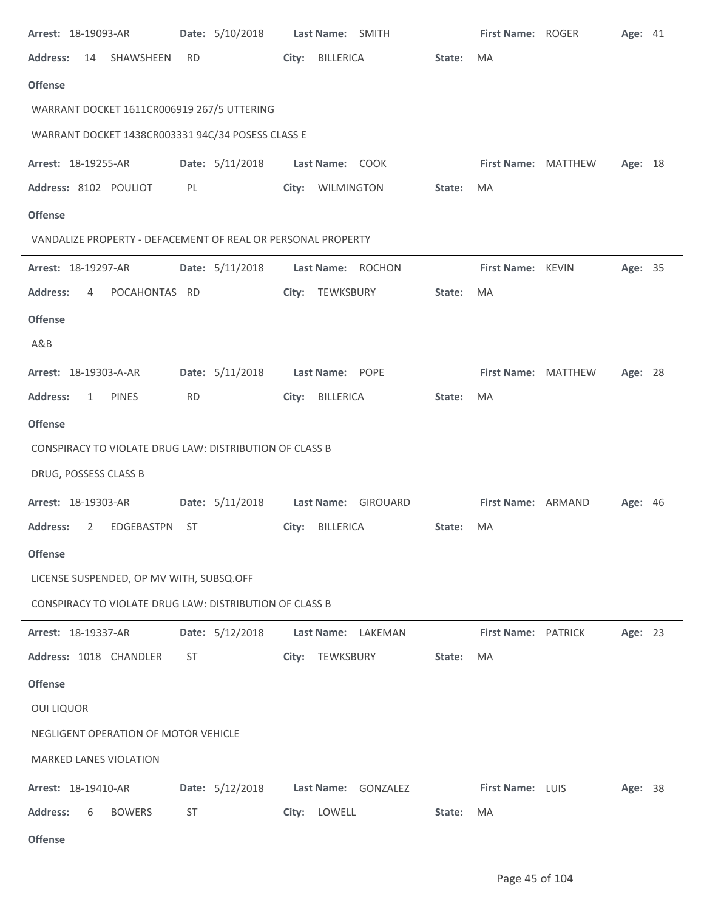| Arrest: 18-19093-AR                                          |           | Date: 5/10/2018 |       | Last Name: SMITH |                     |        | First Name: ROGER   | <b>Age: 41</b> |  |
|--------------------------------------------------------------|-----------|-----------------|-------|------------------|---------------------|--------|---------------------|----------------|--|
| <b>Address:</b><br>SHAWSHEEN<br>14                           | <b>RD</b> |                 | City: | BILLERICA        |                     | State: | MA                  |                |  |
| <b>Offense</b>                                               |           |                 |       |                  |                     |        |                     |                |  |
| WARRANT DOCKET 1611CR006919 267/5 UTTERING                   |           |                 |       |                  |                     |        |                     |                |  |
| WARRANT DOCKET 1438CR003331 94C/34 POSESS CLASS E            |           |                 |       |                  |                     |        |                     |                |  |
| Arrest: 18-19255-AR                                          |           | Date: 5/11/2018 |       | Last Name: COOK  |                     |        | First Name: MATTHEW | Age: 18        |  |
| Address: 8102 POULIOT                                        | PL        |                 |       | City: WILMINGTON |                     | State: | MA                  |                |  |
| <b>Offense</b>                                               |           |                 |       |                  |                     |        |                     |                |  |
| VANDALIZE PROPERTY - DEFACEMENT OF REAL OR PERSONAL PROPERTY |           |                 |       |                  |                     |        |                     |                |  |
| Arrest: 18-19297-AR                                          |           | Date: 5/11/2018 |       |                  | Last Name: ROCHON   |        | First Name: KEVIN   | Age: 35        |  |
| <b>Address:</b><br>POCAHONTAS RD<br>4                        |           |                 |       | City: TEWKSBURY  |                     | State: | MA                  |                |  |
| <b>Offense</b>                                               |           |                 |       |                  |                     |        |                     |                |  |
| A&B                                                          |           |                 |       |                  |                     |        |                     |                |  |
| Arrest: 18-19303-A-AR                                        |           | Date: 5/11/2018 |       | Last Name: POPE  |                     |        | First Name: MATTHEW | Age: 28        |  |
| <b>Address:</b><br><b>PINES</b><br>$\mathbf{1}$              | <b>RD</b> |                 | City: | BILLERICA        |                     | State: | MA                  |                |  |
| <b>Offense</b>                                               |           |                 |       |                  |                     |        |                     |                |  |
| CONSPIRACY TO VIOLATE DRUG LAW: DISTRIBUTION OF CLASS B      |           |                 |       |                  |                     |        |                     |                |  |
| DRUG, POSSESS CLASS B                                        |           |                 |       |                  |                     |        |                     |                |  |
| Arrest: 18-19303-AR                                          |           | Date: 5/11/2018 |       |                  | Last Name: GIROUARD |        | First Name: ARMAND  | <b>Age: 46</b> |  |
| <b>Address:</b><br>EDGEBASTPN<br>2                           | ST        |                 |       | City: BILLERICA  |                     | State: | MA                  |                |  |
| <b>Offense</b>                                               |           |                 |       |                  |                     |        |                     |                |  |
| LICENSE SUSPENDED, OP MV WITH, SUBSQ.OFF                     |           |                 |       |                  |                     |        |                     |                |  |
| CONSPIRACY TO VIOLATE DRUG LAW: DISTRIBUTION OF CLASS B      |           |                 |       |                  |                     |        |                     |                |  |
| Arrest: 18-19337-AR                                          |           | Date: 5/12/2018 |       |                  | Last Name: LAKEMAN  |        | First Name: PATRICK | Age: 23        |  |
| Address: 1018 CHANDLER                                       | ST        |                 | City: | TEWKSBURY        |                     | State: | <b>MA</b>           |                |  |
| <b>Offense</b>                                               |           |                 |       |                  |                     |        |                     |                |  |
| <b>OUI LIQUOR</b>                                            |           |                 |       |                  |                     |        |                     |                |  |
| NEGLIGENT OPERATION OF MOTOR VEHICLE                         |           |                 |       |                  |                     |        |                     |                |  |
| <b>MARKED LANES VIOLATION</b>                                |           |                 |       |                  |                     |        |                     |                |  |
| Arrest: 18-19410-AR                                          |           | Date: 5/12/2018 |       |                  | Last Name: GONZALEZ |        | First Name: LUIS    | Age: 38        |  |
| <b>Address:</b><br><b>BOWERS</b><br>6                        | ST        |                 | City: | LOWELL           |                     | State: | MA                  |                |  |
| <b>Offense</b>                                               |           |                 |       |                  |                     |        |                     |                |  |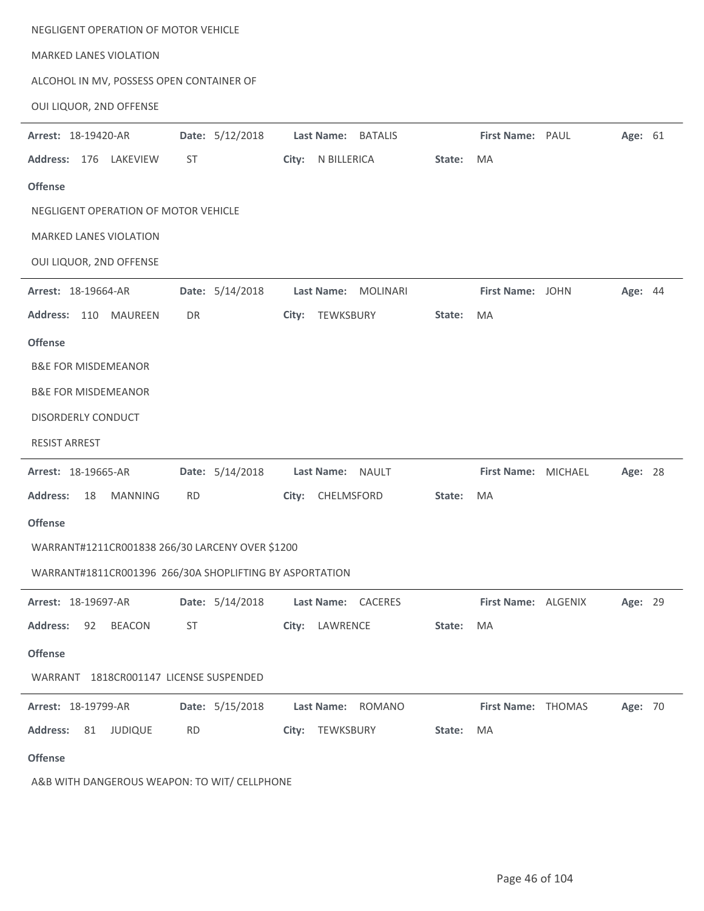| NEGLIGENT OPERATION OF MOTOR VEHICLE                    |                 |                               |        |                     |         |  |
|---------------------------------------------------------|-----------------|-------------------------------|--------|---------------------|---------|--|
| <b>MARKED LANES VIOLATION</b>                           |                 |                               |        |                     |         |  |
| ALCOHOL IN MV, POSSESS OPEN CONTAINER OF                |                 |                               |        |                     |         |  |
| OUI LIQUOR, 2ND OFFENSE                                 |                 |                               |        |                     |         |  |
| Arrest: 18-19420-AR                                     | Date: 5/12/2018 | Last Name:<br><b>BATALIS</b>  |        | First Name: PAUL    | Age: 61 |  |
| Address: 176 LAKEVIEW                                   | <b>ST</b>       | City: N BILLERICA             | State: | MA                  |         |  |
| <b>Offense</b>                                          |                 |                               |        |                     |         |  |
| NEGLIGENT OPERATION OF MOTOR VEHICLE                    |                 |                               |        |                     |         |  |
| MARKED LANES VIOLATION                                  |                 |                               |        |                     |         |  |
| OUI LIQUOR, 2ND OFFENSE                                 |                 |                               |        |                     |         |  |
| Arrest: 18-19664-AR                                     | Date: 5/14/2018 | Last Name:<br><b>MOLINARI</b> |        | First Name: JOHN    | Age: 44 |  |
| Address: 110<br>MAUREEN                                 | DR              | TEWKSBURY<br>City:            | State: | MA                  |         |  |
| <b>Offense</b>                                          |                 |                               |        |                     |         |  |
| <b>B&amp;E FOR MISDEMEANOR</b>                          |                 |                               |        |                     |         |  |
| <b>B&amp;E FOR MISDEMEANOR</b>                          |                 |                               |        |                     |         |  |
| DISORDERLY CONDUCT                                      |                 |                               |        |                     |         |  |
| <b>RESIST ARREST</b>                                    |                 |                               |        |                     |         |  |
| Arrest: 18-19665-AR                                     | Date: 5/14/2018 | Last Name:<br><b>NAULT</b>    |        | First Name: MICHAEL | Age: 28 |  |
| <b>Address:</b><br>18<br><b>MANNING</b>                 | <b>RD</b>       | CHELMSFORD<br>City:           | State: | MA                  |         |  |
| <b>Offense</b>                                          |                 |                               |        |                     |         |  |
| WARRANT#1211CR001838 266/30 LARCENY OVER \$1200         |                 |                               |        |                     |         |  |
| WARRANT#1811CR001396 266/30A SHOPLIFTING BY ASPORTATION |                 |                               |        |                     |         |  |
| Arrest: 18-19697-AR                                     | Date: 5/14/2018 | Last Name: CACERES            |        | First Name: ALGENIX | Age: 29 |  |
| <b>Address:</b><br><b>BEACON</b><br>92                  | ST              | City: LAWRENCE                | State: | MA                  |         |  |
| <b>Offense</b>                                          |                 |                               |        |                     |         |  |
| WARRANT 1818CR001147 LICENSE SUSPENDED                  |                 |                               |        |                     |         |  |
| Arrest: 18-19799-AR                                     | Date: 5/15/2018 | Last Name:<br><b>ROMANO</b>   |        | First Name: THOMAS  | Age: 70 |  |
| <b>Address:</b><br>81<br><b>JUDIQUE</b>                 | <b>RD</b>       | City: TEWKSBURY               | State: | MA                  |         |  |
| <b>Offense</b>                                          |                 |                               |        |                     |         |  |
|                                                         |                 |                               |        |                     |         |  |

A&B WITH DANGEROUS WEAPON: TO WIT/ CELLPHONE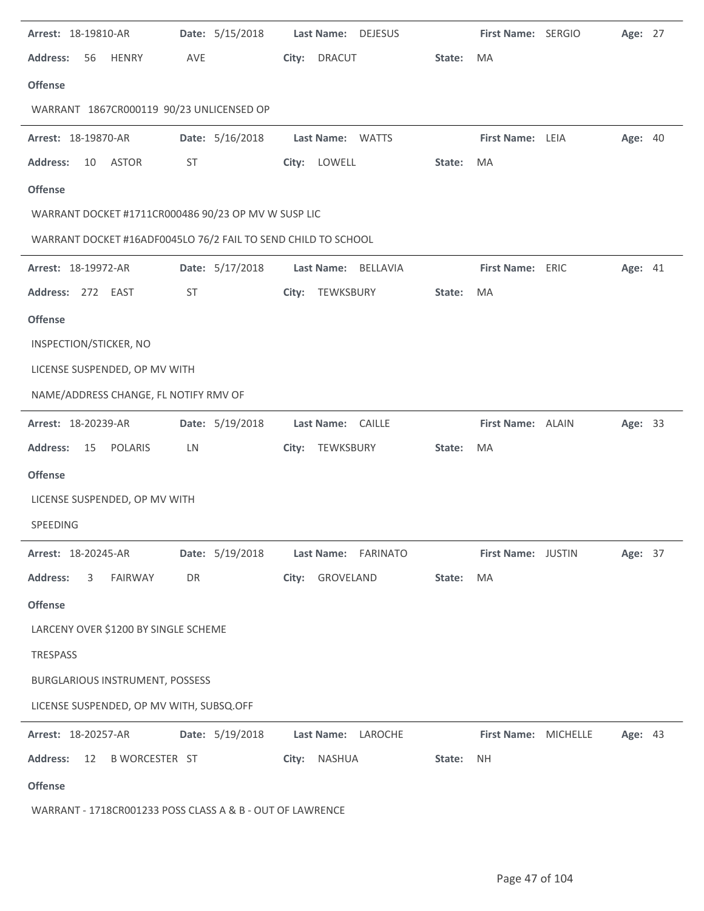| Arrest: 18-19810-AR                                           | Date: 5/15/2018 | Last Name: DEJESUS  |        | First Name: SERGIO   | Age: 27 |  |
|---------------------------------------------------------------|-----------------|---------------------|--------|----------------------|---------|--|
| <b>Address:</b><br>56<br><b>HENRY</b>                         | AVE             | City: DRACUT        | State: | MA                   |         |  |
| <b>Offense</b>                                                |                 |                     |        |                      |         |  |
| WARRANT 1867CR000119 90/23 UNLICENSED OP                      |                 |                     |        |                      |         |  |
| Arrest: 18-19870-AR                                           | Date: 5/16/2018 | Last Name: WATTS    |        | First Name: LEIA     | Age: 40 |  |
| <b>Address:</b><br>10<br><b>ASTOR</b>                         | ST              | City: LOWELL        | State: | MA                   |         |  |
| <b>Offense</b>                                                |                 |                     |        |                      |         |  |
| WARRANT DOCKET #1711CR000486 90/23 OP MV W SUSP LIC           |                 |                     |        |                      |         |  |
| WARRANT DOCKET #16ADF0045LO 76/2 FAIL TO SEND CHILD TO SCHOOL |                 |                     |        |                      |         |  |
| Arrest: 18-19972-AR                                           | Date: 5/17/2018 | Last Name: BELLAVIA |        | First Name: ERIC     | Age: 41 |  |
| Address: 272 EAST                                             | <b>ST</b>       | City: TEWKSBURY     | State: | MA                   |         |  |
| <b>Offense</b>                                                |                 |                     |        |                      |         |  |
| INSPECTION/STICKER, NO                                        |                 |                     |        |                      |         |  |
| LICENSE SUSPENDED, OP MV WITH                                 |                 |                     |        |                      |         |  |
| NAME/ADDRESS CHANGE, FL NOTIFY RMV OF                         |                 |                     |        |                      |         |  |
| Arrest: 18-20239-AR                                           | Date: 5/19/2018 | Last Name: CAILLE   |        | First Name: ALAIN    | Age: 33 |  |
| <b>Address:</b><br>15<br>POLARIS                              | LN              | City: TEWKSBURY     | State: | MA                   |         |  |
| <b>Offense</b>                                                |                 |                     |        |                      |         |  |
| LICENSE SUSPENDED, OP MV WITH                                 |                 |                     |        |                      |         |  |
| SPEEDING                                                      |                 |                     |        |                      |         |  |
| Arrest: 18-20245-AR                                           | Date: 5/19/2018 | Last Name: FARINATO |        | First Name: JUSTIN   | Age: 37 |  |
| <b>Address:</b><br>FAIRWAY<br>3                               | DR              | City: GROVELAND     | State: | MA                   |         |  |
| <b>Offense</b>                                                |                 |                     |        |                      |         |  |
| LARCENY OVER \$1200 BY SINGLE SCHEME                          |                 |                     |        |                      |         |  |
| <b>TRESPASS</b>                                               |                 |                     |        |                      |         |  |
| BURGLARIOUS INSTRUMENT, POSSESS                               |                 |                     |        |                      |         |  |
| LICENSE SUSPENDED, OP MV WITH, SUBSQ.OFF                      |                 |                     |        |                      |         |  |
| Arrest: 18-20257-AR                                           | Date: 5/19/2018 | Last Name: LAROCHE  |        | First Name: MICHELLE | Age: 43 |  |
| <b>Address:</b><br><b>B WORCESTER ST</b><br>12                |                 | City: NASHUA        | State: | <b>NH</b>            |         |  |
| <b>Offense</b>                                                |                 |                     |        |                      |         |  |
| WARRANT - 1718CR001233 POSS CLASS A & B - OUT OF LAWRENCE     |                 |                     |        |                      |         |  |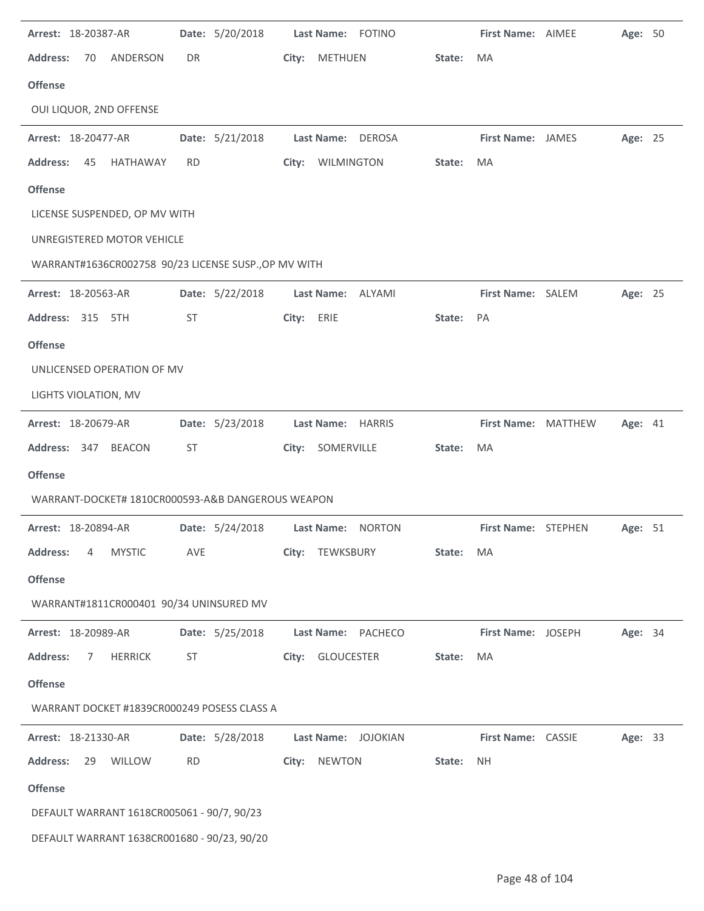| Arrest: 18-20387-AR                                  | Date: 5/20/2018 | Last Name: FOTINO           |        | First Name: AIMEE   | Age: 50 |  |
|------------------------------------------------------|-----------------|-----------------------------|--------|---------------------|---------|--|
| <b>Address:</b><br>ANDERSON<br>70                    | DR              | <b>METHUEN</b><br>City:     | State: | MA                  |         |  |
| <b>Offense</b>                                       |                 |                             |        |                     |         |  |
| OUI LIQUOR, 2ND OFFENSE                              |                 |                             |        |                     |         |  |
| Arrest: 18-20477-AR                                  | Date: 5/21/2018 | <b>Last Name:</b><br>DEROSA |        | First Name: JAMES   | Age: 25 |  |
| <b>Address:</b><br>45<br>HATHAWAY                    | <b>RD</b>       | City: WILMINGTON            | State: | MA                  |         |  |
| <b>Offense</b>                                       |                 |                             |        |                     |         |  |
| LICENSE SUSPENDED, OP MV WITH                        |                 |                             |        |                     |         |  |
| UNREGISTERED MOTOR VEHICLE                           |                 |                             |        |                     |         |  |
| WARRANT#1636CR002758 90/23 LICENSE SUSP., OP MV WITH |                 |                             |        |                     |         |  |
| Arrest: 18-20563-AR                                  | Date: 5/22/2018 | Last Name: ALYAMI           |        | First Name: SALEM   | Age: 25 |  |
| Address: 315 5TH                                     | <b>ST</b>       | City:<br>ERIE               | State: | PA                  |         |  |
| <b>Offense</b>                                       |                 |                             |        |                     |         |  |
| UNLICENSED OPERATION OF MV                           |                 |                             |        |                     |         |  |
| LIGHTS VIOLATION, MV                                 |                 |                             |        |                     |         |  |
| Arrest: 18-20679-AR                                  | Date: 5/23/2018 | Last Name: HARRIS           |        | First Name: MATTHEW | Age: 41 |  |
| Address: 347 BEACON                                  | <b>ST</b>       | City: SOMERVILLE            | State: | MA                  |         |  |
| <b>Offense</b>                                       |                 |                             |        |                     |         |  |
| WARRANT-DOCKET# 1810CR000593-A&B DANGEROUS WEAPON    |                 |                             |        |                     |         |  |
| Arrest: 18-20894-AR                                  | Date: 5/24/2018 | Last Name: NORTON           |        | First Name: STEPHEN | Age: 51 |  |
| <b>Address:</b><br><b>MYSTIC</b><br>4                | <b>AVE</b>      | City: TEWKSBURY             | State: | MA                  |         |  |
| <b>Offense</b>                                       |                 |                             |        |                     |         |  |
| WARRANT#1811CR000401 90/34 UNINSURED MV              |                 |                             |        |                     |         |  |
| Arrest: 18-20989-AR                                  | Date: 5/25/2018 | Last Name: PACHECO          |        | First Name: JOSEPH  | Age: 34 |  |
| <b>Address:</b><br>7<br><b>HERRICK</b>               | ST              | GLOUCESTER<br>City:         | State: | MA                  |         |  |
| <b>Offense</b>                                       |                 |                             |        |                     |         |  |
| WARRANT DOCKET #1839CR000249 POSESS CLASS A          |                 |                             |        |                     |         |  |
| Arrest: 18-21330-AR                                  | Date: 5/28/2018 | Last Name: JOJOKIAN         |        | First Name: CASSIE  | Age: 33 |  |
| <b>Address:</b><br>29<br>WILLOW                      | <b>RD</b>       | <b>NEWTON</b><br>City:      | State: | NH.                 |         |  |
| <b>Offense</b>                                       |                 |                             |        |                     |         |  |
| DEFAULT WARRANT 1618CR005061 - 90/7, 90/23           |                 |                             |        |                     |         |  |
| DEFAULT WARRANT 1638CR001680 - 90/23, 90/20          |                 |                             |        |                     |         |  |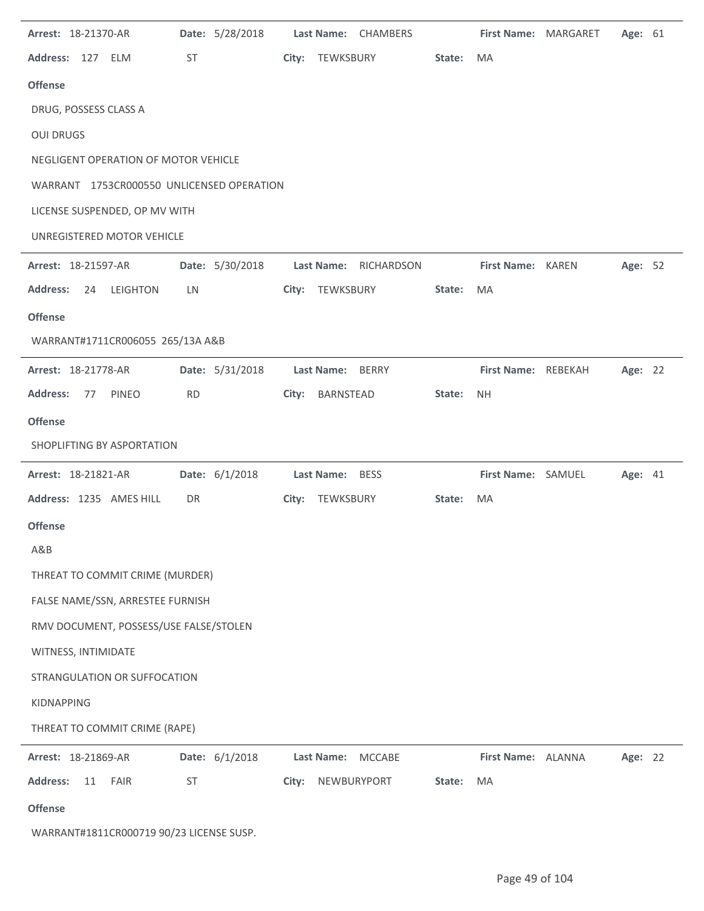| Arrest: 18-21370-AR                       | Date: 5/28/2018 | Last Name: CHAMBERS   |        | First Name: MARGARET | Age: 61 |  |
|-------------------------------------------|-----------------|-----------------------|--------|----------------------|---------|--|
| Address: 127 ELM                          | ST              | City: TEWKSBURY       | State: | MA                   |         |  |
| <b>Offense</b>                            |                 |                       |        |                      |         |  |
| DRUG, POSSESS CLASS A                     |                 |                       |        |                      |         |  |
| <b>OUI DRUGS</b>                          |                 |                       |        |                      |         |  |
| NEGLIGENT OPERATION OF MOTOR VEHICLE      |                 |                       |        |                      |         |  |
| WARRANT 1753CR000550 UNLICENSED OPERATION |                 |                       |        |                      |         |  |
| LICENSE SUSPENDED, OP MV WITH             |                 |                       |        |                      |         |  |
| UNREGISTERED MOTOR VEHICLE                |                 |                       |        |                      |         |  |
| Arrest: 18-21597-AR                       | Date: 5/30/2018 | Last Name: RICHARDSON |        | First Name: KAREN    | Age: 52 |  |
| <b>Address:</b><br><b>LEIGHTON</b><br>24  | LN              | City: TEWKSBURY       | State: | MA                   |         |  |
| <b>Offense</b>                            |                 |                       |        |                      |         |  |
| WARRANT#1711CR006055 265/13A A&B          |                 |                       |        |                      |         |  |
| Arrest: 18-21778-AR                       | Date: 5/31/2018 | Last Name: BERRY      |        | First Name: REBEKAH  | Age: 22 |  |
| <b>Address:</b><br><b>PINEO</b><br>77     | <b>RD</b>       | City: BARNSTEAD       | State: | <b>NH</b>            |         |  |
| <b>Offense</b>                            |                 |                       |        |                      |         |  |
| SHOPLIFTING BY ASPORTATION                |                 |                       |        |                      |         |  |
| Arrest: 18-21821-AR                       | Date: 6/1/2018  | Last Name: BESS       |        | First Name: SAMUEL   | Age: 41 |  |
| Address: 1235 AMES HILL                   | DR              | City: TEWKSBURY       | State: | MA                   |         |  |
| <b>Offense</b>                            |                 |                       |        |                      |         |  |
| A&B                                       |                 |                       |        |                      |         |  |
| THREAT TO COMMIT CRIME (MURDER)           |                 |                       |        |                      |         |  |
| FALSE NAME/SSN, ARRESTEE FURNISH          |                 |                       |        |                      |         |  |
| RMV DOCUMENT, POSSESS/USE FALSE/STOLEN    |                 |                       |        |                      |         |  |
| WITNESS, INTIMIDATE                       |                 |                       |        |                      |         |  |
| STRANGULATION OR SUFFOCATION              |                 |                       |        |                      |         |  |
| <b>KIDNAPPING</b>                         |                 |                       |        |                      |         |  |
| THREAT TO COMMIT CRIME (RAPE)             |                 |                       |        |                      |         |  |
| Arrest: 18-21869-AR                       | Date: 6/1/2018  | Last Name: MCCABE     |        | First Name: ALANNA   | Age: 22 |  |
| <b>Address:</b><br>11<br><b>FAIR</b>      | <b>ST</b>       | NEWBURYPORT<br>City:  | State: | <b>MA</b>            |         |  |
| <b>Offense</b>                            |                 |                       |        |                      |         |  |
| WARRANT#1811CR000719 90/23 LICENSE SUSP.  |                 |                       |        |                      |         |  |

 $\overline{\phantom{0}}$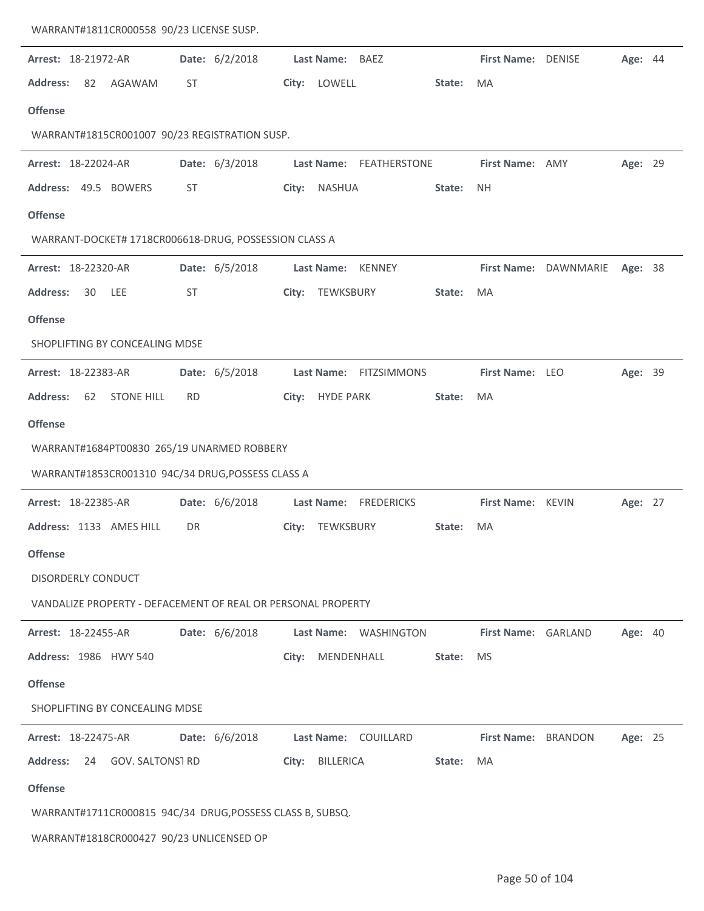| WARRANT#1811CR000558 90/23 LICENSE SUSP.                     |           |                |       |                         |        |                            |                       |         |  |
|--------------------------------------------------------------|-----------|----------------|-------|-------------------------|--------|----------------------------|-----------------------|---------|--|
| Arrest: 18-21972-AR                                          |           | Date: 6/2/2018 |       | Last Name: BAEZ         |        | First Name: DENISE         |                       | Age: 44 |  |
| <b>Address:</b><br>82<br>AGAWAM                              | ST        |                |       | City: LOWELL            | State: | MA                         |                       |         |  |
| <b>Offense</b>                                               |           |                |       |                         |        |                            |                       |         |  |
| WARRANT#1815CR001007 90/23 REGISTRATION SUSP.                |           |                |       |                         |        |                            |                       |         |  |
| Arrest: 18-22024-AR                                          |           | Date: 6/3/2018 |       | Last Name: FEATHERSTONE |        | First Name: AMY            |                       | Age: 29 |  |
| Address: 49.5 BOWERS                                         | ST        |                |       | City: NASHUA            | State: | <b>NH</b>                  |                       |         |  |
| <b>Offense</b>                                               |           |                |       |                         |        |                            |                       |         |  |
| WARRANT-DOCKET# 1718CR006618-DRUG, POSSESSION CLASS A        |           |                |       |                         |        |                            |                       |         |  |
| Arrest: 18-22320-AR                                          |           | Date: 6/5/2018 |       | Last Name: KENNEY       |        |                            | First Name: DAWNMARIE | Age: 38 |  |
| <b>Address:</b><br>30<br>LEE                                 | ST        |                |       | City: TEWKSBURY         | State: | MA                         |                       |         |  |
| <b>Offense</b>                                               |           |                |       |                         |        |                            |                       |         |  |
| SHOPLIFTING BY CONCEALING MDSE                               |           |                |       |                         |        |                            |                       |         |  |
| Arrest: 18-22383-AR                                          |           | Date: 6/5/2018 |       | Last Name: FITZSIMMONS  |        | First Name: LEO            |                       | Age: 39 |  |
| <b>Address:</b><br><b>STONE HILL</b><br>62                   | <b>RD</b> |                |       | City: HYDE PARK         | State: | MA                         |                       |         |  |
| <b>Offense</b>                                               |           |                |       |                         |        |                            |                       |         |  |
|                                                              |           |                |       |                         |        |                            |                       |         |  |
| WARRANT#1684PT00830 265/19 UNARMED ROBBERY                   |           |                |       |                         |        |                            |                       |         |  |
| WARRANT#1853CR001310 94C/34 DRUG, POSSESS CLASS A            |           |                |       |                         |        |                            |                       |         |  |
| Arrest: 18-22385-AR                                          |           | Date: 6/6/2018 |       | Last Name: FREDERICKS   |        | First Name: KEVIN          |                       | Age: 27 |  |
| Address: 1133 AMES HILL                                      | DR        |                |       | City: TEWKSBURY         | State: | MA                         |                       |         |  |
| <b>Offense</b>                                               |           |                |       |                         |        |                            |                       |         |  |
| <b>DISORDERLY CONDUCT</b>                                    |           |                |       |                         |        |                            |                       |         |  |
| VANDALIZE PROPERTY - DEFACEMENT OF REAL OR PERSONAL PROPERTY |           |                |       |                         |        |                            |                       |         |  |
| Arrest: 18-22455-AR                                          |           | Date: 6/6/2018 |       | Last Name: WASHINGTON   |        | First Name: GARLAND        |                       | Age: 40 |  |
| Address: 1986 HWY 540                                        |           |                | City: | MENDENHALL              | State: | MS.                        |                       |         |  |
| <b>Offense</b>                                               |           |                |       |                         |        |                            |                       |         |  |
| SHOPLIFTING BY CONCEALING MDSE                               |           |                |       |                         |        |                            |                       |         |  |
| Arrest: 18-22475-AR                                          |           | Date: 6/6/2018 |       | Last Name: COUILLARD    |        | <b>First Name: BRANDON</b> |                       | Age: 25 |  |
| Address: 24 GOV. SALTONS1 RD                                 |           |                | City: | BILLERICA               | State: | MA                         |                       |         |  |
| <b>Offense</b>                                               |           |                |       |                         |        |                            |                       |         |  |
| WARRANT#1711CR000815 94C/34 DRUG, POSSESS CLASS B, SUBSQ.    |           |                |       |                         |        |                            |                       |         |  |
| WARRANT#1818CR000427 90/23 UNLICENSED OP                     |           |                |       |                         |        |                            |                       |         |  |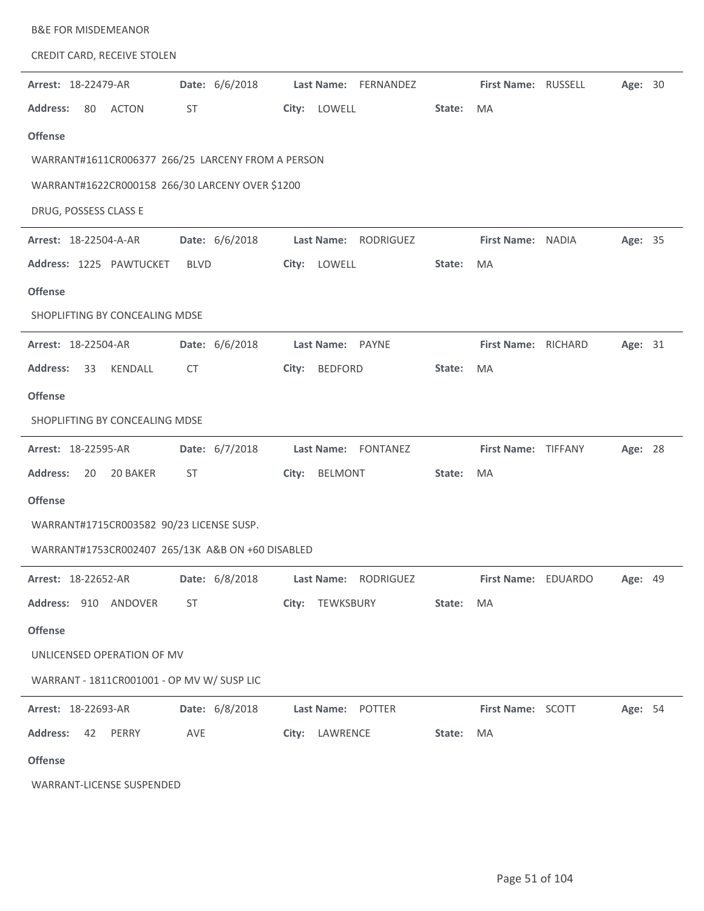| <b>B&amp;E FOR MISDEMEANOR</b>                     |                         |                                |
|----------------------------------------------------|-------------------------|--------------------------------|
| CREDIT CARD, RECEIVE STOLEN                        |                         |                                |
| Date: 6/6/2018<br>Arrest: 18-22479-AR              | Last Name: FERNANDEZ    | First Name: RUSSELL<br>Age: 30 |
| <b>Address:</b><br>80<br><b>ACTON</b><br><b>ST</b> | City: LOWELL            | State:<br><b>MA</b>            |
| <b>Offense</b>                                     |                         |                                |
| WARRANT#1611CR006377 266/25 LARCENY FROM A PERSON  |                         |                                |
| WARRANT#1622CR000158 266/30 LARCENY OVER \$1200    |                         |                                |
| DRUG, POSSESS CLASS E                              |                         |                                |
| Date: 6/6/2018<br>Arrest: 18-22504-A-AR            | Last Name: RODRIGUEZ    | First Name: NADIA<br>Age: 35   |
| Address: 1225 PAWTUCKET<br><b>BLVD</b>             | City: LOWELL            | State:<br>MA                   |
| <b>Offense</b>                                     |                         |                                |
| SHOPLIFTING BY CONCEALING MDSE                     |                         |                                |
| Arrest: 18-22504-AR<br>Date: 6/6/2018              | Last Name: PAYNE        | First Name: RICHARD<br>Age: 31 |
| <b>Address:</b><br>33<br>KENDALL<br>CT             | <b>BEDFORD</b><br>City: | State:<br>MA                   |
| <b>Offense</b>                                     |                         |                                |
| SHOPLIFTING BY CONCEALING MDSE                     |                         |                                |
| Date: 6/7/2018<br>Arrest: 18-22595-AR              | Last Name: FONTANEZ     | First Name: TIFFANY<br>Age: 28 |
| 20 BAKER<br><b>Address:</b><br>20<br>ST            | City:<br>BELMONT        | State:<br>MA                   |
| <b>Offense</b>                                     |                         |                                |
| WARRANT#1715CR003582 90/23 LICENSE SUSP.           |                         |                                |
| WARRANT#1753CR002407 265/13K A&B ON +60 DISABLED   |                         |                                |
| Date: 6/8/2018<br>Arrest: 18-22652-AR              | Last Name: RODRIGUEZ    | First Name: EDUARDO<br>Age: 49 |
| Address: 910 ANDOVER<br><b>ST</b>                  | City: TEWKSBURY         | State:<br>MA                   |
| <b>Offense</b>                                     |                         |                                |
| UNLICENSED OPERATION OF MV                         |                         |                                |
| WARRANT - 1811CR001001 - OP MV W/ SUSP LIC         |                         |                                |
| Date: 6/8/2018<br>Arrest: 18-22693-AR              | Last Name: POTTER       | First Name: SCOTT<br>Age: 54   |
| <b>Address:</b><br>42<br>PERRY<br>AVE              | City: LAWRENCE          | State:<br>MA                   |
| <b>Offense</b>                                     |                         |                                |
| WARRANT-LICENSE SUSPENDED                          |                         |                                |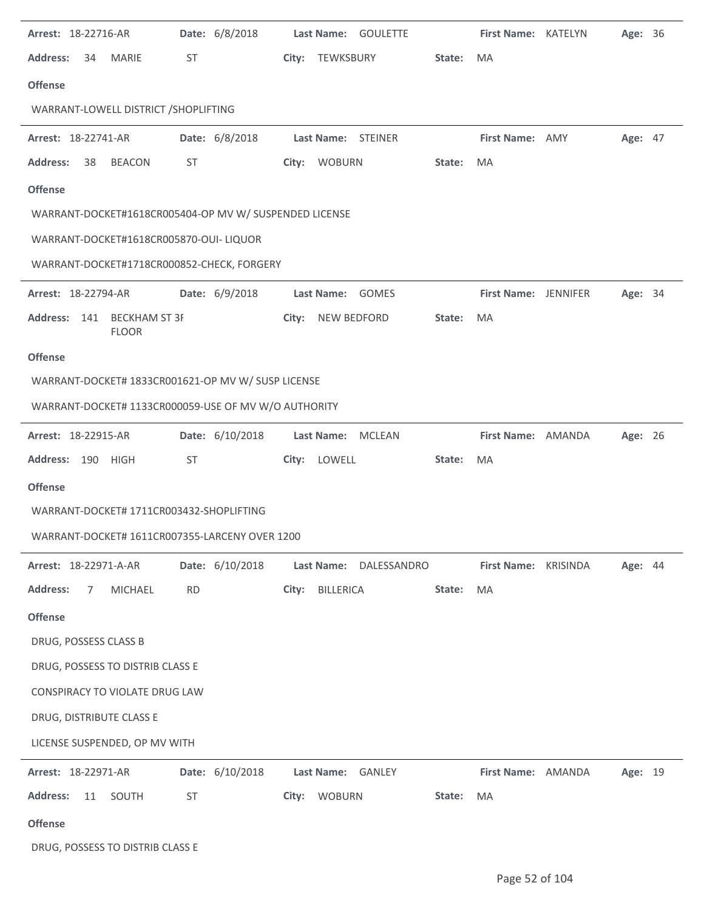| Arrest: 18-22716-AR                                    | Date: 6/8/2018  | Last Name: GOULETTE         |        | First Name: KATELYN  | Age: 36 |  |
|--------------------------------------------------------|-----------------|-----------------------------|--------|----------------------|---------|--|
| <b>Address:</b><br>34<br><b>MARIE</b>                  | ST              | City: TEWKSBURY             | State: | MA                   |         |  |
| <b>Offense</b>                                         |                 |                             |        |                      |         |  |
| WARRANT-LOWELL DISTRICT / SHOPLIFTING                  |                 |                             |        |                      |         |  |
| Arrest: 18-22741-AR                                    | Date: 6/8/2018  | Last Name: STEINER          |        | First Name: AMY      | Age: 47 |  |
| <b>Address:</b><br>38<br><b>BEACON</b>                 | ST              | City: WOBURN                | State: | MA                   |         |  |
| <b>Offense</b>                                         |                 |                             |        |                      |         |  |
| WARRANT-DOCKET#1618CR005404-OP MV W/ SUSPENDED LICENSE |                 |                             |        |                      |         |  |
| WARRANT-DOCKET#1618CR005870-OUI- LIQUOR                |                 |                             |        |                      |         |  |
| WARRANT-DOCKET#1718CR000852-CHECK, FORGERY             |                 |                             |        |                      |         |  |
| Arrest: 18-22794-AR                                    | Date: 6/9/2018  | Last Name: GOMES            |        | First Name: JENNIFER | Age: 34 |  |
| Address: 141<br><b>BECKHAM ST 3F</b>                   |                 | <b>NEW BEDFORD</b><br>City: | State: | MA                   |         |  |
| <b>FLOOR</b>                                           |                 |                             |        |                      |         |  |
| <b>Offense</b>                                         |                 |                             |        |                      |         |  |
| WARRANT-DOCKET# 1833CR001621-OP MV W/ SUSP LICENSE     |                 |                             |        |                      |         |  |
| WARRANT-DOCKET# 1133CR000059-USE OF MV W/O AUTHORITY   |                 |                             |        |                      |         |  |
| Arrest: 18-22915-AR                                    | Date: 6/10/2018 | Last Name:<br><b>MCLEAN</b> |        | First Name: AMANDA   | Age: 26 |  |
| Address: 190 HIGH                                      | <b>ST</b>       | City: LOWELL                | State: | MA                   |         |  |
| <b>Offense</b>                                         |                 |                             |        |                      |         |  |
| WARRANT-DOCKET# 1711CR003432-SHOPLIFTING               |                 |                             |        |                      |         |  |
| WARRANT-DOCKET# 1611CR007355-LARCENY OVER 1200         |                 |                             |        |                      |         |  |
| Arrest: 18-22971-A-AR                                  | Date: 6/10/2018 | Last Name: DALESSANDRO      |        | First Name: KRISINDA | Age: 44 |  |
| MICHAEL<br><b>Address:</b><br>7                        | <b>RD</b>       | BILLERICA<br>City:          | State: | MA                   |         |  |
| <b>Offense</b>                                         |                 |                             |        |                      |         |  |
| DRUG, POSSESS CLASS B                                  |                 |                             |        |                      |         |  |
| DRUG, POSSESS TO DISTRIB CLASS E                       |                 |                             |        |                      |         |  |
| CONSPIRACY TO VIOLATE DRUG LAW                         |                 |                             |        |                      |         |  |
| DRUG, DISTRIBUTE CLASS E                               |                 |                             |        |                      |         |  |
| LICENSE SUSPENDED, OP MV WITH                          |                 |                             |        |                      |         |  |
| Arrest: 18-22971-AR                                    | Date: 6/10/2018 | Last Name: GANLEY           |        | First Name: AMANDA   | Age: 19 |  |
| <b>Address:</b><br>11<br>SOUTH                         | <b>ST</b>       | City: WOBURN                | State: | MA                   |         |  |
| <b>Offense</b>                                         |                 |                             |        |                      |         |  |
| DRUG, POSSESS TO DISTRIB CLASS E                       |                 |                             |        |                      |         |  |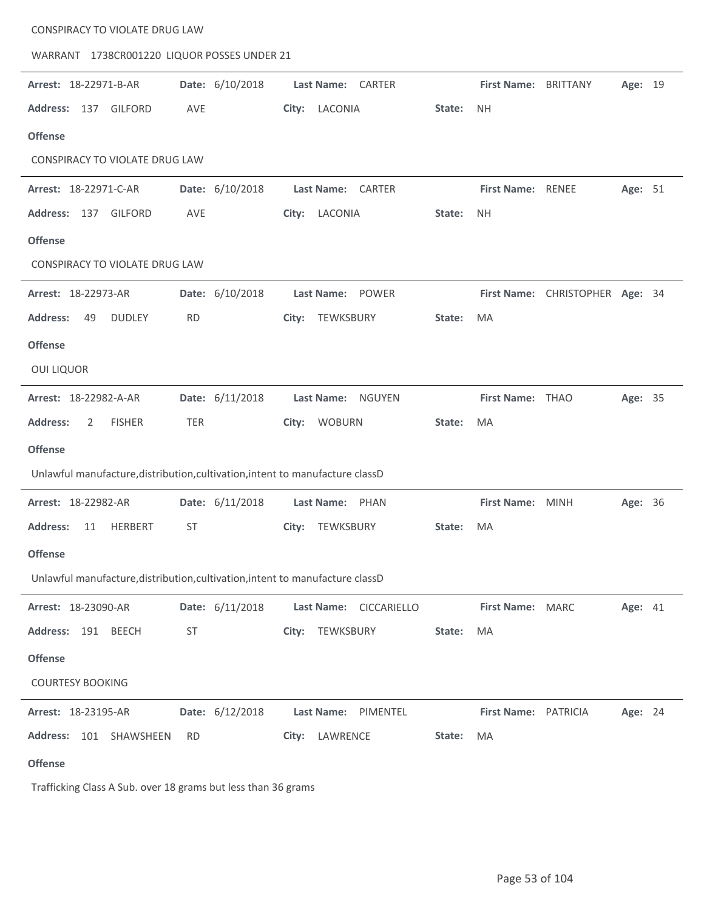| CONSPIRACY TO VIOLATE DRUG LAW                                                |           |                 |       |                   |                        |        |                      |                                 |                |  |
|-------------------------------------------------------------------------------|-----------|-----------------|-------|-------------------|------------------------|--------|----------------------|---------------------------------|----------------|--|
| WARRANT 1738CR001220 LIQUOR POSSES UNDER 21                                   |           |                 |       |                   |                        |        |                      |                                 |                |  |
| Arrest: 18-22971-B-AR                                                         |           | Date: 6/10/2018 |       |                   | Last Name: CARTER      |        | First Name: BRITTANY |                                 | Age: 19        |  |
| Address: 137<br><b>GILFORD</b>                                                | AVE       |                 | City: | LACONIA           |                        | State: | <b>NH</b>            |                                 |                |  |
| <b>Offense</b>                                                                |           |                 |       |                   |                        |        |                      |                                 |                |  |
| CONSPIRACY TO VIOLATE DRUG LAW                                                |           |                 |       |                   |                        |        |                      |                                 |                |  |
| Arrest: 18-22971-C-AR                                                         |           | Date: 6/10/2018 |       |                   | Last Name: CARTER      |        | First Name: RENEE    |                                 | Age: 51        |  |
| Address: 137 GILFORD                                                          | AVE       |                 | City: | LACONIA           |                        | State: | <b>NH</b>            |                                 |                |  |
| <b>Offense</b>                                                                |           |                 |       |                   |                        |        |                      |                                 |                |  |
| CONSPIRACY TO VIOLATE DRUG LAW                                                |           |                 |       |                   |                        |        |                      |                                 |                |  |
| Arrest: 18-22973-AR                                                           |           | Date: 6/10/2018 |       | <b>Last Name:</b> | <b>POWER</b>           |        |                      | First Name: CHRISTOPHER Age: 34 |                |  |
| <b>Address:</b><br>49<br><b>DUDLEY</b>                                        | <b>RD</b> |                 | City: | <b>TEWKSBURY</b>  |                        | State: | MA                   |                                 |                |  |
| <b>Offense</b>                                                                |           |                 |       |                   |                        |        |                      |                                 |                |  |
| <b>OUI LIQUOR</b>                                                             |           |                 |       |                   |                        |        |                      |                                 |                |  |
| Arrest: 18-22982-A-AR                                                         |           | Date: 6/11/2018 |       | <b>Last Name:</b> | <b>NGUYEN</b>          |        | First Name: THAO     |                                 | Age: 35        |  |
| <b>Address:</b><br>2<br><b>FISHER</b>                                         | TER       |                 | City: | <b>WOBURN</b>     |                        | State: | MA                   |                                 |                |  |
| <b>Offense</b>                                                                |           |                 |       |                   |                        |        |                      |                                 |                |  |
| Unlawful manufacture, distribution, cultivation, intent to manufacture classD |           |                 |       |                   |                        |        |                      |                                 |                |  |
| Arrest: 18-22982-AR                                                           |           | Date: 6/11/2018 |       | Last Name:        | PHAN                   |        | First Name: MINH     |                                 | Age: 36        |  |
| <b>Address:</b><br><b>HERBERT</b><br>11                                       | <b>ST</b> |                 | City: | <b>TEWKSBURY</b>  |                        | State: | MA                   |                                 |                |  |
| <b>Offense</b>                                                                |           |                 |       |                   |                        |        |                      |                                 |                |  |
| Unlawful manufacture, distribution, cultivation, intent to manufacture classD |           |                 |       |                   |                        |        |                      |                                 |                |  |
| Arrest: 18-23090-AR                                                           |           | Date: 6/11/2018 |       |                   | Last Name: CICCARIELLO |        | First Name: MARC     |                                 | <b>Age: 41</b> |  |
| Address: 191 BEECH                                                            | <b>ST</b> |                 | City: | TEWKSBURY         |                        | State: | MA                   |                                 |                |  |
| <b>Offense</b>                                                                |           |                 |       |                   |                        |        |                      |                                 |                |  |
| <b>COURTESY BOOKING</b>                                                       |           |                 |       |                   |                        |        |                      |                                 |                |  |
| Arrest: 18-23195-AR                                                           |           | Date: 6/12/2018 |       | Last Name:        | PIMENTEL               |        | First Name: PATRICIA |                                 | Age: 24        |  |
| Address: 101 SHAWSHEEN                                                        | <b>RD</b> |                 | City: | LAWRENCE          |                        | State: | MA                   |                                 |                |  |
| <b>Offense</b>                                                                |           |                 |       |                   |                        |        |                      |                                 |                |  |

Trafficking Class A Sub. over 18 grams but less than 36 grams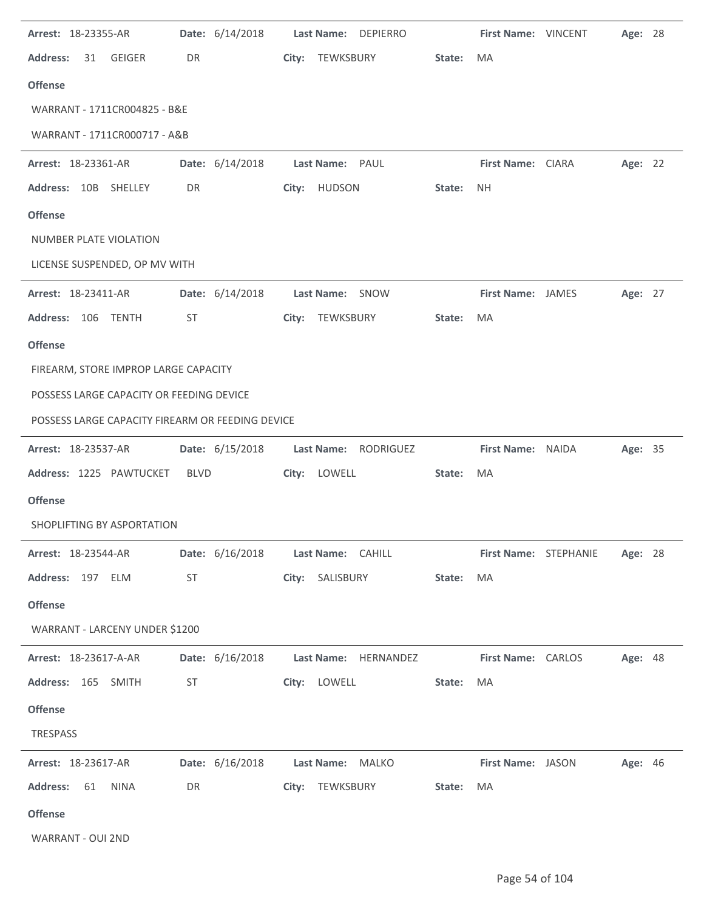| Arrest: 18-23355-AR                              | Date: 6/14/2018 | Last Name:<br><b>DEPIERRO</b>           |        | First Name: VINCENT       |                              | Age: 28 |  |
|--------------------------------------------------|-----------------|-----------------------------------------|--------|---------------------------|------------------------------|---------|--|
| <b>Address:</b><br>GEIGER<br>31                  | DR              | City:<br>TEWKSBURY                      | State: | MA                        |                              |         |  |
| <b>Offense</b>                                   |                 |                                         |        |                           |                              |         |  |
| WARRANT - 1711CR004825 - B&E                     |                 |                                         |        |                           |                              |         |  |
| WARRANT - 1711CR000717 - A&B                     |                 |                                         |        |                           |                              |         |  |
| Arrest: 18-23361-AR                              | Date: 6/14/2018 | Last Name: PAUL                         |        | First Name: CIARA         |                              | Age: 22 |  |
| Address: 10B SHELLEY                             | DR              | City: HUDSON                            | State: | <b>NH</b>                 |                              |         |  |
| <b>Offense</b>                                   |                 |                                         |        |                           |                              |         |  |
| NUMBER PLATE VIOLATION                           |                 |                                         |        |                           |                              |         |  |
| LICENSE SUSPENDED, OP MV WITH                    |                 |                                         |        |                           |                              |         |  |
| Arrest: 18-23411-AR                              | Date: 6/14/2018 | Last Name: SNOW                         |        | <b>First Name: JAMES</b>  |                              | Age: 27 |  |
| Address: 106 TENTH                               | <b>ST</b>       | TEWKSBURY<br>City:                      | State: | MA                        |                              |         |  |
| <b>Offense</b>                                   |                 |                                         |        |                           |                              |         |  |
| FIREARM, STORE IMPROP LARGE CAPACITY             |                 |                                         |        |                           |                              |         |  |
| POSSESS LARGE CAPACITY OR FEEDING DEVICE         |                 |                                         |        |                           |                              |         |  |
| POSSESS LARGE CAPACITY FIREARM OR FEEDING DEVICE |                 |                                         |        |                           |                              |         |  |
| Arrest: 18-23537-AR                              | Date: 6/15/2018 | Last Name: RODRIGUEZ                    |        | First Name: NAIDA         |                              | Age: 35 |  |
| Address: 1225 PAWTUCKET                          | <b>BLVD</b>     | LOWELL<br>City:                         | State: | MA                        |                              |         |  |
| <b>Offense</b>                                   |                 |                                         |        |                           |                              |         |  |
| SHOPLIFTING BY ASPORTATION                       |                 |                                         |        |                           |                              |         |  |
| Arrest: 18-23544-AR                              |                 | Date: 6/16/2018    Last Name: CAHILL    |        |                           | <b>First Name: STEPHANIE</b> | Age: 28 |  |
| Address: 197 ELM                                 | ST              | City: SALISBURY                         | State: | <b>MA</b>                 |                              |         |  |
| <b>Offense</b>                                   |                 |                                         |        |                           |                              |         |  |
| WARRANT - LARCENY UNDER \$1200                   |                 |                                         |        |                           |                              |         |  |
| Arrest: 18-23617-A-AR                            |                 | Date: 6/16/2018    Last Name: HERNANDEZ |        | <b>First Name: CARLOS</b> |                              | Age: 48 |  |
| Address: 165 SMITH                               | ST              | City: LOWELL                            | State: | <b>MA</b>                 |                              |         |  |
| <b>Offense</b>                                   |                 |                                         |        |                           |                              |         |  |
| TRESPASS                                         |                 |                                         |        |                           |                              |         |  |
| Arrest: 18-23617-AR                              |                 | Date: 6/16/2018    Last Name: MALKO     |        | First Name: JASON         |                              | Age: 46 |  |
| Address: 61 NINA                                 | DR              | City: TEWKSBURY                         | State: | MA                        |                              |         |  |
| <b>Offense</b>                                   |                 |                                         |        |                           |                              |         |  |
| WARRANT - OUI 2ND                                |                 |                                         |        |                           |                              |         |  |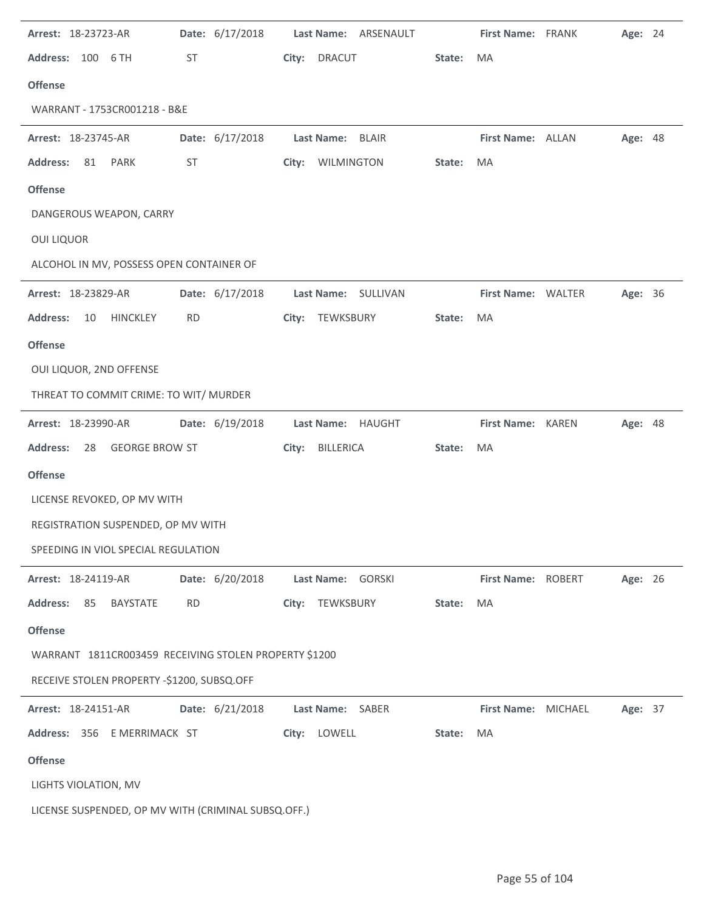| Arrest: 18-23723-AR                                   | Date: 6/17/2018 | Last Name: ARSENAULT        |        | First Name: FRANK   | Age: 24 |  |
|-------------------------------------------------------|-----------------|-----------------------------|--------|---------------------|---------|--|
| Address: 100 6 TH                                     | ST              | City:<br><b>DRACUT</b>      | State: | MA                  |         |  |
| <b>Offense</b>                                        |                 |                             |        |                     |         |  |
| WARRANT - 1753CR001218 - B&E                          |                 |                             |        |                     |         |  |
| Arrest: 18-23745-AR                                   | Date: 6/17/2018 | <b>Last Name:</b><br>BLAIR  |        | First Name: ALLAN   | Age: 48 |  |
| <b>Address:</b><br>81<br>PARK                         | ST              | WILMINGTON<br>City:         | State: | MA                  |         |  |
| <b>Offense</b>                                        |                 |                             |        |                     |         |  |
| DANGEROUS WEAPON, CARRY                               |                 |                             |        |                     |         |  |
| <b>OUI LIQUOR</b>                                     |                 |                             |        |                     |         |  |
| ALCOHOL IN MV, POSSESS OPEN CONTAINER OF              |                 |                             |        |                     |         |  |
| Arrest: 18-23829-AR                                   | Date: 6/17/2018 | Last Name: SULLIVAN         |        | First Name: WALTER  | Age: 36 |  |
| <b>Address:</b><br><b>HINCKLEY</b><br>10              | <b>RD</b>       | City:<br>TEWKSBURY          | State: | MA                  |         |  |
| <b>Offense</b>                                        |                 |                             |        |                     |         |  |
| OUI LIQUOR, 2ND OFFENSE                               |                 |                             |        |                     |         |  |
| THREAT TO COMMIT CRIME: TO WIT/ MURDER                |                 |                             |        |                     |         |  |
| Arrest: 18-23990-AR                                   | Date: 6/19/2018 | <b>Last Name:</b><br>HAUGHT |        | First Name: KAREN   | Age: 48 |  |
| <b>GEORGE BROW ST</b><br><b>Address:</b><br>28        |                 | City:<br>BILLERICA          | State: | MA                  |         |  |
| <b>Offense</b>                                        |                 |                             |        |                     |         |  |
| LICENSE REVOKED, OP MV WITH                           |                 |                             |        |                     |         |  |
| REGISTRATION SUSPENDED, OP MV WITH                    |                 |                             |        |                     |         |  |
| SPEEDING IN VIOL SPECIAL REGULATION                   |                 |                             |        |                     |         |  |
| Arrest: 18-24119-AR                                   | Date: 6/20/2018 | Last Name: GORSKI           |        | First Name: ROBERT  | Age: 26 |  |
| <b>Address:</b><br>85<br><b>BAYSTATE</b>              | <b>RD</b>       | City: TEWKSBURY             | State: | MA                  |         |  |
| <b>Offense</b>                                        |                 |                             |        |                     |         |  |
| WARRANT 1811CR003459 RECEIVING STOLEN PROPERTY \$1200 |                 |                             |        |                     |         |  |
| RECEIVE STOLEN PROPERTY -\$1200, SUBSQ.OFF            |                 |                             |        |                     |         |  |
| Arrest: 18-24151-AR                                   | Date: 6/21/2018 | Last Name: SABER            |        | First Name: MICHAEL | Age: 37 |  |
| Address: 356 E MERRIMACK ST                           |                 | City: LOWELL                | State: | <b>MA</b>           |         |  |
| <b>Offense</b>                                        |                 |                             |        |                     |         |  |
| LIGHTS VIOLATION, MV                                  |                 |                             |        |                     |         |  |
| LICENSE SUSPENDED, OP MV WITH (CRIMINAL SUBSQ.OFF.)   |                 |                             |        |                     |         |  |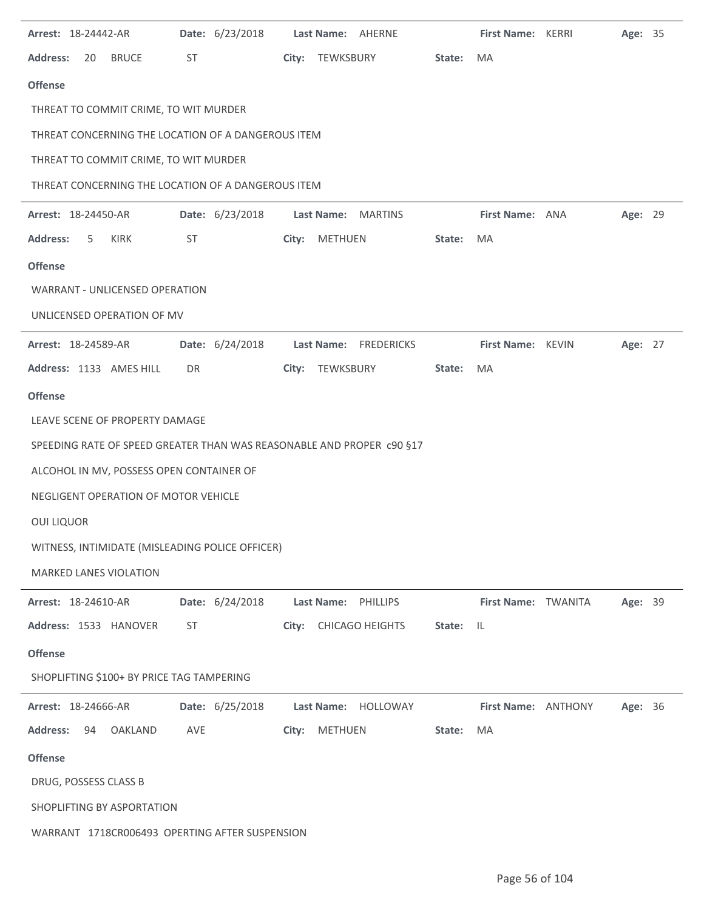| Arrest: 18-24442-AR                                                   | Date: 6/23/2018 | Last Name: AHERNE               |        | <b>First Name: KERRI</b> | Age: 35 |  |
|-----------------------------------------------------------------------|-----------------|---------------------------------|--------|--------------------------|---------|--|
| <b>Address:</b><br><b>BRUCE</b><br>20                                 | ST              | City: TEWKSBURY                 | State: | MA                       |         |  |
| <b>Offense</b>                                                        |                 |                                 |        |                          |         |  |
| THREAT TO COMMIT CRIME, TO WIT MURDER                                 |                 |                                 |        |                          |         |  |
| THREAT CONCERNING THE LOCATION OF A DANGEROUS ITEM                    |                 |                                 |        |                          |         |  |
| THREAT TO COMMIT CRIME, TO WIT MURDER                                 |                 |                                 |        |                          |         |  |
| THREAT CONCERNING THE LOCATION OF A DANGEROUS ITEM                    |                 |                                 |        |                          |         |  |
| Arrest: 18-24450-AR                                                   | Date: 6/23/2018 | Last Name: MARTINS              |        | First Name: ANA          | Age: 29 |  |
| <b>Address:</b><br>KIRK<br>5                                          | ST              | City: METHUEN                   | State: | MA                       |         |  |
| <b>Offense</b>                                                        |                 |                                 |        |                          |         |  |
| <b>WARRANT - UNLICENSED OPERATION</b>                                 |                 |                                 |        |                          |         |  |
| UNLICENSED OPERATION OF MV                                            |                 |                                 |        |                          |         |  |
| Arrest: 18-24589-AR                                                   | Date: 6/24/2018 | Last Name: FREDERICKS           |        | First Name: KEVIN        | Age: 27 |  |
| Address: 1133 AMES HILL                                               | DR              | City: TEWKSBURY                 | State: | MA                       |         |  |
| <b>Offense</b>                                                        |                 |                                 |        |                          |         |  |
| LEAVE SCENE OF PROPERTY DAMAGE                                        |                 |                                 |        |                          |         |  |
| SPEEDING RATE OF SPEED GREATER THAN WAS REASONABLE AND PROPER c90 §17 |                 |                                 |        |                          |         |  |
| ALCOHOL IN MV, POSSESS OPEN CONTAINER OF                              |                 |                                 |        |                          |         |  |
| NEGLIGENT OPERATION OF MOTOR VEHICLE                                  |                 |                                 |        |                          |         |  |
| <b>OUI LIQUOR</b>                                                     |                 |                                 |        |                          |         |  |
| WITNESS, INTIMIDATE (MISLEADING POLICE OFFICER)                       |                 |                                 |        |                          |         |  |
| MARKED LANES VIOLATION                                                |                 |                                 |        |                          |         |  |
| Arrest: 18-24610-AR                                                   | Date: 6/24/2018 | <b>Last Name:</b><br>PHILLIPS   |        | First Name: TWANITA      | Age: 39 |  |
| Address: 1533 HANOVER                                                 | ST              | <b>CHICAGO HEIGHTS</b><br>City: | State: | -IL                      |         |  |
| <b>Offense</b>                                                        |                 |                                 |        |                          |         |  |
| SHOPLIFTING \$100+ BY PRICE TAG TAMPERING                             |                 |                                 |        |                          |         |  |
| Arrest: 18-24666-AR                                                   | Date: 6/25/2018 | Last Name: HOLLOWAY             |        | First Name: ANTHONY      | Age: 36 |  |
| <b>Address:</b><br>94<br>OAKLAND                                      | AVE             | METHUEN<br>City:                | State: | MA                       |         |  |
| <b>Offense</b>                                                        |                 |                                 |        |                          |         |  |
| DRUG, POSSESS CLASS B                                                 |                 |                                 |        |                          |         |  |
| SHOPLIFTING BY ASPORTATION                                            |                 |                                 |        |                          |         |  |
| WARRANT 1718CR006493 OPERTING AFTER SUSPENSION                        |                 |                                 |        |                          |         |  |

 $\overline{\phantom{a}}$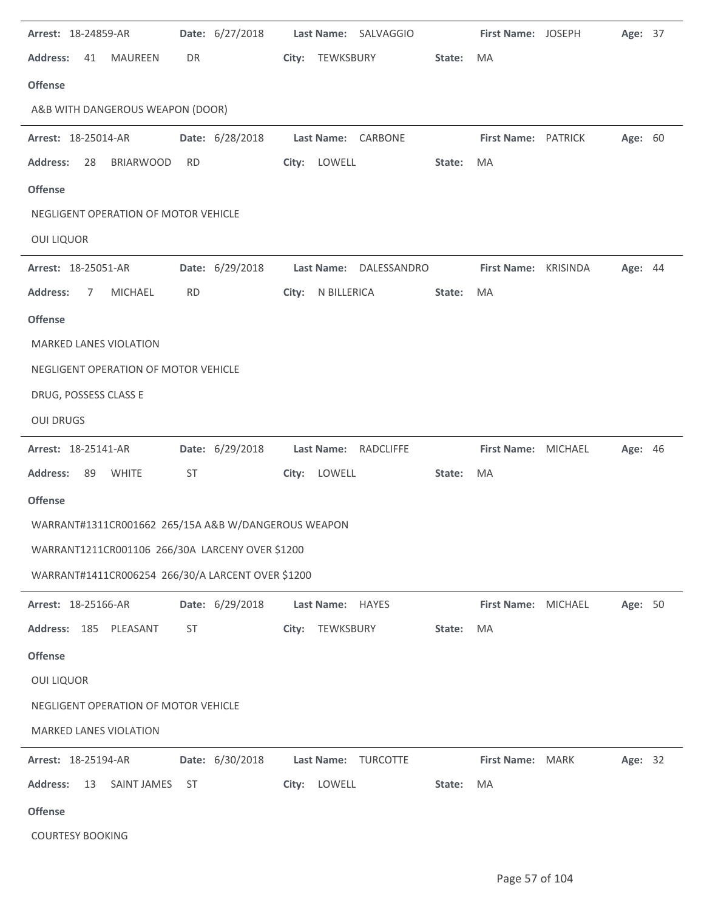| Arrest: 18-24859-AR                                 |           | Date: 6/27/2018 |       |                   | Last Name: SALVAGGIO   |        | First Name: JOSEPH   | Age: 37 |  |
|-----------------------------------------------------|-----------|-----------------|-------|-------------------|------------------------|--------|----------------------|---------|--|
| <b>Address:</b><br><b>MAUREEN</b><br>41             | DR        |                 |       | City: TEWKSBURY   |                        | State: | MA                   |         |  |
| <b>Offense</b>                                      |           |                 |       |                   |                        |        |                      |         |  |
| A&B WITH DANGEROUS WEAPON (DOOR)                    |           |                 |       |                   |                        |        |                      |         |  |
| Arrest: 18-25014-AR                                 |           | Date: 6/28/2018 |       |                   | Last Name: CARBONE     |        | First Name: PATRICK  | Age: 60 |  |
| <b>Address:</b><br><b>BRIARWOOD</b><br>28           | <b>RD</b> |                 |       | City: LOWELL      |                        | State: | MA                   |         |  |
| <b>Offense</b>                                      |           |                 |       |                   |                        |        |                      |         |  |
| NEGLIGENT OPERATION OF MOTOR VEHICLE                |           |                 |       |                   |                        |        |                      |         |  |
| <b>OUI LIQUOR</b>                                   |           |                 |       |                   |                        |        |                      |         |  |
| Arrest: 18-25051-AR                                 |           | Date: 6/29/2018 |       |                   | Last Name: DALESSANDRO |        | First Name: KRISINDA | Age: 44 |  |
| <b>Address:</b><br><b>MICHAEL</b><br>7              | <b>RD</b> |                 |       | City: N BILLERICA |                        | State: | MA                   |         |  |
| <b>Offense</b>                                      |           |                 |       |                   |                        |        |                      |         |  |
| <b>MARKED LANES VIOLATION</b>                       |           |                 |       |                   |                        |        |                      |         |  |
| NEGLIGENT OPERATION OF MOTOR VEHICLE                |           |                 |       |                   |                        |        |                      |         |  |
| DRUG, POSSESS CLASS E                               |           |                 |       |                   |                        |        |                      |         |  |
| <b>OUI DRUGS</b>                                    |           |                 |       |                   |                        |        |                      |         |  |
| Arrest: 18-25141-AR                                 |           | Date: 6/29/2018 |       |                   | Last Name: RADCLIFFE   |        | First Name: MICHAEL  | Age: 46 |  |
| <b>WHITE</b><br><b>Address:</b><br>89               | ST        |                 |       | City: LOWELL      |                        | State: | MA                   |         |  |
| <b>Offense</b>                                      |           |                 |       |                   |                        |        |                      |         |  |
| WARRANT#1311CR001662 265/15A A&B W/DANGEROUS WEAPON |           |                 |       |                   |                        |        |                      |         |  |
| WARRANT1211CR001106 266/30A LARCENY OVER \$1200     |           |                 |       |                   |                        |        |                      |         |  |
| WARRANT#1411CR006254 266/30/A LARCENT OVER \$1200   |           |                 |       |                   |                        |        |                      |         |  |
| Arrest: 18-25166-AR                                 |           | Date: 6/29/2018 |       | Last Name: HAYES  |                        |        | First Name: MICHAEL  | Age: 50 |  |
| Address: 185 PLEASANT                               | ST        |                 | City: | TEWKSBURY         |                        | State: | MA                   |         |  |
| <b>Offense</b>                                      |           |                 |       |                   |                        |        |                      |         |  |
| <b>OUI LIQUOR</b>                                   |           |                 |       |                   |                        |        |                      |         |  |
| NEGLIGENT OPERATION OF MOTOR VEHICLE                |           |                 |       |                   |                        |        |                      |         |  |
| MARKED LANES VIOLATION                              |           |                 |       |                   |                        |        |                      |         |  |
| Arrest: 18-25194-AR                                 |           | Date: 6/30/2018 |       | <b>Last Name:</b> | <b>TURCOTTE</b>        |        | First Name: MARK     | Age: 32 |  |
| <b>Address:</b><br><b>SAINT JAMES</b><br>13         | <b>ST</b> |                 |       | City: LOWELL      |                        | State: | MA                   |         |  |
| <b>Offense</b>                                      |           |                 |       |                   |                        |        |                      |         |  |
| <b>COURTESY BOOKING</b>                             |           |                 |       |                   |                        |        |                      |         |  |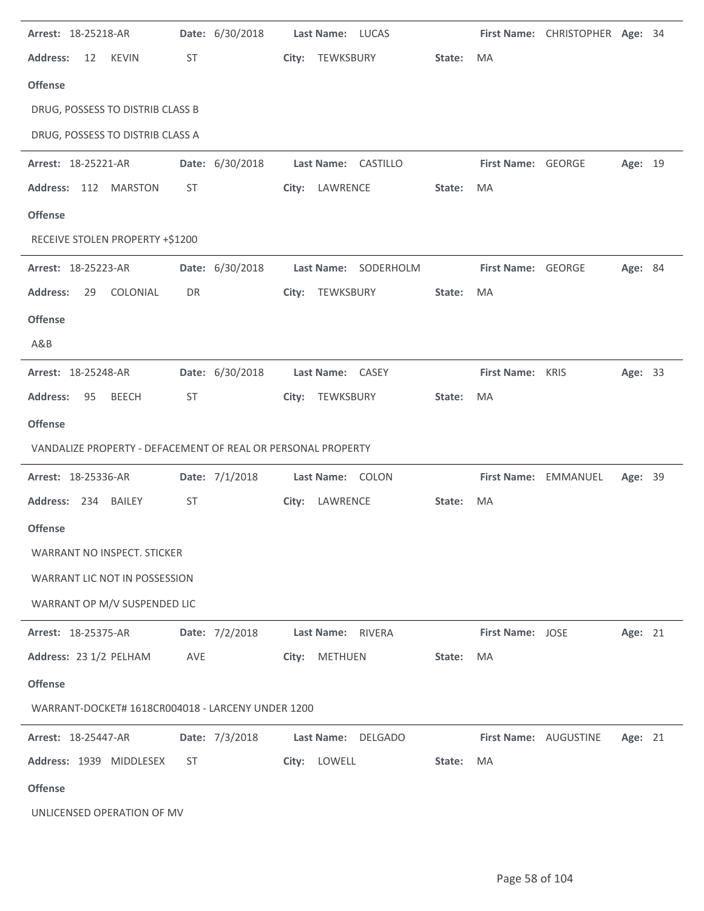| Arrest: 18-25218-AR                                          |           | Date: 6/30/2018 |       | Last Name: LUCAS |                      |        |                         | First Name: CHRISTOPHER Age: 34 |                |  |
|--------------------------------------------------------------|-----------|-----------------|-------|------------------|----------------------|--------|-------------------------|---------------------------------|----------------|--|
| <b>Address:</b><br><b>KEVIN</b><br>12                        | ST        |                 | City: | TEWKSBURY        |                      | State: | <b>MA</b>               |                                 |                |  |
| <b>Offense</b>                                               |           |                 |       |                  |                      |        |                         |                                 |                |  |
| DRUG, POSSESS TO DISTRIB CLASS B                             |           |                 |       |                  |                      |        |                         |                                 |                |  |
| DRUG, POSSESS TO DISTRIB CLASS A                             |           |                 |       |                  |                      |        |                         |                                 |                |  |
| Arrest: 18-25221-AR                                          |           | Date: 6/30/2018 |       |                  | Last Name: CASTILLO  |        | First Name: GEORGE      |                                 | Age: 19        |  |
| Address: 112 MARSTON                                         | <b>ST</b> |                 |       | City: LAWRENCE   |                      | State: | MA                      |                                 |                |  |
| <b>Offense</b>                                               |           |                 |       |                  |                      |        |                         |                                 |                |  |
| RECEIVE STOLEN PROPERTY +\$1200                              |           |                 |       |                  |                      |        |                         |                                 |                |  |
| Arrest: 18-25223-AR                                          |           | Date: 6/30/2018 |       |                  | Last Name: SODERHOLM |        | First Name: GEORGE      |                                 | <b>Age: 84</b> |  |
| <b>Address:</b><br>COLONIAL<br>29                            | DR        |                 | City: | TEWKSBURY        |                      | State: | MA                      |                                 |                |  |
| <b>Offense</b>                                               |           |                 |       |                  |                      |        |                         |                                 |                |  |
| A&B                                                          |           |                 |       |                  |                      |        |                         |                                 |                |  |
| Arrest: 18-25248-AR                                          |           | Date: 6/30/2018 |       | Last Name: CASEY |                      |        | First Name: KRIS        |                                 | Age: 33        |  |
| <b>Address:</b><br><b>BEECH</b><br>95                        | ST        |                 |       | City: TEWKSBURY  |                      | State: | MA                      |                                 |                |  |
| <b>Offense</b>                                               |           |                 |       |                  |                      |        |                         |                                 |                |  |
| VANDALIZE PROPERTY - DEFACEMENT OF REAL OR PERSONAL PROPERTY |           |                 |       |                  |                      |        |                         |                                 |                |  |
| Arrest: 18-25336-AR                                          |           | Date: 7/1/2018  |       |                  | Last Name: COLON     |        |                         | First Name: EMMANUEL            | Age: 39        |  |
| Address: 234 BAILEY                                          | ST        |                 |       | City: LAWRENCE   |                      | State: | <b>MA</b>               |                                 |                |  |
| <b>Offense</b>                                               |           |                 |       |                  |                      |        |                         |                                 |                |  |
| <b>WARRANT NO INSPECT. STICKER</b>                           |           |                 |       |                  |                      |        |                         |                                 |                |  |
| WARRANT LIC NOT IN POSSESSION                                |           |                 |       |                  |                      |        |                         |                                 |                |  |
| WARRANT OP M/V SUSPENDED LIC                                 |           |                 |       |                  |                      |        |                         |                                 |                |  |
| Arrest: 18-25375-AR                                          |           | Date: 7/2/2018  |       |                  | Last Name: RIVERA    |        | <b>First Name: JOSE</b> |                                 | Age: 21        |  |
| Address: 23 1/2 PELHAM                                       | AVE       |                 | City: | METHUEN          |                      | State: | MA                      |                                 |                |  |
| <b>Offense</b>                                               |           |                 |       |                  |                      |        |                         |                                 |                |  |
| WARRANT-DOCKET# 1618CR004018 - LARCENY UNDER 1200            |           |                 |       |                  |                      |        |                         |                                 |                |  |
| <b>Arrest: 18-25447-AR</b>                                   |           | Date: 7/3/2018  |       |                  | Last Name: DELGADO   |        | First Name: AUGUSTINE   |                                 | Age: 21        |  |
| Address: 1939 MIDDLESEX                                      | ST        |                 |       | City: LOWELL     |                      | State: | MA                      |                                 |                |  |
| <b>Offense</b>                                               |           |                 |       |                  |                      |        |                         |                                 |                |  |
| UNLICENSED OPERATION OF MV                                   |           |                 |       |                  |                      |        |                         |                                 |                |  |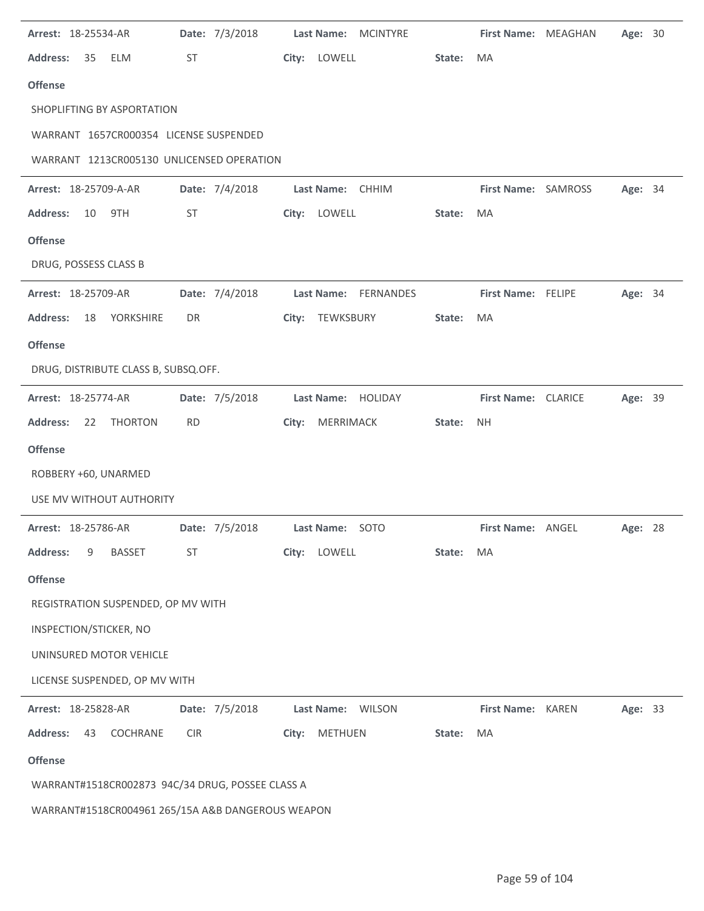| Arrest: 18-25534-AR                               | Date: 7/3/2018 | <b>Last Name:</b><br><b>MCINTYRE</b> |        | First Name: MEAGHAN | Age: 30 |  |
|---------------------------------------------------|----------------|--------------------------------------|--------|---------------------|---------|--|
| <b>Address:</b><br>35<br>ELM                      | ST             | LOWELL<br>City:                      | State: | MA                  |         |  |
| <b>Offense</b>                                    |                |                                      |        |                     |         |  |
| SHOPLIFTING BY ASPORTATION                        |                |                                      |        |                     |         |  |
| WARRANT 1657CR000354 LICENSE SUSPENDED            |                |                                      |        |                     |         |  |
| WARRANT 1213CR005130 UNLICENSED OPERATION         |                |                                      |        |                     |         |  |
| Arrest: 18-25709-A-AR                             | Date: 7/4/2018 | Last Name: CHHIM                     |        | First Name: SAMROSS | Age: 34 |  |
| 9TH<br><b>Address:</b><br>10                      | <b>ST</b>      | City: LOWELL                         | State: | MA                  |         |  |
| <b>Offense</b>                                    |                |                                      |        |                     |         |  |
| DRUG, POSSESS CLASS B                             |                |                                      |        |                     |         |  |
| Arrest: 18-25709-AR                               | Date: 7/4/2018 | Last Name: FERNANDES                 |        | First Name: FELIPE  | Age: 34 |  |
| <b>Address:</b><br>18<br>YORKSHIRE                | DR             | City: TEWKSBURY                      | State: | MA                  |         |  |
| <b>Offense</b>                                    |                |                                      |        |                     |         |  |
| DRUG, DISTRIBUTE CLASS B, SUBSQ.OFF.              |                |                                      |        |                     |         |  |
| Arrest: 18-25774-AR                               | Date: 7/5/2018 | Last Name: HOLIDAY                   |        | First Name: CLARICE | Age: 39 |  |
| <b>Address:</b><br>22<br><b>THORTON</b>           | <b>RD</b>      | MERRIMACK<br>City:                   | State: | <b>NH</b>           |         |  |
| <b>Offense</b>                                    |                |                                      |        |                     |         |  |
| ROBBERY +60, UNARMED                              |                |                                      |        |                     |         |  |
| USE MV WITHOUT AUTHORITY                          |                |                                      |        |                     |         |  |
| Arrest: 18-25786-AR                               | Date: 7/5/2018 | Last Name: SOTO                      |        | First Name: ANGEL   | Age: 28 |  |
| <b>Address:</b><br><b>BASSET</b><br>9             | ST             | City:<br>LOWELL                      | State: | MA                  |         |  |
| <b>Offense</b>                                    |                |                                      |        |                     |         |  |
| REGISTRATION SUSPENDED, OP MV WITH                |                |                                      |        |                     |         |  |
| INSPECTION/STICKER, NO                            |                |                                      |        |                     |         |  |
| UNINSURED MOTOR VEHICLE                           |                |                                      |        |                     |         |  |
| LICENSE SUSPENDED, OP MV WITH                     |                |                                      |        |                     |         |  |
| Arrest: 18-25828-AR                               | Date: 7/5/2018 | Last Name: WILSON                    |        | First Name: KAREN   | Age: 33 |  |
| COCHRANE<br><b>Address:</b><br>43                 | <b>CIR</b>     | METHUEN<br>City:                     | State: | MA                  |         |  |
| <b>Offense</b>                                    |                |                                      |        |                     |         |  |
| WARRANT#1518CR002873 94C/34 DRUG, POSSEE CLASS A  |                |                                      |        |                     |         |  |
| WARRANT#1518CR004961 265/15A A&B DANGEROUS WEAPON |                |                                      |        |                     |         |  |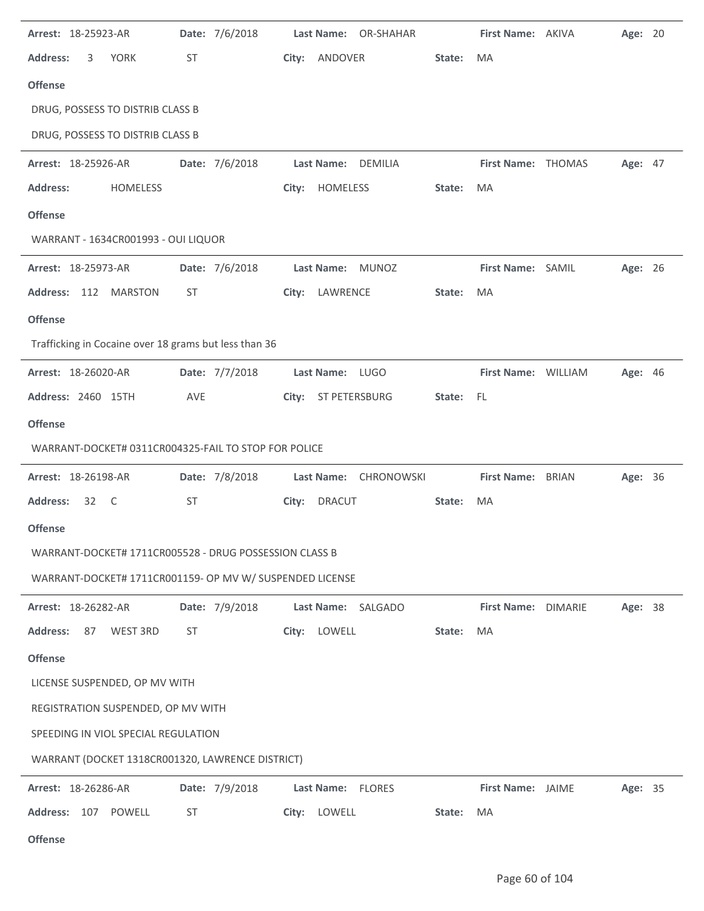| Arrest: 18-25923-AR                                      |           | Date: 7/6/2018 |       |                 | Last Name: OR-SHAHAR  |        | First Name: AKIVA   | Age: 20 |  |
|----------------------------------------------------------|-----------|----------------|-------|-----------------|-----------------------|--------|---------------------|---------|--|
| <b>Address:</b><br><b>YORK</b><br>3                      | <b>ST</b> |                | City: | ANDOVER         |                       | State: | MA                  |         |  |
| <b>Offense</b>                                           |           |                |       |                 |                       |        |                     |         |  |
| DRUG, POSSESS TO DISTRIB CLASS B                         |           |                |       |                 |                       |        |                     |         |  |
| DRUG, POSSESS TO DISTRIB CLASS B                         |           |                |       |                 |                       |        |                     |         |  |
| Arrest: 18-25926-AR                                      |           | Date: 7/6/2018 |       |                 | Last Name: DEMILIA    |        | First Name: THOMAS  | Age: 47 |  |
| <b>Address:</b><br><b>HOMELESS</b>                       |           |                |       | City: HOMELESS  |                       | State: | MA                  |         |  |
| <b>Offense</b>                                           |           |                |       |                 |                       |        |                     |         |  |
| WARRANT - 1634CR001993 - OUI LIQUOR                      |           |                |       |                 |                       |        |                     |         |  |
| Arrest: 18-25973-AR                                      |           | Date: 7/6/2018 |       |                 | Last Name: MUNOZ      |        | First Name: SAMIL   | Age: 26 |  |
| Address: 112 MARSTON                                     | <b>ST</b> |                |       | City: LAWRENCE  |                       | State: | MA                  |         |  |
| <b>Offense</b>                                           |           |                |       |                 |                       |        |                     |         |  |
| Trafficking in Cocaine over 18 grams but less than 36    |           |                |       |                 |                       |        |                     |         |  |
| Arrest: 18-26020-AR                                      |           | Date: 7/7/2018 |       | Last Name: LUGO |                       |        | First Name: WILLIAM | Age: 46 |  |
| Address: 2460 15TH                                       | AVE       |                |       |                 | City: ST PETERSBURG   | State: | - FL                |         |  |
| <b>Offense</b>                                           |           |                |       |                 |                       |        |                     |         |  |
| WARRANT-DOCKET# 0311CR004325-FAIL TO STOP FOR POLICE     |           |                |       |                 |                       |        |                     |         |  |
| Arrest: 18-26198-AR                                      |           | Date: 7/8/2018 |       |                 | Last Name: CHRONOWSKI |        | First Name: BRIAN   | Age: 36 |  |
| <b>Address:</b><br>32 C                                  | <b>ST</b> |                | City: | <b>DRACUT</b>   |                       | State: | MA                  |         |  |
| <b>Offense</b>                                           |           |                |       |                 |                       |        |                     |         |  |
| WARRANT-DOCKET# 1711CR005528 - DRUG POSSESSION CLASS B   |           |                |       |                 |                       |        |                     |         |  |
| WARRANT-DOCKET# 1711CR001159- OP MV W/ SUSPENDED LICENSE |           |                |       |                 |                       |        |                     |         |  |
| Arrest: 18-26282-AR                                      |           | Date: 7/9/2018 |       |                 | Last Name: SALGADO    |        | First Name: DIMARIE | Age: 38 |  |
| <b>Address:</b><br>87<br>WEST 3RD                        | ST        |                |       | City: LOWELL    |                       | State: | MA                  |         |  |
| <b>Offense</b>                                           |           |                |       |                 |                       |        |                     |         |  |
| LICENSE SUSPENDED, OP MV WITH                            |           |                |       |                 |                       |        |                     |         |  |
| REGISTRATION SUSPENDED, OP MV WITH                       |           |                |       |                 |                       |        |                     |         |  |
| SPEEDING IN VIOL SPECIAL REGULATION                      |           |                |       |                 |                       |        |                     |         |  |
| WARRANT (DOCKET 1318CR001320, LAWRENCE DISTRICT)         |           |                |       |                 |                       |        |                     |         |  |
| Arrest: 18-26286-AR                                      |           | Date: 7/9/2018 |       |                 | Last Name: FLORES     |        | First Name: JAIME   | Age: 35 |  |
| Address: 107 POWELL                                      | ST        |                |       | City: LOWELL    |                       | State: | MA                  |         |  |
|                                                          |           |                |       |                 |                       |        |                     |         |  |

**Offense**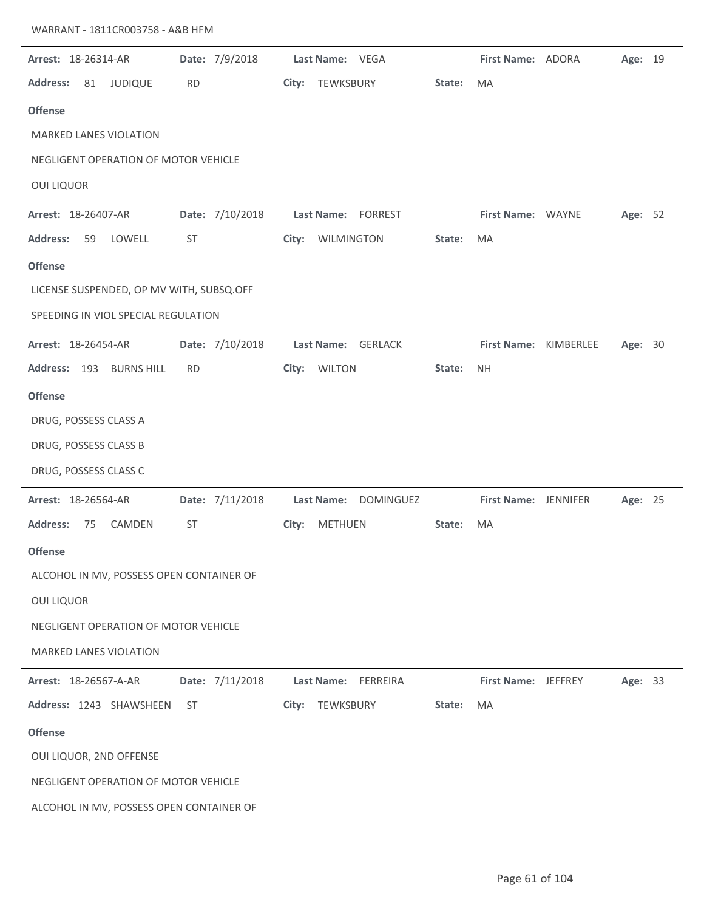| Arrest: 18-26314-AR                      | Date: 7/9/2018  | Last Name: VEGA         |        | First Name: ADORA    |           | Age: 19 |  |
|------------------------------------------|-----------------|-------------------------|--------|----------------------|-----------|---------|--|
| <b>Address:</b><br>81<br><b>JUDIQUE</b>  | <b>RD</b>       | TEWKSBURY<br>City:      | State: | MA                   |           |         |  |
| <b>Offense</b>                           |                 |                         |        |                      |           |         |  |
| <b>MARKED LANES VIOLATION</b>            |                 |                         |        |                      |           |         |  |
| NEGLIGENT OPERATION OF MOTOR VEHICLE     |                 |                         |        |                      |           |         |  |
| <b>OUI LIQUOR</b>                        |                 |                         |        |                      |           |         |  |
| Arrest: 18-26407-AR                      | Date: 7/10/2018 | Last Name:<br>FORREST   |        | First Name: WAYNE    |           | Age: 52 |  |
| <b>Address:</b><br>59<br>LOWELL          | <b>ST</b>       | WILMINGTON<br>City:     | State: | MA                   |           |         |  |
| <b>Offense</b>                           |                 |                         |        |                      |           |         |  |
| LICENSE SUSPENDED, OP MV WITH, SUBSQ.OFF |                 |                         |        |                      |           |         |  |
| SPEEDING IN VIOL SPECIAL REGULATION      |                 |                         |        |                      |           |         |  |
| Arrest: 18-26454-AR                      | Date: 7/10/2018 | Last Name: GERLACK      |        | <b>First Name:</b>   | KIMBERLEE | Age: 30 |  |
| Address: 193<br><b>BURNS HILL</b>        | <b>RD</b>       | <b>WILTON</b><br>City:  | State: | <b>NH</b>            |           |         |  |
| <b>Offense</b>                           |                 |                         |        |                      |           |         |  |
| DRUG, POSSESS CLASS A                    |                 |                         |        |                      |           |         |  |
| DRUG, POSSESS CLASS B                    |                 |                         |        |                      |           |         |  |
| DRUG, POSSESS CLASS C                    |                 |                         |        |                      |           |         |  |
| Arrest: 18-26564-AR                      | Date: 7/11/2018 | Last Name: DOMINGUEZ    |        | First Name: JENNIFER |           | Age: 25 |  |
| CAMDEN<br><b>Address:</b><br>75          | <b>ST</b>       | <b>METHUEN</b><br>City: | State: | MA                   |           |         |  |
| <b>Offense</b>                           |                 |                         |        |                      |           |         |  |
| ALCOHOL IN MV, POSSESS OPEN CONTAINER OF |                 |                         |        |                      |           |         |  |
| <b>OUI LIQUOR</b>                        |                 |                         |        |                      |           |         |  |
| NEGLIGENT OPERATION OF MOTOR VEHICLE     |                 |                         |        |                      |           |         |  |
| <b>MARKED LANES VIOLATION</b>            |                 |                         |        |                      |           |         |  |
| Arrest: 18-26567-A-AR                    | Date: 7/11/2018 | Last Name: FERREIRA     |        | First Name: JEFFREY  |           | Age: 33 |  |
| Address: 1243 SHAWSHEEN                  | ST              | City: TEWKSBURY         | State: | MA                   |           |         |  |
| <b>Offense</b>                           |                 |                         |        |                      |           |         |  |
| OUI LIQUOR, 2ND OFFENSE                  |                 |                         |        |                      |           |         |  |
| NEGLIGENT OPERATION OF MOTOR VEHICLE     |                 |                         |        |                      |           |         |  |
| ALCOHOL IN MV, POSSESS OPEN CONTAINER OF |                 |                         |        |                      |           |         |  |
|                                          |                 |                         |        |                      |           |         |  |

WARRANT - 1811CR003758 - A&B HFM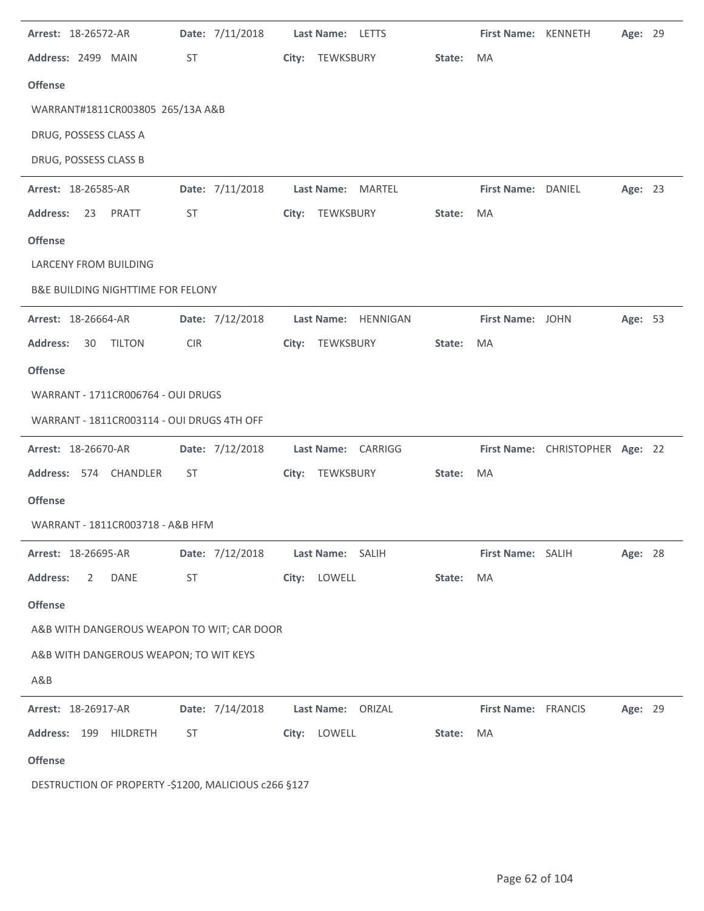| Arrest: 18-26572-AR                          |            | Date: 7/11/2018 | Last Name: LETTS    |        | First Name: KENNETH |                                 | Age: 29 |  |
|----------------------------------------------|------------|-----------------|---------------------|--------|---------------------|---------------------------------|---------|--|
| Address: 2499 MAIN                           | ST         |                 | City: TEWKSBURY     | State: | MA                  |                                 |         |  |
| <b>Offense</b>                               |            |                 |                     |        |                     |                                 |         |  |
| WARRANT#1811CR003805 265/13A A&B             |            |                 |                     |        |                     |                                 |         |  |
| DRUG, POSSESS CLASS A                        |            |                 |                     |        |                     |                                 |         |  |
| DRUG, POSSESS CLASS B                        |            |                 |                     |        |                     |                                 |         |  |
| Arrest: 18-26585-AR                          |            | Date: 7/11/2018 | Last Name: MARTEL   |        | First Name: DANIEL  |                                 | Age: 23 |  |
| 23 PRATT<br><b>Address:</b>                  | ST         |                 | City: TEWKSBURY     | State: | MA                  |                                 |         |  |
| <b>Offense</b>                               |            |                 |                     |        |                     |                                 |         |  |
| <b>LARCENY FROM BUILDING</b>                 |            |                 |                     |        |                     |                                 |         |  |
| <b>B&amp;E BUILDING NIGHTTIME FOR FELONY</b> |            |                 |                     |        |                     |                                 |         |  |
| Arrest: 18-26664-AR                          |            | Date: 7/12/2018 | Last Name: HENNIGAN |        | First Name: JOHN    |                                 | Age: 53 |  |
| <b>Address:</b><br><b>TILTON</b><br>30       | <b>CIR</b> |                 | City: TEWKSBURY     | State: | MA                  |                                 |         |  |
| <b>Offense</b>                               |            |                 |                     |        |                     |                                 |         |  |
| WARRANT - 1711CR006764 - OUI DRUGS           |            |                 |                     |        |                     |                                 |         |  |
| WARRANT - 1811CR003114 - OUI DRUGS 4TH OFF   |            |                 |                     |        |                     |                                 |         |  |
| Arrest: 18-26670-AR                          |            | Date: 7/12/2018 | Last Name: CARRIGG  |        |                     | First Name: CHRISTOPHER Age: 22 |         |  |
| Address: 574 CHANDLER                        | ST         |                 | City: TEWKSBURY     | State: | MA                  |                                 |         |  |
| <b>Offense</b>                               |            |                 |                     |        |                     |                                 |         |  |
| WARRANT - 1811CR003718 - A&B HFM             |            |                 |                     |        |                     |                                 |         |  |
| Arrest: 18-26695-AR                          |            | Date: 7/12/2018 |                     |        |                     |                                 |         |  |
|                                              |            |                 | Last Name: SALIH    |        | First Name: SALIH   |                                 | Age: 28 |  |
| <b>Address:</b><br>2<br>DANE                 | ST         |                 | City: LOWELL        | State: | MA                  |                                 |         |  |
| <b>Offense</b>                               |            |                 |                     |        |                     |                                 |         |  |
| A&B WITH DANGEROUS WEAPON TO WIT; CAR DOOR   |            |                 |                     |        |                     |                                 |         |  |
| A&B WITH DANGEROUS WEAPON; TO WIT KEYS       |            |                 |                     |        |                     |                                 |         |  |
| A&B                                          |            |                 |                     |        |                     |                                 |         |  |
| Arrest: 18-26917-AR                          |            | Date: 7/14/2018 | Last Name: ORIZAL   |        | First Name: FRANCIS |                                 | Age: 29 |  |
| Address: 199 HILDRETH                        | ST         |                 | City: LOWELL        | State: | MA                  |                                 |         |  |

DESTRUCTION OF PROPERTY -\$1200, MALICIOUS c266 §127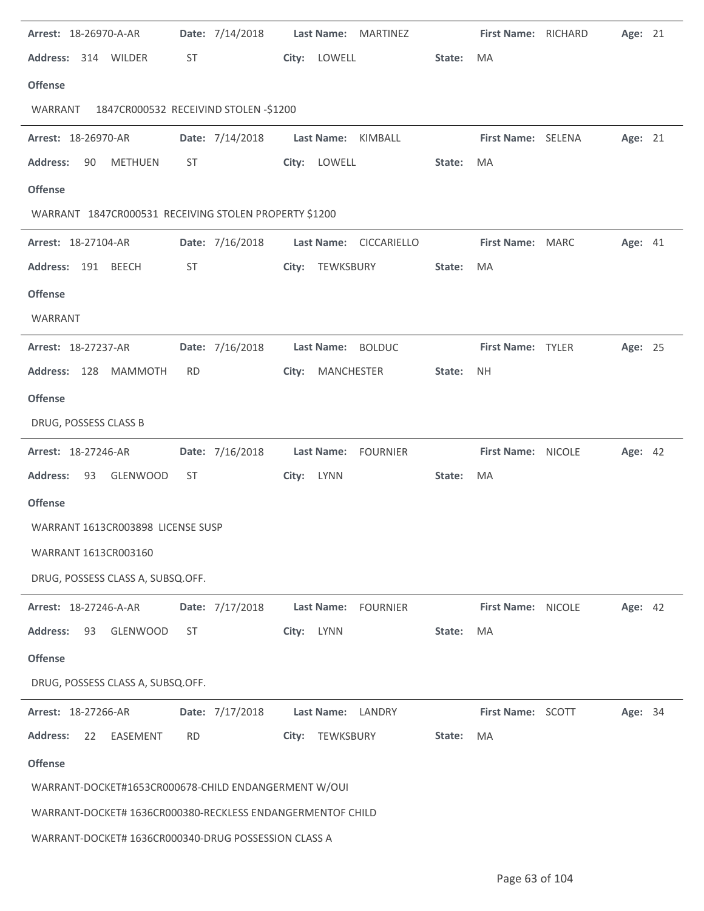| Arrest: 18-26970-A-AR                                      |           | Date: 7/14/2018 |       |                   | Last Name: MARTINEZ    |        | First Name: RICHARD | Age: 21 |  |
|------------------------------------------------------------|-----------|-----------------|-------|-------------------|------------------------|--------|---------------------|---------|--|
| Address: 314 WILDER                                        | ST        |                 |       | City: LOWELL      |                        | State: | MA                  |         |  |
| <b>Offense</b>                                             |           |                 |       |                   |                        |        |                     |         |  |
| 1847CR000532 RECEIVIND STOLEN -\$1200<br>WARRANT           |           |                 |       |                   |                        |        |                     |         |  |
| Arrest: 18-26970-AR                                        |           | Date: 7/14/2018 |       |                   | Last Name: KIMBALL     |        | First Name: SELENA  | Age: 21 |  |
| <b>METHUEN</b><br><b>Address:</b><br>90                    | ST        |                 |       | City: LOWELL      |                        | State: | MA                  |         |  |
| <b>Offense</b>                                             |           |                 |       |                   |                        |        |                     |         |  |
| WARRANT 1847CR000531 RECEIVING STOLEN PROPERTY \$1200      |           |                 |       |                   |                        |        |                     |         |  |
| Arrest: 18-27104-AR                                        |           | Date: 7/16/2018 |       |                   | Last Name: CICCARIELLO |        | First Name: MARC    | Age: 41 |  |
| Address: 191 BEECH                                         | ST        |                 |       | City: TEWKSBURY   |                        | State: | MA                  |         |  |
| <b>Offense</b>                                             |           |                 |       |                   |                        |        |                     |         |  |
| WARRANT                                                    |           |                 |       |                   |                        |        |                     |         |  |
| Arrest: 18-27237-AR                                        |           | Date: 7/16/2018 |       |                   | Last Name: BOLDUC      |        | First Name: TYLER   | Age: 25 |  |
| Address: 128<br><b>MAMMOTH</b>                             | <b>RD</b> |                 | City: | MANCHESTER        |                        | State: | <b>NH</b>           |         |  |
| <b>Offense</b>                                             |           |                 |       |                   |                        |        |                     |         |  |
| DRUG, POSSESS CLASS B                                      |           |                 |       |                   |                        |        |                     |         |  |
| Arrest: 18-27246-AR                                        |           | Date: 7/16/2018 |       | <b>Last Name:</b> | FOURNIER               |        | First Name: NICOLE  | Age: 42 |  |
| <b>Address:</b><br>GLENWOOD<br>93                          | ST        |                 |       | City: LYNN        |                        | State: | MA                  |         |  |
|                                                            |           |                 |       |                   |                        |        |                     |         |  |
| <b>Offense</b>                                             |           |                 |       |                   |                        |        |                     |         |  |
| WARRANT 1613CR003898 LICENSE SUSP                          |           |                 |       |                   |                        |        |                     |         |  |
| WARRANT 1613CR003160                                       |           |                 |       |                   |                        |        |                     |         |  |
| DRUG, POSSESS CLASS A, SUBSQ.OFF.                          |           |                 |       |                   |                        |        |                     |         |  |
| Arrest: 18-27246-A-AR                                      |           | Date: 7/17/2018 |       | Last Name:        | <b>FOURNIER</b>        |        | First Name: NICOLE  | Age: 42 |  |
| <b>Address:</b><br><b>GLENWOOD</b><br>93                   | ST        |                 | City: | <b>LYNN</b>       |                        | State: | MA                  |         |  |
| <b>Offense</b>                                             |           |                 |       |                   |                        |        |                     |         |  |
| DRUG, POSSESS CLASS A, SUBSQ.OFF.                          |           |                 |       |                   |                        |        |                     |         |  |
| Arrest: 18-27266-AR                                        |           | Date: 7/17/2018 |       |                   | Last Name: LANDRY      |        | First Name: SCOTT   | Age: 34 |  |
| <b>Address:</b><br>22<br>EASEMENT                          | <b>RD</b> |                 | City: | TEWKSBURY         |                        | State: | MA                  |         |  |
| <b>Offense</b>                                             |           |                 |       |                   |                        |        |                     |         |  |
| WARRANT-DOCKET#1653CR000678-CHILD ENDANGERMENT W/OUI       |           |                 |       |                   |                        |        |                     |         |  |
| WARRANT-DOCKET# 1636CR000380-RECKLESS ENDANGERMENTOF CHILD |           |                 |       |                   |                        |        |                     |         |  |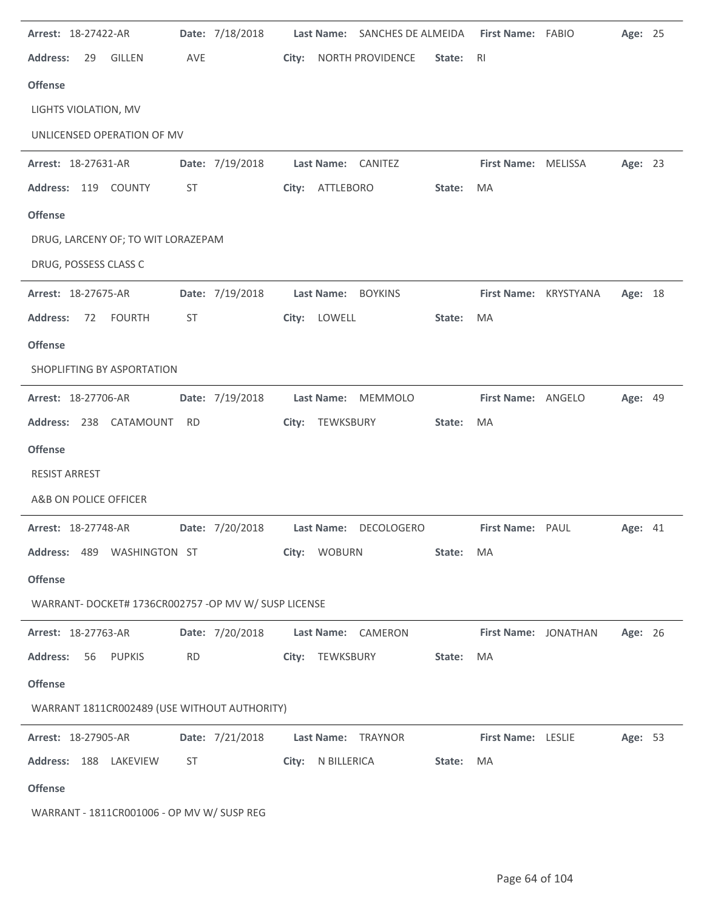| Arrest: 18-27422-AR                                  |           | Date: 7/18/2018 |       | <b>Last Name:</b> | SANCHES DE ALMEIDA    |        | First Name: FABIO         | Age: 25 |  |
|------------------------------------------------------|-----------|-----------------|-------|-------------------|-----------------------|--------|---------------------------|---------|--|
| <b>Address:</b><br><b>GILLEN</b><br>29               | AVE       |                 | City: |                   | NORTH PROVIDENCE      | State: | R <sub>l</sub>            |         |  |
| <b>Offense</b>                                       |           |                 |       |                   |                       |        |                           |         |  |
| LIGHTS VIOLATION, MV                                 |           |                 |       |                   |                       |        |                           |         |  |
| UNLICENSED OPERATION OF MV                           |           |                 |       |                   |                       |        |                           |         |  |
| Arrest: 18-27631-AR                                  |           | Date: 7/19/2018 |       |                   | Last Name: CANITEZ    |        | First Name: MELISSA       | Age: 23 |  |
| Address: 119 COUNTY                                  | <b>ST</b> |                 |       | City: ATTLEBORO   |                       | State: | MA                        |         |  |
| <b>Offense</b>                                       |           |                 |       |                   |                       |        |                           |         |  |
| DRUG, LARCENY OF; TO WIT LORAZEPAM                   |           |                 |       |                   |                       |        |                           |         |  |
| DRUG, POSSESS CLASS C                                |           |                 |       |                   |                       |        |                           |         |  |
| Arrest: 18-27675-AR                                  |           | Date: 7/19/2018 |       |                   | Last Name: BOYKINS    |        | First Name: KRYSTYANA     | Age: 18 |  |
| <b>Address:</b><br><b>FOURTH</b><br>72               | ST        |                 | City: | LOWELL            |                       | State: | MA                        |         |  |
| <b>Offense</b>                                       |           |                 |       |                   |                       |        |                           |         |  |
| SHOPLIFTING BY ASPORTATION                           |           |                 |       |                   |                       |        |                           |         |  |
| Arrest: 18-27706-AR                                  |           | Date: 7/19/2018 |       | <b>Last Name:</b> | <b>MEMMOLO</b>        |        | First Name: ANGELO        | Age: 49 |  |
| Address: 238 CATAMOUNT                               | <b>RD</b> |                 | City: | TEWKSBURY         |                       | State: | MA                        |         |  |
| <b>Offense</b>                                       |           |                 |       |                   |                       |        |                           |         |  |
| <b>RESIST ARREST</b>                                 |           |                 |       |                   |                       |        |                           |         |  |
| A&B ON POLICE OFFICER                                |           |                 |       |                   |                       |        |                           |         |  |
| Arrest: 18-27748-AR                                  |           | Date: 7/20/2018 |       |                   | Last Name: DECOLOGERO |        | First Name: PAUL          | Age: 41 |  |
| Address: 489 WASHINGTON ST                           |           |                 | City: | <b>WOBURN</b>     |                       | State: | MA                        |         |  |
| <b>Offense</b>                                       |           |                 |       |                   |                       |        |                           |         |  |
| WARRANT- DOCKET# 1736CR002757 -OP MV W/ SUSP LICENSE |           |                 |       |                   |                       |        |                           |         |  |
| Arrest: 18-27763-AR                                  |           | Date: 7/20/2018 |       |                   | Last Name: CAMERON    |        | First Name: JONATHAN      | Age: 26 |  |
| <b>Address:</b><br>56 PUPKIS                         | <b>RD</b> |                 |       | City: TEWKSBURY   |                       | State: | MA                        |         |  |
| <b>Offense</b>                                       |           |                 |       |                   |                       |        |                           |         |  |
| WARRANT 1811CR002489 (USE WITHOUT AUTHORITY)         |           |                 |       |                   |                       |        |                           |         |  |
| Arrest: 18-27905-AR                                  |           | Date: 7/21/2018 |       |                   | Last Name: TRAYNOR    |        | <b>First Name: LESLIE</b> | Age: 53 |  |
| Address: 188 LAKEVIEW                                | ST        |                 |       | City: N BILLERICA |                       | State: | MA                        |         |  |
| <b>Offense</b>                                       |           |                 |       |                   |                       |        |                           |         |  |
| WARRANT - 1811CR001006 - OP MV W/ SUSP REG           |           |                 |       |                   |                       |        |                           |         |  |

 $\ddot{\phantom{a}}$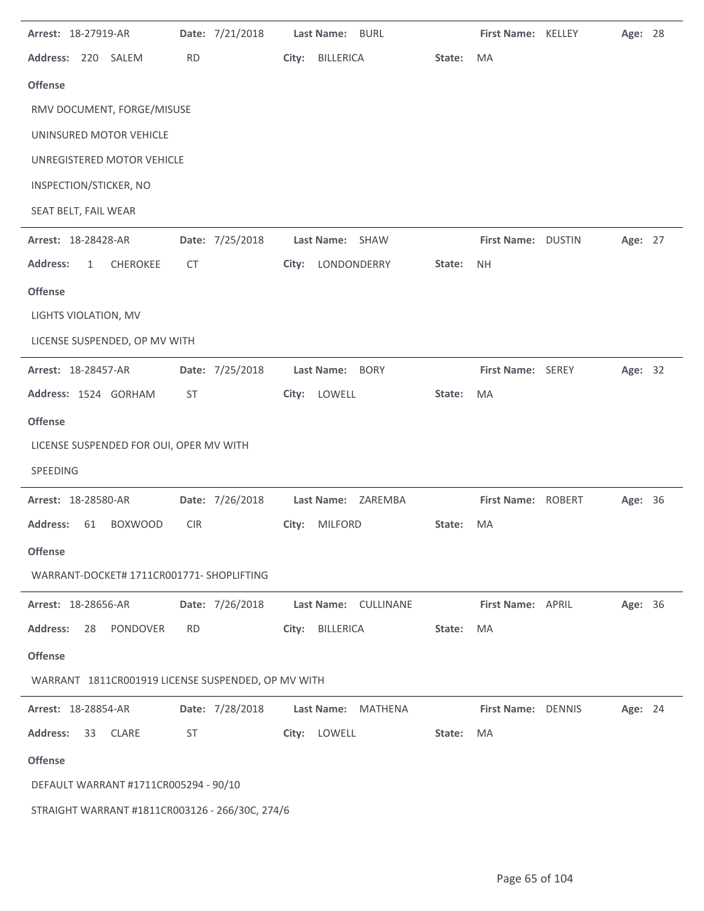| Arrest: 18-27919-AR                                |            | Date: 7/21/2018 |       | Last Name: BURL                     |        | First Name: KELLEY | Age: 28 |  |
|----------------------------------------------------|------------|-----------------|-------|-------------------------------------|--------|--------------------|---------|--|
| Address: 220 SALEM                                 | <b>RD</b>  |                 | City: | <b>BILLERICA</b>                    | State: | MA                 |         |  |
| <b>Offense</b>                                     |            |                 |       |                                     |        |                    |         |  |
| RMV DOCUMENT, FORGE/MISUSE                         |            |                 |       |                                     |        |                    |         |  |
| UNINSURED MOTOR VEHICLE                            |            |                 |       |                                     |        |                    |         |  |
| UNREGISTERED MOTOR VEHICLE                         |            |                 |       |                                     |        |                    |         |  |
| INSPECTION/STICKER, NO                             |            |                 |       |                                     |        |                    |         |  |
| SEAT BELT, FAIL WEAR                               |            |                 |       |                                     |        |                    |         |  |
| Arrest: 18-28428-AR                                |            | Date: 7/25/2018 |       | Last Name: SHAW                     |        | First Name: DUSTIN | Age: 27 |  |
| <b>Address:</b><br><b>CHEROKEE</b><br>1            | CT.        |                 | City: | LONDONDERRY                         | State: | <b>NH</b>          |         |  |
| <b>Offense</b>                                     |            |                 |       |                                     |        |                    |         |  |
| LIGHTS VIOLATION, MV                               |            |                 |       |                                     |        |                    |         |  |
| LICENSE SUSPENDED, OP MV WITH                      |            |                 |       |                                     |        |                    |         |  |
| Arrest: 18-28457-AR                                |            | Date: 7/25/2018 |       | Last Name: BORY                     |        | First Name: SEREY  | Age: 32 |  |
| Address: 1524 GORHAM                               | ST         |                 | City: | LOWELL                              | State: | MA                 |         |  |
| <b>Offense</b>                                     |            |                 |       |                                     |        |                    |         |  |
|                                                    |            |                 |       |                                     |        |                    |         |  |
| LICENSE SUSPENDED FOR OUI, OPER MV WITH            |            |                 |       |                                     |        |                    |         |  |
| <b>SPEEDING</b>                                    |            |                 |       |                                     |        |                    |         |  |
| Arrest: 18-28580-AR                                |            | Date: 7/26/2018 |       | Last Name: ZAREMBA                  |        | First Name: ROBERT | Age: 36 |  |
| <b>BOXWOOD</b><br><b>Address:</b><br>61            | <b>CIR</b> |                 | City: | <b>MILFORD</b>                      | State: | MA                 |         |  |
| <b>Offense</b>                                     |            |                 |       |                                     |        |                    |         |  |
| WARRANT-DOCKET# 1711CR001771- SHOPLIFTING          |            |                 |       |                                     |        |                    |         |  |
| Arrest: 18-28656-AR                                |            | Date: 7/26/2018 |       | Last Name: CULLINANE                |        | First Name: APRIL  | Age: 36 |  |
| <b>Address:</b><br>28<br>PONDOVER                  | <b>RD</b>  |                 | City: | BILLERICA                           | State: | MA                 |         |  |
| <b>Offense</b>                                     |            |                 |       |                                     |        |                    |         |  |
| WARRANT 1811CR001919 LICENSE SUSPENDED, OP MV WITH |            |                 |       |                                     |        |                    |         |  |
| Arrest: 18-28854-AR                                |            | Date: 7/28/2018 |       | <b>Last Name:</b><br><b>MATHENA</b> |        | First Name: DENNIS | Age: 24 |  |
| <b>Address:</b><br>33<br><b>CLARE</b>              | ST         |                 |       | City: LOWELL                        | State: | MA                 |         |  |
| <b>Offense</b>                                     |            |                 |       |                                     |        |                    |         |  |
| DEFAULT WARRANT #1711CR005294 - 90/10              |            |                 |       |                                     |        |                    |         |  |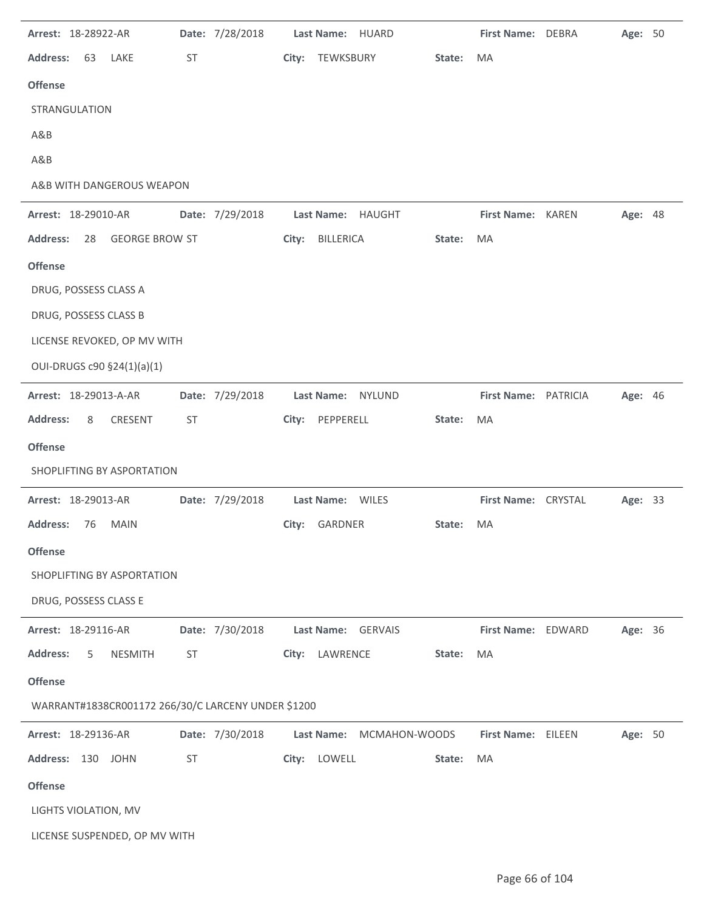| Arrest: 18-28922-AR                                |           | Date: 7/28/2018 |       | Last Name: HUARD                    |        | First Name: DEBRA    | Age: 50        |  |
|----------------------------------------------------|-----------|-----------------|-------|-------------------------------------|--------|----------------------|----------------|--|
| <b>Address:</b><br>63<br>LAKE                      | ST        |                 |       | City: TEWKSBURY                     | State: | MA                   |                |  |
| <b>Offense</b>                                     |           |                 |       |                                     |        |                      |                |  |
| STRANGULATION                                      |           |                 |       |                                     |        |                      |                |  |
| A&B                                                |           |                 |       |                                     |        |                      |                |  |
| A&B                                                |           |                 |       |                                     |        |                      |                |  |
| A&B WITH DANGEROUS WEAPON                          |           |                 |       |                                     |        |                      |                |  |
| Arrest: 18-29010-AR                                |           | Date: 7/29/2018 |       | Last Name: HAUGHT                   |        | First Name: KAREN    | Age: 48        |  |
| <b>GEORGE BROW ST</b><br><b>Address:</b><br>28     |           |                 | City: | BILLERICA                           | State: | MA                   |                |  |
| <b>Offense</b>                                     |           |                 |       |                                     |        |                      |                |  |
| DRUG, POSSESS CLASS A                              |           |                 |       |                                     |        |                      |                |  |
| DRUG, POSSESS CLASS B                              |           |                 |       |                                     |        |                      |                |  |
| LICENSE REVOKED, OP MV WITH                        |           |                 |       |                                     |        |                      |                |  |
| OUI-DRUGS c90 §24(1)(a)(1)                         |           |                 |       |                                     |        |                      |                |  |
| Arrest: 18-29013-A-AR                              |           | Date: 7/29/2018 |       | <b>Last Name:</b><br><b>NYLUND</b>  |        | First Name: PATRICIA | Age: 46        |  |
| <b>Address:</b><br>8<br>CRESENT                    | <b>ST</b> |                 |       | City: PEPPERELL                     | State: | MA                   |                |  |
| <b>Offense</b>                                     |           |                 |       |                                     |        |                      |                |  |
| SHOPLIFTING BY ASPORTATION                         |           |                 |       |                                     |        |                      |                |  |
| Arrest: 18-29013-AR                                |           | Date: 7/29/2018 |       | Last Name: WILES                    |        | First Name: CRYSTAL  | <b>Age: 33</b> |  |
| <b>Address:</b><br><b>MAIN</b><br>76               |           |                 |       | City: GARDNER                       | State: | MA                   |                |  |
| <b>Offense</b>                                     |           |                 |       |                                     |        |                      |                |  |
| SHOPLIFTING BY ASPORTATION                         |           |                 |       |                                     |        |                      |                |  |
| DRUG, POSSESS CLASS E                              |           |                 |       |                                     |        |                      |                |  |
| Arrest: 18-29116-AR                                |           | Date: 7/30/2018 |       | <b>Last Name:</b><br><b>GERVAIS</b> |        | First Name: EDWARD   | Age: 36        |  |
| <b>NESMITH</b><br><b>Address:</b><br>5             | ST        |                 | City: | LAWRENCE                            | State: | MA                   |                |  |
| <b>Offense</b>                                     |           |                 |       |                                     |        |                      |                |  |
|                                                    |           |                 |       |                                     |        |                      |                |  |
| WARRANT#1838CR001172 266/30/C LARCENY UNDER \$1200 |           |                 |       |                                     |        |                      |                |  |
| Arrest: 18-29136-AR                                |           | Date: 7/30/2018 |       | <b>Last Name:</b><br>MCMAHON-WOODS  |        | First Name: EILEEN   | Age: 50        |  |
| Address: 130 JOHN                                  | <b>ST</b> |                 |       | City: LOWELL                        | State: | MA                   |                |  |
| <b>Offense</b>                                     |           |                 |       |                                     |        |                      |                |  |
| LIGHTS VIOLATION, MV                               |           |                 |       |                                     |        |                      |                |  |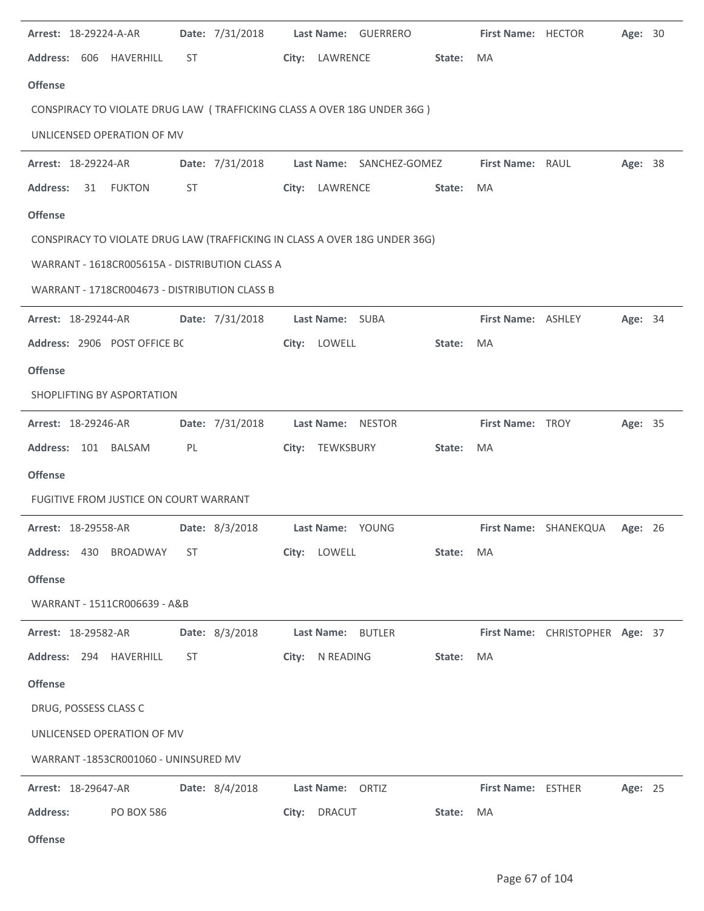| Arrest: 18-29224-A-AR                          | Date: 7/31/2018 | Last Name: GUERRERO                                                        |           | First Name: HECTOR        |                                 | Age: 30 |  |
|------------------------------------------------|-----------------|----------------------------------------------------------------------------|-----------|---------------------------|---------------------------------|---------|--|
| Address: 606 HAVERHILL                         | ST              | City: LAWRENCE                                                             | State:    | MA                        |                                 |         |  |
| <b>Offense</b>                                 |                 |                                                                            |           |                           |                                 |         |  |
|                                                |                 | CONSPIRACY TO VIOLATE DRUG LAW (TRAFFICKING CLASS A OVER 18G UNDER 36G)    |           |                           |                                 |         |  |
| UNLICENSED OPERATION OF MV                     |                 |                                                                            |           |                           |                                 |         |  |
| Arrest: 18-29224-AR                            |                 | Date: 7/31/2018    Last Name: SANCHEZ-GOMEZ                                |           | <b>First Name: RAUL</b>   |                                 | Age: 38 |  |
| Address: 31<br><b>FUKTON</b>                   | ST              | City: LAWRENCE                                                             | State: MA |                           |                                 |         |  |
| <b>Offense</b>                                 |                 |                                                                            |           |                           |                                 |         |  |
|                                                |                 | CONSPIRACY TO VIOLATE DRUG LAW (TRAFFICKING IN CLASS A OVER 18G UNDER 36G) |           |                           |                                 |         |  |
| WARRANT - 1618CR005615A - DISTRIBUTION CLASS A |                 |                                                                            |           |                           |                                 |         |  |
| WARRANT - 1718CR004673 - DISTRIBUTION CLASS B  |                 |                                                                            |           |                           |                                 |         |  |
| <b>Arrest: 18-29244-AR</b>                     |                 | Date: 7/31/2018    Last Name: SUBA                                         |           | First Name: ASHLEY        |                                 | Age: 34 |  |
| Address: 2906 POST OFFICE BC                   |                 | City: LOWELL                                                               | State:    | <b>MA</b>                 |                                 |         |  |
| <b>Offense</b>                                 |                 |                                                                            |           |                           |                                 |         |  |
| SHOPLIFTING BY ASPORTATION                     |                 |                                                                            |           |                           |                                 |         |  |
| <b>Arrest: 18-29246-AR</b>                     | Date: 7/31/2018 | Last Name: NESTOR                                                          |           | <b>First Name: TROY</b>   |                                 | Age: 35 |  |
| Address: 101 BALSAM                            | PL              | City: TEWKSBURY                                                            | State:    | MA                        |                                 |         |  |
| <b>Offense</b>                                 |                 |                                                                            |           |                           |                                 |         |  |
| FUGITIVE FROM JUSTICE ON COURT WARRANT         |                 |                                                                            |           |                           |                                 |         |  |
| Arrest: 18-29558-AR                            | Date: 8/3/2018  | Last Name: YOUNG                                                           |           |                           | First Name: SHANEKQUA           | Age: 26 |  |
| Address: 430 BROADWAY                          | ST              | City: LOWELL                                                               | State: MA |                           |                                 |         |  |
| <b>Offense</b>                                 |                 |                                                                            |           |                           |                                 |         |  |
| WARRANT - 1511CR006639 - A&B                   |                 |                                                                            |           |                           |                                 |         |  |
| Arrest: 18-29582-AR                            | Date: 8/3/2018  | Last Name: BUTLER                                                          |           |                           | First Name: CHRISTOPHER Age: 37 |         |  |
| Address: 294 HAVERHILL                         | ST              | City: N READING                                                            | State:    | MA                        |                                 |         |  |
| <b>Offense</b>                                 |                 |                                                                            |           |                           |                                 |         |  |
| DRUG, POSSESS CLASS C                          |                 |                                                                            |           |                           |                                 |         |  |
| UNLICENSED OPERATION OF MV                     |                 |                                                                            |           |                           |                                 |         |  |
| WARRANT-1853CR001060 - UNINSURED MV            |                 |                                                                            |           |                           |                                 |         |  |
| Arrest: 18-29647-AR                            | Date: 8/4/2018  | Last Name: ORTIZ                                                           |           | <b>First Name: ESTHER</b> |                                 | Age: 25 |  |
| <b>Address:</b><br><b>PO BOX 586</b>           |                 | <b>DRACUT</b><br>City:                                                     | State:    | MA                        |                                 |         |  |
|                                                |                 |                                                                            |           |                           |                                 |         |  |

**Offense**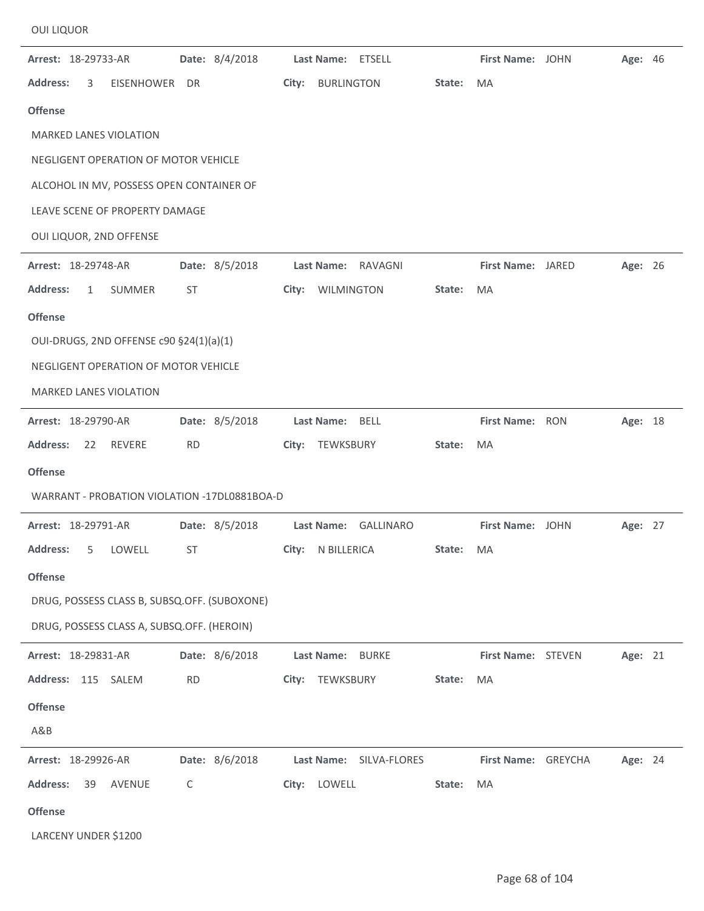| Arrest: 18-29733-AR                          | Date: 8/4/2018 | Last Name: ETSELL                 |        | First Name: JOHN    | <b>Age: 46</b> |  |
|----------------------------------------------|----------------|-----------------------------------|--------|---------------------|----------------|--|
| <b>Address:</b><br>3<br>EISENHOWER DR        |                | City:<br><b>BURLINGTON</b>        | State: | MA                  |                |  |
| <b>Offense</b>                               |                |                                   |        |                     |                |  |
| <b>MARKED LANES VIOLATION</b>                |                |                                   |        |                     |                |  |
| NEGLIGENT OPERATION OF MOTOR VEHICLE         |                |                                   |        |                     |                |  |
| ALCOHOL IN MV, POSSESS OPEN CONTAINER OF     |                |                                   |        |                     |                |  |
| LEAVE SCENE OF PROPERTY DAMAGE               |                |                                   |        |                     |                |  |
| OUI LIQUOR, 2ND OFFENSE                      |                |                                   |        |                     |                |  |
| Arrest: 18-29748-AR                          | Date: 8/5/2018 | Last Name:<br>RAVAGNI             |        | First Name: JARED   | Age: 26        |  |
| <b>Address:</b><br>SUMMER<br>$\mathbf{1}$    | ST             | WILMINGTON<br>City:               | State: | MA                  |                |  |
| <b>Offense</b>                               |                |                                   |        |                     |                |  |
| OUI-DRUGS, 2ND OFFENSE c90 §24(1)(a)(1)      |                |                                   |        |                     |                |  |
| NEGLIGENT OPERATION OF MOTOR VEHICLE         |                |                                   |        |                     |                |  |
| <b>MARKED LANES VIOLATION</b>                |                |                                   |        |                     |                |  |
| Arrest: 18-29790-AR                          | Date: 8/5/2018 | Last Name: BELL                   |        | First Name: RON     | Age: 18        |  |
| REVERE<br><b>Address:</b><br>22              | <b>RD</b>      | TEWKSBURY<br>City:                | State: | MA                  |                |  |
| <b>Offense</b>                               |                |                                   |        |                     |                |  |
| WARRANT - PROBATION VIOLATION -17DL0881BOA-D |                |                                   |        |                     |                |  |
| Arrest: 18-29791-AR                          | Date: 8/5/2018 | Last Name:<br><b>GALLINARO</b>    |        | First Name: JOHN    | Age: 27        |  |
| <b>Address:</b><br>5<br>LOWELL               | <b>ST</b>      | City:<br>N BILLERICA              | State: | MA                  |                |  |
| <b>Offense</b>                               |                |                                   |        |                     |                |  |
| DRUG, POSSESS CLASS B, SUBSQ.OFF. (SUBOXONE) |                |                                   |        |                     |                |  |
| DRUG, POSSESS CLASS A, SUBSQ.OFF. (HEROIN)   |                |                                   |        |                     |                |  |
| Arrest: 18-29831-AR                          | Date: 8/6/2018 | <b>BURKE</b><br><b>Last Name:</b> |        | First Name: STEVEN  | Age: 21        |  |
| Address: 115 SALEM                           | <b>RD</b>      | TEWKSBURY<br>City:                | State: | MA                  |                |  |
| <b>Offense</b>                               |                |                                   |        |                     |                |  |
| A&B                                          |                |                                   |        |                     |                |  |
| Arrest: 18-29926-AR                          | Date: 8/6/2018 | Last Name: SILVA-FLORES           |        | First Name: GREYCHA | Age: 24        |  |
| <b>Address:</b><br>AVENUE<br>39              | C              | LOWELL<br>City:                   | State: | MA                  |                |  |
| <b>Offense</b>                               |                |                                   |        |                     |                |  |
| LARCENY UNDER \$1200                         |                |                                   |        |                     |                |  |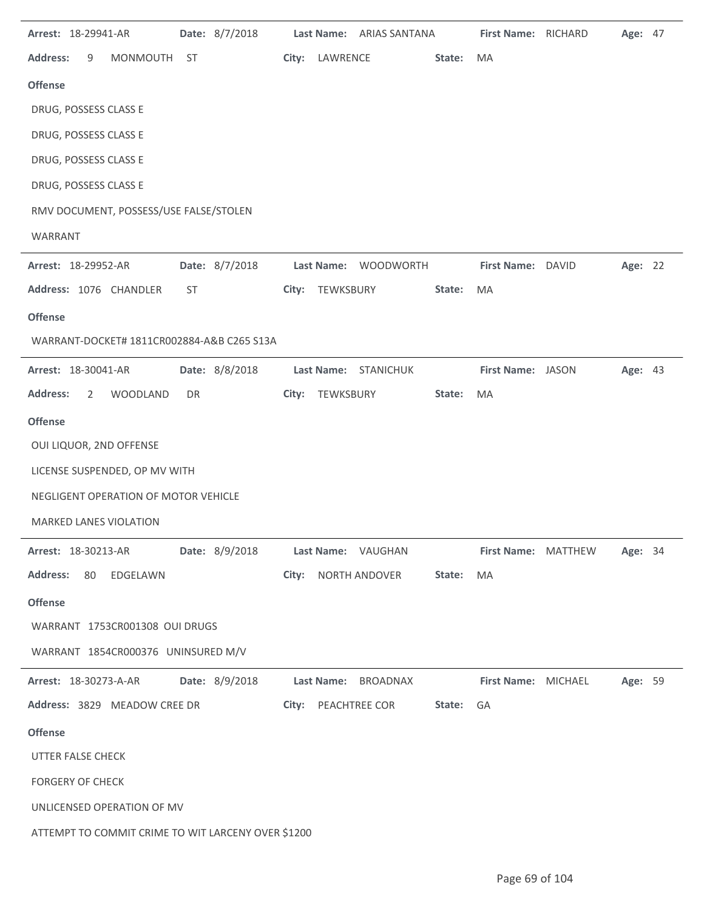| Arrest: 18-29941-AR<br>Date: 8/7/2018               | Last Name: ARIAS SANTANA      | First Name: RICHARD<br>Age: 47 |
|-----------------------------------------------------|-------------------------------|--------------------------------|
| <b>Address:</b><br><b>MONMOUTH</b><br>9<br>ST       | City: LAWRENCE<br>State:      | <b>MA</b>                      |
| <b>Offense</b>                                      |                               |                                |
| DRUG, POSSESS CLASS E                               |                               |                                |
| DRUG, POSSESS CLASS E                               |                               |                                |
| DRUG, POSSESS CLASS E                               |                               |                                |
| DRUG, POSSESS CLASS E                               |                               |                                |
| RMV DOCUMENT, POSSESS/USE FALSE/STOLEN              |                               |                                |
| WARRANT                                             |                               |                                |
| Date: 8/7/2018<br><b>Arrest: 18-29952-AR</b>        | Last Name: WOODWORTH          | First Name: DAVID<br>Age: 22   |
| Address: 1076 CHANDLER<br><b>ST</b>                 | City:<br>TEWKSBURY<br>State:  | MA                             |
| <b>Offense</b>                                      |                               |                                |
| WARRANT-DOCKET# 1811CR002884-A&B C265 S13A          |                               |                                |
| Date: 8/8/2018<br>Arrest: 18-30041-AR               | Last Name: STANICHUK          | First Name: JASON<br>Age: 43   |
| <b>Address:</b><br>$\overline{2}$<br>WOODLAND<br>DR | City:<br>TEWKSBURY<br>State:  | MA                             |
| <b>Offense</b>                                      |                               |                                |
| OUI LIQUOR, 2ND OFFENSE                             |                               |                                |
| LICENSE SUSPENDED, OP MV WITH                       |                               |                                |
| NEGLIGENT OPERATION OF MOTOR VEHICLE                |                               |                                |
| <b>MARKED LANES VIOLATION</b>                       |                               |                                |
| Date: 8/9/2018<br>Arrest: 18-30213-AR               | Last Name: VAUGHAN            | First Name: MATTHEW<br>Age: 34 |
| <b>Address:</b><br>80 EDGELAWN                      | City: NORTH ANDOVER<br>State: | MA                             |
| <b>Offense</b>                                      |                               |                                |
| WARRANT 1753CR001308 OUI DRUGS                      |                               |                                |
| WARRANT 1854CR000376 UNINSURED M/V                  |                               |                                |
| Date: 8/9/2018<br>Arrest: 18-30273-A-AR             | Last Name: BROADNAX           | Age: 59<br>First Name: MICHAEL |
| Address: 3829 MEADOW CREE DR                        | City: PEACHTREE COR<br>State: | GA                             |
| <b>Offense</b>                                      |                               |                                |
| UTTER FALSE CHECK                                   |                               |                                |
| <b>FORGERY OF CHECK</b>                             |                               |                                |
| UNLICENSED OPERATION OF MV                          |                               |                                |
| ATTEMPT TO COMMIT CRIME TO WIT LARCENY OVER \$1200  |                               |                                |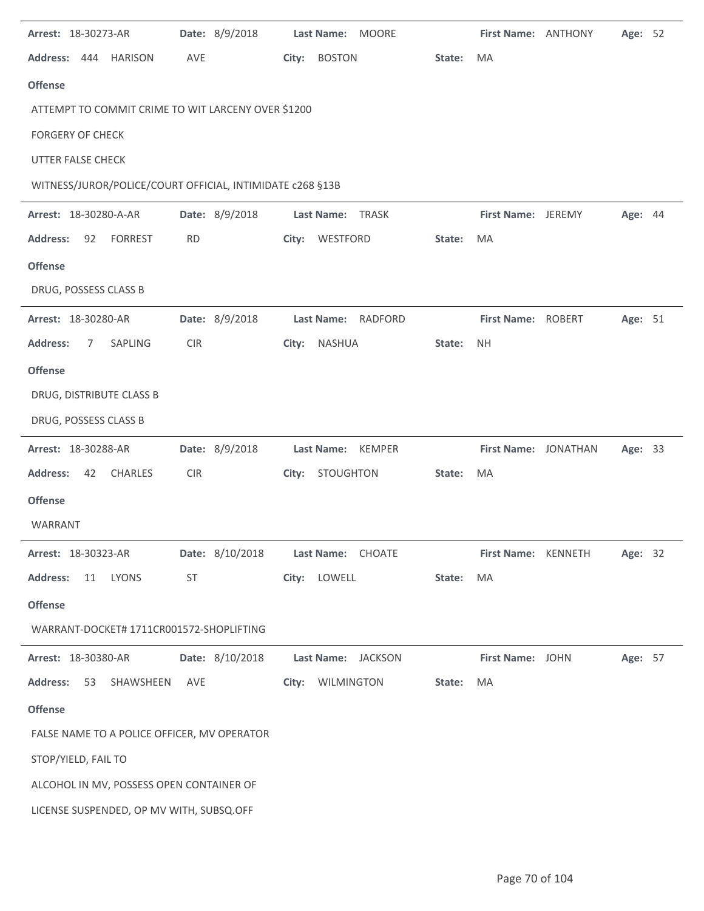| Arrest: 18-30273-AR                                       |            | Date: 8/9/2018  |       |               | Last Name: MOORE   |        | First Name: ANTHONY  | Age: 52 |  |
|-----------------------------------------------------------|------------|-----------------|-------|---------------|--------------------|--------|----------------------|---------|--|
| Address:<br>444 HARISON                                   | AVE        |                 | City: | <b>BOSTON</b> |                    | State: | MA                   |         |  |
| <b>Offense</b>                                            |            |                 |       |               |                    |        |                      |         |  |
| ATTEMPT TO COMMIT CRIME TO WIT LARCENY OVER \$1200        |            |                 |       |               |                    |        |                      |         |  |
| <b>FORGERY OF CHECK</b>                                   |            |                 |       |               |                    |        |                      |         |  |
| UTTER FALSE CHECK                                         |            |                 |       |               |                    |        |                      |         |  |
| WITNESS/JUROR/POLICE/COURT OFFICIAL, INTIMIDATE c268 §13B |            |                 |       |               |                    |        |                      |         |  |
| Arrest: 18-30280-A-AR                                     |            | Date: 8/9/2018  |       | Last Name:    | TRASK              |        | First Name: JEREMY   | Age: 44 |  |
| <b>Address:</b><br>92<br><b>FORREST</b>                   | <b>RD</b>  |                 | City: | WESTFORD      |                    | State: | MA                   |         |  |
| <b>Offense</b>                                            |            |                 |       |               |                    |        |                      |         |  |
| DRUG, POSSESS CLASS B                                     |            |                 |       |               |                    |        |                      |         |  |
| Arrest: 18-30280-AR                                       |            | Date: 8/9/2018  |       | Last Name:    | <b>RADFORD</b>     |        | First Name: ROBERT   | Age: 51 |  |
| <b>Address:</b><br>SAPLING<br>7                           | CIR        |                 | City: | NASHUA        |                    | State: | <b>NH</b>            |         |  |
| <b>Offense</b>                                            |            |                 |       |               |                    |        |                      |         |  |
| DRUG, DISTRIBUTE CLASS B                                  |            |                 |       |               |                    |        |                      |         |  |
| DRUG, POSSESS CLASS B                                     |            |                 |       |               |                    |        |                      |         |  |
| Arrest: 18-30288-AR                                       |            | Date: 8/9/2018  |       | Last Name:    | <b>KEMPER</b>      |        | First Name: JONATHAN | Age: 33 |  |
| CHARLES<br><b>Address:</b><br>42                          | <b>CIR</b> |                 | City: | STOUGHTON     |                    | State: | MA                   |         |  |
| <b>Offense</b>                                            |            |                 |       |               |                    |        |                      |         |  |
| WARRANT                                                   |            |                 |       |               |                    |        |                      |         |  |
| Arrest: 18-30323-AR                                       |            | Date: 8/10/2018 |       |               | Last Name: CHOATE  |        | First Name: KENNETH  | Age: 32 |  |
| <b>Address:</b><br>11 LYONS                               | <b>ST</b>  |                 |       | City: LOWELL  |                    | State: | MA                   |         |  |
| <b>Offense</b>                                            |            |                 |       |               |                    |        |                      |         |  |
| WARRANT-DOCKET# 1711CR001572-SHOPLIFTING                  |            |                 |       |               |                    |        |                      |         |  |
| Arrest: 18-30380-AR                                       |            | Date: 8/10/2018 |       |               | Last Name: JACKSON |        | First Name: JOHN     | Age: 57 |  |
| <b>Address:</b><br>53<br>SHAWSHEEN                        | AVE        |                 | City: | WILMINGTON    |                    | State: | MA                   |         |  |
| <b>Offense</b>                                            |            |                 |       |               |                    |        |                      |         |  |
| FALSE NAME TO A POLICE OFFICER, MV OPERATOR               |            |                 |       |               |                    |        |                      |         |  |
| STOP/YIELD, FAIL TO                                       |            |                 |       |               |                    |        |                      |         |  |
| ALCOHOL IN MV, POSSESS OPEN CONTAINER OF                  |            |                 |       |               |                    |        |                      |         |  |
| LICENSE SUSPENDED, OP MV WITH, SUBSQ.OFF                  |            |                 |       |               |                    |        |                      |         |  |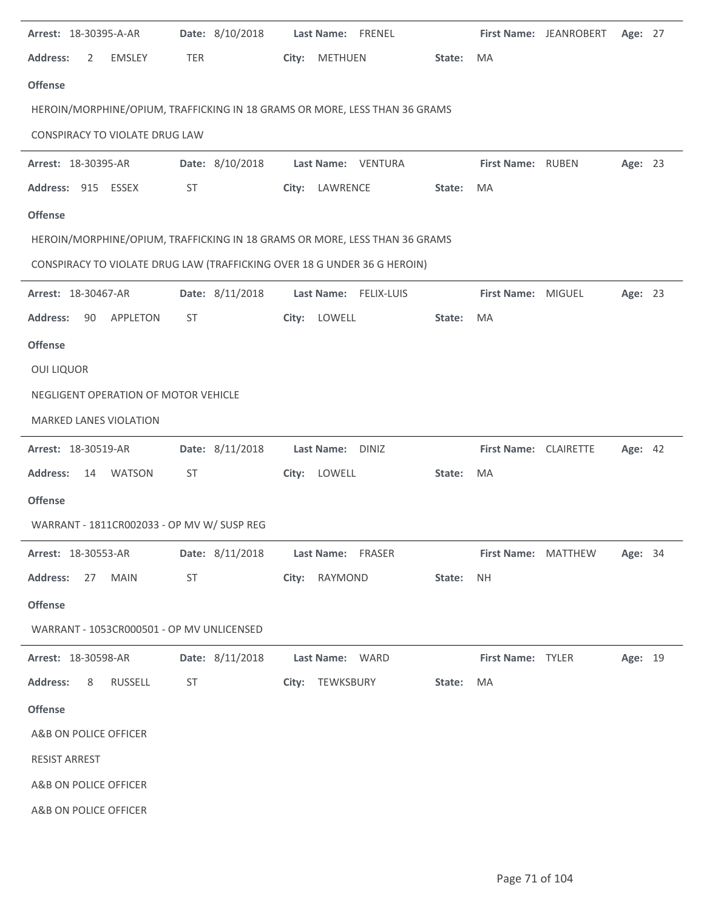| Arrest: 18-30395-A-AR                      | Date: 8/10/2018 | Last Name: FRENEL                                                          |        |                       | First Name: JEANROBERT     | Age: 27 |  |
|--------------------------------------------|-----------------|----------------------------------------------------------------------------|--------|-----------------------|----------------------------|---------|--|
| <b>Address:</b><br><b>EMSLEY</b><br>2      | <b>TER</b>      | City:<br><b>METHUEN</b>                                                    | State: | <b>MA</b>             |                            |         |  |
| <b>Offense</b>                             |                 |                                                                            |        |                       |                            |         |  |
|                                            |                 | HEROIN/MORPHINE/OPIUM, TRAFFICKING IN 18 GRAMS OR MORE, LESS THAN 36 GRAMS |        |                       |                            |         |  |
| CONSPIRACY TO VIOLATE DRUG LAW             |                 |                                                                            |        |                       |                            |         |  |
| Arrest: 18-30395-AR                        | Date: 8/10/2018 | Last Name: VENTURA                                                         |        | First Name: RUBEN     |                            | Age: 23 |  |
| Address: 915 ESSEX                         | ST              | City: LAWRENCE                                                             | State: | MA                    |                            |         |  |
| <b>Offense</b>                             |                 |                                                                            |        |                       |                            |         |  |
|                                            |                 | HEROIN/MORPHINE/OPIUM, TRAFFICKING IN 18 GRAMS OR MORE, LESS THAN 36 GRAMS |        |                       |                            |         |  |
|                                            |                 | CONSPIRACY TO VIOLATE DRUG LAW (TRAFFICKING OVER 18 G UNDER 36 G HEROIN)   |        |                       |                            |         |  |
| Arrest: 18-30467-AR                        | Date: 8/11/2018 | Last Name: FELIX-LUIS                                                      |        | First Name: MIGUEL    |                            | Age: 23 |  |
| <b>Address:</b><br><b>APPLETON</b><br>90   | <b>ST</b>       | LOWELL<br>City:                                                            | State: | MA                    |                            |         |  |
| <b>Offense</b>                             |                 |                                                                            |        |                       |                            |         |  |
| <b>OUI LIQUOR</b>                          |                 |                                                                            |        |                       |                            |         |  |
| NEGLIGENT OPERATION OF MOTOR VEHICLE       |                 |                                                                            |        |                       |                            |         |  |
| MARKED LANES VIOLATION                     |                 |                                                                            |        |                       |                            |         |  |
| Arrest: 18-30519-AR                        | Date: 8/11/2018 | Last Name: DINIZ                                                           |        | First Name: CLAIRETTE |                            | Age: 42 |  |
| <b>Address:</b><br>14<br>WATSON            | <b>ST</b>       | City: LOWELL                                                               | State: | MA                    |                            |         |  |
| <b>Offense</b>                             |                 |                                                                            |        |                       |                            |         |  |
| WARRANT - 1811CR002033 - OP MV W/ SUSP REG |                 |                                                                            |        |                       |                            |         |  |
| <b>Arrest: 18-30553-AR</b>                 |                 | Date: 8/11/2018    Last Name: FRASER                                       |        |                       | <b>First Name: MATTHEW</b> | Age: 34 |  |
| Address: 27 MAIN                           | ST              | City: RAYMOND                                                              | State: | <b>NH</b>             |                            |         |  |
| <b>Offense</b>                             |                 |                                                                            |        |                       |                            |         |  |
| WARRANT - 1053CR000501 - OP MV UNLICENSED  |                 |                                                                            |        |                       |                            |         |  |
| <b>Arrest: 18-30598-AR</b>                 |                 | Date: 8/11/2018 Last Name: WARD                                            |        | First Name: TYLER     |                            | Age: 19 |  |
| <b>Address:</b><br>8<br>RUSSELL            | ST              | City: TEWKSBURY                                                            | State: | <b>MA</b>             |                            |         |  |
| <b>Offense</b>                             |                 |                                                                            |        |                       |                            |         |  |
| A&B ON POLICE OFFICER                      |                 |                                                                            |        |                       |                            |         |  |
| <b>RESIST ARREST</b>                       |                 |                                                                            |        |                       |                            |         |  |
| A&B ON POLICE OFFICER                      |                 |                                                                            |        |                       |                            |         |  |
| A&B ON POLICE OFFICER                      |                 |                                                                            |        |                       |                            |         |  |
|                                            |                 |                                                                            |        |                       |                            |         |  |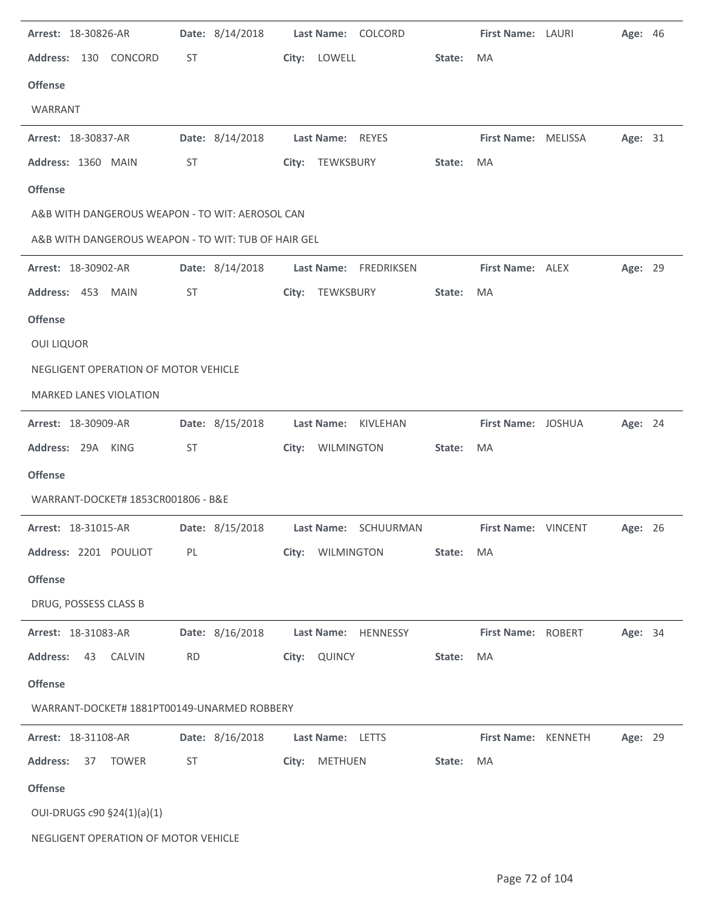| Arrest: 18-30826-AR                                 | Date: 8/14/2018 | Last Name: COLCORD    |        | First Name: LAURI   | Age: 46 |  |
|-----------------------------------------------------|-----------------|-----------------------|--------|---------------------|---------|--|
| Address: 130 CONCORD                                | ST              | City: LOWELL          | State: | MA                  |         |  |
| <b>Offense</b>                                      |                 |                       |        |                     |         |  |
| WARRANT                                             |                 |                       |        |                     |         |  |
| Arrest: 18-30837-AR                                 | Date: 8/14/2018 | Last Name: REYES      |        | First Name: MELISSA | Age: 31 |  |
| Address: 1360 MAIN                                  | ST              | City: TEWKSBURY       | State: | MA                  |         |  |
| <b>Offense</b>                                      |                 |                       |        |                     |         |  |
| A&B WITH DANGEROUS WEAPON - TO WIT: AEROSOL CAN     |                 |                       |        |                     |         |  |
| A&B WITH DANGEROUS WEAPON - TO WIT: TUB OF HAIR GEL |                 |                       |        |                     |         |  |
| Arrest: 18-30902-AR                                 | Date: 8/14/2018 | Last Name: FREDRIKSEN |        | First Name: ALEX    | Age: 29 |  |
| Address: 453 MAIN                                   | <b>ST</b>       | City: TEWKSBURY       | State: | MA                  |         |  |
| <b>Offense</b>                                      |                 |                       |        |                     |         |  |
| <b>OUI LIQUOR</b>                                   |                 |                       |        |                     |         |  |
| NEGLIGENT OPERATION OF MOTOR VEHICLE                |                 |                       |        |                     |         |  |
| <b>MARKED LANES VIOLATION</b>                       |                 |                       |        |                     |         |  |
| Arrest: 18-30909-AR                                 | Date: 8/15/2018 | Last Name: KIVLEHAN   |        | First Name: JOSHUA  | Age: 24 |  |
| Address: 29A KING                                   | <b>ST</b>       | City: WILMINGTON      | State: | MA                  |         |  |
| <b>Offense</b>                                      |                 |                       |        |                     |         |  |
| WARRANT-DOCKET# 1853CR001806 - B&E                  |                 |                       |        |                     |         |  |
| Arrest: 18-31015-AR                                 | Date: 8/15/2018 | Last Name: SCHUURMAN  |        | First Name: VINCENT | Age: 26 |  |
| Address: 2201 POULIOT                               | PL              | City: WILMINGTON      | State: | MA                  |         |  |
| <b>Offense</b>                                      |                 |                       |        |                     |         |  |
| DRUG, POSSESS CLASS B                               |                 |                       |        |                     |         |  |
| Arrest: 18-31083-AR                                 | Date: 8/16/2018 | Last Name: HENNESSY   |        | First Name: ROBERT  | Age: 34 |  |
| <b>Address:</b><br>43<br><b>CALVIN</b>              | <b>RD</b>       | City: QUINCY          | State: | MA                  |         |  |
| <b>Offense</b>                                      |                 |                       |        |                     |         |  |
| WARRANT-DOCKET# 1881PT00149-UNARMED ROBBERY         |                 |                       |        |                     |         |  |
| Arrest: 18-31108-AR                                 | Date: 8/16/2018 | Last Name: LETTS      |        | First Name: KENNETH | Age: 29 |  |
| <b>Address:</b><br><b>TOWER</b><br>37               | ST              | City: METHUEN         | State: | MA                  |         |  |
| <b>Offense</b>                                      |                 |                       |        |                     |         |  |
| OUI-DRUGS c90 §24(1)(a)(1)                          |                 |                       |        |                     |         |  |
| NEGLIGENT OPERATION OF MOTOR VEHICLE                |                 |                       |        |                     |         |  |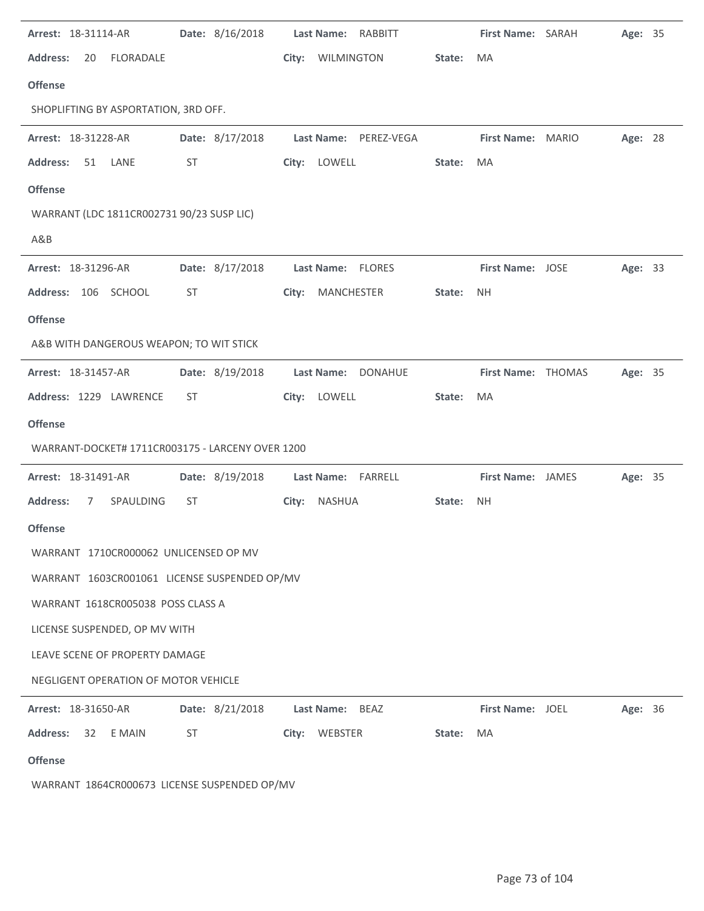| Arrest: 18-31114-AR                              | Date: 8/16/2018 | Last Name: RABBITT         |        | First Name: SARAH  | Age: 35 |  |
|--------------------------------------------------|-----------------|----------------------------|--------|--------------------|---------|--|
| <b>Address:</b><br>FLORADALE<br>20               |                 | City:<br><b>WILMINGTON</b> | State: | MA                 |         |  |
| <b>Offense</b>                                   |                 |                            |        |                    |         |  |
| SHOPLIFTING BY ASPORTATION, 3RD OFF.             |                 |                            |        |                    |         |  |
| Arrest: 18-31228-AR                              | Date: 8/17/2018 | Last Name: PEREZ-VEGA      |        | First Name: MARIO  | Age: 28 |  |
| <b>Address:</b><br>51<br>LANE                    | ST              | City: LOWELL               | State: | MA                 |         |  |
| <b>Offense</b>                                   |                 |                            |        |                    |         |  |
| WARRANT (LDC 1811CR002731 90/23 SUSP LIC)        |                 |                            |        |                    |         |  |
| A&B                                              |                 |                            |        |                    |         |  |
| Arrest: 18-31296-AR                              | Date: 8/17/2018 | Last Name: FLORES          |        | First Name: JOSE   | Age: 33 |  |
| Address: 106 SCHOOL                              | <b>ST</b>       | City: MANCHESTER           | State: | <b>NH</b>          |         |  |
| <b>Offense</b>                                   |                 |                            |        |                    |         |  |
| A&B WITH DANGEROUS WEAPON; TO WIT STICK          |                 |                            |        |                    |         |  |
| Arrest: 18-31457-AR                              | Date: 8/19/2018 | Last Name: DONAHUE         |        | First Name: THOMAS | Age: 35 |  |
| Address: 1229 LAWRENCE                           | ST              | City: LOWELL               | State: | MA                 |         |  |
| <b>Offense</b>                                   |                 |                            |        |                    |         |  |
| WARRANT-DOCKET# 1711CR003175 - LARCENY OVER 1200 |                 |                            |        |                    |         |  |
| Arrest: 18-31491-AR                              | Date: 8/19/2018 | Last Name: FARRELL         |        | First Name: JAMES  | Age: 35 |  |
| <b>Address:</b><br>SPAULDING<br>7                | ST              | City: NASHUA               | State: | <b>NH</b>          |         |  |
| <b>Offense</b>                                   |                 |                            |        |                    |         |  |
| WARRANT 1710CR000062 UNLICENSED OP MV            |                 |                            |        |                    |         |  |
| WARRANT 1603CR001061 LICENSE SUSPENDED OP/MV     |                 |                            |        |                    |         |  |
| WARRANT 1618CR005038 POSS CLASS A                |                 |                            |        |                    |         |  |
| LICENSE SUSPENDED, OP MV WITH                    |                 |                            |        |                    |         |  |
| LEAVE SCENE OF PROPERTY DAMAGE                   |                 |                            |        |                    |         |  |
| NEGLIGENT OPERATION OF MOTOR VEHICLE             |                 |                            |        |                    |         |  |
| Arrest: 18-31650-AR                              | Date: 8/21/2018 | Last Name: BEAZ            |        | First Name: JOEL   | Age: 36 |  |
| <b>Address:</b><br>32<br>E MAIN                  | ST              | City: WEBSTER              | State: | MA                 |         |  |
| <b>Offense</b>                                   |                 |                            |        |                    |         |  |

WARRANT 1864CR000673 LICENSE SUSPENDED OP/MV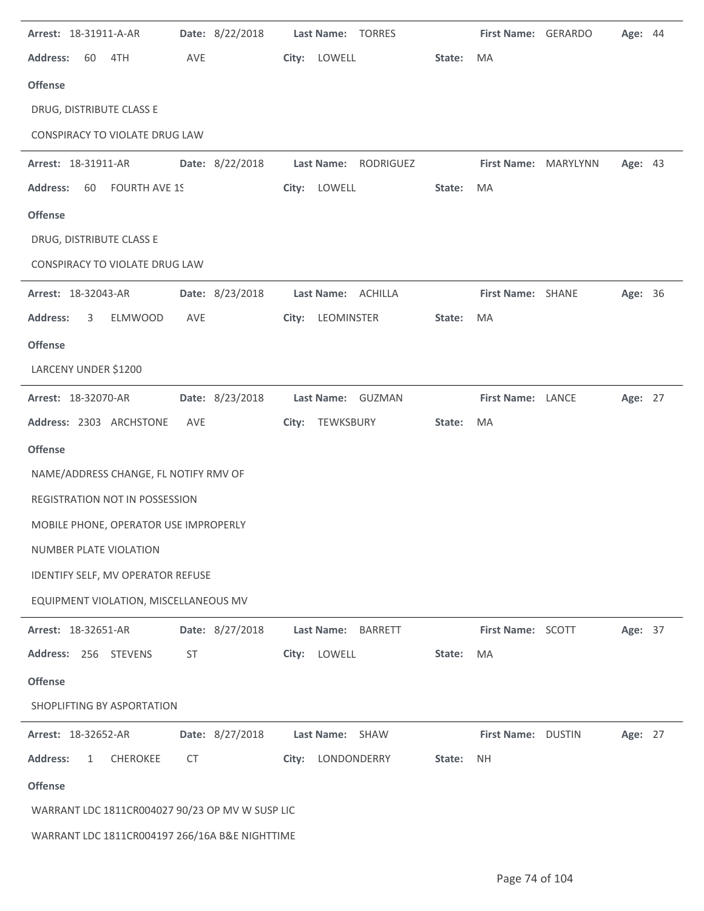| Arrest: 18-31911-A-AR                              | Date: 8/22/2018 | Last Name: TORRES                   |        | First Name: GERARDO  | Age: 44 |  |
|----------------------------------------------------|-----------------|-------------------------------------|--------|----------------------|---------|--|
| <b>Address:</b><br>60<br>4TH                       | AVE             | City:<br>LOWELL                     | State: | MA                   |         |  |
| <b>Offense</b>                                     |                 |                                     |        |                      |         |  |
| DRUG, DISTRIBUTE CLASS E                           |                 |                                     |        |                      |         |  |
| CONSPIRACY TO VIOLATE DRUG LAW                     |                 |                                     |        |                      |         |  |
| Arrest: 18-31911-AR                                | Date: 8/22/2018 | Last Name:<br>RODRIGUEZ             |        | First Name: MARYLYNN | Age: 43 |  |
| <b>Address:</b><br><b>FOURTH AVE 1S</b><br>60      |                 | LOWELL<br>City:                     | State: | MA                   |         |  |
| <b>Offense</b>                                     |                 |                                     |        |                      |         |  |
| DRUG, DISTRIBUTE CLASS E                           |                 |                                     |        |                      |         |  |
| CONSPIRACY TO VIOLATE DRUG LAW                     |                 |                                     |        |                      |         |  |
| Arrest: 18-32043-AR                                | Date: 8/23/2018 | Last Name: ACHILLA                  |        | First Name: SHANE    | Age: 36 |  |
| <b>Address:</b><br><b>ELMWOOD</b><br>3             | AVE             | LEOMINSTER<br>City:                 | State: | MA                   |         |  |
| <b>Offense</b>                                     |                 |                                     |        |                      |         |  |
| LARCENY UNDER \$1200                               |                 |                                     |        |                      |         |  |
| Arrest: 18-32070-AR                                | Date: 8/23/2018 | Last Name: GUZMAN                   |        | First Name: LANCE    | Age: 27 |  |
| Address: 2303 ARCHSTONE                            | AVE             | City:<br>TEWKSBURY                  | State: | MA                   |         |  |
| <b>Offense</b>                                     |                 |                                     |        |                      |         |  |
| NAME/ADDRESS CHANGE, FL NOTIFY RMV OF              |                 |                                     |        |                      |         |  |
| REGISTRATION NOT IN POSSESSION                     |                 |                                     |        |                      |         |  |
| MOBILE PHONE, OPERATOR USE IMPROPERLY              |                 |                                     |        |                      |         |  |
| NUMBER PLATE VIOLATION                             |                 |                                     |        |                      |         |  |
| IDENTIFY SELF, MV OPERATOR REFUSE                  |                 |                                     |        |                      |         |  |
| EQUIPMENT VIOLATION, MISCELLANEOUS MV              |                 |                                     |        |                      |         |  |
| Arrest: 18-32651-AR                                | Date: 8/27/2018 | <b>Last Name:</b><br><b>BARRETT</b> |        | First Name: SCOTT    | Age: 37 |  |
| Address: 256 STEVENS                               | ST              | LOWELL<br>City:                     | State: | MA                   |         |  |
| <b>Offense</b>                                     |                 |                                     |        |                      |         |  |
| SHOPLIFTING BY ASPORTATION                         |                 |                                     |        |                      |         |  |
| Arrest: 18-32652-AR                                | Date: 8/27/2018 | Last Name: SHAW                     |        | First Name: DUSTIN   | Age: 27 |  |
| <b>Address:</b><br><b>CHEROKEE</b><br>$\mathbf{1}$ | CT              | City: LONDONDERRY                   | State: | <b>NH</b>            |         |  |
| <b>Offense</b>                                     |                 |                                     |        |                      |         |  |
| WARRANT LDC 1811CR004027 90/23 OP MV W SUSP LIC    |                 |                                     |        |                      |         |  |
| WARRANT LDC 1811CR004197 266/16A B&E NIGHTTIME     |                 |                                     |        |                      |         |  |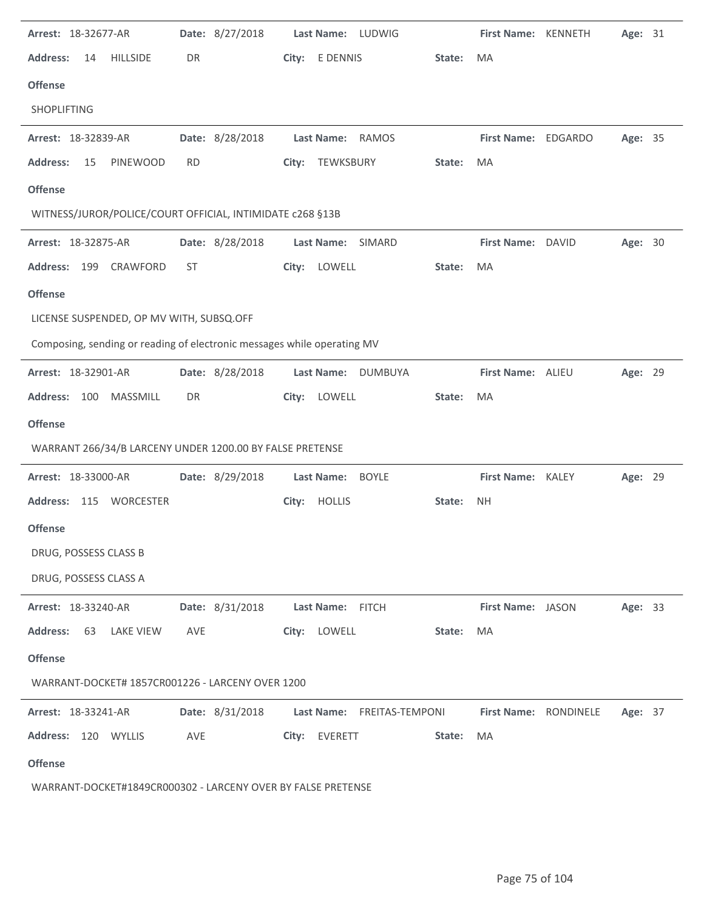| Arrest: 18-32677-AR                                                     |           | Date: 8/27/2018 |       |                   | Last Name: LUDWIG          |        | First Name: KENNETH   | Age: 31 |  |
|-------------------------------------------------------------------------|-----------|-----------------|-------|-------------------|----------------------------|--------|-----------------------|---------|--|
| <b>Address:</b><br><b>HILLSIDE</b><br>14                                | DR        |                 | City: | E DENNIS          |                            | State: | <b>MA</b>             |         |  |
| <b>Offense</b>                                                          |           |                 |       |                   |                            |        |                       |         |  |
| SHOPLIFTING                                                             |           |                 |       |                   |                            |        |                       |         |  |
| Arrest: 18-32839-AR                                                     |           | Date: 8/28/2018 |       | Last Name: RAMOS  |                            |        | First Name: EDGARDO   | Age: 35 |  |
| <b>PINEWOOD</b><br><b>Address:</b><br>15                                | <b>RD</b> |                 |       | City: TEWKSBURY   |                            | State: | MA                    |         |  |
| <b>Offense</b>                                                          |           |                 |       |                   |                            |        |                       |         |  |
| WITNESS/JUROR/POLICE/COURT OFFICIAL, INTIMIDATE c268 §13B               |           |                 |       |                   |                            |        |                       |         |  |
| Arrest: 18-32875-AR                                                     |           | Date: 8/28/2018 |       | Last Name: SIMARD |                            |        | First Name: DAVID     | Age: 30 |  |
| Address: 199 CRAWFORD                                                   | ST        |                 |       | City: LOWELL      |                            | State: | MA                    |         |  |
| <b>Offense</b>                                                          |           |                 |       |                   |                            |        |                       |         |  |
| LICENSE SUSPENDED, OP MV WITH, SUBSQ.OFF                                |           |                 |       |                   |                            |        |                       |         |  |
| Composing, sending or reading of electronic messages while operating MV |           |                 |       |                   |                            |        |                       |         |  |
| Arrest: 18-32901-AR                                                     |           | Date: 8/28/2018 |       | <b>Last Name:</b> | DUMBUYA                    |        | First Name: ALIEU     | Age: 29 |  |
| MASSMILL<br>Address: 100                                                | DR        |                 |       | City: LOWELL      |                            | State: | MA                    |         |  |
| <b>Offense</b>                                                          |           |                 |       |                   |                            |        |                       |         |  |
| WARRANT 266/34/B LARCENY UNDER 1200.00 BY FALSE PRETENSE                |           |                 |       |                   |                            |        |                       |         |  |
| Arrest: 18-33000-AR                                                     |           | Date: 8/29/2018 |       | Last Name:        | <b>BOYLE</b>               |        | First Name: KALEY     | Age: 29 |  |
| Address: 115 WORCESTER                                                  |           |                 |       | City: HOLLIS      |                            | State: | <b>NH</b>             |         |  |
| <b>Offense</b>                                                          |           |                 |       |                   |                            |        |                       |         |  |
| DRUG, POSSESS CLASS B                                                   |           |                 |       |                   |                            |        |                       |         |  |
| DRUG, POSSESS CLASS A                                                   |           |                 |       |                   |                            |        |                       |         |  |
| Arrest: 18-33240-AR                                                     |           | Date: 8/31/2018 |       | Last Name: FITCH  |                            |        | First Name: JASON     | Age: 33 |  |
| <b>Address:</b><br>63<br>LAKE VIEW                                      | AVE       |                 |       | City: LOWELL      |                            | State: | MA                    |         |  |
| <b>Offense</b>                                                          |           |                 |       |                   |                            |        |                       |         |  |
| WARRANT-DOCKET# 1857CR001226 - LARCENY OVER 1200                        |           |                 |       |                   |                            |        |                       |         |  |
| <b>Arrest: 18-33241-AR</b>                                              |           | Date: 8/31/2018 |       |                   | Last Name: FREITAS-TEMPONI |        | First Name: RONDINELE | Age: 37 |  |
| Address: 120 WYLLIS                                                     | AVE       |                 |       | City: EVERETT     |                            | State: | MA                    |         |  |
|                                                                         |           |                 |       |                   |                            |        |                       |         |  |
| <b>Offense</b>                                                          |           |                 |       |                   |                            |        |                       |         |  |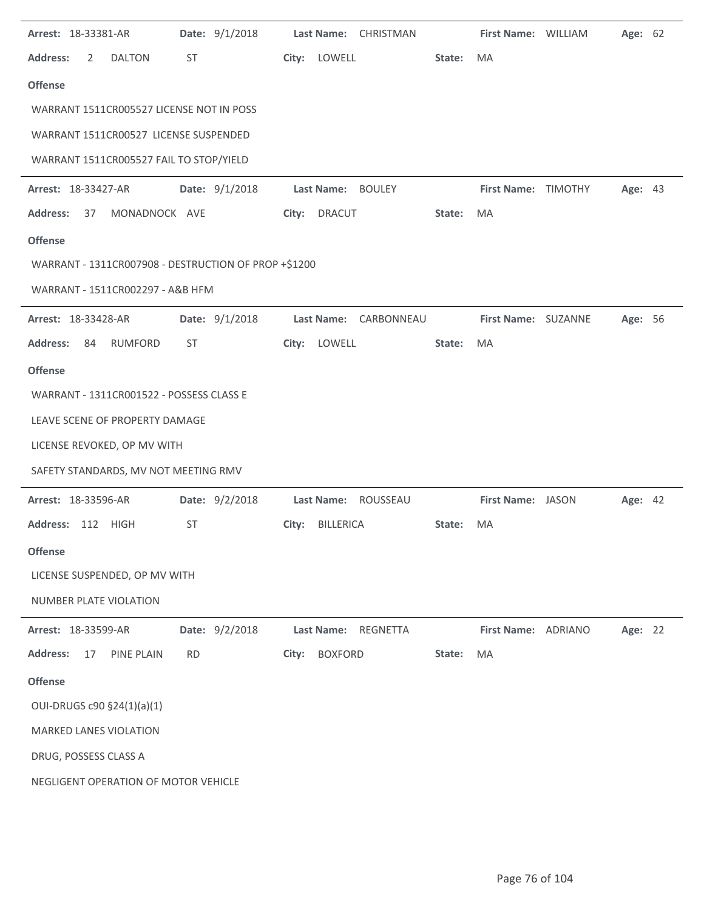| Arrest: 18-33381-AR |                                          | Date: 9/1/2018                                       |       | Last Name: CHRISTMAN          |        | First Name: WILLIAM | Age: 62 |  |
|---------------------|------------------------------------------|------------------------------------------------------|-------|-------------------------------|--------|---------------------|---------|--|
| <b>Address:</b>     | <b>DALTON</b><br>2                       | ST                                                   |       | City: LOWELL                  | State: | MA                  |         |  |
| <b>Offense</b>      |                                          |                                                      |       |                               |        |                     |         |  |
|                     | WARRANT 1511CR005527 LICENSE NOT IN POSS |                                                      |       |                               |        |                     |         |  |
|                     | WARRANT 1511CR00527 LICENSE SUSPENDED    |                                                      |       |                               |        |                     |         |  |
|                     | WARRANT 1511CR005527 FAIL TO STOP/YIELD  |                                                      |       |                               |        |                     |         |  |
| Arrest: 18-33427-AR |                                          | Date: 9/1/2018                                       |       | Last Name: BOULEY             |        | First Name: TIMOTHY | Age: 43 |  |
| <b>Address:</b>     | MONADNOCK AVE<br>37                      |                                                      |       | City: DRACUT                  | State: | MA                  |         |  |
| <b>Offense</b>      |                                          |                                                      |       |                               |        |                     |         |  |
|                     |                                          | WARRANT - 1311CR007908 - DESTRUCTION OF PROP +\$1200 |       |                               |        |                     |         |  |
|                     | WARRANT - 1511CR002297 - A&B HFM         |                                                      |       |                               |        |                     |         |  |
| Arrest: 18-33428-AR |                                          | Date: 9/1/2018                                       |       | Last Name: CARBONNEAU         |        | First Name: SUZANNE | Age: 56 |  |
| <b>Address:</b>     | RUMFORD<br>84                            | ST                                                   |       | City: LOWELL                  | State: | MA                  |         |  |
| <b>Offense</b>      |                                          |                                                      |       |                               |        |                     |         |  |
|                     | WARRANT - 1311CR001522 - POSSESS CLASS E |                                                      |       |                               |        |                     |         |  |
|                     | LEAVE SCENE OF PROPERTY DAMAGE           |                                                      |       |                               |        |                     |         |  |
|                     | LICENSE REVOKED, OP MV WITH              |                                                      |       |                               |        |                     |         |  |
|                     | SAFETY STANDARDS, MV NOT MEETING RMV     |                                                      |       |                               |        |                     |         |  |
| Arrest: 18-33596-AR |                                          | Date: 9/2/2018                                       |       | Last Name: ROUSSEAU           |        | First Name: JASON   | Age: 42 |  |
| <b>Address:</b>     | 112 HIGH                                 | ST                                                   | City: | BILLERICA                     | State: | MA                  |         |  |
| <b>Offense</b>      |                                          |                                                      |       |                               |        |                     |         |  |
|                     | LICENSE SUSPENDED, OP MV WITH            |                                                      |       |                               |        |                     |         |  |
|                     | NUMBER PLATE VIOLATION                   |                                                      |       |                               |        |                     |         |  |
| Arrest: 18-33599-AR |                                          | Date: 9/2/2018                                       |       | <b>Last Name:</b><br>REGNETTA |        | First Name: ADRIANO | Age: 22 |  |
| <b>Address:</b>     | 17<br>PINE PLAIN                         | <b>RD</b>                                            | City: | <b>BOXFORD</b>                | State: | MA                  |         |  |
| <b>Offense</b>      |                                          |                                                      |       |                               |        |                     |         |  |
|                     | OUI-DRUGS c90 §24(1)(a)(1)               |                                                      |       |                               |        |                     |         |  |
|                     | <b>MARKED LANES VIOLATION</b>            |                                                      |       |                               |        |                     |         |  |
|                     | DRUG, POSSESS CLASS A                    |                                                      |       |                               |        |                     |         |  |
|                     | NEGLIGENT OPERATION OF MOTOR VEHICLE     |                                                      |       |                               |        |                     |         |  |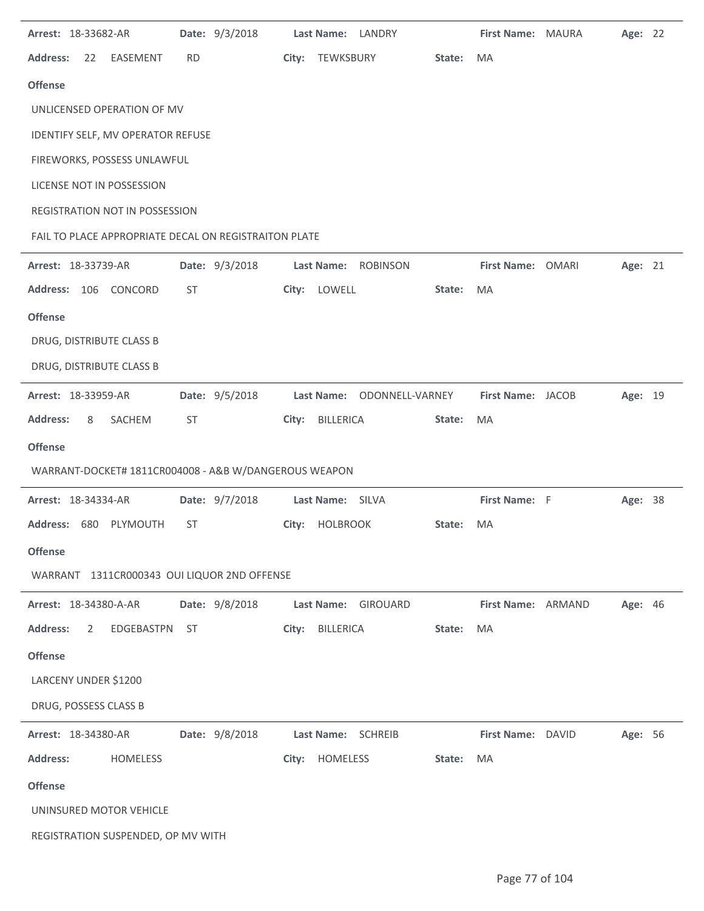| Arrest: 18-33682-AR                                   |           | Date: 9/3/2018 |       | Last Name: LANDRY   |                            |        | First Name: MAURA  | Age: 22 |  |
|-------------------------------------------------------|-----------|----------------|-------|---------------------|----------------------------|--------|--------------------|---------|--|
| <b>Address:</b><br>EASEMENT<br>22                     | <b>RD</b> |                | City: | TEWKSBURY           |                            | State: | MA                 |         |  |
| <b>Offense</b>                                        |           |                |       |                     |                            |        |                    |         |  |
| UNLICENSED OPERATION OF MV                            |           |                |       |                     |                            |        |                    |         |  |
| IDENTIFY SELF, MV OPERATOR REFUSE                     |           |                |       |                     |                            |        |                    |         |  |
| FIREWORKS, POSSESS UNLAWFUL                           |           |                |       |                     |                            |        |                    |         |  |
| LICENSE NOT IN POSSESSION                             |           |                |       |                     |                            |        |                    |         |  |
| REGISTRATION NOT IN POSSESSION                        |           |                |       |                     |                            |        |                    |         |  |
| FAIL TO PLACE APPROPRIATE DECAL ON REGISTRAITON PLATE |           |                |       |                     |                            |        |                    |         |  |
| Arrest: 18-33739-AR                                   |           | Date: 9/3/2018 |       | Last Name: ROBINSON |                            |        | First Name: OMARI  | Age: 21 |  |
| <b>Address:</b><br>106 CONCORD                        | ST        |                | City: | LOWELL              |                            | State: | MA                 |         |  |
| <b>Offense</b>                                        |           |                |       |                     |                            |        |                    |         |  |
| DRUG, DISTRIBUTE CLASS B                              |           |                |       |                     |                            |        |                    |         |  |
| DRUG, DISTRIBUTE CLASS B                              |           |                |       |                     |                            |        |                    |         |  |
| Arrest: 18-33959-AR                                   |           | Date: 9/5/2018 |       |                     | Last Name: ODONNELL-VARNEY |        | First Name: JACOB  | Age: 19 |  |
| <b>Address:</b><br>SACHEM<br>8                        | ST        |                | City: |                     |                            | State: | MA                 |         |  |
|                                                       |           |                |       | <b>BILLERICA</b>    |                            |        |                    |         |  |
| <b>Offense</b>                                        |           |                |       |                     |                            |        |                    |         |  |
| WARRANT-DOCKET# 1811CR004008 - A&B W/DANGEROUS WEAPON |           |                |       |                     |                            |        |                    |         |  |
| Arrest: 18-34334-AR                                   |           | Date: 9/7/2018 |       | Last Name: SILVA    |                            |        | First Name: F      | Age: 38 |  |
| PLYMOUTH<br><b>Address:</b><br>680                    | ST        |                | City: | <b>HOLBROOK</b>     |                            | State: | MA                 |         |  |
| <b>Offense</b>                                        |           |                |       |                     |                            |        |                    |         |  |
| WARRANT 1311CR000343 OUI LIQUOR 2ND OFFENSE           |           |                |       |                     |                            |        |                    |         |  |
| Arrest: 18-34380-A-AR                                 |           | Date: 9/8/2018 |       | Last Name: GIROUARD |                            |        | First Name: ARMAND | Age: 46 |  |
| <b>Address:</b><br>$\overline{2}$<br>EDGEBASTPN       | ST        |                | City: | BILLERICA           |                            | State: | MA                 |         |  |
| <b>Offense</b>                                        |           |                |       |                     |                            |        |                    |         |  |
| LARCENY UNDER \$1200                                  |           |                |       |                     |                            |        |                    |         |  |
| DRUG, POSSESS CLASS B                                 |           |                |       |                     |                            |        |                    |         |  |
| Arrest: 18-34380-AR                                   |           | Date: 9/8/2018 |       | Last Name: SCHREIB  |                            |        | First Name: DAVID  | Age: 56 |  |
| <b>Address:</b><br>HOMELESS                           |           |                | City: | HOMELESS            |                            | State: | MA                 |         |  |
| <b>Offense</b>                                        |           |                |       |                     |                            |        |                    |         |  |
| UNINSURED MOTOR VEHICLE                               |           |                |       |                     |                            |        |                    |         |  |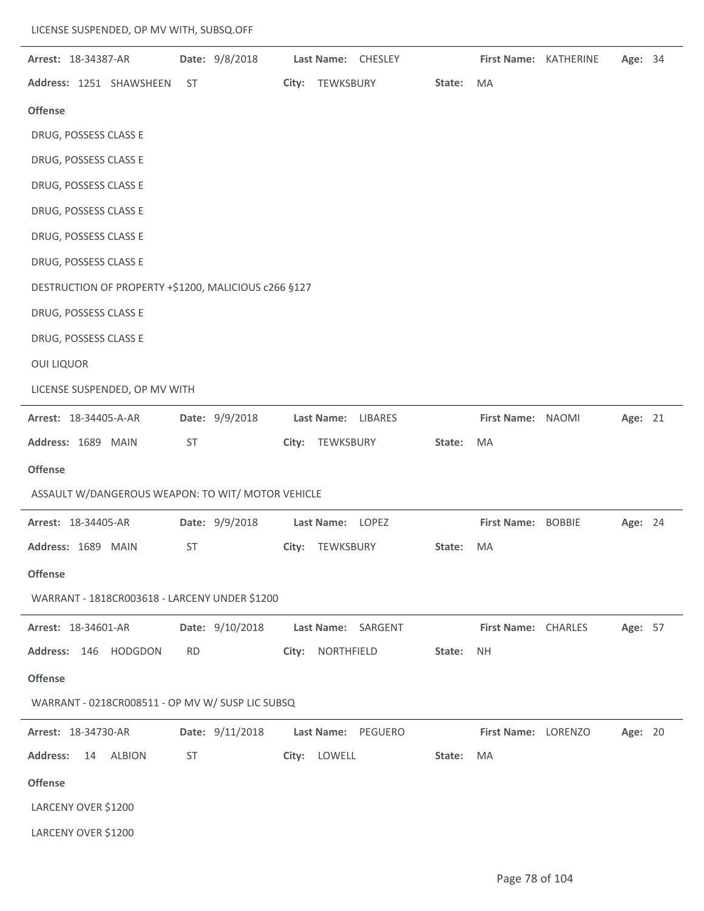| Arrest: 18-34387-AR                                  |           | Date: 9/8/2018  |       | Last Name: CHESLEY |        | <b>First Name: KATHERINE</b> | Age: 34 |  |
|------------------------------------------------------|-----------|-----------------|-------|--------------------|--------|------------------------------|---------|--|
| Address: 1251 SHAWSHEEN                              | ST.       |                 |       | City: TEWKSBURY    | State: | MA                           |         |  |
| <b>Offense</b>                                       |           |                 |       |                    |        |                              |         |  |
| DRUG, POSSESS CLASS E                                |           |                 |       |                    |        |                              |         |  |
| DRUG, POSSESS CLASS E                                |           |                 |       |                    |        |                              |         |  |
| DRUG, POSSESS CLASS E                                |           |                 |       |                    |        |                              |         |  |
| DRUG, POSSESS CLASS E                                |           |                 |       |                    |        |                              |         |  |
| DRUG, POSSESS CLASS E                                |           |                 |       |                    |        |                              |         |  |
| DRUG, POSSESS CLASS E                                |           |                 |       |                    |        |                              |         |  |
| DESTRUCTION OF PROPERTY +\$1200, MALICIOUS c266 §127 |           |                 |       |                    |        |                              |         |  |
| DRUG, POSSESS CLASS E                                |           |                 |       |                    |        |                              |         |  |
| DRUG, POSSESS CLASS E                                |           |                 |       |                    |        |                              |         |  |
| <b>OUI LIQUOR</b>                                    |           |                 |       |                    |        |                              |         |  |
| LICENSE SUSPENDED, OP MV WITH                        |           |                 |       |                    |        |                              |         |  |
| Arrest: 18-34405-A-AR                                |           | Date: 9/9/2018  |       | Last Name: LIBARES |        | First Name: NAOMI            | Age: 21 |  |
| Address: 1689 MAIN                                   | ST        |                 |       | City: TEWKSBURY    | State: | MA                           |         |  |
|                                                      |           |                 |       |                    |        |                              |         |  |
| <b>Offense</b>                                       |           |                 |       |                    |        |                              |         |  |
| ASSAULT W/DANGEROUS WEAPON: TO WIT/ MOTOR VEHICLE    |           |                 |       |                    |        |                              |         |  |
| Arrest: 18-34405-AR                                  |           | Date: 9/9/2018  |       | Last Name: LOPEZ   |        | First Name: BOBBIE           | Age: 24 |  |
| Address: 1689 MAIN                                   | ST        |                 | City: | TEWKSBURY          | State: | MA                           |         |  |
| <b>Offense</b>                                       |           |                 |       |                    |        |                              |         |  |
| WARRANT - 1818CR003618 - LARCENY UNDER \$1200        |           |                 |       |                    |        |                              |         |  |
| Arrest: 18-34601-AR                                  |           | Date: 9/10/2018 |       | Last Name: SARGENT |        | First Name: CHARLES          | Age: 57 |  |
| Address: 146 HODGDON                                 | <b>RD</b> |                 | City: | NORTHFIELD         | State: | <b>NH</b>                    |         |  |
| <b>Offense</b>                                       |           |                 |       |                    |        |                              |         |  |
| WARRANT - 0218CR008511 - OP MV W/ SUSP LIC SUBSQ     |           |                 |       |                    |        |                              |         |  |
| Arrest: 18-34730-AR                                  |           | Date: 9/11/2018 |       | Last Name: PEGUERO |        | First Name: LORENZO          | Age: 20 |  |
| <b>Address:</b><br>14<br><b>ALBION</b>               | ST        |                 |       | City: LOWELL       | State: | MA                           |         |  |
| <b>Offense</b>                                       |           |                 |       |                    |        |                              |         |  |
| LARCENY OVER \$1200                                  |           |                 |       |                    |        |                              |         |  |
| LARCENY OVER \$1200                                  |           |                 |       |                    |        |                              |         |  |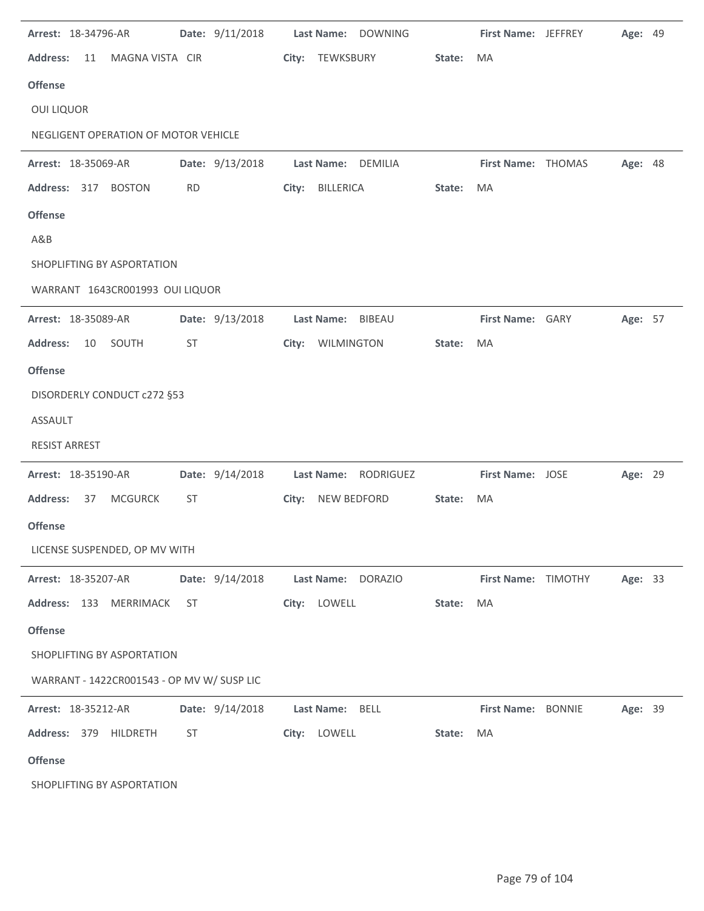| Arrest: 18-34796-AR                        | Date: 9/11/2018 | Last Name: DOWNING   |        | First Name: JEFFREY | Age: 49 |  |
|--------------------------------------------|-----------------|----------------------|--------|---------------------|---------|--|
| <b>Address:</b><br>MAGNA VISTA CIR<br>11   |                 | City: TEWKSBURY      | State: | MA                  |         |  |
| <b>Offense</b>                             |                 |                      |        |                     |         |  |
| <b>OUI LIQUOR</b>                          |                 |                      |        |                     |         |  |
| NEGLIGENT OPERATION OF MOTOR VEHICLE       |                 |                      |        |                     |         |  |
| Arrest: 18-35069-AR                        | Date: 9/13/2018 | Last Name: DEMILIA   |        | First Name: THOMAS  | Age: 48 |  |
| Address: 317 BOSTON                        | <b>RD</b>       | City: BILLERICA      | State: | MA                  |         |  |
| <b>Offense</b>                             |                 |                      |        |                     |         |  |
| A&B                                        |                 |                      |        |                     |         |  |
| SHOPLIFTING BY ASPORTATION                 |                 |                      |        |                     |         |  |
| WARRANT 1643CR001993 OUI LIQUOR            |                 |                      |        |                     |         |  |
| Arrest: 18-35089-AR                        | Date: 9/13/2018 | Last Name: BIBEAU    |        | First Name: GARY    | Age: 57 |  |
| <b>Address:</b><br>10<br>SOUTH             | <b>ST</b>       | City: WILMINGTON     | State: | MA                  |         |  |
| <b>Offense</b>                             |                 |                      |        |                     |         |  |
| DISORDERLY CONDUCT c272 §53                |                 |                      |        |                     |         |  |
| <b>ASSAULT</b>                             |                 |                      |        |                     |         |  |
| <b>RESIST ARREST</b>                       |                 |                      |        |                     |         |  |
| Arrest: 18-35190-AR                        | Date: 9/14/2018 | Last Name: RODRIGUEZ |        | First Name: JOSE    | Age: 29 |  |
| <b>MCGURCK</b><br><b>Address:</b><br>37    | ST              | City: NEW BEDFORD    | State: | MA                  |         |  |
| <b>Offense</b>                             |                 |                      |        |                     |         |  |
| LICENSE SUSPENDED, OP MV WITH              |                 |                      |        |                     |         |  |
| Arrest: 18-35207-AR                        | Date: 9/14/2018 | Last Name: DORAZIO   |        | First Name: TIMOTHY | Age: 33 |  |
| Address: 133 MERRIMACK                     | <b>ST</b>       | City: LOWELL         | State: | MA                  |         |  |
| <b>Offense</b>                             |                 |                      |        |                     |         |  |
| SHOPLIFTING BY ASPORTATION                 |                 |                      |        |                     |         |  |
| WARRANT - 1422CR001543 - OP MV W/ SUSP LIC |                 |                      |        |                     |         |  |
| Arrest: 18-35212-AR                        | Date: 9/14/2018 | Last Name: BELL      |        | First Name: BONNIE  | Age: 39 |  |
| Address: 379 HILDRETH                      | ST              | City: LOWELL         | State: | MA                  |         |  |
| <b>Offense</b>                             |                 |                      |        |                     |         |  |
| SHOPLIFTING BY ASPORTATION                 |                 |                      |        |                     |         |  |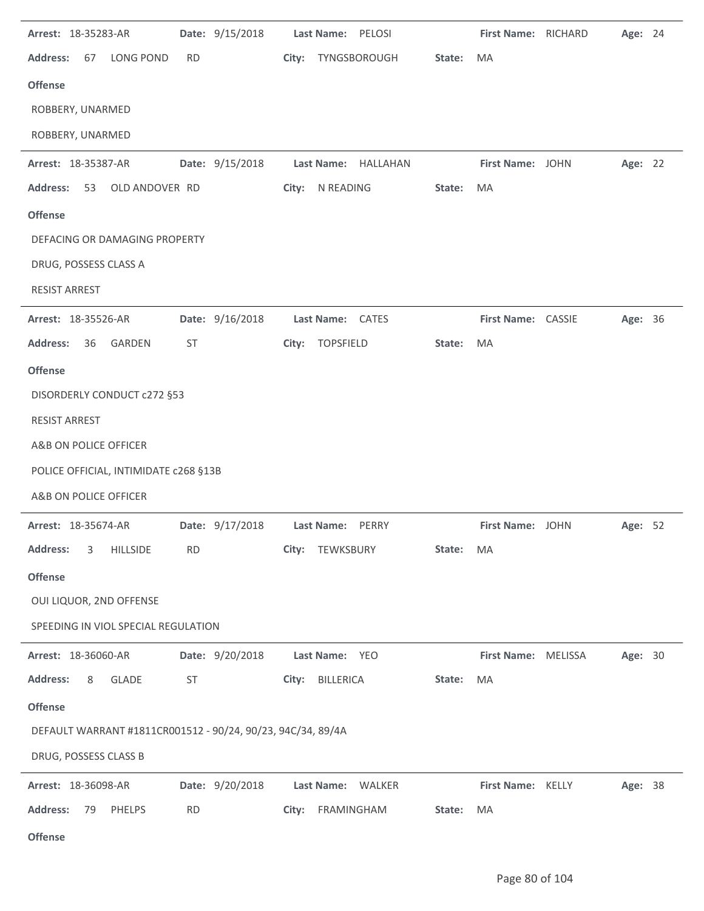| Arrest: 18-35283-AR                                         | Date: 9/15/2018 | Last Name: PELOSI          |        | First Name: RICHARD | Age: 24 |  |
|-------------------------------------------------------------|-----------------|----------------------------|--------|---------------------|---------|--|
| <b>Address:</b><br>LONG POND<br>67                          | <b>RD</b>       | City:<br>TYNGSBOROUGH      | State: | MA                  |         |  |
| <b>Offense</b>                                              |                 |                            |        |                     |         |  |
| ROBBERY, UNARMED                                            |                 |                            |        |                     |         |  |
| ROBBERY, UNARMED                                            |                 |                            |        |                     |         |  |
| Arrest: 18-35387-AR                                         | Date: 9/15/2018 | Last Name: HALLAHAN        |        | First Name: JOHN    | Age: 22 |  |
| <b>Address:</b><br>53<br>OLD ANDOVER RD                     |                 | City:<br>N READING         | State: | MA                  |         |  |
| <b>Offense</b>                                              |                 |                            |        |                     |         |  |
| DEFACING OR DAMAGING PROPERTY                               |                 |                            |        |                     |         |  |
| DRUG, POSSESS CLASS A                                       |                 |                            |        |                     |         |  |
| <b>RESIST ARREST</b>                                        |                 |                            |        |                     |         |  |
| Arrest: 18-35526-AR                                         | Date: 9/16/2018 | Last Name: CATES           |        | First Name: CASSIE  | Age: 36 |  |
| <b>Address:</b><br>36<br>GARDEN                             | <b>ST</b>       | <b>TOPSFIELD</b><br>City:  | State: | MA                  |         |  |
| <b>Offense</b>                                              |                 |                            |        |                     |         |  |
| DISORDERLY CONDUCT c272 §53                                 |                 |                            |        |                     |         |  |
| <b>RESIST ARREST</b>                                        |                 |                            |        |                     |         |  |
| A&B ON POLICE OFFICER                                       |                 |                            |        |                     |         |  |
| POLICE OFFICIAL, INTIMIDATE c268 §13B                       |                 |                            |        |                     |         |  |
| A&B ON POLICE OFFICER                                       |                 |                            |        |                     |         |  |
| Arrest: 18-35674-AR                                         | Date: 9/17/2018 | <b>Last Name:</b><br>PERRY |        | First Name: JOHN    | Age: 52 |  |
| <b>Address:</b><br><b>HILLSIDE</b><br>3                     | <b>RD</b>       | TEWKSBURY<br>City:         | State: | MA                  |         |  |
| <b>Offense</b>                                              |                 |                            |        |                     |         |  |
| OUI LIQUOR, 2ND OFFENSE                                     |                 |                            |        |                     |         |  |
| SPEEDING IN VIOL SPECIAL REGULATION                         |                 |                            |        |                     |         |  |
| Arrest: 18-36060-AR                                         | Date: 9/20/2018 | Last Name: YEO             |        | First Name: MELISSA | Age: 30 |  |
| <b>Address:</b><br>8<br><b>GLADE</b>                        | ST              | City: BILLERICA            | State: | MA                  |         |  |
| <b>Offense</b>                                              |                 |                            |        |                     |         |  |
| DEFAULT WARRANT #1811CR001512 - 90/24, 90/23, 94C/34, 89/4A |                 |                            |        |                     |         |  |
| DRUG, POSSESS CLASS B                                       |                 |                            |        |                     |         |  |
| Arrest: 18-36098-AR                                         | Date: 9/20/2018 | Last Name: WALKER          |        | First Name: KELLY   | Age: 38 |  |
| <b>Address:</b><br>PHELPS<br>79                             | <b>RD</b>       | FRAMINGHAM<br>City:        | State: | MA                  |         |  |
| <b>Offense</b>                                              |                 |                            |        |                     |         |  |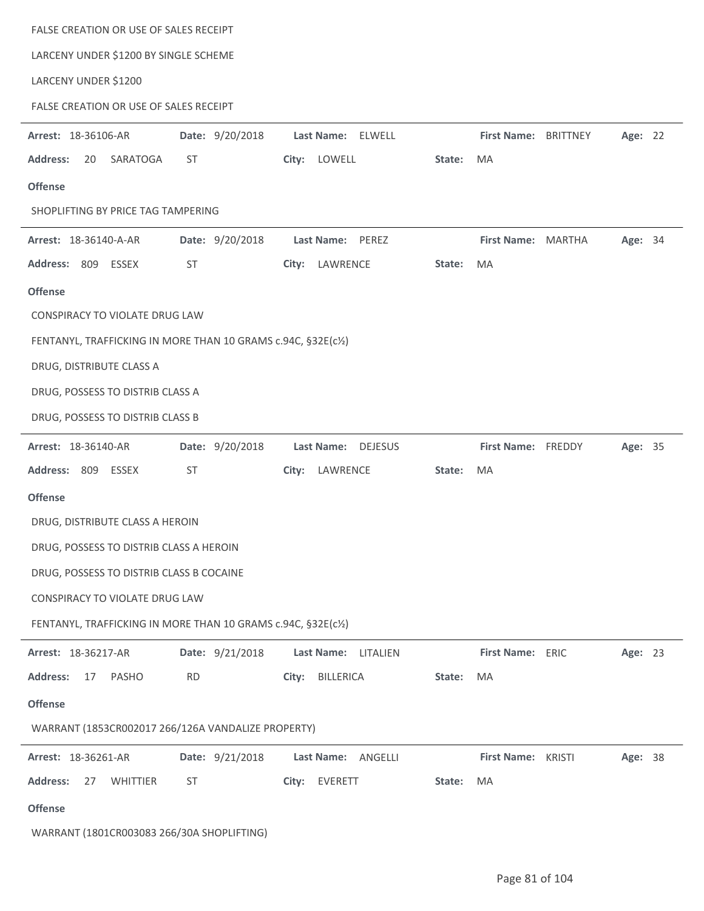| FALSE CREATION OR USE OF SALES RECEIPT                        |                 |                           |        |                      |         |  |
|---------------------------------------------------------------|-----------------|---------------------------|--------|----------------------|---------|--|
| LARCENY UNDER \$1200 BY SINGLE SCHEME                         |                 |                           |        |                      |         |  |
| LARCENY UNDER \$1200                                          |                 |                           |        |                      |         |  |
| FALSE CREATION OR USE OF SALES RECEIPT                        |                 |                           |        |                      |         |  |
| Arrest: 18-36106-AR                                           | Date: 9/20/2018 | Last Name: ELWELL         |        | First Name: BRITTNEY | Age: 22 |  |
| <b>Address:</b><br>20<br>SARATOGA                             | <b>ST</b>       | City: LOWELL              | State: | MA                   |         |  |
| <b>Offense</b>                                                |                 |                           |        |                      |         |  |
| SHOPLIFTING BY PRICE TAG TAMPERING                            |                 |                           |        |                      |         |  |
| Arrest: 18-36140-A-AR                                         | Date: 9/20/2018 | Last Name: PEREZ          |        | First Name: MARTHA   | Age: 34 |  |
| Address: 809 ESSEX                                            | <b>ST</b>       | LAWRENCE<br>City:         | State: | MA                   |         |  |
| <b>Offense</b>                                                |                 |                           |        |                      |         |  |
| CONSPIRACY TO VIOLATE DRUG LAW                                |                 |                           |        |                      |         |  |
| FENTANYL, TRAFFICKING IN MORE THAN 10 GRAMS c.94C, §32E(c1/2) |                 |                           |        |                      |         |  |
| DRUG, DISTRIBUTE CLASS A                                      |                 |                           |        |                      |         |  |
| DRUG, POSSESS TO DISTRIB CLASS A                              |                 |                           |        |                      |         |  |
| DRUG, POSSESS TO DISTRIB CLASS B                              |                 |                           |        |                      |         |  |
| Arrest: 18-36140-AR                                           | Date: 9/20/2018 | Last Name: DEJESUS        |        | First Name: FREDDY   | Age: 35 |  |
| Address: 809 ESSEX                                            | <b>ST</b>       | City:<br>LAWRENCE         | State: | MA                   |         |  |
| <b>Offense</b>                                                |                 |                           |        |                      |         |  |
| DRUG, DISTRIBUTE CLASS A HEROIN                               |                 |                           |        |                      |         |  |
| DRUG, POSSESS TO DISTRIB CLASS A HEROIN                       |                 |                           |        |                      |         |  |
| DRUG, POSSESS TO DISTRIB CLASS B COCAINE                      |                 |                           |        |                      |         |  |
| CONSPIRACY TO VIOLATE DRUG LAW                                |                 |                           |        |                      |         |  |
| FENTANYL, TRAFFICKING IN MORE THAN 10 GRAMS c.94C, §32E(c1/2) |                 |                           |        |                      |         |  |
| Arrest: 18-36217-AR                                           | Date: 9/21/2018 | Last Name: LITALIEN       |        | First Name: ERIC     | Age: 23 |  |
| <b>Address:</b><br>17<br>PASHO                                | <b>RD</b>       | <b>BILLERICA</b><br>City: | State: | MA                   |         |  |
| <b>Offense</b>                                                |                 |                           |        |                      |         |  |
| WARRANT (1853CR002017 266/126A VANDALIZE PROPERTY)            |                 |                           |        |                      |         |  |
| Arrest: 18-36261-AR                                           | Date: 9/21/2018 | Last Name: ANGELLI        |        | First Name: KRISTI   | Age: 38 |  |
| <b>Address:</b><br>WHITTIER<br>27                             | ST              | City: EVERETT             | State: | MA                   |         |  |
| <b>Offense</b>                                                |                 |                           |        |                      |         |  |
|                                                               |                 |                           |        |                      |         |  |

WARRANT (1801CR003083 266/30A SHOPLIFTING)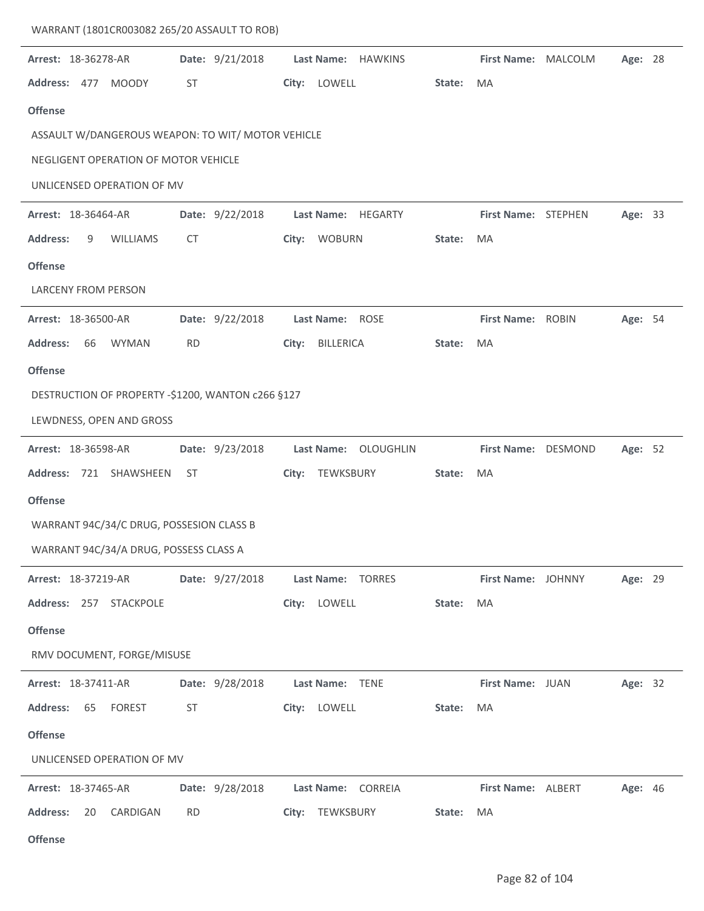| WARRANT (1801CR003082 265/20 ASSAULT TO ROB)                |                              |                                    |        |                           |         |  |
|-------------------------------------------------------------|------------------------------|------------------------------------|--------|---------------------------|---------|--|
| Arrest: 18-36278-AR<br>Address: 477 MOODY<br><b>Offense</b> | Date: 9/21/2018<br><b>ST</b> | Last Name: HAWKINS<br>City: LOWELL | State: | First Name: MALCOLM<br>MA | Age: 28 |  |
| ASSAULT W/DANGEROUS WEAPON: TO WIT/ MOTOR VEHICLE           |                              |                                    |        |                           |         |  |
| NEGLIGENT OPERATION OF MOTOR VEHICLE                        |                              |                                    |        |                           |         |  |
| UNLICENSED OPERATION OF MV                                  |                              |                                    |        |                           |         |  |
| <b>Arrest: 18-36464-AR</b>                                  | Date: 9/22/2018              | Last Name: HEGARTY                 |        | First Name: STEPHEN       | Age: 33 |  |
| <b>Address:</b><br>9<br><b>WILLIAMS</b>                     | <b>CT</b>                    | City: WOBURN                       | State: | MA                        |         |  |
| <b>Offense</b>                                              |                              |                                    |        |                           |         |  |
| <b>LARCENY FROM PERSON</b>                                  |                              |                                    |        |                           |         |  |
| Arrest: 18-36500-AR                                         | Date: 9/22/2018              | Last Name: ROSE                    |        | First Name: ROBIN         | Age: 54 |  |
| <b>Address:</b><br>66<br><b>WYMAN</b>                       | <b>RD</b>                    | <b>BILLERICA</b><br>City:          | State: | MA                        |         |  |
| <b>Offense</b>                                              |                              |                                    |        |                           |         |  |
| DESTRUCTION OF PROPERTY -\$1200, WANTON c266 §127           |                              |                                    |        |                           |         |  |
| LEWDNESS, OPEN AND GROSS                                    |                              |                                    |        |                           |         |  |
| Arrest: 18-36598-AR                                         | Date: 9/23/2018              | Last Name: OLOUGHLIN               |        | First Name: DESMOND       | Age: 52 |  |
| Address: 721 SHAWSHEEN                                      | ST                           | TEWKSBURY<br>City:                 | State: | MA                        |         |  |
| <b>Offense</b>                                              |                              |                                    |        |                           |         |  |
| WARRANT 94C/34/C DRUG, POSSESION CLASS B                    |                              |                                    |        |                           |         |  |
| WARRANT 94C/34/A DRUG, POSSESS CLASS A                      |                              |                                    |        |                           |         |  |
| Arrest: 18-37219-AR                                         | Date: 9/27/2018              | Last Name: TORRES                  |        | First Name: JOHNNY        | Age: 29 |  |
| Address: 257 STACKPOLE                                      |                              | City: LOWELL                       | State: | MA                        |         |  |
| <b>Offense</b>                                              |                              |                                    |        |                           |         |  |
| RMV DOCUMENT, FORGE/MISUSE                                  |                              |                                    |        |                           |         |  |
| Arrest: 18-37411-AR                                         | Date: 9/28/2018              | Last Name: TENE                    |        | First Name: JUAN          | Age: 32 |  |
| <b>Address:</b><br>65<br><b>FOREST</b>                      | ST                           | City: LOWELL                       | State: | MA                        |         |  |
| <b>Offense</b>                                              |                              |                                    |        |                           |         |  |
| UNLICENSED OPERATION OF MV                                  |                              |                                    |        |                           |         |  |
| Arrest: 18-37465-AR                                         | Date: 9/28/2018              | Last Name: CORREIA                 |        | First Name: ALBERT        | Age: 46 |  |
|                                                             |                              |                                    |        |                           |         |  |
| <b>Address:</b><br>20<br>CARDIGAN                           | <b>RD</b>                    | City: TEWKSBURY                    | State: | MA                        |         |  |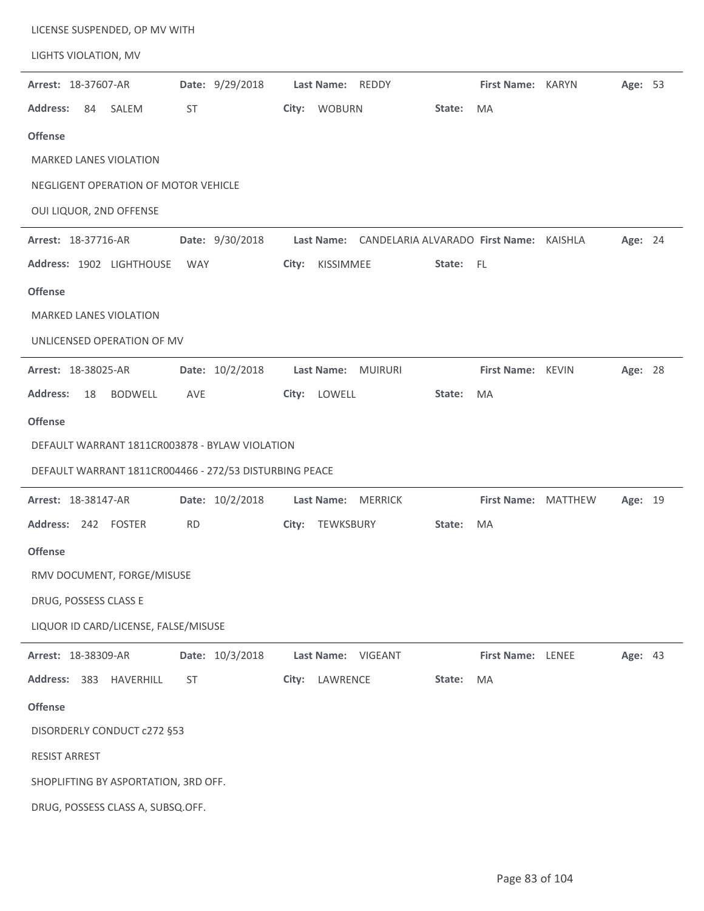| LICENSE SUSPENDED, OP MV WITH                          |                                                    |                                |
|--------------------------------------------------------|----------------------------------------------------|--------------------------------|
| LIGHTS VIOLATION, MV                                   |                                                    |                                |
| Arrest: 18-37607-AR<br>Date: 9/29/2018                 | Last Name: REDDY                                   | First Name: KARYN<br>Age: 53   |
| <b>Address:</b><br>84<br><b>ST</b><br>SALEM            | City: WOBURN<br>State:                             | <b>MA</b>                      |
| <b>Offense</b>                                         |                                                    |                                |
| <b>MARKED LANES VIOLATION</b>                          |                                                    |                                |
| NEGLIGENT OPERATION OF MOTOR VEHICLE                   |                                                    |                                |
| OUI LIQUOR, 2ND OFFENSE                                |                                                    |                                |
| Arrest: 18-37716-AR<br>Date: 9/30/2018                 | Last Name: CANDELARIA ALVARADO First Name: KAISHLA | Age: 24                        |
| Address: 1902 LIGHTHOUSE<br>WAY                        | KISSIMMEE<br>City:<br>State: FL                    |                                |
| <b>Offense</b>                                         |                                                    |                                |
| <b>MARKED LANES VIOLATION</b>                          |                                                    |                                |
| UNLICENSED OPERATION OF MV                             |                                                    |                                |
| Arrest: 18-38025-AR<br>Date: 10/2/2018                 | Last Name: MUIRURI                                 | First Name: KEVIN<br>Age: 28   |
| <b>Address:</b><br><b>BODWELL</b><br>18<br>AVE         | City: LOWELL<br>State:                             | MA                             |
| <b>Offense</b>                                         |                                                    |                                |
|                                                        |                                                    |                                |
| DEFAULT WARRANT 1811CR003878 - BYLAW VIOLATION         |                                                    |                                |
| DEFAULT WARRANT 1811CR004466 - 272/53 DISTURBING PEACE |                                                    |                                |
| Date: 10/2/2018<br>Arrest: 18-38147-AR                 | Last Name: MERRICK                                 | First Name: MATTHEW<br>Age: 19 |
| Address: 242 FOSTER<br><b>RD</b>                       | TEWKSBURY<br>City:<br>State:                       | MA                             |
| <b>Offense</b>                                         |                                                    |                                |
| RMV DOCUMENT, FORGE/MISUSE                             |                                                    |                                |
| DRUG, POSSESS CLASS E                                  |                                                    |                                |
| LIQUOR ID CARD/LICENSE, FALSE/MISUSE                   |                                                    |                                |
| Date: 10/3/2018<br>Arrest: 18-38309-AR                 | Last Name: VIGEANT                                 | Age: 43<br>First Name: LENEE   |
| Address: 383<br>ST<br>HAVERHILL                        | LAWRENCE<br>City:<br>State:                        | MA                             |
| <b>Offense</b>                                         |                                                    |                                |
| DISORDERLY CONDUCT c272 §53                            |                                                    |                                |
| <b>RESIST ARREST</b>                                   |                                                    |                                |
| SHOPLIFTING BY ASPORTATION, 3RD OFF.                   |                                                    |                                |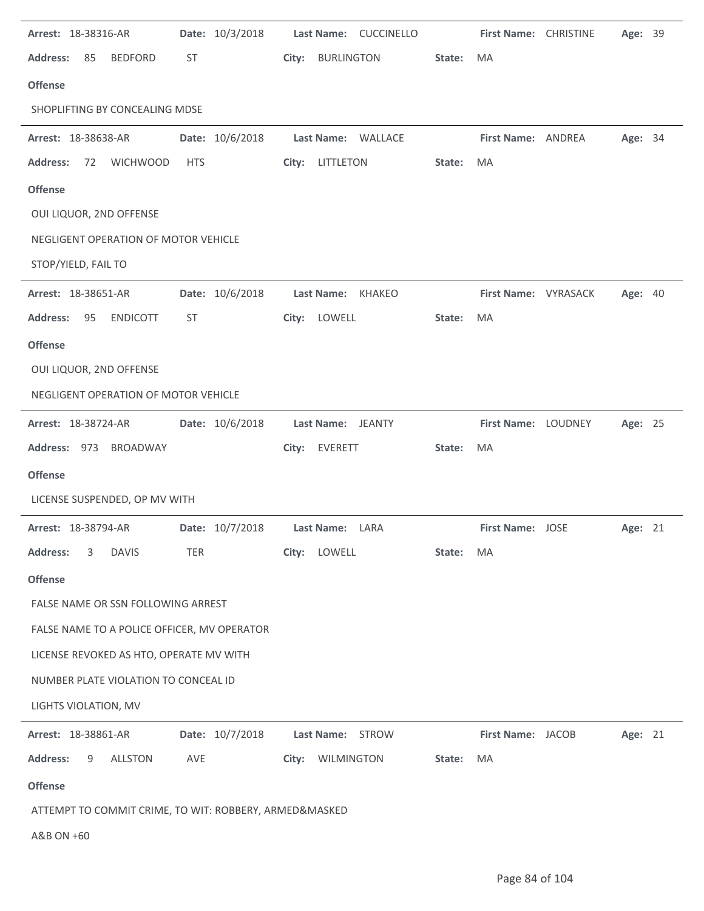| Arrest: 18-38316-AR                                    | Date: 10/3/2018 | Last Name: CUCCINELLO                | First Name: CHRISTINE<br>Age: 39       |
|--------------------------------------------------------|-----------------|--------------------------------------|----------------------------------------|
| <b>Address:</b><br>85<br><b>BEDFORD</b>                | ST              | <b>BURLINGTON</b><br>City:<br>State: | MA                                     |
| <b>Offense</b>                                         |                 |                                      |                                        |
| SHOPLIFTING BY CONCEALING MDSE                         |                 |                                      |                                        |
| Arrest: 18-38638-AR                                    | Date: 10/6/2018 | Last Name: WALLACE                   | First Name: ANDREA<br>Age: 34          |
| <b>Address:</b><br>72<br><b>WICHWOOD</b>               | <b>HTS</b>      | City: LITTLETON<br>State:            | MA                                     |
| <b>Offense</b>                                         |                 |                                      |                                        |
| OUI LIQUOR, 2ND OFFENSE                                |                 |                                      |                                        |
| NEGLIGENT OPERATION OF MOTOR VEHICLE                   |                 |                                      |                                        |
| STOP/YIELD, FAIL TO                                    |                 |                                      |                                        |
| Arrest: 18-38651-AR                                    | Date: 10/6/2018 | Last Name: KHAKEO                    | First Name: VYRASACK<br><b>Age: 40</b> |
| <b>Address:</b><br>95<br><b>ENDICOTT</b>               | ST              | City: LOWELL<br>State:               | MA                                     |
| <b>Offense</b>                                         |                 |                                      |                                        |
| OUI LIQUOR, 2ND OFFENSE                                |                 |                                      |                                        |
| NEGLIGENT OPERATION OF MOTOR VEHICLE                   |                 |                                      |                                        |
| Arrest: 18-38724-AR                                    | Date: 10/6/2018 | Last Name: JEANTY                    | First Name: LOUDNEY<br>Age: 25         |
| Address: 973 BROADWAY                                  |                 | City: EVERETT<br>State:              | MA                                     |
| <b>Offense</b>                                         |                 |                                      |                                        |
| LICENSE SUSPENDED, OP MV WITH                          |                 |                                      |                                        |
| Arrest: 18-38794-AR                                    | Date: 10/7/2018 | Last Name: LARA                      | First Name: JOSE<br>Age: 21            |
| <b>Address:</b><br>3<br><b>DAVIS</b>                   | TER             | City:<br>LOWELL<br>State:            | MA                                     |
| <b>Offense</b>                                         |                 |                                      |                                        |
| FALSE NAME OR SSN FOLLOWING ARREST                     |                 |                                      |                                        |
| FALSE NAME TO A POLICE OFFICER, MV OPERATOR            |                 |                                      |                                        |
| LICENSE REVOKED AS HTO, OPERATE MV WITH                |                 |                                      |                                        |
| NUMBER PLATE VIOLATION TO CONCEAL ID                   |                 |                                      |                                        |
| LIGHTS VIOLATION, MV                                   |                 |                                      |                                        |
| Arrest: 18-38861-AR                                    | Date: 10/7/2018 | Last Name: STROW                     | First Name: JACOB<br>Age: 21           |
| <b>Address:</b><br>9<br><b>ALLSTON</b>                 | AVE             | WILMINGTON<br>State:<br>City:        | MA                                     |
| <b>Offense</b>                                         |                 |                                      |                                        |
| ATTEMPT TO COMMIT CRIME, TO WIT: ROBBERY, ARMED&MASKED |                 |                                      |                                        |
| A&B ON +60                                             |                 |                                      |                                        |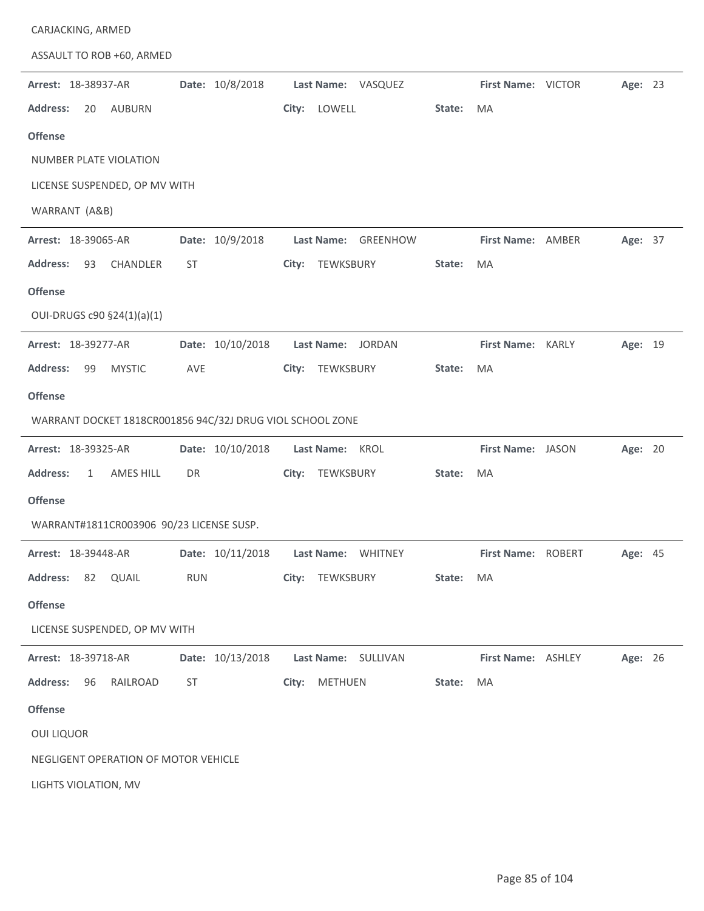| CARJACKING, ARMED                                         |                  |                     |                               |
|-----------------------------------------------------------|------------------|---------------------|-------------------------------|
| ASSAULT TO ROB +60, ARMED                                 |                  |                     |                               |
| Arrest: 18-38937-AR                                       | Date: 10/8/2018  | Last Name: VASQUEZ  | First Name: VICTOR<br>Age: 23 |
| <b>Address:</b><br>20<br><b>AUBURN</b>                    |                  | City:<br>LOWELL     | State:<br>MA                  |
| <b>Offense</b>                                            |                  |                     |                               |
| <b>NUMBER PLATE VIOLATION</b>                             |                  |                     |                               |
| LICENSE SUSPENDED, OP MV WITH                             |                  |                     |                               |
| WARRANT (A&B)                                             |                  |                     |                               |
| Arrest: 18-39065-AR                                       | Date: 10/9/2018  | Last Name: GREENHOW | First Name: AMBER<br>Age: 37  |
| Address:<br>93<br>CHANDLER                                | ST               | City: TEWKSBURY     | MA<br>State:                  |
| <b>Offense</b>                                            |                  |                     |                               |
| OUI-DRUGS c90 §24(1)(a)(1)                                |                  |                     |                               |
| Arrest: 18-39277-AR                                       | Date: 10/10/2018 | Last Name: JORDAN   | First Name: KARLY<br>Age: 19  |
| <b>Address:</b><br>99<br><b>MYSTIC</b>                    | AVE              | TEWKSBURY<br>City:  | State:<br>MA                  |
| <b>Offense</b>                                            |                  |                     |                               |
| WARRANT DOCKET 1818CR001856 94C/32J DRUG VIOL SCHOOL ZONE |                  |                     |                               |
|                                                           |                  |                     |                               |
| Arrest: 18-39325-AR                                       | Date: 10/10/2018 | Last Name: KROL     | Age: 20<br>First Name: JASON  |
| <b>Address:</b><br>AMES HILL<br>$\mathbf{1}$              | DR               | TEWKSBURY<br>City:  | MA<br>State:                  |
| <b>Offense</b>                                            |                  |                     |                               |
| WARRANT#1811CR003906 90/23 LICENSE SUSP.                  |                  |                     |                               |
| Arrest: 18-39448-AR                                       | Date: 10/11/2018 | Last Name: WHITNEY  | First Name: ROBERT<br>Age: 45 |
| <b>Address:</b><br>82 QUAIL                               | <b>RUN</b>       | City: TEWKSBURY     | State:<br>MA                  |
| <b>Offense</b>                                            |                  |                     |                               |
| LICENSE SUSPENDED, OP MV WITH                             |                  |                     |                               |
| Arrest: 18-39718-AR                                       | Date: 10/13/2018 | Last Name: SULLIVAN | First Name: ASHLEY<br>Age: 26 |
| <b>Address:</b><br>RAILROAD<br>96                         | ST               | METHUEN<br>City:    | MA<br>State:                  |
| <b>Offense</b>                                            |                  |                     |                               |
| <b>OUI LIQUOR</b>                                         |                  |                     |                               |
| NEGLIGENT OPERATION OF MOTOR VEHICLE                      |                  |                     |                               |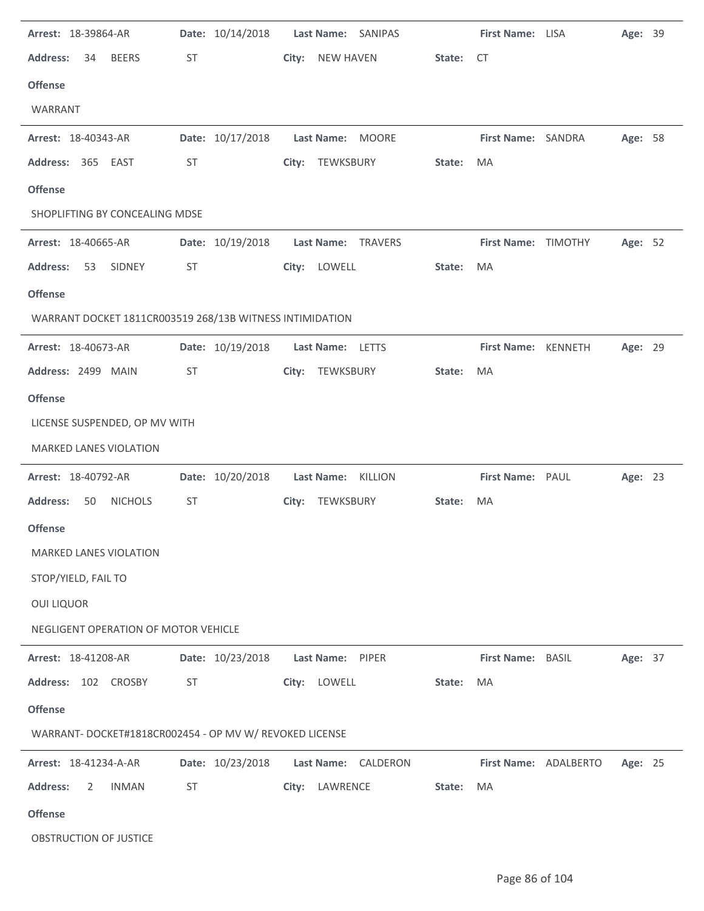| Arrest: 18-39864-AR<br><b>Address:</b><br><b>BEERS</b><br>34<br><b>Offense</b><br>WARRANT | ST        | Date: 10/14/2018 | City: | <b>NEW HAVEN</b> | Last Name: SANIPAS  | State: | First Name: LISA<br>CT   | Age: 39 |  |
|-------------------------------------------------------------------------------------------|-----------|------------------|-------|------------------|---------------------|--------|--------------------------|---------|--|
| Arrest: 18-40343-AR<br>Address: 365 EAST                                                  | <b>ST</b> | Date: 10/17/2018 |       | City: TEWKSBURY  | Last Name: MOORE    | State: | First Name: SANDRA<br>MA | Age: 58 |  |
| <b>Offense</b>                                                                            |           |                  |       |                  |                     |        |                          |         |  |
| SHOPLIFTING BY CONCEALING MDSE                                                            |           |                  |       |                  |                     |        |                          |         |  |
| Arrest: 18-40665-AR                                                                       |           | Date: 10/19/2018 |       |                  | Last Name: TRAVERS  |        | First Name: TIMOTHY      | Age: 52 |  |
| <b>Address:</b><br>53<br>SIDNEY                                                           | <b>ST</b> |                  |       | City: LOWELL     |                     | State: | MA                       |         |  |
| <b>Offense</b>                                                                            |           |                  |       |                  |                     |        |                          |         |  |
| WARRANT DOCKET 1811CR003519 268/13B WITNESS INTIMIDATION                                  |           |                  |       |                  |                     |        |                          |         |  |
| Arrest: 18-40673-AR                                                                       |           | Date: 10/19/2018 |       | Last Name: LETTS |                     |        | First Name: KENNETH      | Age: 29 |  |
| Address: 2499 MAIN                                                                        | ST        |                  |       | City: TEWKSBURY  |                     | State: | MA                       |         |  |
| <b>Offense</b>                                                                            |           |                  |       |                  |                     |        |                          |         |  |
| LICENSE SUSPENDED, OP MV WITH                                                             |           |                  |       |                  |                     |        |                          |         |  |
| MARKED LANES VIOLATION                                                                    |           |                  |       |                  |                     |        |                          |         |  |
| Arrest: 18-40792-AR                                                                       |           | Date: 10/20/2018 |       |                  | Last Name: KILLION  |        | First Name: PAUL         | Age: 23 |  |
| <b>Address:</b><br>50<br><b>NICHOLS</b>                                                   | <b>ST</b> |                  |       | City: TEWKSBURY  |                     | State: | MA                       |         |  |
| <b>Offense</b>                                                                            |           |                  |       |                  |                     |        |                          |         |  |
| MARKED LANES VIOLATION                                                                    |           |                  |       |                  |                     |        |                          |         |  |
| STOP/YIELD, FAIL TO                                                                       |           |                  |       |                  |                     |        |                          |         |  |
| <b>OUI LIQUOR</b>                                                                         |           |                  |       |                  |                     |        |                          |         |  |
| NEGLIGENT OPERATION OF MOTOR VEHICLE                                                      |           |                  |       |                  |                     |        |                          |         |  |
| Arrest: 18-41208-AR                                                                       |           | Date: 10/23/2018 |       | Last Name: PIPER |                     |        | First Name: BASIL        | Age: 37 |  |
| Address: 102 CROSBY                                                                       | ST        |                  |       | City: LOWELL     |                     | State: | MA                       |         |  |
| <b>Offense</b>                                                                            |           |                  |       |                  |                     |        |                          |         |  |
| WARRANT- DOCKET#1818CR002454 - OP MV W/ REVOKED LICENSE                                   |           |                  |       |                  |                     |        |                          |         |  |
| Arrest: 18-41234-A-AR                                                                     |           | Date: 10/23/2018 |       |                  | Last Name: CALDERON |        | First Name: ADALBERTO    | Age: 25 |  |
| <b>Address:</b><br><b>INMAN</b><br>2                                                      | ST        |                  |       | City: LAWRENCE   |                     | State: | MA                       |         |  |
| <b>Offense</b>                                                                            |           |                  |       |                  |                     |        |                          |         |  |
|                                                                                           |           |                  |       |                  |                     |        |                          |         |  |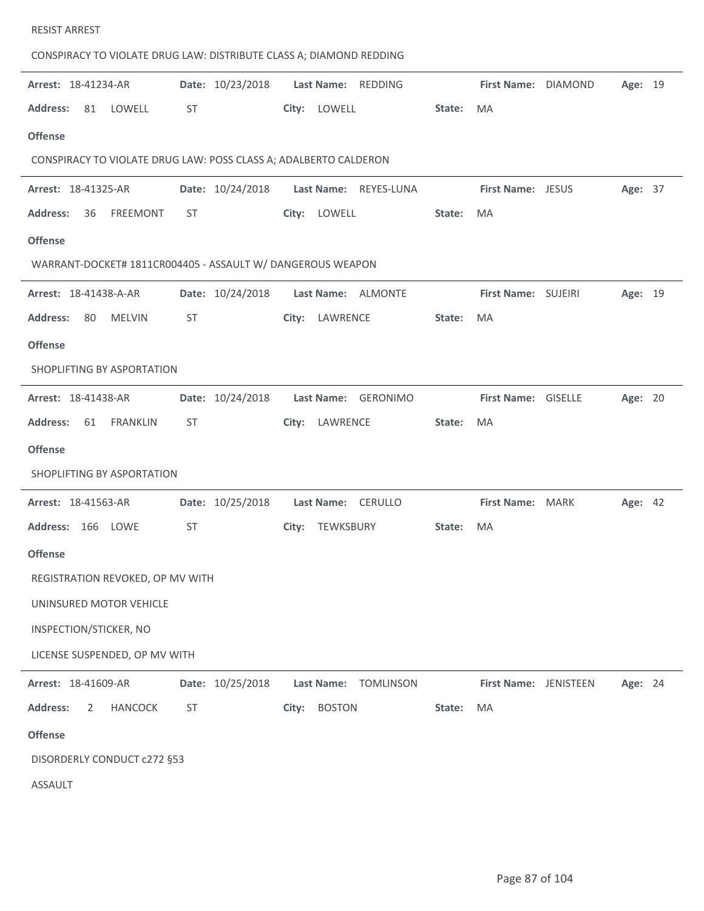| CONSPIRACY TO VIOLATE DRUG LAW: DISTRIBUTE CLASS A; DIAMOND REDDING |           |                  |       |                |                       |        |                       |         |  |
|---------------------------------------------------------------------|-----------|------------------|-------|----------------|-----------------------|--------|-----------------------|---------|--|
| Arrest: 18-41234-AR                                                 |           | Date: 10/23/2018 |       |                | Last Name: REDDING    |        | First Name: DIAMOND   | Age: 19 |  |
| <b>Address:</b><br>81<br>LOWELL                                     | <b>ST</b> |                  |       | City: LOWELL   |                       | State: | MA                    |         |  |
| <b>Offense</b>                                                      |           |                  |       |                |                       |        |                       |         |  |
| CONSPIRACY TO VIOLATE DRUG LAW: POSS CLASS A; ADALBERTO CALDERON    |           |                  |       |                |                       |        |                       |         |  |
| Arrest: 18-41325-AR                                                 |           | Date: 10/24/2018 |       |                | Last Name: REYES-LUNA |        | First Name: JESUS     | Age: 37 |  |
| <b>Address:</b><br>36<br><b>FREEMONT</b>                            | <b>ST</b> |                  | City: | LOWELL         |                       | State: | MA                    |         |  |
| <b>Offense</b>                                                      |           |                  |       |                |                       |        |                       |         |  |
| WARRANT-DOCKET# 1811CR004405 - ASSAULT W/ DANGEROUS WEAPON          |           |                  |       |                |                       |        |                       |         |  |
| Arrest: 18-41438-A-AR                                               |           | Date: 10/24/2018 |       |                | Last Name: ALMONTE    |        | First Name: SUJEIRI   | Age: 19 |  |
| <b>Address:</b><br>80<br><b>MELVIN</b>                              | ST        |                  | City: | LAWRENCE       |                       | State: | <b>MA</b>             |         |  |
| <b>Offense</b>                                                      |           |                  |       |                |                       |        |                       |         |  |
| SHOPLIFTING BY ASPORTATION                                          |           |                  |       |                |                       |        |                       |         |  |
| Arrest: 18-41438-AR                                                 |           | Date: 10/24/2018 |       |                | Last Name: GERONIMO   |        | First Name: GISELLE   | Age: 20 |  |
| <b>FRANKLIN</b><br><b>Address:</b><br>61                            | <b>ST</b> |                  |       | City: LAWRENCE |                       | State: | MA                    |         |  |
| <b>Offense</b>                                                      |           |                  |       |                |                       |        |                       |         |  |
| SHOPLIFTING BY ASPORTATION                                          |           |                  |       |                |                       |        |                       |         |  |
| Arrest: 18-41563-AR                                                 |           | Date: 10/25/2018 |       |                | Last Name: CERULLO    |        | First Name: MARK      | Age: 42 |  |
| Address: 166 LOWE                                                   | <b>ST</b> |                  | City: | TEWKSBURY      |                       | State: | MA                    |         |  |
| <b>Offense</b>                                                      |           |                  |       |                |                       |        |                       |         |  |
| REGISTRATION REVOKED, OP MV WITH                                    |           |                  |       |                |                       |        |                       |         |  |
| UNINSURED MOTOR VEHICLE                                             |           |                  |       |                |                       |        |                       |         |  |
| INSPECTION/STICKER, NO                                              |           |                  |       |                |                       |        |                       |         |  |
| LICENSE SUSPENDED, OP MV WITH                                       |           |                  |       |                |                       |        |                       |         |  |
| Arrest: 18-41609-AR                                                 |           | Date: 10/25/2018 |       | Last Name:     | <b>TOMLINSON</b>      |        | First Name: JENISTEEN | Age: 24 |  |
| <b>Address:</b><br>2<br><b>HANCOCK</b>                              | <b>ST</b> |                  | City: | <b>BOSTON</b>  |                       | State: | MA                    |         |  |
| <b>Offense</b>                                                      |           |                  |       |                |                       |        |                       |         |  |
| DISORDERLY CONDUCT c272 §53                                         |           |                  |       |                |                       |        |                       |         |  |
| <b>ASSAULT</b>                                                      |           |                  |       |                |                       |        |                       |         |  |

RESIST ARREST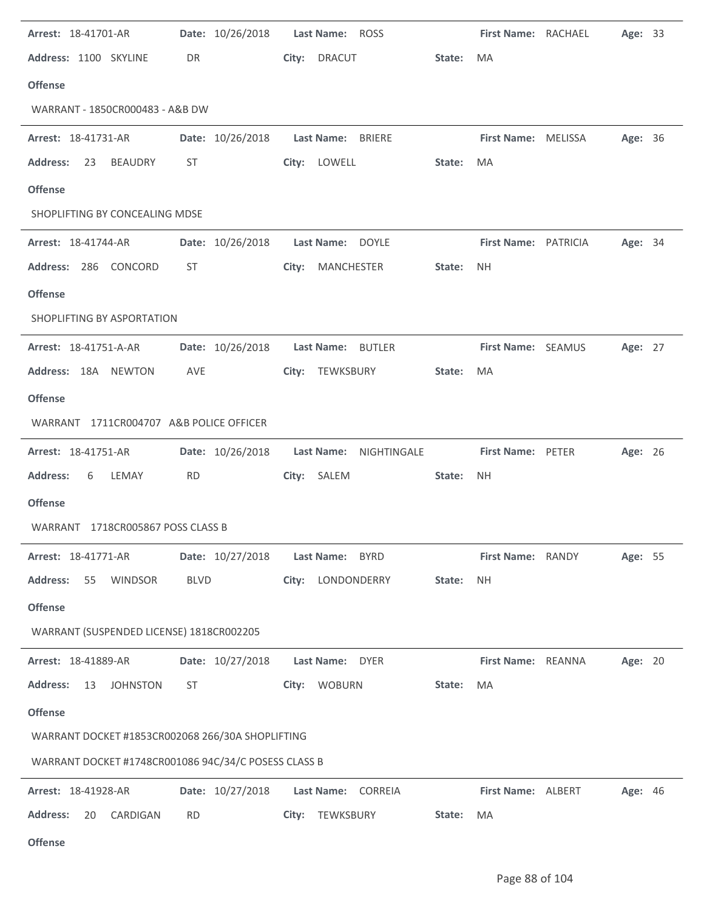| Arrest: 18-41701-AR                                  |             | Date: 10/26/2018 | Last Name: ROSS             |        | First Name: RACHAEL  | Age: 33 |  |
|------------------------------------------------------|-------------|------------------|-----------------------------|--------|----------------------|---------|--|
| Address: 1100 SKYLINE                                | DR          |                  | City: DRACUT                | State: | MA                   |         |  |
| <b>Offense</b>                                       |             |                  |                             |        |                      |         |  |
| WARRANT - 1850CR000483 - A&B DW                      |             |                  |                             |        |                      |         |  |
| Arrest: 18-41731-AR                                  |             | Date: 10/26/2018 | <b>Last Name:</b><br>BRIERE |        | First Name: MELISSA  | Age: 36 |  |
| <b>Address:</b><br><b>BEAUDRY</b><br>23              | ST          |                  | City: LOWELL                | State: | MA                   |         |  |
| <b>Offense</b>                                       |             |                  |                             |        |                      |         |  |
| SHOPLIFTING BY CONCEALING MDSE                       |             |                  |                             |        |                      |         |  |
| Arrest: 18-41744-AR                                  |             | Date: 10/26/2018 | Last Name: DOYLE            |        | First Name: PATRICIA | Age: 34 |  |
| Address: 286 CONCORD                                 | ST.         |                  | City: MANCHESTER            | State: | <b>NH</b>            |         |  |
| <b>Offense</b>                                       |             |                  |                             |        |                      |         |  |
| SHOPLIFTING BY ASPORTATION                           |             |                  |                             |        |                      |         |  |
| Arrest: 18-41751-A-AR                                |             | Date: 10/26/2018 | Last Name: BUTLER           |        | First Name: SEAMUS   | Age: 27 |  |
| Address: 18A NEWTON                                  | AVE         |                  | City: TEWKSBURY             | State: | MA                   |         |  |
| <b>Offense</b>                                       |             |                  |                             |        |                      |         |  |
| WARRANT 1711CR004707 A&B POLICE OFFICER              |             |                  |                             |        |                      |         |  |
| Arrest: 18-41751-AR                                  |             | Date: 10/26/2018 | Last Name:<br>NIGHTINGALE   |        | First Name: PETER    | Age: 26 |  |
| <b>Address:</b><br>6<br>LEMAY                        | <b>RD</b>   |                  | City: SALEM                 | State: | <b>NH</b>            |         |  |
| <b>Offense</b>                                       |             |                  |                             |        |                      |         |  |
| WARRANT 1718CR005867 POSS CLASS B                    |             |                  |                             |        |                      |         |  |
| Arrest: 18-41771-AR                                  |             | Date: 10/27/2018 | Last Name: BYRD             |        | First Name: RANDY    | Age: 55 |  |
| <b>Address:</b><br>55<br>WINDSOR                     | <b>BLVD</b> |                  | City: LONDONDERRY           | State: | NH                   |         |  |
| <b>Offense</b>                                       |             |                  |                             |        |                      |         |  |
| WARRANT (SUSPENDED LICENSE) 1818CR002205             |             |                  |                             |        |                      |         |  |
| Arrest: 18-41889-AR                                  |             | Date: 10/27/2018 | Last Name: DYER             |        | First Name: REANNA   | Age: 20 |  |
| <b>Address:</b><br>13<br><b>JOHNSTON</b>             | ST          |                  | City: WOBURN                | State: | MA                   |         |  |
| <b>Offense</b>                                       |             |                  |                             |        |                      |         |  |
| WARRANT DOCKET #1853CR002068 266/30A SHOPLIFTING     |             |                  |                             |        |                      |         |  |
| WARRANT DOCKET #1748CR001086 94C/34/C POSESS CLASS B |             |                  |                             |        |                      |         |  |
| Arrest: 18-41928-AR                                  |             | Date: 10/27/2018 | Last Name: CORREIA          |        | First Name: ALBERT   | Age: 46 |  |
| <b>Address:</b><br>20<br>CARDIGAN                    | <b>RD</b>   |                  | City: TEWKSBURY             | State: | MA                   |         |  |
|                                                      |             |                  |                             |        |                      |         |  |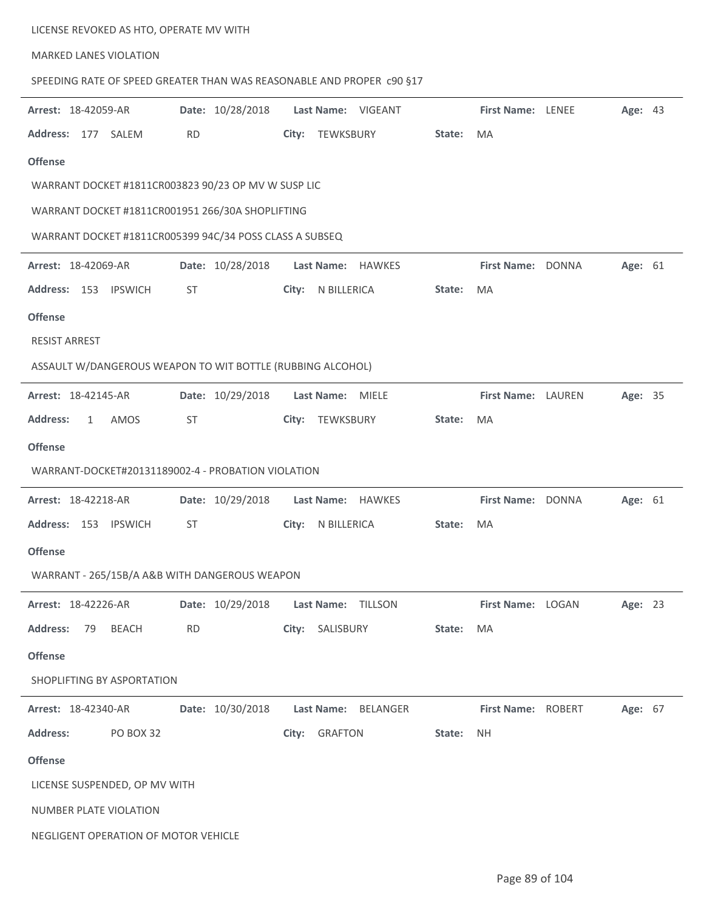|                            | LICENSE REVOKED AS HTO, OPERATE MV WITH                               |           |                  |       |                    |          |        |                           |         |  |
|----------------------------|-----------------------------------------------------------------------|-----------|------------------|-------|--------------------|----------|--------|---------------------------|---------|--|
|                            | <b>MARKED LANES VIOLATION</b>                                         |           |                  |       |                    |          |        |                           |         |  |
|                            | SPEEDING RATE OF SPEED GREATER THAN WAS REASONABLE AND PROPER C90 §17 |           |                  |       |                    |          |        |                           |         |  |
| Arrest: 18-42059-AR        |                                                                       |           | Date: 10/28/2018 |       | Last Name: VIGEANT |          |        | <b>First Name: LENEE</b>  | Age: 43 |  |
| Address: 177 SALEM         |                                                                       | <b>RD</b> |                  |       | City: TEWKSBURY    |          | State: | MA                        |         |  |
| <b>Offense</b>             |                                                                       |           |                  |       |                    |          |        |                           |         |  |
|                            | WARRANT DOCKET #1811CR003823 90/23 OP MV W SUSP LIC                   |           |                  |       |                    |          |        |                           |         |  |
|                            | WARRANT DOCKET #1811CR001951 266/30A SHOPLIFTING                      |           |                  |       |                    |          |        |                           |         |  |
|                            | WARRANT DOCKET #1811CR005399 94C/34 POSS CLASS A SUBSEQ               |           |                  |       |                    |          |        |                           |         |  |
| Arrest: 18-42069-AR        |                                                                       |           | Date: 10/28/2018 |       | Last Name: HAWKES  |          |        | First Name: DONNA         | Age: 61 |  |
|                            | Address: 153 IPSWICH                                                  | ST        |                  | City: | N BILLERICA        |          | State: | MA                        |         |  |
| <b>Offense</b>             |                                                                       |           |                  |       |                    |          |        |                           |         |  |
| <b>RESIST ARREST</b>       |                                                                       |           |                  |       |                    |          |        |                           |         |  |
|                            | ASSAULT W/DANGEROUS WEAPON TO WIT BOTTLE (RUBBING ALCOHOL)            |           |                  |       |                    |          |        |                           |         |  |
| Arrest: 18-42145-AR        |                                                                       |           | Date: 10/29/2018 |       | Last Name: MIELE   |          |        | First Name: LAUREN        | Age: 35 |  |
| <b>Address:</b>            | AMOS<br>1                                                             | ST        |                  |       | City: TEWKSBURY    |          | State: | MA                        |         |  |
| <b>Offense</b>             |                                                                       |           |                  |       |                    |          |        |                           |         |  |
|                            | WARRANT-DOCKET#20131189002-4 - PROBATION VIOLATION                    |           |                  |       |                    |          |        |                           |         |  |
| Arrest: 18-42218-AR        |                                                                       |           | Date: 10/29/2018 |       | Last Name: HAWKES  |          |        | First Name: DONNA         | Age: 61 |  |
|                            | Address: 153 IPSWICH                                                  | <b>ST</b> |                  | City: | N BILLERICA        |          | State: | MA                        |         |  |
| <b>Offense</b>             |                                                                       |           |                  |       |                    |          |        |                           |         |  |
|                            | WARRANT - 265/15B/A A&B WITH DANGEROUS WEAPON                         |           |                  |       |                    |          |        |                           |         |  |
| Arrest: 18-42226-AR        |                                                                       |           | Date: 10/29/2018 |       | Last Name:         | TILLSON  |        | First Name: LOGAN         | Age: 23 |  |
| <b>Address:</b>            | 79<br><b>BEACH</b>                                                    | <b>RD</b> |                  | City: | SALISBURY          |          | State: | MA                        |         |  |
| <b>Offense</b>             |                                                                       |           |                  |       |                    |          |        |                           |         |  |
|                            | SHOPLIFTING BY ASPORTATION                                            |           |                  |       |                    |          |        |                           |         |  |
| <b>Arrest: 18-42340-AR</b> |                                                                       |           | Date: 10/30/2018 |       | Last Name:         | BELANGER |        | <b>First Name: ROBERT</b> | Age: 67 |  |
| <b>Address:</b>            | PO BOX 32                                                             |           |                  |       | City: GRAFTON      |          | State: | NΗ                        |         |  |
| <b>Offense</b>             |                                                                       |           |                  |       |                    |          |        |                           |         |  |
|                            | LICENSE SUSPENDED, OP MV WITH                                         |           |                  |       |                    |          |        |                           |         |  |
|                            | NUMBER PLATE VIOLATION                                                |           |                  |       |                    |          |        |                           |         |  |
|                            | NEGLIGENT OPERATION OF MOTOR VEHICLE                                  |           |                  |       |                    |          |        |                           |         |  |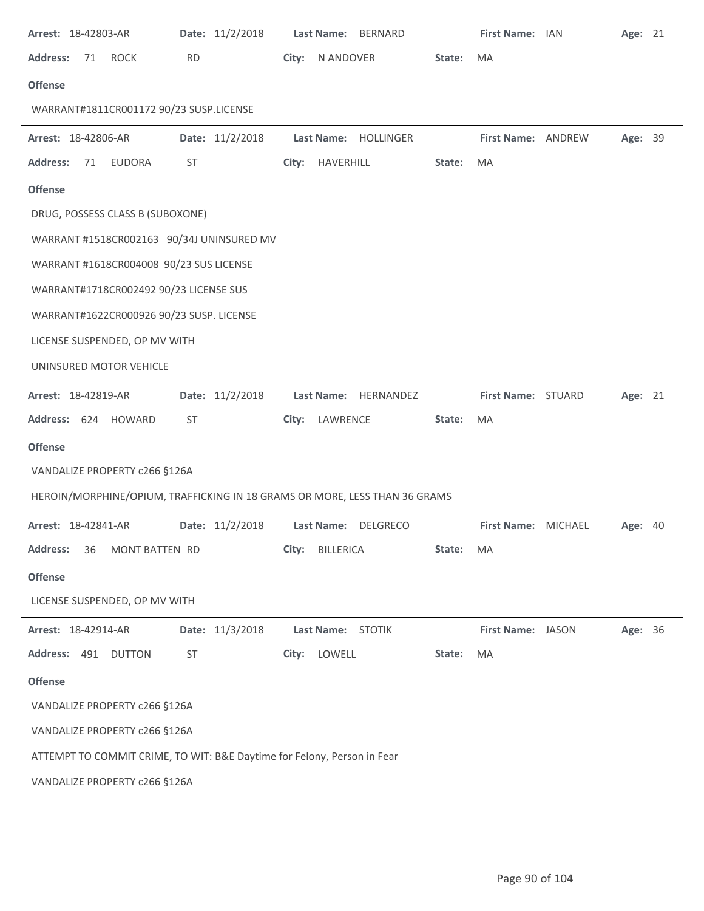| Arrest: 18-42803-AR                                                     | Date: 11/2/2018 | Last Name:<br><b>BERNARD</b>                                               |        | First Name: IAN     | Age: 21 |  |
|-------------------------------------------------------------------------|-----------------|----------------------------------------------------------------------------|--------|---------------------|---------|--|
| <b>Address:</b><br><b>ROCK</b><br>71                                    | <b>RD</b>       | N ANDOVER<br>City:                                                         | State: | MA                  |         |  |
| <b>Offense</b>                                                          |                 |                                                                            |        |                     |         |  |
| WARRANT#1811CR001172 90/23 SUSP.LICENSE                                 |                 |                                                                            |        |                     |         |  |
| Arrest: 18-42806-AR                                                     | Date: 11/2/2018 | Last Name:<br>HOLLINGER                                                    |        | First Name: ANDREW  | Age: 39 |  |
| <b>Address:</b><br><b>EUDORA</b><br>71                                  | ST              | City:<br>HAVERHILL                                                         | State: | MA                  |         |  |
| <b>Offense</b>                                                          |                 |                                                                            |        |                     |         |  |
| DRUG, POSSESS CLASS B (SUBOXONE)                                        |                 |                                                                            |        |                     |         |  |
| WARRANT #1518CR002163 90/34J UNINSURED MV                               |                 |                                                                            |        |                     |         |  |
| WARRANT #1618CR004008 90/23 SUS LICENSE                                 |                 |                                                                            |        |                     |         |  |
| WARRANT#1718CR002492 90/23 LICENSE SUS                                  |                 |                                                                            |        |                     |         |  |
| WARRANT#1622CR000926 90/23 SUSP. LICENSE                                |                 |                                                                            |        |                     |         |  |
| LICENSE SUSPENDED, OP MV WITH                                           |                 |                                                                            |        |                     |         |  |
| UNINSURED MOTOR VEHICLE                                                 |                 |                                                                            |        |                     |         |  |
| Arrest: 18-42819-AR                                                     | Date: 11/2/2018 | Last Name:<br>HERNANDEZ                                                    |        | First Name: STUARD  | Age: 21 |  |
| Address: 624 HOWARD                                                     | <b>ST</b>       | LAWRENCE<br>City:                                                          | State: | MA                  |         |  |
| <b>Offense</b>                                                          |                 |                                                                            |        |                     |         |  |
| VANDALIZE PROPERTY c266 §126A                                           |                 |                                                                            |        |                     |         |  |
|                                                                         |                 | HEROIN/MORPHINE/OPIUM, TRAFFICKING IN 18 GRAMS OR MORE, LESS THAN 36 GRAMS |        |                     |         |  |
| Arrest: 18-42841-AR                                                     | Date: 11/2/2018 | Last Name:<br><b>DELGRECO</b>                                              |        | First Name: MICHAEL | Age: 40 |  |
| <b>Address:</b><br>36<br>MONT BATTEN RD                                 |                 | City:<br>BILLERICA                                                         | State: | MA                  |         |  |
| <b>Offense</b>                                                          |                 |                                                                            |        |                     |         |  |
| LICENSE SUSPENDED, OP MV WITH                                           |                 |                                                                            |        |                     |         |  |
| Arrest: 18-42914-AR                                                     | Date: 11/3/2018 | Last Name: STOTIK                                                          |        | First Name: JASON   | Age: 36 |  |
| Address: 491 DUTTON                                                     | <b>ST</b>       | LOWELL<br>City:                                                            | State: | MA                  |         |  |
| <b>Offense</b>                                                          |                 |                                                                            |        |                     |         |  |
| VANDALIZE PROPERTY c266 §126A                                           |                 |                                                                            |        |                     |         |  |
| VANDALIZE PROPERTY c266 §126A                                           |                 |                                                                            |        |                     |         |  |
| ATTEMPT TO COMMIT CRIME, TO WIT: B&E Daytime for Felony, Person in Fear |                 |                                                                            |        |                     |         |  |
| VANDALIZE PROPERTY c266 §126A                                           |                 |                                                                            |        |                     |         |  |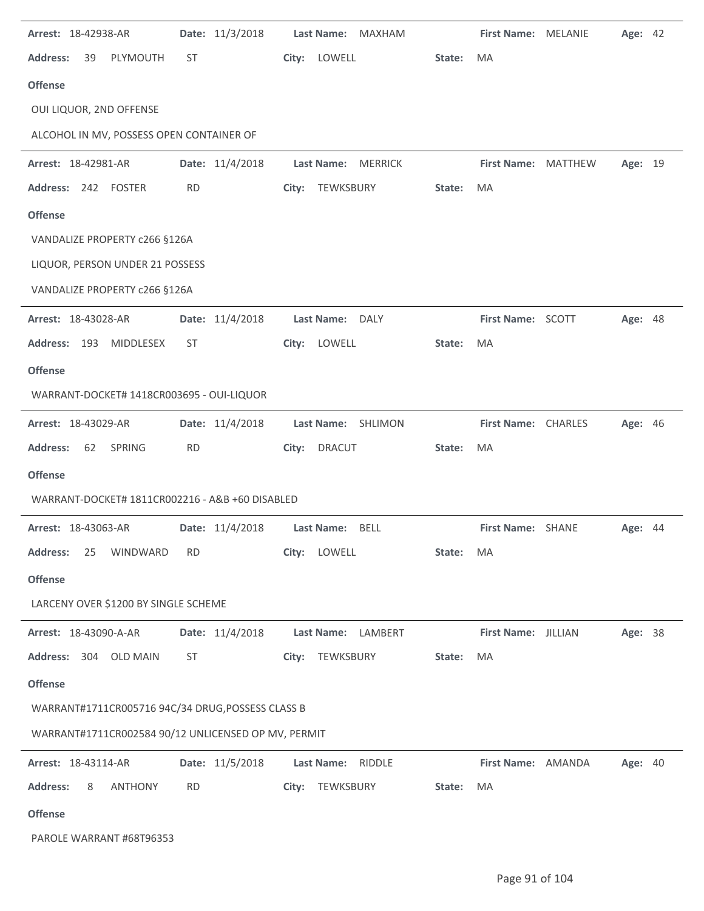| Arrest: 18-42938-AR                                 | Date: 11/3/2018 | Last Name:<br>MAXHAM         |        | First Name: MELANIE | Age: 42 |  |
|-----------------------------------------------------|-----------------|------------------------------|--------|---------------------|---------|--|
| <b>Address:</b><br>39<br>PLYMOUTH                   | ST              | City:<br>LOWELL              | State: | MA.                 |         |  |
| <b>Offense</b>                                      |                 |                              |        |                     |         |  |
| OUI LIQUOR, 2ND OFFENSE                             |                 |                              |        |                     |         |  |
| ALCOHOL IN MV, POSSESS OPEN CONTAINER OF            |                 |                              |        |                     |         |  |
| Arrest: 18-42981-AR                                 | Date: 11/4/2018 | Last Name:<br><b>MERRICK</b> |        | First Name: MATTHEW | Age: 19 |  |
| Address: 242 FOSTER                                 | <b>RD</b>       | City:<br>TEWKSBURY           | State: | MA                  |         |  |
| <b>Offense</b>                                      |                 |                              |        |                     |         |  |
| VANDALIZE PROPERTY c266 §126A                       |                 |                              |        |                     |         |  |
| LIQUOR, PERSON UNDER 21 POSSESS                     |                 |                              |        |                     |         |  |
| VANDALIZE PROPERTY c266 §126A                       |                 |                              |        |                     |         |  |
| Arrest: 18-43028-AR                                 | Date: 11/4/2018 | Last Name: DALY              |        | First Name: SCOTT   | Age: 48 |  |
| Address: 193<br>MIDDLESEX                           | <b>ST</b>       | City:<br>LOWELL              | State: | MA                  |         |  |
| <b>Offense</b>                                      |                 |                              |        |                     |         |  |
| WARRANT-DOCKET# 1418CR003695 - OUI-LIQUOR           |                 |                              |        |                     |         |  |
| Arrest: 18-43029-AR                                 | Date: 11/4/2018 | Last Name: SHLIMON           |        | First Name: CHARLES | Age: 46 |  |
| SPRING<br><b>Address:</b><br>62                     | <b>RD</b>       | City:<br><b>DRACUT</b>       | State: | MA                  |         |  |
| <b>Offense</b>                                      |                 |                              |        |                     |         |  |
| WARRANT-DOCKET# 1811CR002216 - A&B +60 DISABLED     |                 |                              |        |                     |         |  |
| Arrest: 18-43063-AR                                 | Date: 11/4/2018 | Last Name: BELL              |        | First Name: SHANE   | Age: 44 |  |
| <b>Address:</b><br>WINDWARD<br>25                   | <b>RD</b>       | LOWELL<br>City:              | State: | MA                  |         |  |
| <b>Offense</b>                                      |                 |                              |        |                     |         |  |
| LARCENY OVER \$1200 BY SINGLE SCHEME                |                 |                              |        |                     |         |  |
| Arrest: 18-43090-A-AR                               | Date: 11/4/2018 | Last Name: LAMBERT           |        | First Name: JILLIAN | Age: 38 |  |
| <b>Address:</b><br>304 OLD MAIN                     | <b>ST</b>       | TEWKSBURY<br>City:           | State: | MA                  |         |  |
| <b>Offense</b>                                      |                 |                              |        |                     |         |  |
| WARRANT#1711CR005716 94C/34 DRUG, POSSESS CLASS B   |                 |                              |        |                     |         |  |
| WARRANT#1711CR002584 90/12 UNLICENSED OP MV, PERMIT |                 |                              |        |                     |         |  |
| Arrest: 18-43114-AR                                 | Date: 11/5/2018 | Last Name:<br><b>RIDDLE</b>  |        | First Name: AMANDA  | Age: 40 |  |
| <b>Address:</b><br><b>ANTHONY</b><br>8              | <b>RD</b>       | TEWKSBURY<br>City:           | State: | MA                  |         |  |
| <b>Offense</b>                                      |                 |                              |        |                     |         |  |
| PAROLE WARRANT #68T96353                            |                 |                              |        |                     |         |  |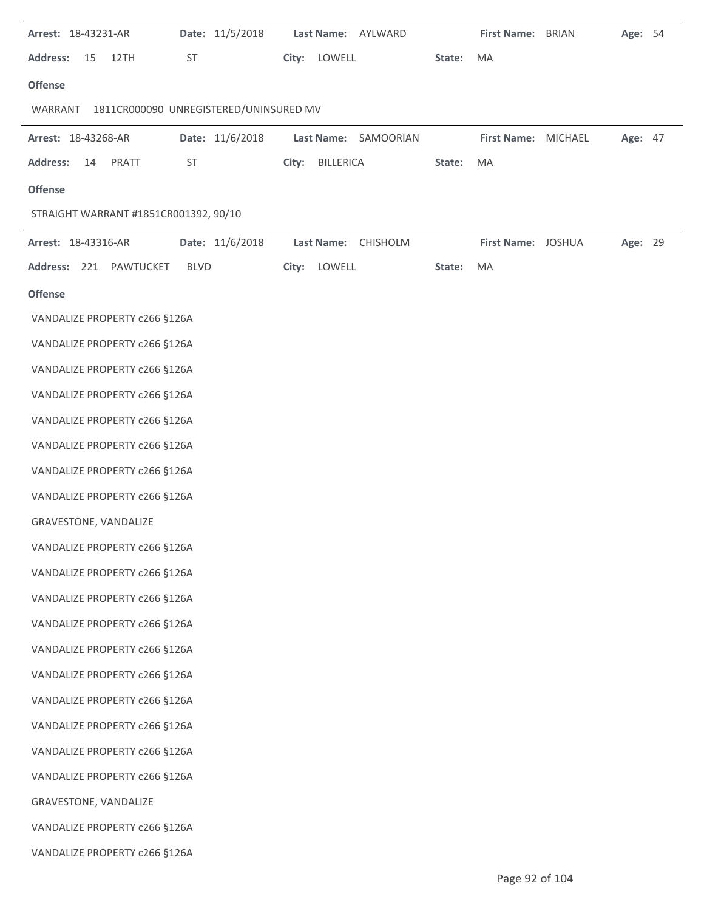| Arrest: 18-43231-AR                               | Date: 11/5/2018 |  |                 | Last Name: AYLWARD   |        | First Name: BRIAN   | Age: 54 |  |
|---------------------------------------------------|-----------------|--|-----------------|----------------------|--------|---------------------|---------|--|
| <b>Address:</b><br>15<br>12TH                     | ST              |  | City: LOWELL    |                      | State: | MA                  |         |  |
| <b>Offense</b>                                    |                 |  |                 |                      |        |                     |         |  |
| 1811CR000090 UNREGISTERED/UNINSURED MV<br>WARRANT |                 |  |                 |                      |        |                     |         |  |
| Arrest: 18-43268-AR                               | Date: 11/6/2018 |  |                 | Last Name: SAMOORIAN |        | First Name: MICHAEL | Age: 47 |  |
| <b>Address:</b><br>PRATT<br>14                    | ST              |  | City: BILLERICA |                      | State: | MA                  |         |  |
| <b>Offense</b>                                    |                 |  |                 |                      |        |                     |         |  |
| STRAIGHT WARRANT #1851CR001392, 90/10             |                 |  |                 |                      |        |                     |         |  |
| Arrest: 18-43316-AR                               | Date: 11/6/2018 |  |                 | Last Name: CHISHOLM  |        | First Name: JOSHUA  | Age: 29 |  |
| Address: 221 PAWTUCKET                            | <b>BLVD</b>     |  | City: LOWELL    |                      | State: | MA                  |         |  |
| <b>Offense</b>                                    |                 |  |                 |                      |        |                     |         |  |
| VANDALIZE PROPERTY c266 §126A                     |                 |  |                 |                      |        |                     |         |  |
| VANDALIZE PROPERTY c266 §126A                     |                 |  |                 |                      |        |                     |         |  |
| VANDALIZE PROPERTY c266 §126A                     |                 |  |                 |                      |        |                     |         |  |
| VANDALIZE PROPERTY c266 §126A                     |                 |  |                 |                      |        |                     |         |  |
| VANDALIZE PROPERTY c266 §126A                     |                 |  |                 |                      |        |                     |         |  |
| VANDALIZE PROPERTY c266 §126A                     |                 |  |                 |                      |        |                     |         |  |
| VANDALIZE PROPERTY c266 §126A                     |                 |  |                 |                      |        |                     |         |  |
| VANDALIZE PROPERTY c266 §126A                     |                 |  |                 |                      |        |                     |         |  |
| GRAVESTONE, VANDALIZE                             |                 |  |                 |                      |        |                     |         |  |
| VANDALIZE PROPERTY c266 §126A                     |                 |  |                 |                      |        |                     |         |  |
| VANDALIZE PROPERTY c266 §126A                     |                 |  |                 |                      |        |                     |         |  |
| VANDALIZE PROPERTY c266 §126A                     |                 |  |                 |                      |        |                     |         |  |
| VANDALIZE PROPERTY c266 §126A                     |                 |  |                 |                      |        |                     |         |  |
| VANDALIZE PROPERTY c266 §126A                     |                 |  |                 |                      |        |                     |         |  |
| VANDALIZE PROPERTY c266 §126A                     |                 |  |                 |                      |        |                     |         |  |
| VANDALIZE PROPERTY c266 §126A                     |                 |  |                 |                      |        |                     |         |  |
| VANDALIZE PROPERTY c266 §126A                     |                 |  |                 |                      |        |                     |         |  |
| VANDALIZE PROPERTY c266 §126A                     |                 |  |                 |                      |        |                     |         |  |
| VANDALIZE PROPERTY c266 §126A                     |                 |  |                 |                      |        |                     |         |  |
| GRAVESTONE, VANDALIZE                             |                 |  |                 |                      |        |                     |         |  |
| VANDALIZE PROPERTY c266 §126A                     |                 |  |                 |                      |        |                     |         |  |
| VANDALIZE PROPERTY c266 §126A                     |                 |  |                 |                      |        |                     |         |  |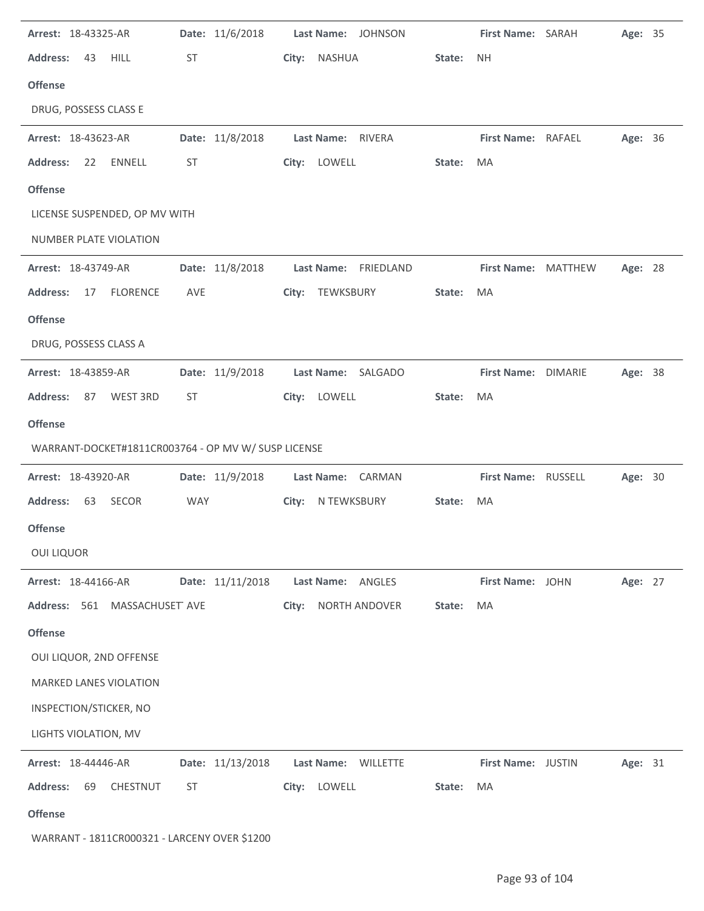| Arrest: 18-43325-AR                                 |            | Date: 11/6/2018  |       | Last Name: JOHNSON   |        | First Name: SARAH   | Age: 35 |  |
|-----------------------------------------------------|------------|------------------|-------|----------------------|--------|---------------------|---------|--|
| <b>Address:</b><br>43<br><b>HILL</b>                | ST         |                  | City: | <b>NASHUA</b>        | State: | <b>NH</b>           |         |  |
| <b>Offense</b>                                      |            |                  |       |                      |        |                     |         |  |
| DRUG, POSSESS CLASS E                               |            |                  |       |                      |        |                     |         |  |
| Arrest: 18-43623-AR                                 |            | Date: 11/8/2018  |       | Last Name: RIVERA    |        | First Name: RAFAEL  | Age: 36 |  |
| ENNELL<br><b>Address:</b><br>22                     | ST         |                  |       | City: LOWELL         | State: | MA                  |         |  |
| <b>Offense</b>                                      |            |                  |       |                      |        |                     |         |  |
| LICENSE SUSPENDED, OP MV WITH                       |            |                  |       |                      |        |                     |         |  |
| NUMBER PLATE VIOLATION                              |            |                  |       |                      |        |                     |         |  |
| Arrest: 18-43749-AR                                 |            | Date: 11/8/2018  |       | Last Name: FRIEDLAND |        | First Name: MATTHEW | Age: 28 |  |
| <b>Address:</b><br>17<br><b>FLORENCE</b>            | AVE        |                  |       | City: TEWKSBURY      | State: | MA                  |         |  |
| <b>Offense</b>                                      |            |                  |       |                      |        |                     |         |  |
| DRUG, POSSESS CLASS A                               |            |                  |       |                      |        |                     |         |  |
| Arrest: 18-43859-AR                                 |            | Date: 11/9/2018  |       | Last Name: SALGADO   |        | First Name: DIMARIE | Age: 38 |  |
| <b>Address:</b><br>87<br>WEST 3RD                   | ST         |                  |       | City: LOWELL         | State: | <b>MA</b>           |         |  |
| <b>Offense</b>                                      |            |                  |       |                      |        |                     |         |  |
| WARRANT-DOCKET#1811CR003764 - OP MV W/ SUSP LICENSE |            |                  |       |                      |        |                     |         |  |
| Arrest: 18-43920-AR                                 |            | Date: 11/9/2018  |       | Last Name: CARMAN    |        | First Name: RUSSELL | Age: 30 |  |
|                                                     |            |                  |       |                      |        |                     |         |  |
| <b>Address:</b><br>63<br>SECOR                      | <b>WAY</b> |                  |       | City: N TEWKSBURY    | State: | MA                  |         |  |
| <b>Offense</b>                                      |            |                  |       |                      |        |                     |         |  |
| <b>OUI LIQUOR</b>                                   |            |                  |       |                      |        |                     |         |  |
| Arrest: 18-44166-AR                                 |            | Date: 11/11/2018 |       | Last Name: ANGLES    |        | First Name: JOHN    | Age: 27 |  |
| Address: 561 MASSACHUSET AVE                        |            |                  | City: | NORTH ANDOVER        | State: | MA                  |         |  |
| <b>Offense</b>                                      |            |                  |       |                      |        |                     |         |  |
| OUI LIQUOR, 2ND OFFENSE                             |            |                  |       |                      |        |                     |         |  |
| <b>MARKED LANES VIOLATION</b>                       |            |                  |       |                      |        |                     |         |  |
| INSPECTION/STICKER, NO                              |            |                  |       |                      |        |                     |         |  |
| LIGHTS VIOLATION, MV                                |            |                  |       |                      |        |                     |         |  |
| Arrest: 18-44446-AR                                 |            | Date: 11/13/2018 |       | Last Name: WILLETTE  |        | First Name: JUSTIN  | Age: 31 |  |
| CHESTNUT<br><b>Address:</b><br>69                   | <b>ST</b>  |                  |       | City: LOWELL         | State: | MA                  |         |  |
| <b>Offense</b>                                      |            |                  |       |                      |        |                     |         |  |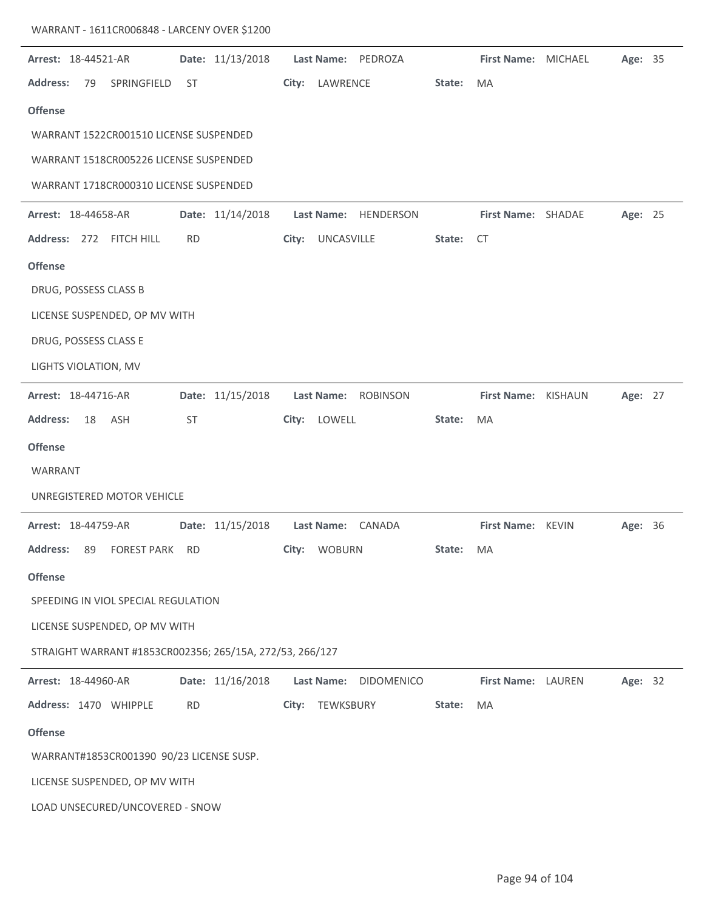| Arrest: 18-44521-AR        |                      |                                                          |           | Date: 11/13/2018 |                   | Last Name: PEDROZA   |        | First Name: MICHAEL | Age: 35 |  |
|----------------------------|----------------------|----------------------------------------------------------|-----------|------------------|-------------------|----------------------|--------|---------------------|---------|--|
| <b>Address:</b>            | 79                   | SPRINGFIELD                                              | <b>ST</b> |                  | City: LAWRENCE    |                      | State: | <b>MA</b>           |         |  |
| <b>Offense</b>             |                      |                                                          |           |                  |                   |                      |        |                     |         |  |
|                            |                      | WARRANT 1522CR001510 LICENSE SUSPENDED                   |           |                  |                   |                      |        |                     |         |  |
|                            |                      | WARRANT 1518CR005226 LICENSE SUSPENDED                   |           |                  |                   |                      |        |                     |         |  |
|                            |                      | WARRANT 1718CR000310 LICENSE SUSPENDED                   |           |                  |                   |                      |        |                     |         |  |
| <b>Arrest: 18-44658-AR</b> |                      |                                                          |           | Date: 11/14/2018 |                   | Last Name: HENDERSON |        | First Name: SHADAE  | Age: 25 |  |
|                            |                      | Address: 272 FITCH HILL                                  | <b>RD</b> |                  | City: UNCASVILLE  |                      | State: | CT                  |         |  |
| <b>Offense</b>             |                      |                                                          |           |                  |                   |                      |        |                     |         |  |
|                            |                      | DRUG, POSSESS CLASS B                                    |           |                  |                   |                      |        |                     |         |  |
|                            |                      | LICENSE SUSPENDED, OP MV WITH                            |           |                  |                   |                      |        |                     |         |  |
|                            |                      | DRUG, POSSESS CLASS E                                    |           |                  |                   |                      |        |                     |         |  |
|                            | LIGHTS VIOLATION, MV |                                                          |           |                  |                   |                      |        |                     |         |  |
| Arrest: 18-44716-AR        |                      |                                                          |           | Date: 11/15/2018 | <b>Last Name:</b> | ROBINSON             |        | First Name: KISHAUN | Age: 27 |  |
| <b>Address:</b>            | 18                   | ASH                                                      | ST        |                  | City: LOWELL      |                      | State: | MA                  |         |  |
| <b>Offense</b>             |                      |                                                          |           |                  |                   |                      |        |                     |         |  |
| WARRANT                    |                      |                                                          |           |                  |                   |                      |        |                     |         |  |
|                            |                      | UNREGISTERED MOTOR VEHICLE                               |           |                  |                   |                      |        |                     |         |  |
| Arrest: 18-44759-AR        |                      |                                                          |           | Date: 11/15/2018 |                   | Last Name: CANADA    |        | First Name: KEVIN   | Age: 36 |  |
|                            |                      | Address: 89 FOREST PARK RD                               |           |                  | City: WOBURN      |                      | State: | MA.                 |         |  |
| <b>Offense</b>             |                      |                                                          |           |                  |                   |                      |        |                     |         |  |
|                            |                      | SPEEDING IN VIOL SPECIAL REGULATION                      |           |                  |                   |                      |        |                     |         |  |
|                            |                      | LICENSE SUSPENDED, OP MV WITH                            |           |                  |                   |                      |        |                     |         |  |
|                            |                      | STRAIGHT WARRANT #1853CR002356; 265/15A, 272/53, 266/127 |           |                  |                   |                      |        |                     |         |  |
| Arrest: 18-44960-AR        |                      |                                                          |           | Date: 11/16/2018 | <b>Last Name:</b> | <b>DIDOMENICO</b>    |        | First Name: LAUREN  | Age: 32 |  |
|                            |                      | Address: 1470 WHIPPLE                                    | <b>RD</b> |                  | City: TEWKSBURY   |                      | State: | MA                  |         |  |
| <b>Offense</b>             |                      |                                                          |           |                  |                   |                      |        |                     |         |  |
|                            |                      | WARRANT#1853CR001390 90/23 LICENSE SUSP.                 |           |                  |                   |                      |        |                     |         |  |
|                            |                      | LICENSE SUSPENDED, OP MV WITH                            |           |                  |                   |                      |        |                     |         |  |
|                            |                      | LOAD UNSECURED/UNCOVERED - SNOW                          |           |                  |                   |                      |        |                     |         |  |

WARRANT - 1611CR006848 - LARCENY OVER \$1200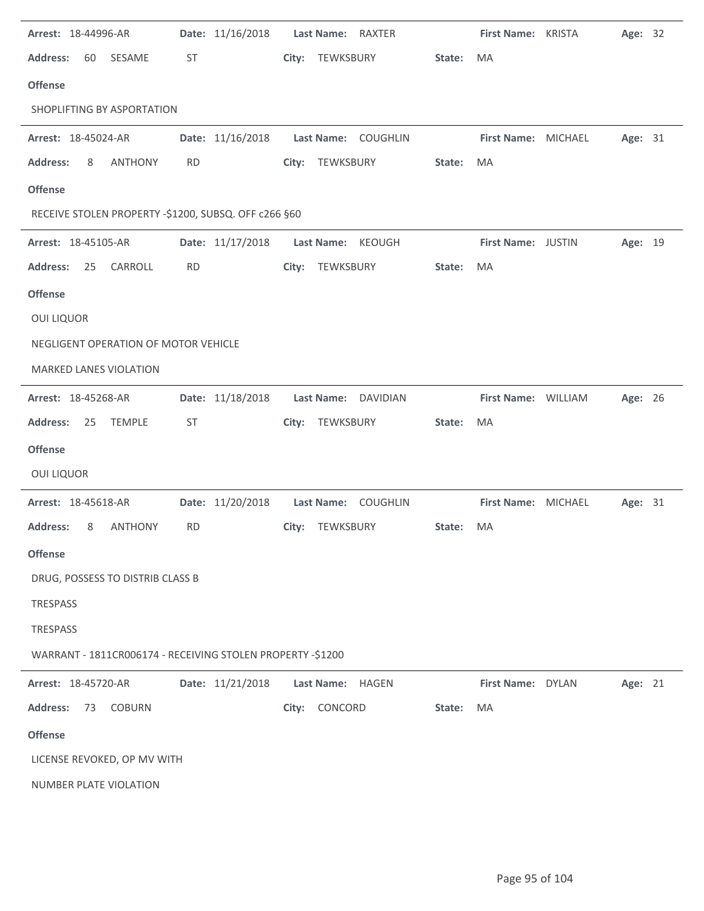| Arrest: 18-44996-AR                                        |           | Date: 11/16/2018 | <b>Last Name:</b><br>RAXTER |        | First Name: KRISTA  | Age: 32 |  |
|------------------------------------------------------------|-----------|------------------|-----------------------------|--------|---------------------|---------|--|
| <b>Address:</b><br>60<br>SESAME                            | ST        |                  | City: TEWKSBURY             | State: | MA                  |         |  |
| <b>Offense</b>                                             |           |                  |                             |        |                     |         |  |
| SHOPLIFTING BY ASPORTATION                                 |           |                  |                             |        |                     |         |  |
| Arrest: 18-45024-AR                                        |           | Date: 11/16/2018 | Last Name: COUGHLIN         |        | First Name: MICHAEL | Age: 31 |  |
| <b>Address:</b><br><b>ANTHONY</b><br>8                     | <b>RD</b> | City:            | TEWKSBURY                   | State: | MA                  |         |  |
| <b>Offense</b>                                             |           |                  |                             |        |                     |         |  |
| RECEIVE STOLEN PROPERTY -\$1200, SUBSQ. OFF c266 §60       |           |                  |                             |        |                     |         |  |
| Arrest: 18-45105-AR                                        |           | Date: 11/17/2018 | Last Name: KEOUGH           |        | First Name: JUSTIN  | Age: 19 |  |
| <b>Address:</b><br>CARROLL<br>25                           | <b>RD</b> |                  | City: TEWKSBURY             | State: | MA                  |         |  |
| <b>Offense</b>                                             |           |                  |                             |        |                     |         |  |
| <b>OUI LIQUOR</b>                                          |           |                  |                             |        |                     |         |  |
| NEGLIGENT OPERATION OF MOTOR VEHICLE                       |           |                  |                             |        |                     |         |  |
| <b>MARKED LANES VIOLATION</b>                              |           |                  |                             |        |                     |         |  |
| Arrest: 18-45268-AR                                        |           | Date: 11/18/2018 | Last Name: DAVIDIAN         |        | First Name: WILLIAM | Age: 26 |  |
| <b>Address:</b><br>25<br><b>TEMPLE</b>                     | ST        | City:            | TEWKSBURY                   | State: | MA                  |         |  |
| <b>Offense</b>                                             |           |                  |                             |        |                     |         |  |
| <b>OUI LIQUOR</b>                                          |           |                  |                             |        |                     |         |  |
|                                                            |           |                  |                             |        |                     |         |  |
| Arrest: 18-45618-AR                                        |           | Date: 11/20/2018 | Last Name: COUGHLIN         |        | First Name: MICHAEL | Age: 31 |  |
| <b>Address:</b><br><b>ANTHONY</b><br>8                     | <b>RD</b> |                  | City: TEWKSBURY             | State: | MA                  |         |  |
| <b>Offense</b>                                             |           |                  |                             |        |                     |         |  |
| DRUG, POSSESS TO DISTRIB CLASS B                           |           |                  |                             |        |                     |         |  |
| <b>TRESPASS</b>                                            |           |                  |                             |        |                     |         |  |
| <b>TRESPASS</b>                                            |           |                  |                             |        |                     |         |  |
| WARRANT - 1811CR006174 - RECEIVING STOLEN PROPERTY -\$1200 |           |                  |                             |        |                     |         |  |
| Arrest: 18-45720-AR                                        |           | Date: 11/21/2018 | Last Name:<br>HAGEN         |        | First Name: DYLAN   | Age: 21 |  |
| <b>Address:</b><br>73<br><b>COBURN</b>                     |           | City:            | CONCORD                     | State: | MA                  |         |  |
| <b>Offense</b>                                             |           |                  |                             |        |                     |         |  |
| LICENSE REVOKED, OP MV WITH                                |           |                  |                             |        |                     |         |  |
| NUMBER PLATE VIOLATION                                     |           |                  |                             |        |                     |         |  |

 $\ddot{\phantom{a}}$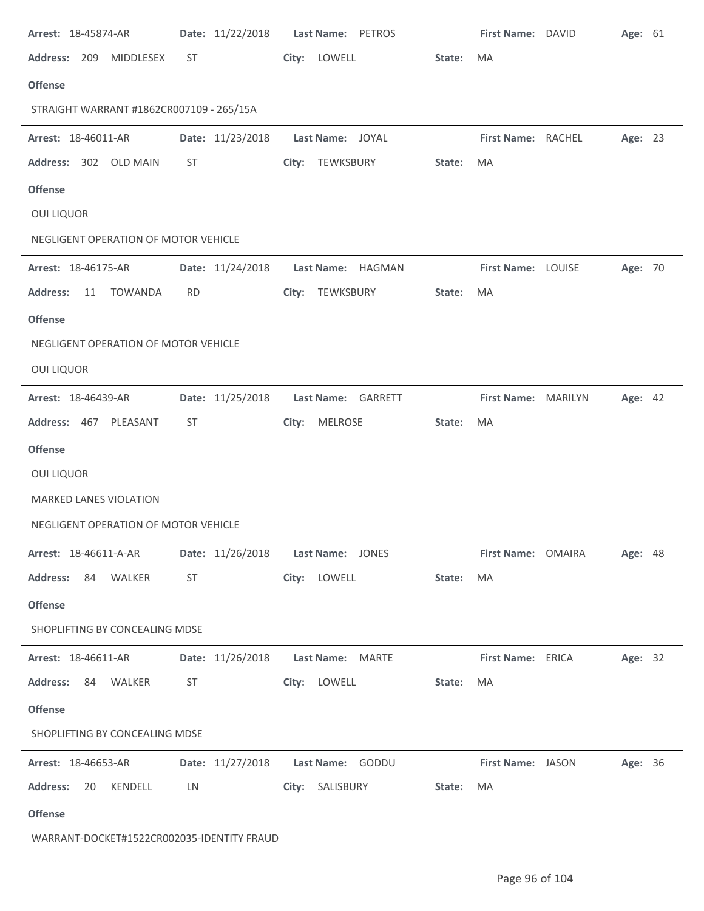| Arrest: 18-45874-AR                      |           | Date: 11/22/2018 | Last Name: PETROS                    |        | First Name: DAVID   | Age: 61        |  |
|------------------------------------------|-----------|------------------|--------------------------------------|--------|---------------------|----------------|--|
| <b>Address:</b><br>209<br>MIDDLESEX      | ST        |                  | City:<br>LOWELL                      | State: | MA                  |                |  |
| <b>Offense</b>                           |           |                  |                                      |        |                     |                |  |
| STRAIGHT WARRANT #1862CR007109 - 265/15A |           |                  |                                      |        |                     |                |  |
| Arrest: 18-46011-AR                      |           | Date: 11/23/2018 | Last Name: JOYAL                     |        | First Name: RACHEL  | Age: 23        |  |
| Address: 302 OLD MAIN                    | <b>ST</b> |                  | City: TEWKSBURY                      | State: | MA                  |                |  |
| <b>Offense</b>                           |           |                  |                                      |        |                     |                |  |
| <b>OUI LIQUOR</b>                        |           |                  |                                      |        |                     |                |  |
| NEGLIGENT OPERATION OF MOTOR VEHICLE     |           |                  |                                      |        |                     |                |  |
| Arrest: 18-46175-AR                      |           | Date: 11/24/2018 | Last Name: HAGMAN                    |        | First Name: LOUISE  | Age: 70        |  |
| <b>Address:</b><br><b>TOWANDA</b><br>11  | <b>RD</b> |                  | TEWKSBURY<br>City:                   | State: | MA                  |                |  |
| <b>Offense</b>                           |           |                  |                                      |        |                     |                |  |
| NEGLIGENT OPERATION OF MOTOR VEHICLE     |           |                  |                                      |        |                     |                |  |
| <b>OUI LIQUOR</b>                        |           |                  |                                      |        |                     |                |  |
| Arrest: 18-46439-AR                      |           | Date: 11/25/2018 | <b>Last Name:</b><br>GARRETT         |        | First Name: MARILYN | Age: 42        |  |
| Address: 467 PLEASANT                    | ST        |                  | City:<br>MELROSE                     | State: | MA                  |                |  |
| <b>Offense</b>                           |           |                  |                                      |        |                     |                |  |
| <b>OUI LIQUOR</b>                        |           |                  |                                      |        |                     |                |  |
| MARKED LANES VIOLATION                   |           |                  |                                      |        |                     |                |  |
| NEGLIGENT OPERATION OF MOTOR VEHICLE     |           |                  |                                      |        |                     |                |  |
| Arrest: 18-46611-A-AR                    |           |                  | Date: 11/26/2018    Last Name: JONES |        | First Name: OMAIRA  | <b>Age: 48</b> |  |
| Address: 84 WALKER                       | ST        |                  | City: LOWELL                         | State: | MA                  |                |  |
| <b>Offense</b>                           |           |                  |                                      |        |                     |                |  |
| SHOPLIFTING BY CONCEALING MDSE           |           |                  |                                      |        |                     |                |  |
|                                          |           |                  |                                      |        |                     |                |  |
| <b>Arrest: 18-46611-AR</b>               |           |                  | Date: 11/26/2018    Last Name: MARTE |        | First Name: ERICA   | Age: 32        |  |
| Address: 84 WALKER                       | ST        |                  | City: LOWELL                         | State: | MA                  |                |  |
| <b>Offense</b>                           |           |                  |                                      |        |                     |                |  |
| SHOPLIFTING BY CONCEALING MDSE           |           |                  |                                      |        |                     |                |  |
| Arrest: 18-46653-AR                      |           |                  | Date: 11/27/2018    Last Name: GODDU |        | First Name: JASON   | Age: 36        |  |
| <b>Address:</b><br>20 KENDELL            | LN        |                  | City: SALISBURY                      | State: | MA                  |                |  |
| <b>Offense</b>                           |           |                  |                                      |        |                     |                |  |

l.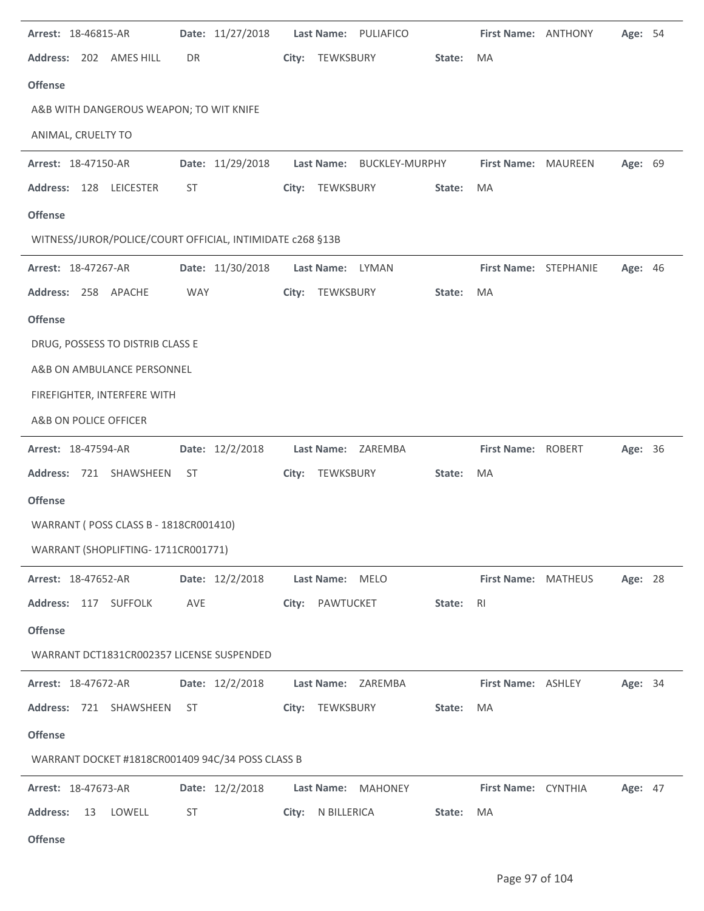| Arrest: 18-46815-AR                                       | Date: 11/27/2018 | Last Name: PULIAFICO         | First Name: ANTHONY<br>Age: 54          |
|-----------------------------------------------------------|------------------|------------------------------|-----------------------------------------|
| Address: 202 AMES HILL                                    | DR               | TEWKSBURY<br>State:<br>City: | MA                                      |
| <b>Offense</b>                                            |                  |                              |                                         |
| A&B WITH DANGEROUS WEAPON; TO WIT KNIFE                   |                  |                              |                                         |
| ANIMAL, CRUELTY TO                                        |                  |                              |                                         |
| Arrest: 18-47150-AR                                       | Date: 11/29/2018 | Last Name: BUCKLEY-MURPHY    | Age: 69<br>First Name: MAUREEN          |
| Address: 128 LEICESTER                                    | ST               | City: TEWKSBURY<br>State:    | MA                                      |
| <b>Offense</b>                                            |                  |                              |                                         |
| WITNESS/JUROR/POLICE/COURT OFFICIAL, INTIMIDATE c268 §13B |                  |                              |                                         |
| Arrest: 18-47267-AR                                       | Date: 11/30/2018 | Last Name: LYMAN             | First Name: STEPHANIE<br><b>Age: 46</b> |
| Address: 258 APACHE                                       | <b>WAY</b>       | TEWKSBURY<br>State:<br>City: | MA                                      |
| <b>Offense</b>                                            |                  |                              |                                         |
| DRUG, POSSESS TO DISTRIB CLASS E                          |                  |                              |                                         |
| A&B ON AMBULANCE PERSONNEL                                |                  |                              |                                         |
| FIREFIGHTER, INTERFERE WITH                               |                  |                              |                                         |
| A&B ON POLICE OFFICER                                     |                  |                              |                                         |
| Arrest: 18-47594-AR                                       | Date: 12/2/2018  | Last Name: ZAREMBA           | First Name: ROBERT<br>Age: 36           |
| Address: 721 SHAWSHEEN                                    | ST               | City:<br>TEWKSBURY<br>State: | MA                                      |
| <b>Offense</b>                                            |                  |                              |                                         |
| WARRANT ( POSS CLASS B - 1818CR001410)                    |                  |                              |                                         |
| WARRANT (SHOPLIFTING-1711CR001771)                        |                  |                              |                                         |
| <b>Arrest: 18-47652-AR</b>                                | Date: 12/2/2018  | Last Name: MELO              | First Name: MATHEUS<br>Age: 28          |
| Address: 117 SUFFOLK                                      | AVE              | City: PAWTUCKET<br>State:    | R <sub>l</sub>                          |
| <b>Offense</b>                                            |                  |                              |                                         |
| WARRANT DCT1831CR002357 LICENSE SUSPENDED                 |                  |                              |                                         |
| <b>Arrest: 18-47672-AR</b>                                | Date: 12/2/2018  | Last Name: ZAREMBA           | First Name: ASHLEY<br>Age: 34           |
| Address: 721 SHAWSHEEN                                    | ST               | City: TEWKSBURY<br>State:    | MA                                      |
| <b>Offense</b>                                            |                  |                              |                                         |
| WARRANT DOCKET #1818CR001409 94C/34 POSS CLASS B          |                  |                              |                                         |
| <b>Arrest: 18-47673-AR</b>                                | Date: 12/2/2018  | Last Name: MAHONEY           | First Name: CYNTHIA<br><b>Age: 47</b>   |
| <b>Address:</b><br>13<br>LOWELL                           | <b>ST</b>        | City: N BILLERICA<br>State:  | MA                                      |
| <b>Offense</b>                                            |                  |                              |                                         |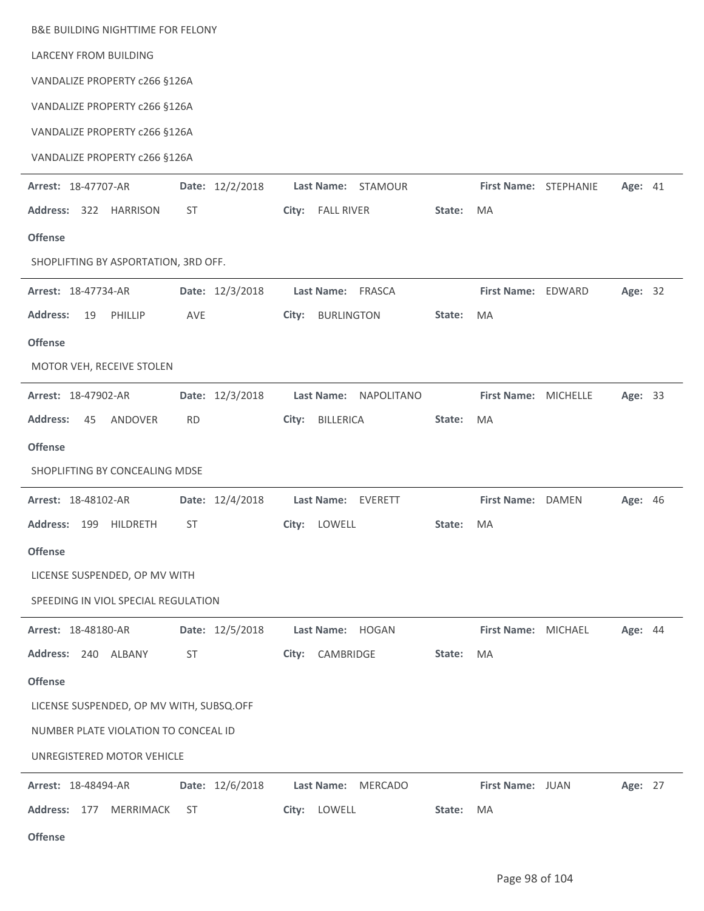| <b>B&amp;E BUILDING NIGHTTIME FOR FELONY</b> |                 |                              |        |                       |         |  |
|----------------------------------------------|-----------------|------------------------------|--------|-----------------------|---------|--|
| <b>LARCENY FROM BUILDING</b>                 |                 |                              |        |                       |         |  |
| VANDALIZE PROPERTY c266 §126A                |                 |                              |        |                       |         |  |
| VANDALIZE PROPERTY c266 §126A                |                 |                              |        |                       |         |  |
| VANDALIZE PROPERTY c266 §126A                |                 |                              |        |                       |         |  |
| VANDALIZE PROPERTY c266 §126A                |                 |                              |        |                       |         |  |
| Arrest: 18-47707-AR                          | Date: 12/2/2018 | Last Name: STAMOUR           |        | First Name: STEPHANIE | Age: 41 |  |
| Address: 322 HARRISON                        | ST              | City:<br><b>FALL RIVER</b>   | State: | MA                    |         |  |
| <b>Offense</b>                               |                 |                              |        |                       |         |  |
| SHOPLIFTING BY ASPORTATION, 3RD OFF.         |                 |                              |        |                       |         |  |
| Arrest: 18-47734-AR                          | Date: 12/3/2018 | Last Name: FRASCA            |        | First Name: EDWARD    | Age: 32 |  |
| <b>Address:</b><br>19<br>PHILLIP             | AVE             | City:<br><b>BURLINGTON</b>   | State: | MA                    |         |  |
| <b>Offense</b>                               |                 |                              |        |                       |         |  |
| MOTOR VEH, RECEIVE STOLEN                    |                 |                              |        |                       |         |  |
| Arrest: 18-47902-AR                          | Date: 12/3/2018 | Last Name: NAPOLITANO        |        | First Name: MICHELLE  | Age: 33 |  |
| <b>Address:</b><br>45<br>ANDOVER             | <b>RD</b>       | BILLERICA<br>City:           | State: | MA                    |         |  |
| <b>Offense</b>                               |                 |                              |        |                       |         |  |
| SHOPLIFTING BY CONCEALING MDSE               |                 |                              |        |                       |         |  |
| Arrest: 18-48102-AR                          | Date: 12/4/2018 | Last Name:<br>EVERETT        |        | First Name: DAMEN     | Age: 46 |  |
| Address: 199 HILDRETH                        | ST              | LOWELL<br>City:              | State: | MA                    |         |  |
| <b>Offense</b>                               |                 |                              |        |                       |         |  |
| LICENSE SUSPENDED, OP MV WITH                |                 |                              |        |                       |         |  |
| SPEEDING IN VIOL SPECIAL REGULATION          |                 |                              |        |                       |         |  |
| Arrest: 18-48180-AR                          | Date: 12/5/2018 | Last Name:<br>HOGAN          |        | First Name: MICHAEL   | Age: 44 |  |
| Address: 240 ALBANY                          | <b>ST</b>       | CAMBRIDGE<br>City:           | State: | MA                    |         |  |
| <b>Offense</b>                               |                 |                              |        |                       |         |  |
| LICENSE SUSPENDED, OP MV WITH, SUBSQ.OFF     |                 |                              |        |                       |         |  |
| NUMBER PLATE VIOLATION TO CONCEAL ID         |                 |                              |        |                       |         |  |
| UNREGISTERED MOTOR VEHICLE                   |                 |                              |        |                       |         |  |
| Arrest: 18-48494-AR                          | Date: 12/6/2018 | Last Name:<br><b>MERCADO</b> |        | First Name: JUAN      | Age: 27 |  |
| Address: 177<br>MERRIMACK                    | ST              | City: LOWELL                 | State: | MA                    |         |  |
| <b>Offense</b>                               |                 |                              |        |                       |         |  |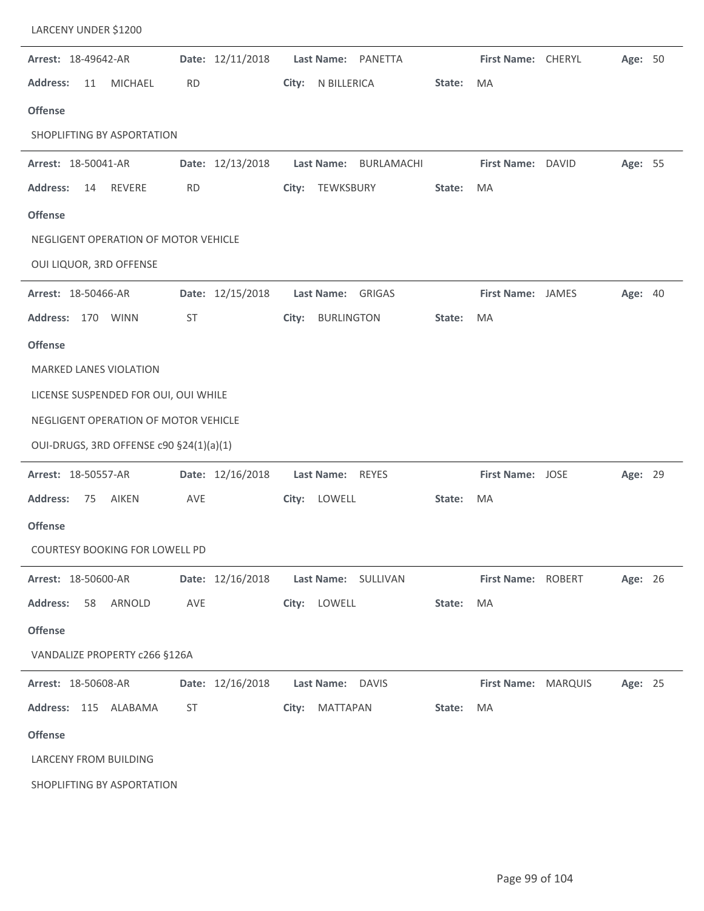| LARCENY UNDER \$1200                    |                  |                                    |        |                     |              |         |  |
|-----------------------------------------|------------------|------------------------------------|--------|---------------------|--------------|---------|--|
| Arrest: 18-49642-AR                     | Date: 12/11/2018 | Last Name: PANETTA                 |        | First Name: CHERYL  |              | Age: 50 |  |
| <b>Address:</b><br><b>MICHAEL</b><br>11 | <b>RD</b>        | City:<br>N BILLERICA               | State: | <b>MA</b>           |              |         |  |
| <b>Offense</b>                          |                  |                                    |        |                     |              |         |  |
| SHOPLIFTING BY ASPORTATION              |                  |                                    |        |                     |              |         |  |
| Arrest: 18-50041-AR                     | Date: 12/13/2018 | <b>Last Name:</b><br>BURLAMACHI    |        | <b>First Name:</b>  | <b>DAVID</b> | Age: 55 |  |
| REVERE<br><b>Address:</b><br>14         | <b>RD</b>        | TEWKSBURY<br>City:                 | State: | MA                  |              |         |  |
| <b>Offense</b>                          |                  |                                    |        |                     |              |         |  |
| NEGLIGENT OPERATION OF MOTOR VEHICLE    |                  |                                    |        |                     |              |         |  |
| OUI LIQUOR, 3RD OFFENSE                 |                  |                                    |        |                     |              |         |  |
| Arrest: 18-50466-AR                     | Date: 12/15/2018 | <b>GRIGAS</b><br><b>Last Name:</b> |        | First Name: JAMES   |              | Age: 40 |  |
| <b>Address:</b><br>170<br><b>WINN</b>   | <b>ST</b>        | <b>BURLINGTON</b><br>City:         | State: | <b>MA</b>           |              |         |  |
| <b>Offense</b>                          |                  |                                    |        |                     |              |         |  |
| <b>MARKED LANES VIOLATION</b>           |                  |                                    |        |                     |              |         |  |
| LICENSE SUSPENDED FOR OUI, OUI WHILE    |                  |                                    |        |                     |              |         |  |
| NEGLIGENT OPERATION OF MOTOR VEHICLE    |                  |                                    |        |                     |              |         |  |
| OUI-DRUGS, 3RD OFFENSE c90 §24(1)(a)(1) |                  |                                    |        |                     |              |         |  |
| Arrest: 18-50557-AR                     | Date: 12/16/2018 | <b>Last Name:</b><br><b>REYES</b>  |        | First Name: JOSE    |              | Age: 29 |  |
| <b>Address:</b><br><b>AIKEN</b><br>75   | AVE              | LOWELL<br>City:                    | State: | MA                  |              |         |  |
| <b>Offense</b>                          |                  |                                    |        |                     |              |         |  |
| COURTESY BOOKING FOR LOWELL PD          |                  |                                    |        |                     |              |         |  |
| Arrest: 18-50600-AR                     | Date: 12/16/2018 | Last Name: SULLIVAN                |        | First Name: ROBERT  |              | Age: 26 |  |
| <b>Address:</b><br>58 ARNOLD            | AVE              | City: LOWELL                       | State: | MA                  |              |         |  |
| <b>Offense</b>                          |                  |                                    |        |                     |              |         |  |
| VANDALIZE PROPERTY c266 §126A           |                  |                                    |        |                     |              |         |  |
| Arrest: 18-50608-AR                     | Date: 12/16/2018 | Last Name: DAVIS                   |        | First Name: MARQUIS |              | Age: 25 |  |
| Address: 115 ALABAMA                    | ST               | City:<br>MATTAPAN                  | State: | MA                  |              |         |  |
| <b>Offense</b>                          |                  |                                    |        |                     |              |         |  |
| LARCENY FROM BUILDING                   |                  |                                    |        |                     |              |         |  |
| SHOPLIFTING BY ASPORTATION              |                  |                                    |        |                     |              |         |  |
|                                         |                  |                                    |        |                     |              |         |  |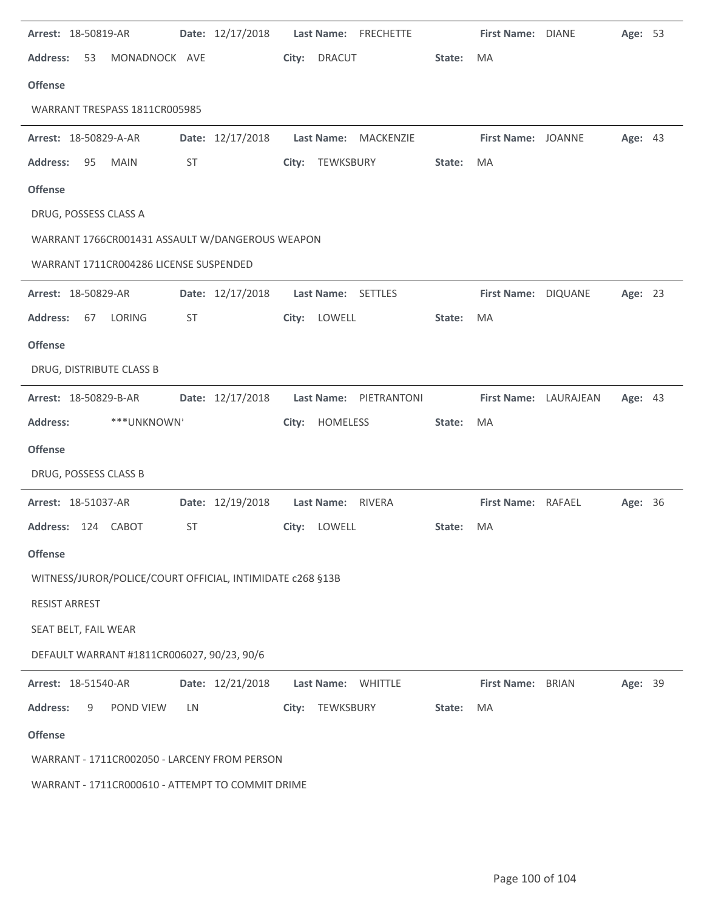| Arrest: 18-50819-AR                                       |                 | Date: 12/17/2018 |       | Last Name: FRECHETTE   |        | First Name: DIANE     |              | Age: 53 |  |
|-----------------------------------------------------------|-----------------|------------------|-------|------------------------|--------|-----------------------|--------------|---------|--|
| <b>Address:</b><br>53                                     | MONADNOCK AVE   |                  | City: | <b>DRACUT</b>          | State: | <b>MA</b>             |              |         |  |
| <b>Offense</b>                                            |                 |                  |       |                        |        |                       |              |         |  |
| WARRANT TRESPASS 1811CR005985                             |                 |                  |       |                        |        |                       |              |         |  |
| Arrest: 18-50829-A-AR                                     |                 | Date: 12/17/2018 |       | Last Name: MACKENZIE   |        | First Name: JOANNE    |              | Age: 43 |  |
| <b>Address:</b><br>95<br><b>MAIN</b>                      | ST              |                  |       | City: TEWKSBURY        | State: | MA                    |              |         |  |
| <b>Offense</b>                                            |                 |                  |       |                        |        |                       |              |         |  |
| DRUG, POSSESS CLASS A                                     |                 |                  |       |                        |        |                       |              |         |  |
| WARRANT 1766CR001431 ASSAULT W/DANGEROUS WEAPON           |                 |                  |       |                        |        |                       |              |         |  |
| WARRANT 1711CR004286 LICENSE SUSPENDED                    |                 |                  |       |                        |        |                       |              |         |  |
| Arrest: 18-50829-AR                                       |                 | Date: 12/17/2018 |       | Last Name: SETTLES     |        | First Name: DIQUANE   |              | Age: 23 |  |
| <b>Address:</b><br><b>LORING</b><br>67                    | <b>ST</b>       |                  |       | City: LOWELL           | State: | MA                    |              |         |  |
| <b>Offense</b>                                            |                 |                  |       |                        |        |                       |              |         |  |
| DRUG, DISTRIBUTE CLASS B                                  |                 |                  |       |                        |        |                       |              |         |  |
| Arrest: 18-50829-B-AR                                     |                 | Date: 12/17/2018 |       | Last Name: PIETRANTONI |        | First Name: LAURAJEAN |              | Age: 43 |  |
|                                                           |                 |                  |       |                        |        |                       |              |         |  |
| <b>Address:</b>                                           | ***UNKNOWN'     |                  | City: | HOMELESS               | State: | MA                    |              |         |  |
| <b>Offense</b>                                            |                 |                  |       |                        |        |                       |              |         |  |
| DRUG, POSSESS CLASS B                                     |                 |                  |       |                        |        |                       |              |         |  |
| Arrest: 18-51037-AR                                       |                 | Date: 12/19/2018 |       | Last Name: RIVERA      |        | First Name: RAFAEL    |              | Age: 36 |  |
| Address: 124 CABOT                                        | ST              |                  |       | City: LOWELL           | State: | <b>MA</b>             |              |         |  |
| <b>Offense</b>                                            |                 |                  |       |                        |        |                       |              |         |  |
| WITNESS/JUROR/POLICE/COURT OFFICIAL, INTIMIDATE c268 §13B |                 |                  |       |                        |        |                       |              |         |  |
| <b>RESIST ARREST</b>                                      |                 |                  |       |                        |        |                       |              |         |  |
| SEAT BELT, FAIL WEAR                                      |                 |                  |       |                        |        |                       |              |         |  |
| DEFAULT WARRANT #1811CR006027, 90/23, 90/6                |                 |                  |       |                        |        |                       |              |         |  |
| Arrest: 18-51540-AR                                       |                 | Date: 12/21/2018 |       | Last Name: WHITTLE     |        | <b>First Name:</b>    | <b>BRIAN</b> | Age: 39 |  |
| <b>Address:</b><br>9                                      | POND VIEW<br>LN |                  | City: | TEWKSBURY              | State: | MA                    |              |         |  |
| <b>Offense</b>                                            |                 |                  |       |                        |        |                       |              |         |  |
| WARRANT - 1711CR002050 - LARCENY FROM PERSON              |                 |                  |       |                        |        |                       |              |         |  |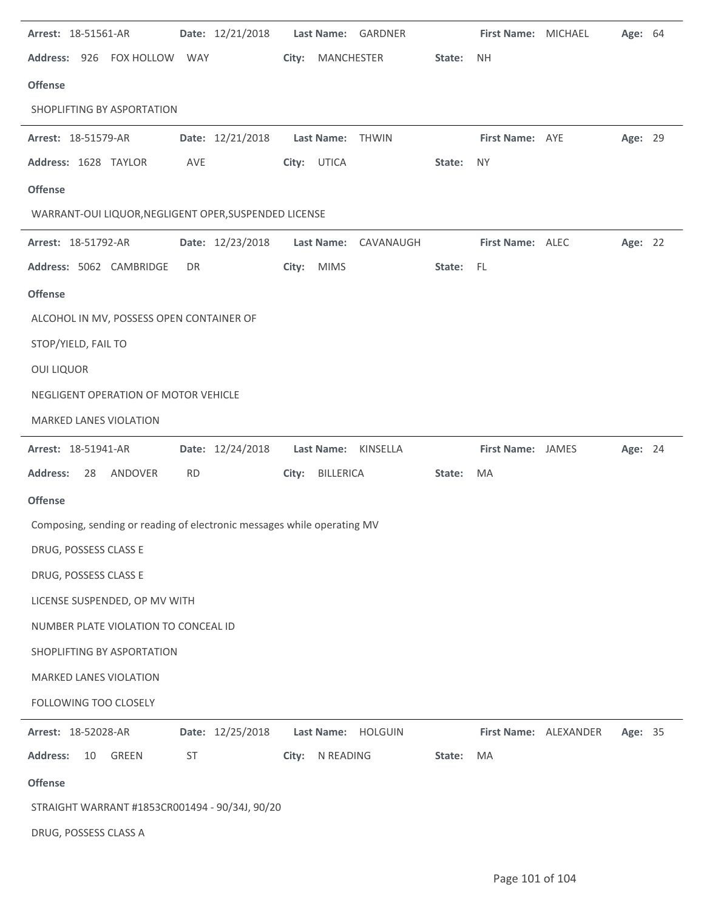|                   | Arrest: 18-51561-AR                                                     |            | Date: 12/21/2018 |       |                   | Last Name: GARDNER   |        | First Name: MICHAEL      |                       | Age: 64 |  |
|-------------------|-------------------------------------------------------------------------|------------|------------------|-------|-------------------|----------------------|--------|--------------------------|-----------------------|---------|--|
|                   | Address: 926 FOX HOLLOW                                                 | <b>WAY</b> |                  | City: | MANCHESTER        |                      | State: | <b>NH</b>                |                       |         |  |
| <b>Offense</b>    |                                                                         |            |                  |       |                   |                      |        |                          |                       |         |  |
|                   | SHOPLIFTING BY ASPORTATION                                              |            |                  |       |                   |                      |        |                          |                       |         |  |
|                   | Arrest: 18-51579-AR                                                     |            | Date: 12/21/2018 |       | <b>Last Name:</b> | THWIN                |        | First Name: AYE          |                       | Age: 29 |  |
|                   | Address: 1628 TAYLOR                                                    | AVE        |                  | City: | <b>UTICA</b>      |                      | State: | <b>NY</b>                |                       |         |  |
| <b>Offense</b>    |                                                                         |            |                  |       |                   |                      |        |                          |                       |         |  |
|                   | WARRANT-OUI LIQUOR, NEGLIGENT OPER, SUSPENDED LICENSE                   |            |                  |       |                   |                      |        |                          |                       |         |  |
|                   | Arrest: 18-51792-AR                                                     |            | Date: 12/23/2018 |       |                   | Last Name: CAVANAUGH |        | First Name: ALEC         |                       | Age: 22 |  |
|                   | Address: 5062 CAMBRIDGE                                                 | DR         |                  | City: | <b>MIMS</b>       |                      | State: | FL                       |                       |         |  |
| <b>Offense</b>    |                                                                         |            |                  |       |                   |                      |        |                          |                       |         |  |
|                   | ALCOHOL IN MV, POSSESS OPEN CONTAINER OF                                |            |                  |       |                   |                      |        |                          |                       |         |  |
|                   | STOP/YIELD, FAIL TO                                                     |            |                  |       |                   |                      |        |                          |                       |         |  |
| <b>OUI LIQUOR</b> |                                                                         |            |                  |       |                   |                      |        |                          |                       |         |  |
|                   | NEGLIGENT OPERATION OF MOTOR VEHICLE                                    |            |                  |       |                   |                      |        |                          |                       |         |  |
|                   | <b>MARKED LANES VIOLATION</b>                                           |            |                  |       |                   |                      |        |                          |                       |         |  |
|                   |                                                                         |            |                  |       |                   |                      |        |                          |                       |         |  |
|                   | Arrest: 18-51941-AR                                                     |            | Date: 12/24/2018 |       | Last Name:        | KINSELLA             |        | <b>First Name: JAMES</b> |                       | Age: 24 |  |
| <b>Address:</b>   | 28<br>ANDOVER                                                           | <b>RD</b>  |                  | City: | <b>BILLERICA</b>  |                      | State: | MA                       |                       |         |  |
| <b>Offense</b>    |                                                                         |            |                  |       |                   |                      |        |                          |                       |         |  |
|                   | Composing, sending or reading of electronic messages while operating MV |            |                  |       |                   |                      |        |                          |                       |         |  |
|                   | DRUG, POSSESS CLASS E                                                   |            |                  |       |                   |                      |        |                          |                       |         |  |
|                   | DRUG, POSSESS CLASS E                                                   |            |                  |       |                   |                      |        |                          |                       |         |  |
|                   | LICENSE SUSPENDED, OP MV WITH                                           |            |                  |       |                   |                      |        |                          |                       |         |  |
|                   | NUMBER PLATE VIOLATION TO CONCEAL ID                                    |            |                  |       |                   |                      |        |                          |                       |         |  |
|                   | SHOPLIFTING BY ASPORTATION                                              |            |                  |       |                   |                      |        |                          |                       |         |  |
|                   | <b>MARKED LANES VIOLATION</b>                                           |            |                  |       |                   |                      |        |                          |                       |         |  |
|                   | FOLLOWING TOO CLOSELY                                                   |            |                  |       |                   |                      |        |                          |                       |         |  |
|                   | Arrest: 18-52028-AR                                                     |            | Date: 12/25/2018 |       |                   | Last Name: HOLGUIN   |        |                          | First Name: ALEXANDER | Age: 35 |  |
| <b>Address:</b>   | GREEN<br>10                                                             | ST         |                  | City: | N READING         |                      | State: | MA                       |                       |         |  |
| <b>Offense</b>    |                                                                         |            |                  |       |                   |                      |        |                          |                       |         |  |
|                   | STRAIGHT WARRANT #1853CR001494 - 90/34J, 90/20                          |            |                  |       |                   |                      |        |                          |                       |         |  |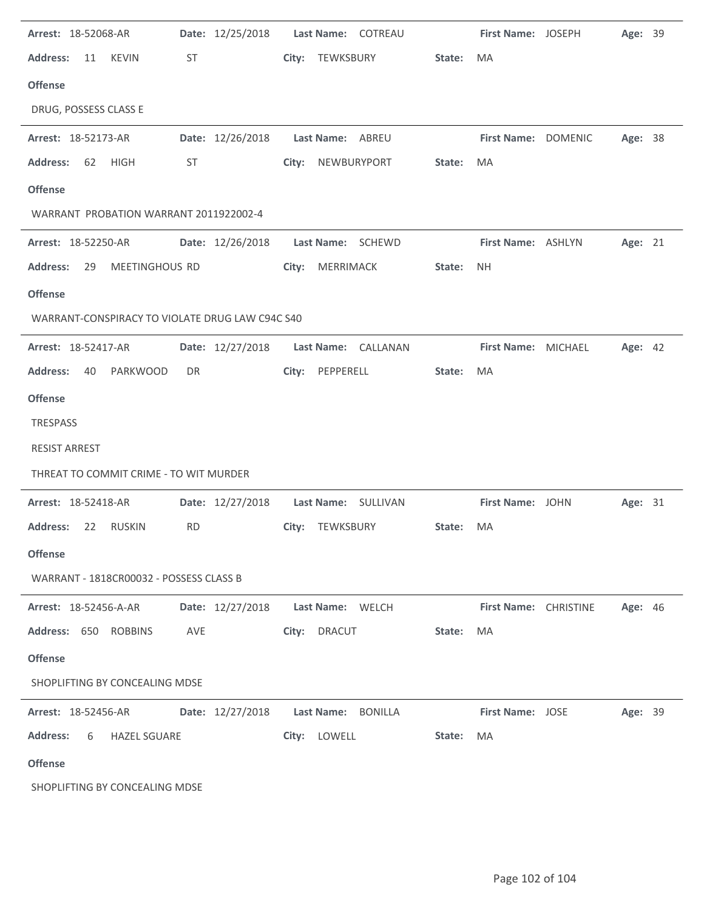| Arrest: 18-52068-AR                             |                  | Date: 12/25/2018    Last Name: COTREAU  |        | First Name: JOSEPH      | Age: 39        |  |
|-------------------------------------------------|------------------|-----------------------------------------|--------|-------------------------|----------------|--|
| <b>Address:</b><br>11<br><b>KEVIN</b>           | ST               | City: TEWKSBURY                         | State: | MA                      |                |  |
| <b>Offense</b>                                  |                  |                                         |        |                         |                |  |
| DRUG, POSSESS CLASS E                           |                  |                                         |        |                         |                |  |
| Arrest: 18-52173-AR                             | Date: 12/26/2018 | Last Name: ABREU                        |        | First Name: DOMENIC     | Age: 38        |  |
| <b>Address:</b><br>62<br>HIGH                   | ST               | City: NEWBURYPORT                       | State: | MA                      |                |  |
| <b>Offense</b>                                  |                  |                                         |        |                         |                |  |
| WARRANT PROBATION WARRANT 2011922002-4          |                  |                                         |        |                         |                |  |
| <b>Arrest: 18-52250-AR</b>                      |                  | Date: 12/26/2018    Last Name: SCHEWD   |        | First Name: ASHLYN      | Age: 21        |  |
| <b>Address:</b><br>MEETINGHOUS RD<br>29         |                  | City: MERRIMACK                         | State: | <b>NH</b>               |                |  |
| <b>Offense</b>                                  |                  |                                         |        |                         |                |  |
| WARRANT-CONSPIRACY TO VIOLATE DRUG LAW C94C S40 |                  |                                         |        |                         |                |  |
| Arrest: 18-52417-AR                             |                  | Date: 12/27/2018    Last Name: CALLANAN |        | First Name: MICHAEL     | <b>Age: 42</b> |  |
| <b>Address:</b><br>PARKWOOD<br>40               | DR               | City: PEPPERELL                         | State: | MA                      |                |  |
| <b>Offense</b>                                  |                  |                                         |        |                         |                |  |
| TRESPASS                                        |                  |                                         |        |                         |                |  |
| <b>RESIST ARREST</b>                            |                  |                                         |        |                         |                |  |
| THREAT TO COMMIT CRIME - TO WIT MURDER          |                  |                                         |        |                         |                |  |
| Arrest: 18-52418-AR                             |                  | Date: 12/27/2018    Last Name: SULLIVAN |        | First Name: JOHN        | Age: 31        |  |
| <b>Address:</b><br>22 RUSKIN                    | <b>RD</b>        | City: TEWKSBURY                         | State: | MA                      |                |  |
| <b>Offense</b>                                  |                  |                                         |        |                         |                |  |
| WARRANT - 1818CR00032 - POSSESS CLASS B         |                  |                                         |        |                         |                |  |
| Arrest: 18-52456-A-AR                           | Date: 12/27/2018 | Last Name: WELCH                        |        | First Name: CHRISTINE   | <b>Age: 46</b> |  |
| Address: 650 ROBBINS                            | AVE              | City: DRACUT                            | State: | MA                      |                |  |
| <b>Offense</b>                                  |                  |                                         |        |                         |                |  |
| SHOPLIFTING BY CONCEALING MDSE                  |                  |                                         |        |                         |                |  |
| <b>Arrest: 18-52456-AR</b>                      | Date: 12/27/2018 | Last Name: BONILLA                      |        | <b>First Name: JOSE</b> | Age: 39        |  |
| <b>Address:</b><br><b>HAZEL SGUARE</b><br>6     |                  | City: LOWELL                            | State: | MA                      |                |  |
| <b>Offense</b>                                  |                  |                                         |        |                         |                |  |
| SHOPLIFTING BY CONCEALING MDSE                  |                  |                                         |        |                         |                |  |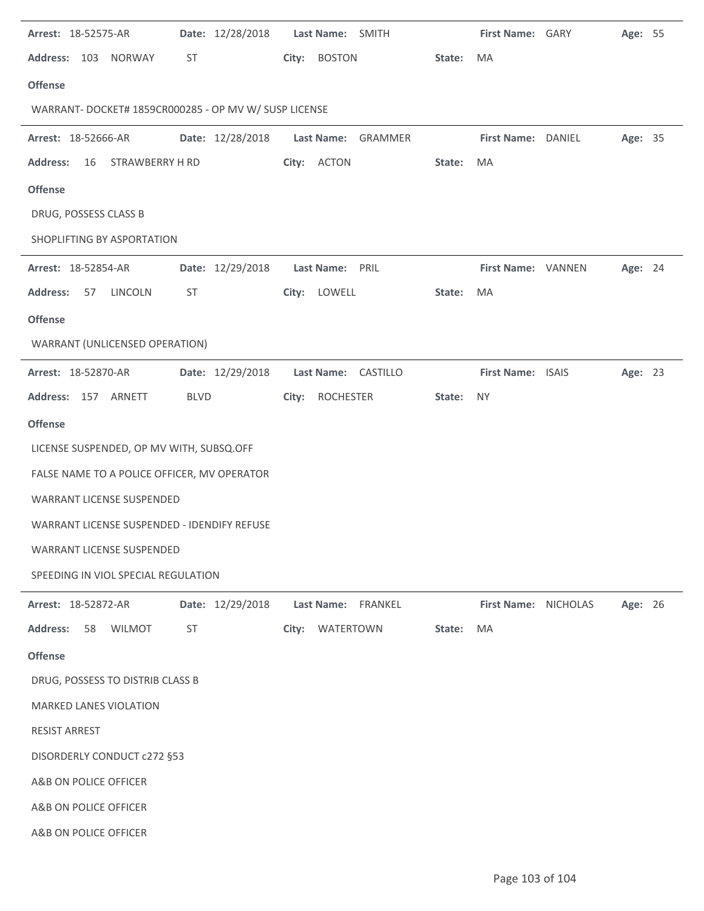| Arrest: 18-52575-AR                                   |                  | Date: 12/28/2018    Last Name: SMITH    |        | First Name: GARY     | Age: 55 |  |
|-------------------------------------------------------|------------------|-----------------------------------------|--------|----------------------|---------|--|
| Address: 103 NORWAY                                   | ST               | City:<br><b>BOSTON</b>                  | State: | MA                   |         |  |
| <b>Offense</b>                                        |                  |                                         |        |                      |         |  |
| WARRANT- DOCKET# 1859CR000285 - OP MV W/ SUSP LICENSE |                  |                                         |        |                      |         |  |
| Arrest: 18-52666-AR                                   | Date: 12/28/2018 | Last Name: GRAMMER                      |        | First Name: DANIEL   | Age: 35 |  |
| <b>Address:</b><br>16<br>STRAWBERRY H RD              |                  | City: ACTON                             | State: | MA                   |         |  |
| <b>Offense</b>                                        |                  |                                         |        |                      |         |  |
| DRUG, POSSESS CLASS B                                 |                  |                                         |        |                      |         |  |
| SHOPLIFTING BY ASPORTATION                            |                  |                                         |        |                      |         |  |
| Arrest: 18-52854-AR                                   | Date: 12/29/2018 | Last Name: PRIL                         |        | First Name: VANNEN   | Age: 24 |  |
| <b>Address:</b><br>57 LINCOLN                         | ST               | City: LOWELL                            | State: | MA                   |         |  |
| <b>Offense</b>                                        |                  |                                         |        |                      |         |  |
| WARRANT (UNLICENSED OPERATION)                        |                  |                                         |        |                      |         |  |
| Arrest: 18-52870-AR                                   |                  | Date: 12/29/2018    Last Name: CASTILLO |        | First Name: ISAIS    | Age: 23 |  |
| Address: 157 ARNETT                                   | <b>BLVD</b>      | ROCHESTER<br>City:                      | State: | <b>NY</b>            |         |  |
| <b>Offense</b>                                        |                  |                                         |        |                      |         |  |
| LICENSE SUSPENDED, OP MV WITH, SUBSQ.OFF              |                  |                                         |        |                      |         |  |
| FALSE NAME TO A POLICE OFFICER, MV OPERATOR           |                  |                                         |        |                      |         |  |
| <b>WARRANT LICENSE SUSPENDED</b>                      |                  |                                         |        |                      |         |  |
| WARRANT LICENSE SUSPENDED - IDENDIFY REFUSE           |                  |                                         |        |                      |         |  |
| <b>WARRANT LICENSE SUSPENDED</b>                      |                  |                                         |        |                      |         |  |
| SPEEDING IN VIOL SPECIAL REGULATION                   |                  |                                         |        |                      |         |  |
| Arrest: 18-52872-AR                                   | Date: 12/29/2018 | Last Name: FRANKEL                      |        | First Name: NICHOLAS | Age: 26 |  |
| <b>Address:</b><br>58<br><b>WILMOT</b>                | <b>ST</b>        | City: WATERTOWN                         | State: | MA                   |         |  |
| <b>Offense</b>                                        |                  |                                         |        |                      |         |  |
| DRUG, POSSESS TO DISTRIB CLASS B                      |                  |                                         |        |                      |         |  |
| <b>MARKED LANES VIOLATION</b>                         |                  |                                         |        |                      |         |  |
| <b>RESIST ARREST</b>                                  |                  |                                         |        |                      |         |  |
| DISORDERLY CONDUCT c272 §53                           |                  |                                         |        |                      |         |  |
| A&B ON POLICE OFFICER                                 |                  |                                         |        |                      |         |  |
| A&B ON POLICE OFFICER                                 |                  |                                         |        |                      |         |  |
| A&B ON POLICE OFFICER                                 |                  |                                         |        |                      |         |  |